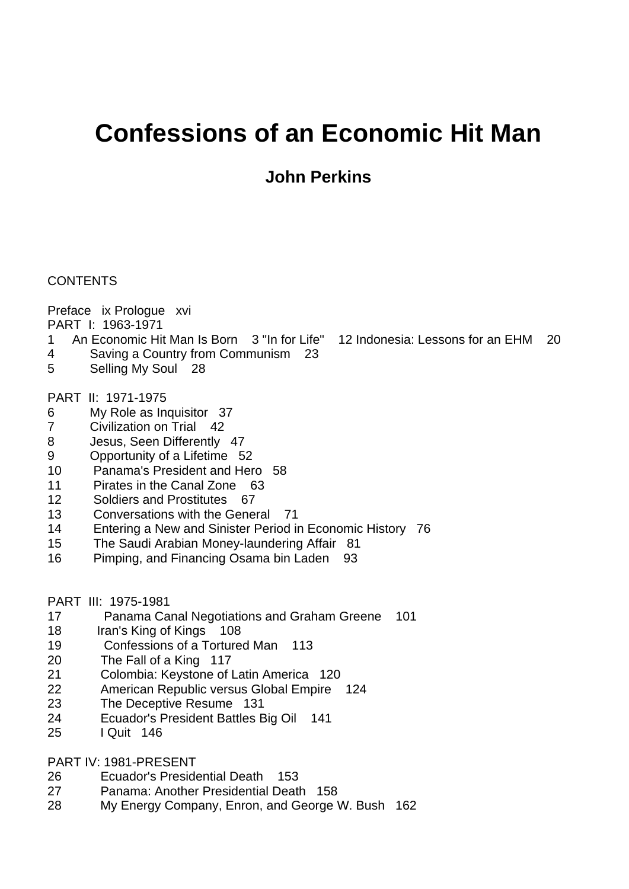# **Confessions of an Economic Hit Man**

**John Perkins** 

### **CONTENTS**

| 1<br>4<br>5                                                                          | Preface ix Prologue xvi<br>PART I: 1963-1971<br>An Economic Hit Man Is Born 3 "In for Life" 12 Indonesia: Lessons for an EHM<br>Saving a Country from Communism 23<br>Selling My Soul 28                                                                                                                                                                                                                                                              | 20 |
|--------------------------------------------------------------------------------------|-------------------------------------------------------------------------------------------------------------------------------------------------------------------------------------------------------------------------------------------------------------------------------------------------------------------------------------------------------------------------------------------------------------------------------------------------------|----|
| 6<br>$\overline{7}$<br>8<br>9<br>10<br>11<br>12 <sub>2</sub><br>13<br>14<br>15<br>16 | PART II: 1971-1975<br>My Role as Inquisitor 37<br>Civilization on Trial 42<br>Jesus, Seen Differently 47<br>Opportunity of a Lifetime 52<br>Panama's President and Hero 58<br>Pirates in the Canal Zone 63<br>Soldiers and Prostitutes 67<br><b>Conversations with the General</b><br>71<br>Entering a New and Sinister Period in Economic History 76<br>The Saudi Arabian Money-laundering Affair 81<br>Pimping, and Financing Osama bin Laden<br>93 |    |
| 17<br>18<br>19<br>20<br>21<br>22<br>23<br>24<br>25                                   | PART III: 1975-1981<br>Panama Canal Negotiations and Graham Greene<br>101<br>Iran's King of Kings 108<br>Confessions of a Tortured Man<br>113<br>The Fall of a King 117<br>Colombia: Keystone of Latin America 120<br>American Republic versus Global Empire<br>124<br>The Deceptive Resume 131<br>Ecuador's President Battles Big Oil 141<br>I Quit 146                                                                                              |    |
| 26<br>27                                                                             | PART IV: 1981-PRESENT<br>Ecuador's Presidential Death<br>153<br>Panama: Another Presidential Death 158                                                                                                                                                                                                                                                                                                                                                |    |

28 My Energy Company, Enron, and George W. Bush 162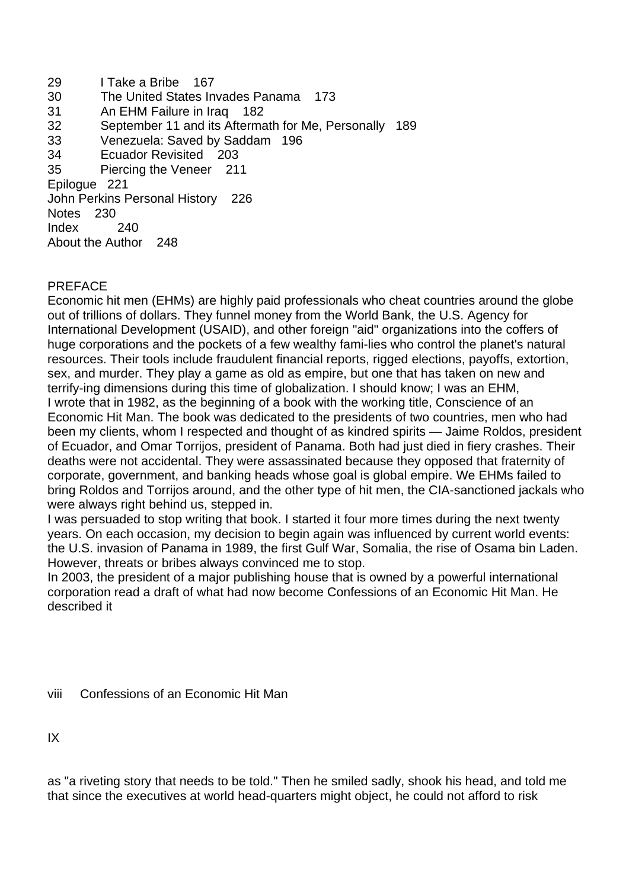29 | Take a Bribe 167 30 The United States Invades Panama 173 31 An EHM Failure in Iraq 182 32 September 11 and its Aftermath for Me, Personally 189 33 Venezuela: Saved by Saddam 196 34 Ecuador Revisited 203 35 Piercing the Veneer 211 Epilogue 221 John Perkins Personal History 226 Notes 230 Index 240 About the Author 248

### PREFACE

Economic hit men (EHMs) are highly paid professionals who cheat countries around the globe out of trillions of dollars. They funnel money from the World Bank, the U.S. Agency for International Development (USAID), and other foreign "aid" organizations into the coffers of huge corporations and the pockets of a few wealthy fami-lies who control the planet's natural resources. Their tools include fraudulent financial reports, rigged elections, payoffs, extortion, sex, and murder. They play a game as old as empire, but one that has taken on new and terrify-ing dimensions during this time of globalization. I should know; I was an EHM, I wrote that in 1982, as the beginning of a book with the working title, Conscience of an Economic Hit Man. The book was dedicated to the presidents of two countries, men who had been my clients, whom I respected and thought of as kindred spirits — Jaime Roldos, president of Ecuador, and Omar Torrijos, president of Panama. Both had just died in fiery crashes. Their deaths were not accidental. They were assassinated because they opposed that fraternity of corporate, government, and banking heads whose goal is global empire. We EHMs failed to bring Roldos and Torrijos around, and the other type of hit men, the CIA-sanctioned jackals who were always right behind us, stepped in.

I was persuaded to stop writing that book. I started it four more times during the next twenty years. On each occasion, my decision to begin again was influenced by current world events: the U.S. invasion of Panama in 1989, the first Gulf War, Somalia, the rise of Osama bin Laden. However, threats or bribes always convinced me to stop.

In 2003, the president of a major publishing house that is owned by a powerful international corporation read a draft of what had now become Confessions of an Economic Hit Man. He described it

viii Confessions of an Economic Hit Man

IX

as "a riveting story that needs to be told." Then he smiled sadly, shook his head, and told me that since the executives at world head-quarters might object, he could not afford to risk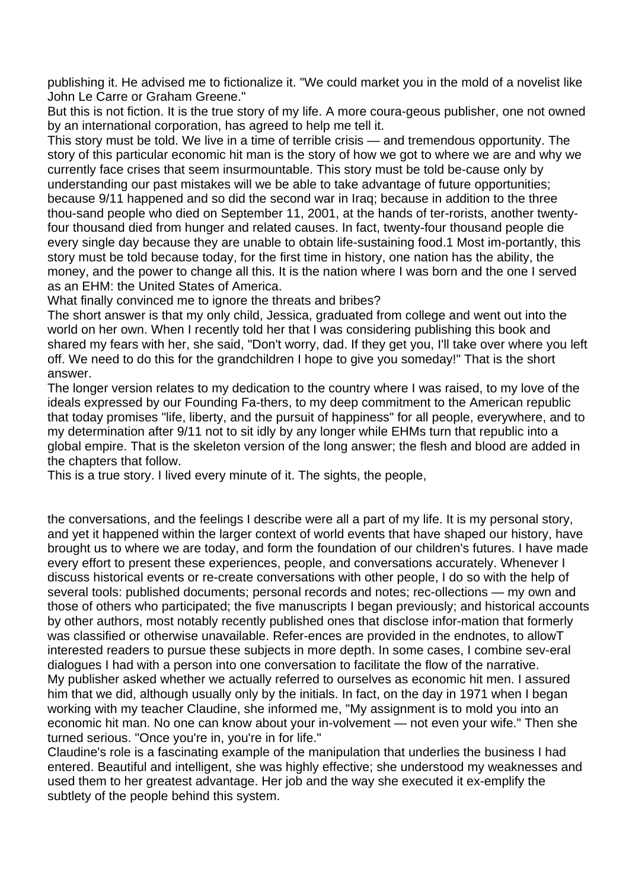publishing it. He advised me to fictionalize it. "We could market you in the mold of a novelist like John Le Carre or Graham Greene."

But this is not fiction. It is the true story of my life. A more coura-geous publisher, one not owned by an international corporation, has agreed to help me tell it.

This story must be told. We live in a time of terrible crisis — and tremendous opportunity. The story of this particular economic hit man is the story of how we got to where we are and why we currently face crises that seem insurmountable. This story must be told be-cause only by understanding our past mistakes will we be able to take advantage of future opportunities; because 9/11 happened and so did the second war in Iraq; because in addition to the three thou-sand people who died on September 11, 2001, at the hands of ter-rorists, another twentyfour thousand died from hunger and related causes. In fact, twenty-four thousand people die every single day because they are unable to obtain life-sustaining food.1 Most im-portantly, this story must be told because today, for the first time in history, one nation has the ability, the money, and the power to change all this. It is the nation where I was born and the one I served as an EHM: the United States of America.

What finally convinced me to ignore the threats and bribes?

The short answer is that my only child, Jessica, graduated from college and went out into the world on her own. When I recently told her that I was considering publishing this book and shared my fears with her, she said, "Don't worry, dad. If they get you, I'll take over where you left off. We need to do this for the grandchildren I hope to give you someday!" That is the short answer.

The longer version relates to my dedication to the country where I was raised, to my love of the ideals expressed by our Founding Fa-thers, to my deep commitment to the American republic that today promises "life, liberty, and the pursuit of happiness" for all people, everywhere, and to my determination after 9/11 not to sit idly by any longer while EHMs turn that republic into a global empire. That is the skeleton version of the long answer; the flesh and blood are added in the chapters that follow.

This is a true story. I lived every minute of it. The sights, the people,

the conversations, and the feelings I describe were all a part of my life. It is my personal story, and yet it happened within the larger context of world events that have shaped our history, have brought us to where we are today, and form the foundation of our children's futures. I have made every effort to present these experiences, people, and conversations accurately. Whenever I discuss historical events or re-create conversations with other people, I do so with the help of several tools: published documents; personal records and notes; rec-ollections — my own and those of others who participated; the five manuscripts I began previously; and historical accounts by other authors, most notably recently published ones that disclose infor-mation that formerly was classified or otherwise unavailable. Refer-ences are provided in the endnotes, to allowT interested readers to pursue these subjects in more depth. In some cases, I combine sev-eral dialogues I had with a person into one conversation to facilitate the flow of the narrative. My publisher asked whether we actually referred to ourselves as economic hit men. I assured him that we did, although usually only by the initials. In fact, on the day in 1971 when I began working with my teacher Claudine, she informed me, "My assignment is to mold you into an economic hit man. No one can know about your in-volvement — not even your wife." Then she turned serious. "Once you're in, you're in for life."

Claudine's role is a fascinating example of the manipulation that underlies the business I had entered. Beautiful and intelligent, she was highly effective; she understood my weaknesses and used them to her greatest advantage. Her job and the way she executed it ex-emplify the subtlety of the people behind this system.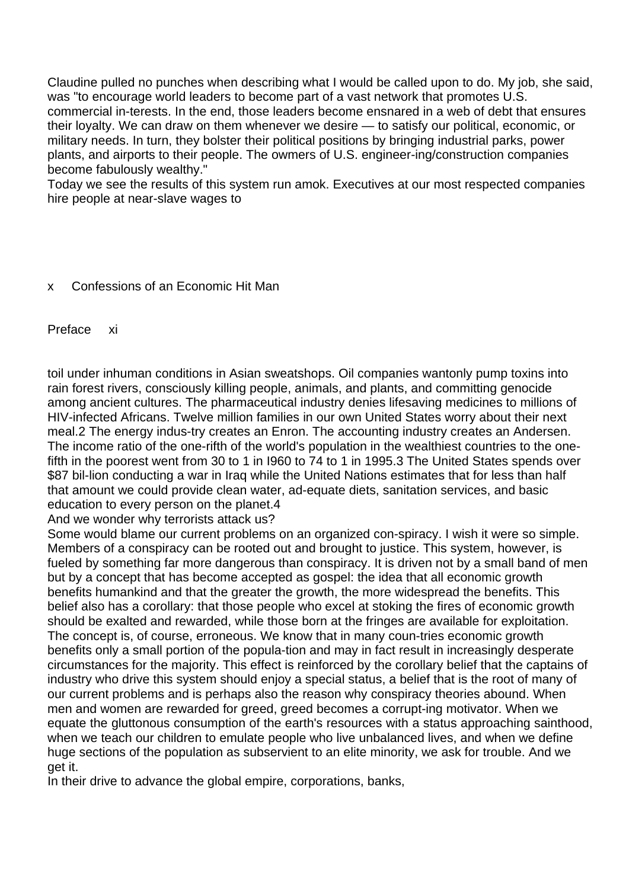Claudine pulled no punches when describing what I would be called upon to do. My job, she said, was "to encourage world leaders to become part of a vast network that promotes U.S. commercial in-terests. In the end, those leaders become ensnared in a web of debt that ensures their loyalty. We can draw on them whenever we desire — to satisfy our political, economic, or military needs. In turn, they bolster their political positions by bringing industrial parks, power plants, and airports to their people. The owmers of U.S. engineer-ing/construction companies become fabulously wealthy."

Today we see the results of this system run amok. Executives at our most respected companies hire people at near-slave wages to

### x Confessions of an Economic Hit Man

Preface xi

toil under inhuman conditions in Asian sweatshops. Oil companies wantonly pump toxins into rain forest rivers, consciously killing people, animals, and plants, and committing genocide among ancient cultures. The pharmaceutical industry denies lifesaving medicines to millions of HIV-infected Africans. Twelve million families in our own United States worry about their next meal.2 The energy indus-try creates an Enron. The accounting industry creates an Andersen. The income ratio of the one-rifth of the world's population in the wealthiest countries to the onefifth in the poorest went from 30 to 1 in I960 to 74 to 1 in 1995.3 The United States spends over \$87 bil-lion conducting a war in Iraq while the United Nations estimates that for less than half that amount we could provide clean water, ad-equate diets, sanitation services, and basic education to every person on the planet.4

And we wonder why terrorists attack us?

Some would blame our current problems on an organized con-spiracy. I wish it were so simple. Members of a conspiracy can be rooted out and brought to justice. This system, however, is fueled by something far more dangerous than conspiracy. It is driven not by a small band of men but by a concept that has become accepted as gospel: the idea that all economic growth benefits humankind and that the greater the growth, the more widespread the benefits. This belief also has a corollary: that those people who excel at stoking the fires of economic growth should be exalted and rewarded, while those born at the fringes are available for exploitation. The concept is, of course, erroneous. We know that in many coun-tries economic growth benefits only a small portion of the popula-tion and may in fact result in increasingly desperate circumstances for the majority. This effect is reinforced by the corollary belief that the captains of industry who drive this system should enjoy a special status, a belief that is the root of many of our current problems and is perhaps also the reason why conspiracy theories abound. When men and women are rewarded for greed, greed becomes a corrupt-ing motivator. When we equate the gluttonous consumption of the earth's resources with a status approaching sainthood, when we teach our children to emulate people who live unbalanced lives, and when we define huge sections of the population as subservient to an elite minority, we ask for trouble. And we get it.

In their drive to advance the global empire, corporations, banks,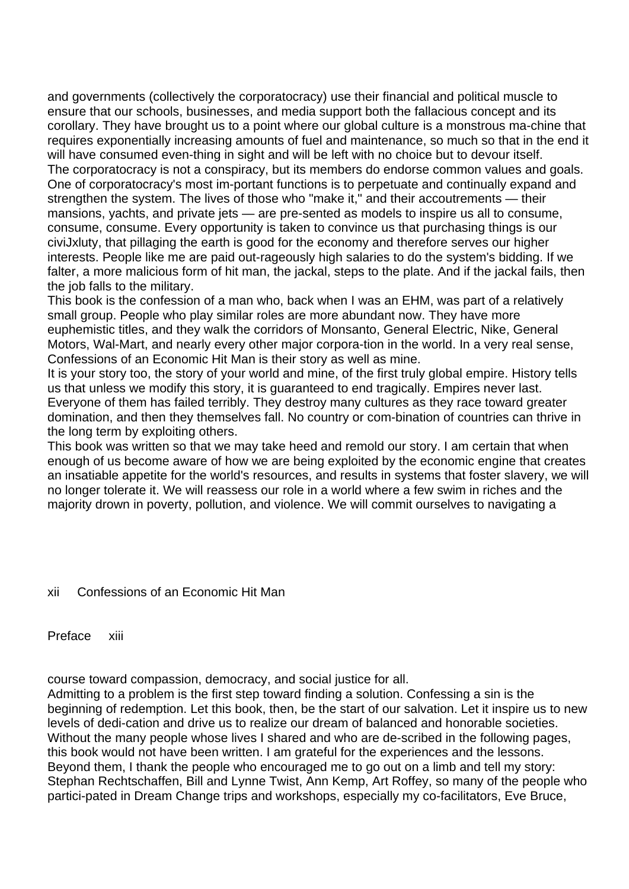and governments (collectively the corporatocracy) use their financial and political muscle to ensure that our schools, businesses, and media support both the fallacious concept and its corollary. They have brought us to a point where our global culture is a monstrous ma-chine that requires exponentially increasing amounts of fuel and maintenance, so much so that in the end it will have consumed even-thing in sight and will be left with no choice but to devour itself.

The corporatocracy is not a conspiracy, but its members do endorse common values and goals. One of corporatocracy's most im-portant functions is to perpetuate and continually expand and strengthen the system. The lives of those who "make it," and their accoutrements — their mansions, yachts, and private jets — are pre-sented as models to inspire us all to consume, consume, consume. Every opportunity is taken to convince us that purchasing things is our civiJxluty, that pillaging the earth is good for the economy and therefore serves our higher interests. People like me are paid out-rageously high salaries to do the system's bidding. If we falter, a more malicious form of hit man, the jackal, steps to the plate. And if the jackal fails, then the job falls to the military.

This book is the confession of a man who, back when I was an EHM, was part of a relatively small group. People who play similar roles are more abundant now. They have more euphemistic titles, and they walk the corridors of Monsanto, General Electric, Nike, General Motors, Wal-Mart, and nearly every other major corpora-tion in the world. In a very real sense, Confessions of an Economic Hit Man is their story as well as mine.

It is your story too, the story of your world and mine, of the first truly global empire. History tells us that unless we modify this story, it is guaranteed to end tragically. Empires never last. Everyone of them has failed terribly. They destroy many cultures as they race toward greater domination, and then they themselves fall. No country or com-bination of countries can thrive in the long term by exploiting others.

This book was written so that we may take heed and remold our story. I am certain that when enough of us become aware of how we are being exploited by the economic engine that creates an insatiable appetite for the world's resources, and results in systems that foster slavery, we will no longer tolerate it. We will reassess our role in a world where a few swim in riches and the majority drown in poverty, pollution, and violence. We will commit ourselves to navigating a

xii Confessions of an Economic Hit Man

Preface xiii

course toward compassion, democracy, and social justice for all.

Admitting to a problem is the first step toward finding a solution. Confessing a sin is the beginning of redemption. Let this book, then, be the start of our salvation. Let it inspire us to new levels of dedi-cation and drive us to realize our dream of balanced and honorable societies. Without the many people whose lives I shared and who are de-scribed in the following pages, this book would not have been written. I am grateful for the experiences and the lessons. Beyond them, I thank the people who encouraged me to go out on a limb and tell my story: Stephan Rechtschaffen, Bill and Lynne Twist, Ann Kemp, Art Roffey, so many of the people who partici-pated in Dream Change trips and workshops, especially my co-facilitators, Eve Bruce,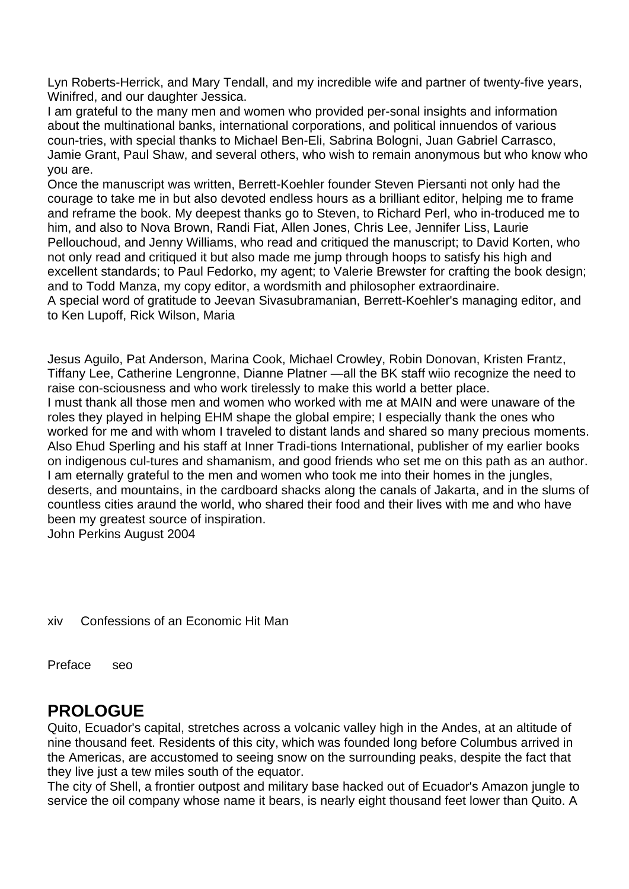Lyn Roberts-Herrick, and Mary Tendall, and my incredible wife and partner of twenty-five years, Winifred, and our daughter Jessica.

I am grateful to the many men and women who provided per-sonal insights and information about the multinational banks, international corporations, and political innuendos of various coun-tries, with special thanks to Michael Ben-Eli, Sabrina Bologni, Juan Gabriel Carrasco, Jamie Grant, Paul Shaw, and several others, who wish to remain anonymous but who know who you are.

Once the manuscript was written, Berrett-Koehler founder Steven Piersanti not only had the courage to take me in but also devoted endless hours as a brilliant editor, helping me to frame and reframe the book. My deepest thanks go to Steven, to Richard Perl, who in-troduced me to him, and also to Nova Brown, Randi Fiat, Allen Jones, Chris Lee, Jennifer Liss, Laurie Pellouchoud, and Jenny Williams, who read and critiqued the manuscript; to David Korten, who not only read and critiqued it but also made me jump through hoops to satisfy his high and excellent standards; to Paul Fedorko, my agent; to Valerie Brewster for crafting the book design; and to Todd Manza, my copy editor, a wordsmith and philosopher extraordinaire. A special word of gratitude to Jeevan Sivasubramanian, Berrett-Koehler's managing editor, and

to Ken Lupoff, Rick Wilson, Maria

Jesus Aguilo, Pat Anderson, Marina Cook, Michael Crowley, Robin Donovan, Kristen Frantz, Tiffany Lee, Catherine Lengronne, Dianne Platner —all the BK staff wiio recognize the need to raise con-sciousness and who work tirelessly to make this world a better place. I must thank all those men and women who worked with me at MAIN and were unaware of the roles they played in helping EHM shape the global empire; I especially thank the ones who worked for me and with whom I traveled to distant lands and shared so many precious moments. Also Ehud Sperling and his staff at Inner Tradi-tions International, publisher of my earlier books on indigenous cul-tures and shamanism, and good friends who set me on this path as an author. I am eternally grateful to the men and women who took me into their homes in the jungles, deserts, and mountains, in the cardboard shacks along the canals of Jakarta, and in the slums of countless cities araund the world, who shared their food and their lives with me and who have been my greatest source of inspiration.

John Perkins August 2004

xiv Confessions of an Economic Hit Man

Preface seo

# **PROLOGUE**

Quito, Ecuador's capital, stretches across a volcanic valley high in the Andes, at an altitude of nine thousand feet. Residents of this city, which was founded long before Columbus arrived in the Americas, are accustomed to seeing snow on the surrounding peaks, despite the fact that they live just a tew miles south of the equator.

The city of Shell, a frontier outpost and military base hacked out of Ecuador's Amazon jungle to service the oil company whose name it bears, is nearly eight thousand feet lower than Quito. A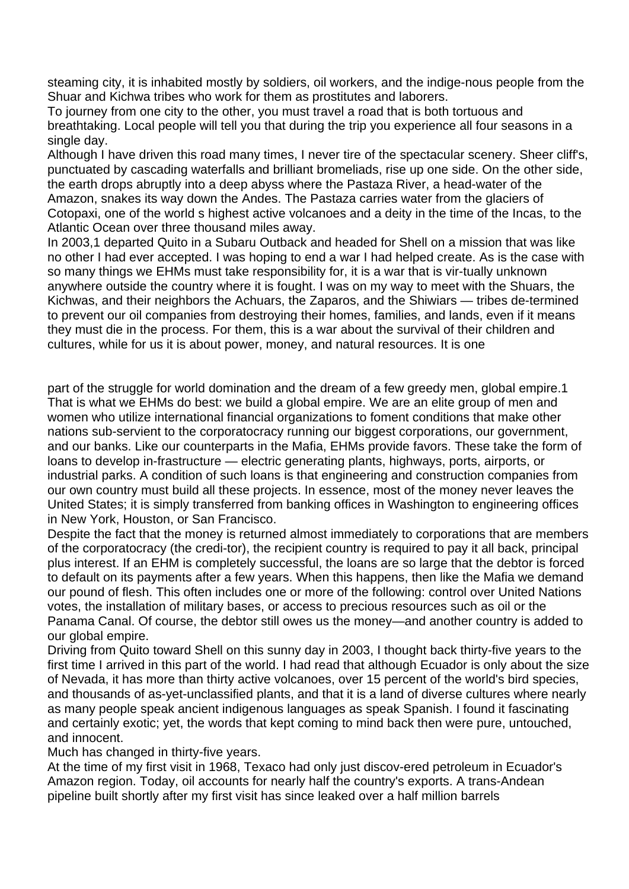steaming city, it is inhabited mostly by soldiers, oil workers, and the indige-nous people from the Shuar and Kichwa tribes who work for them as prostitutes and laborers.

To journey from one city to the other, you must travel a road that is both tortuous and breathtaking. Local people will tell you that during the trip you experience all four seasons in a single day.

Although I have driven this road many times, I never tire of the spectacular scenery. Sheer cliff's, punctuated by cascading waterfalls and brilliant bromeliads, rise up one side. On the other side, the earth drops abruptly into a deep abyss where the Pastaza River, a head-water of the Amazon, snakes its way down the Andes. The Pastaza carries water from the glaciers of Cotopaxi, one of the world s highest active volcanoes and a deity in the time of the Incas, to the Atlantic Ocean over three thousand miles away.

In 2003,1 departed Quito in a Subaru Outback and headed for Shell on a mission that was like no other I had ever accepted. I was hoping to end a war I had helped create. As is the case with so many things we EHMs must take responsibility for, it is a war that is vir-tually unknown anywhere outside the country where it is fought. I was on my way to meet with the Shuars, the Kichwas, and their neighbors the Achuars, the Zaparos, and the Shiwiars — tribes de-termined to prevent our oil companies from destroying their homes, families, and lands, even if it means they must die in the process. For them, this is a war about the survival of their children and cultures, while for us it is about power, money, and natural resources. It is one

part of the struggle for world domination and the dream of a few greedy men, global empire.1 That is what we EHMs do best: we build a global empire. We are an elite group of men and women who utilize international financial organizations to foment conditions that make other nations sub-servient to the corporatocracy running our biggest corporations, our government, and our banks. Like our counterparts in the Mafia, EHMs provide favors. These take the form of loans to develop in-frastructure — electric generating plants, highways, ports, airports, or industrial parks. A condition of such loans is that engineering and construction companies from our own country must build all these projects. In essence, most of the money never leaves the United States; it is simply transferred from banking offices in Washington to engineering offices in New York, Houston, or San Francisco.

Despite the fact that the money is returned almost immediately to corporations that are members of the corporatocracy (the credi-tor), the recipient country is required to pay it all back, principal plus interest. If an EHM is completely successful, the loans are so large that the debtor is forced to default on its payments after a few years. When this happens, then like the Mafia we demand our pound of flesh. This often includes one or more of the following: control over United Nations votes, the installation of military bases, or access to precious resources such as oil or the Panama Canal. Of course, the debtor still owes us the money—and another country is added to our global empire.

Driving from Quito toward Shell on this sunny day in 2003, I thought back thirty-five years to the first time I arrived in this part of the world. I had read that although Ecuador is only about the size of Nevada, it has more than thirty active volcanoes, over 15 percent of the world's bird species, and thousands of as-yet-unclassified plants, and that it is a land of diverse cultures where nearly as many people speak ancient indigenous languages as speak Spanish. I found it fascinating and certainly exotic; yet, the words that kept coming to mind back then were pure, untouched, and innocent.

Much has changed in thirty-five years.

At the time of my first visit in 1968, Texaco had only just discov-ered petroleum in Ecuador's Amazon region. Today, oil accounts for nearly half the country's exports. A trans-Andean pipeline built shortly after my first visit has since leaked over a half million barrels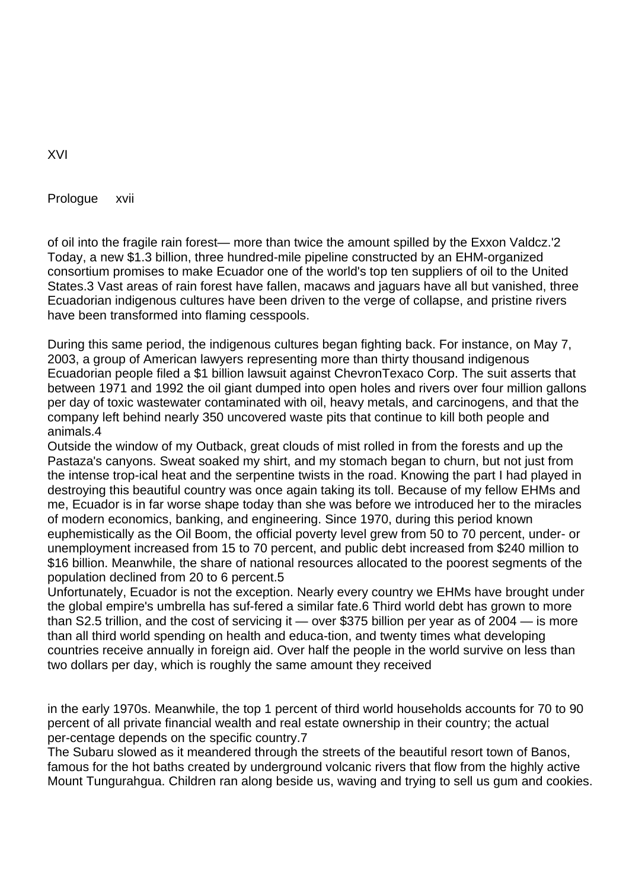XVI

Prologue xvii

of oil into the fragile rain forest— more than twice the amount spilled by the Exxon Valdcz.'2 Today, a new \$1.3 billion, three hundred-mile pipeline constructed by an EHM-organized consortium promises to make Ecuador one of the world's top ten suppliers of oil to the United States.3 Vast areas of rain forest have fallen, macaws and jaguars have all but vanished, three Ecuadorian indigenous cultures have been driven to the verge of collapse, and pristine rivers have been transformed into flaming cesspools.

During this same period, the indigenous cultures began fighting back. For instance, on May 7, 2003, a group of American lawyers representing more than thirty thousand indigenous Ecuadorian people filed a \$1 billion lawsuit against ChevronTexaco Corp. The suit asserts that between 1971 and 1992 the oil giant dumped into open holes and rivers over four million gallons per day of toxic wastewater contaminated with oil, heavy metals, and carcinogens, and that the company left behind nearly 350 uncovered waste pits that continue to kill both people and animals.4

Outside the window of my Outback, great clouds of mist rolled in from the forests and up the Pastaza's canyons. Sweat soaked my shirt, and my stomach began to churn, but not just from the intense trop-ical heat and the serpentine twists in the road. Knowing the part I had played in destroying this beautiful country was once again taking its toll. Because of my fellow EHMs and me, Ecuador is in far worse shape today than she was before we introduced her to the miracles of modern economics, banking, and engineering. Since 1970, during this period known euphemistically as the Oil Boom, the official poverty level grew from 50 to 70 percent, under- or unemployment increased from 15 to 70 percent, and public debt increased from \$240 million to \$16 billion. Meanwhile, the share of national resources allocated to the poorest segments of the population declined from 20 to 6 percent.5

Unfortunately, Ecuador is not the exception. Nearly every country we EHMs have brought under the global empire's umbrella has suf-fered a similar fate.6 Third world debt has grown to more than S2.5 trillion, and the cost of servicing it — over \$375 billion per year as of 2004 — is more than all third world spending on health and educa-tion, and twenty times what developing countries receive annually in foreign aid. Over half the people in the world survive on less than two dollars per day, which is roughly the same amount they received

in the early 1970s. Meanwhile, the top 1 percent of third world households accounts for 70 to 90 percent of all private financial wealth and real estate ownership in their country; the actual per-centage depends on the specific country.7

The Subaru slowed as it meandered through the streets of the beautiful resort town of Banos, famous for the hot baths created by underground volcanic rivers that flow from the highly active Mount Tungurahgua. Children ran along beside us, waving and trying to sell us gum and cookies.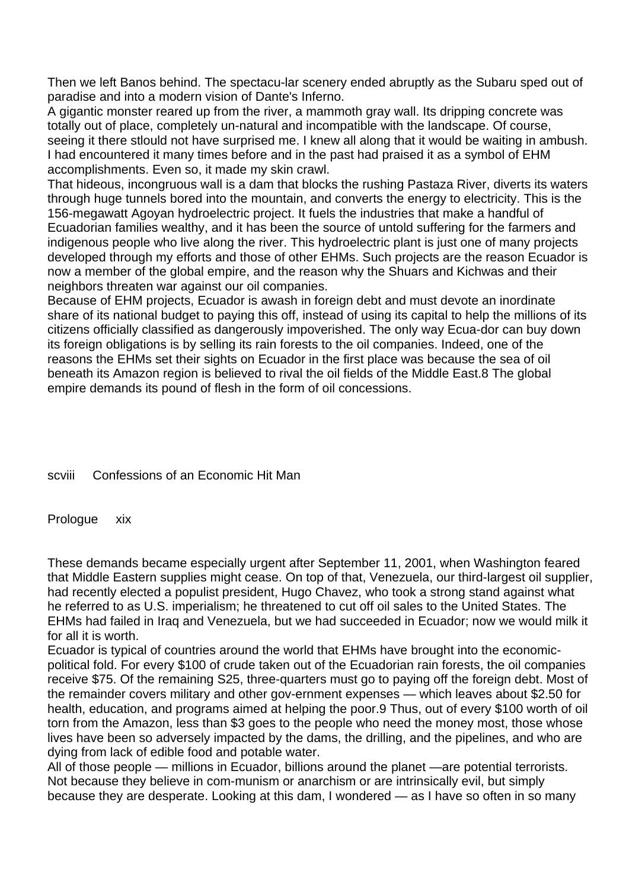Then we left Banos behind. The spectacu-lar scenery ended abruptly as the Subaru sped out of paradise and into a modern vision of Dante's Inferno.

A gigantic monster reared up from the river, a mammoth gray wall. Its dripping concrete was totally out of place, completely un-natural and incompatible with the landscape. Of course, seeing it there stlould not have surprised me. I knew all along that it would be waiting in ambush. I had encountered it many times before and in the past had praised it as a symbol of EHM accomplishments. Even so, it made my skin crawl.

That hideous, incongruous wall is a dam that blocks the rushing Pastaza River, diverts its waters through huge tunnels bored into the mountain, and converts the energy to electricity. This is the 156-megawatt Agoyan hydroelectric project. It fuels the industries that make a handful of Ecuadorian families wealthy, and it has been the source of untold suffering for the farmers and indigenous people who live along the river. This hydroelectric plant is just one of many projects developed through my efforts and those of other EHMs. Such projects are the reason Ecuador is now a member of the global empire, and the reason why the Shuars and Kichwas and their neighbors threaten war against our oil companies.

Because of EHM projects, Ecuador is awash in foreign debt and must devote an inordinate share of its national budget to paying this off, instead of using its capital to help the millions of its citizens officially classified as dangerously impoverished. The only way Ecua-dor can buy down its foreign obligations is by selling its rain forests to the oil companies. Indeed, one of the reasons the EHMs set their sights on Ecuador in the first place was because the sea of oil beneath its Amazon region is believed to rival the oil fields of the Middle East.8 The global empire demands its pound of flesh in the form of oil concessions.

scviii Confessions of an Economic Hit Man

Prologue xix

These demands became especially urgent after September 11, 2001, when Washington feared that Middle Eastern supplies might cease. On top of that, Venezuela, our third-largest oil supplier, had recently elected a populist president, Hugo Chavez, who took a strong stand against what he referred to as U.S. imperialism; he threatened to cut off oil sales to the United States. The EHMs had failed in Iraq and Venezuela, but we had succeeded in Ecuador; now we would milk it for all it is worth.

Ecuador is typical of countries around the world that EHMs have brought into the economicpolitical fold. For every \$100 of crude taken out of the Ecuadorian rain forests, the oil companies receive \$75. Of the remaining S25, three-quarters must go to paying off the foreign debt. Most of the remainder covers military and other gov-ernment expenses — which leaves about \$2.50 for health, education, and programs aimed at helping the poor.9 Thus, out of every \$100 worth of oil torn from the Amazon, less than \$3 goes to the people who need the money most, those whose lives have been so adversely impacted by the dams, the drilling, and the pipelines, and who are dying from lack of edible food and potable water.

All of those people — millions in Ecuador, billions around the planet —are potential terrorists. Not because they believe in com-munism or anarchism or are intrinsically evil, but simply because they are desperate. Looking at this dam, I wondered — as I have so often in so many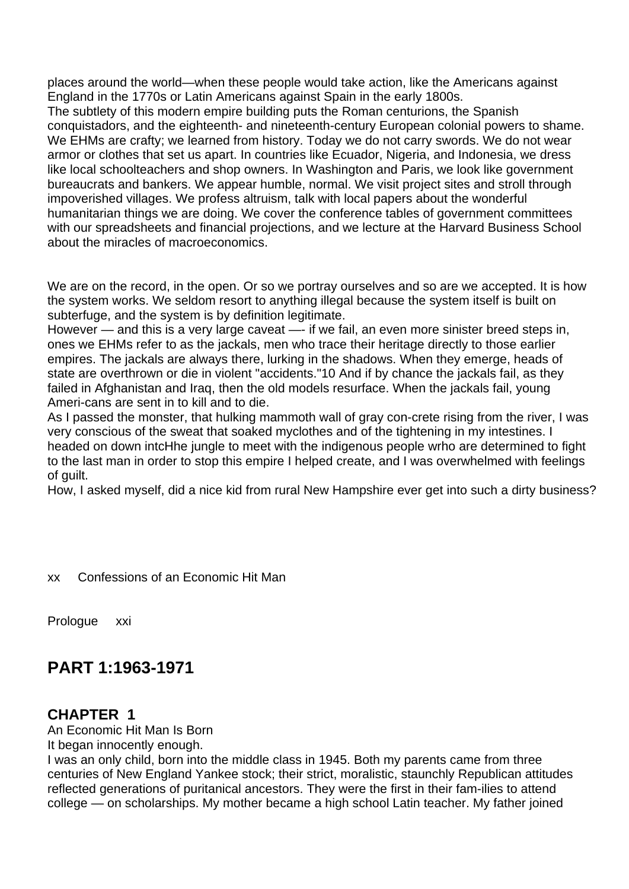places around the world—when these people would take action, like the Americans against England in the 1770s or Latin Americans against Spain in the early 1800s.

The subtlety of this modern empire building puts the Roman centurions, the Spanish conquistadors, and the eighteenth- and nineteenth-century European colonial powers to shame. We EHMs are crafty; we learned from history. Today we do not carry swords. We do not wear armor or clothes that set us apart. In countries like Ecuador, Nigeria, and Indonesia, we dress like local schoolteachers and shop owners. In Washington and Paris, we look like government bureaucrats and bankers. We appear humble, normal. We visit project sites and stroll through impoverished villages. We profess altruism, talk with local papers about the wonderful humanitarian things we are doing. We cover the conference tables of government committees with our spreadsheets and financial projections, and we lecture at the Harvard Business School about the miracles of macroeconomics.

We are on the record, in the open. Or so we portray ourselves and so are we accepted. It is how the system works. We seldom resort to anything illegal because the system itself is built on subterfuge, and the system is by definition legitimate.

However — and this is a very large caveat —- if we fail, an even more sinister breed steps in, ones we EHMs refer to as the jackals, men who trace their heritage directly to those earlier empires. The jackals are always there, lurking in the shadows. When they emerge, heads of state are overthrown or die in violent "accidents."10 And if by chance the jackals fail, as they failed in Afghanistan and Iraq, then the old models resurface. When the jackals fail, young Ameri-cans are sent in to kill and to die.

As I passed the monster, that hulking mammoth wall of gray con-crete rising from the river, I was very conscious of the sweat that soaked myclothes and of the tightening in my intestines. I headed on down intcHhe jungle to meet with the indigenous people wrho are determined to fight to the last man in order to stop this empire I helped create, and I was overwhelmed with feelings of guilt.

How, I asked myself, did a nice kid from rural New Hampshire ever get into such a dirty business?

xx Confessions of an Economic Hit Man

Prologue xxi

# **PART 1:1963-1971**

### **CHAPTER 1**

An Economic Hit Man Is Born

It began innocently enough.

I was an only child, born into the middle class in 1945. Both my parents came from three centuries of New England Yankee stock; their strict, moralistic, staunchly Republican attitudes reflected generations of puritanical ancestors. They were the first in their fam-ilies to attend college — on scholarships. My mother became a high school Latin teacher. My father joined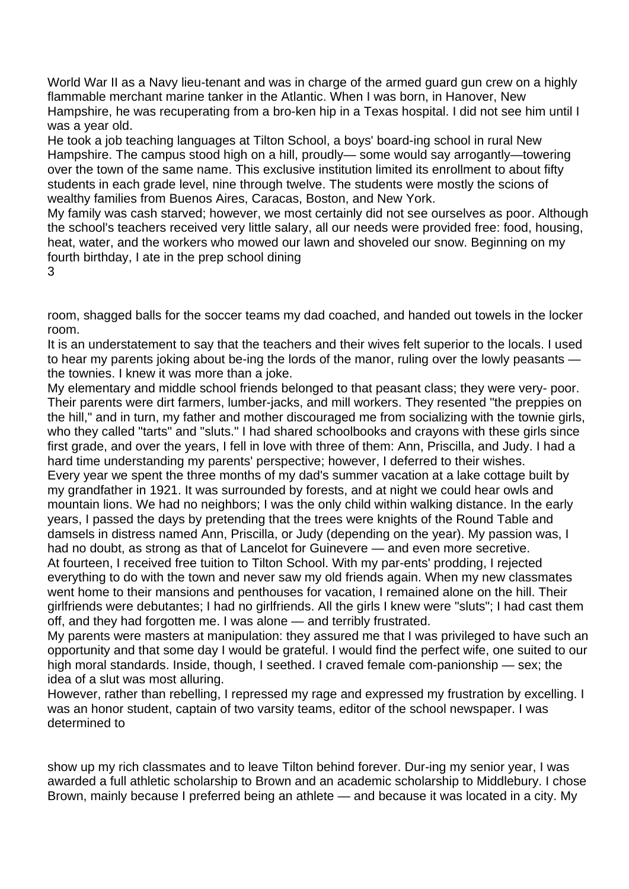World War II as a Navy lieu-tenant and was in charge of the armed guard gun crew on a highly flammable merchant marine tanker in the Atlantic. When I was born, in Hanover, New Hampshire, he was recuperating from a bro-ken hip in a Texas hospital. I did not see him until I was a year old.

He took a job teaching languages at Tilton School, a boys' board-ing school in rural New Hampshire. The campus stood high on a hill, proudly— some would say arrogantly—towering over the town of the same name. This exclusive institution limited its enrollment to about fifty students in each grade level, nine through twelve. The students were mostly the scions of wealthy families from Buenos Aires, Caracas, Boston, and New York.

My family was cash starved; however, we most certainly did not see ourselves as poor. Although the school's teachers received very little salary, all our needs were provided free: food, housing, heat, water, and the workers who mowed our lawn and shoveled our snow. Beginning on my fourth birthday, I ate in the prep school dining

3

room, shagged balls for the soccer teams my dad coached, and handed out towels in the locker room.

It is an understatement to say that the teachers and their wives felt superior to the locals. I used to hear my parents joking about be-ing the lords of the manor, ruling over the lowly peasants the townies. I knew it was more than a joke.

My elementary and middle school friends belonged to that peasant class; they were very- poor. Their parents were dirt farmers, lumber-jacks, and mill workers. They resented "the preppies on the hill," and in turn, my father and mother discouraged me from socializing with the townie girls, who they called "tarts" and "sluts." I had shared schoolbooks and crayons with these girls since first grade, and over the years, I fell in love with three of them: Ann, Priscilla, and Judy. I had a hard time understanding my parents' perspective; however, I deferred to their wishes. Every year we spent the three months of my dad's summer vacation at a lake cottage built by my grandfather in 1921. It was surrounded by forests, and at night we could hear owls and mountain lions. We had no neighbors; I was the only child within walking distance. In the early years, I passed the days by pretending that the trees were knights of the Round Table and damsels in distress named Ann, Priscilla, or Judy (depending on the year). My passion was, I had no doubt, as strong as that of Lancelot for Guinevere — and even more secretive. At fourteen, I received free tuition to Tilton School. With my par-ents' prodding, I rejected everything to do with the town and never saw my old friends again. When my new classmates went home to their mansions and penthouses for vacation, I remained alone on the hill. Their girlfriends were debutantes; I had no girlfriends. All the girls I knew were "sluts"; I had cast them off, and they had forgotten me. I was alone — and terribly frustrated.

My parents were masters at manipulation: they assured me that I was privileged to have such an opportunity and that some day I would be grateful. I would find the perfect wife, one suited to our high moral standards. Inside, though, I seethed. I craved female com-panionship — sex; the idea of a slut was most alluring.

However, rather than rebelling, I repressed my rage and expressed my frustration by excelling. I was an honor student, captain of two varsity teams, editor of the school newspaper. I was determined to

show up my rich classmates and to leave Tilton behind forever. Dur-ing my senior year, I was awarded a full athletic scholarship to Brown and an academic scholarship to Middlebury. I chose Brown, mainly because I preferred being an athlete — and because it was located in a city. My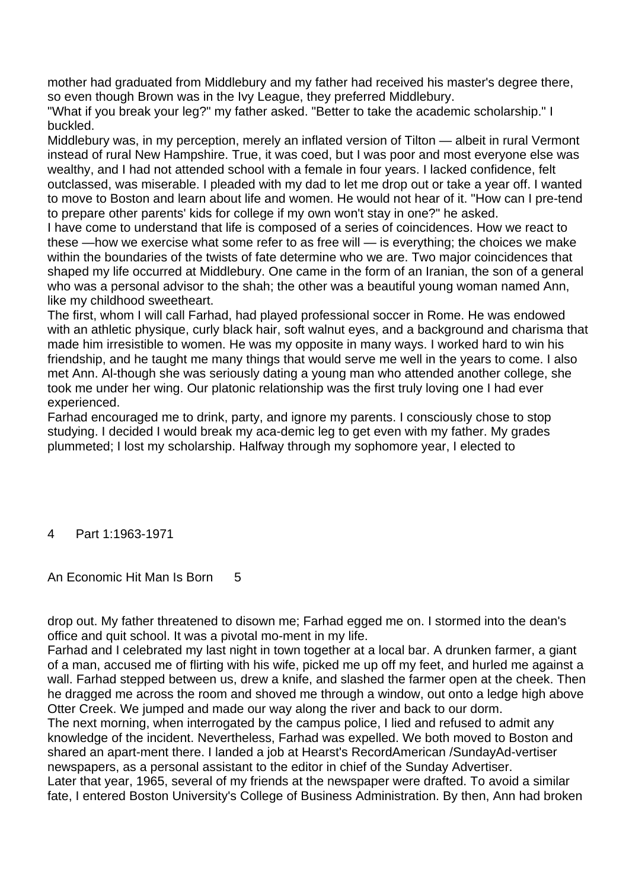mother had graduated from Middlebury and my father had received his master's degree there, so even though Brown was in the Ivy League, they preferred Middlebury.

"What if you break your leg?" my father asked. "Better to take the academic scholarship." I buckled.

Middlebury was, in my perception, merely an inflated version of Tilton — albeit in rural Vermont instead of rural New Hampshire. True, it was coed, but I was poor and most everyone else was wealthy, and I had not attended school with a female in four years. I lacked confidence, felt outclassed, was miserable. I pleaded with my dad to let me drop out or take a year off. I wanted to move to Boston and learn about life and women. He would not hear of it. "How can I pre-tend to prepare other parents' kids for college if my own won't stay in one?" he asked.

I have come to understand that life is composed of a series of coincidences. How we react to these —how we exercise what some refer to as free will — is everything; the choices we make within the boundaries of the twists of fate determine who we are. Two major coincidences that shaped my life occurred at Middlebury. One came in the form of an Iranian, the son of a general who was a personal advisor to the shah; the other was a beautiful young woman named Ann, like my childhood sweetheart.

The first, whom I will call Farhad, had played professional soccer in Rome. He was endowed with an athletic physique, curly black hair, soft walnut eyes, and a background and charisma that made him irresistible to women. He was my opposite in many ways. I worked hard to win his friendship, and he taught me many things that would serve me well in the years to come. I also met Ann. Al-though she was seriously dating a young man who attended another college, she took me under her wing. Our platonic relationship was the first truly loving one I had ever experienced.

Farhad encouraged me to drink, party, and ignore my parents. I consciously chose to stop studying. I decided I would break my aca-demic leg to get even with my father. My grades plummeted; I lost my scholarship. Halfway through my sophomore year, I elected to

4 Part 1:1963-1971

An Economic Hit Man Is Born 5

drop out. My father threatened to disown me; Farhad egged me on. I stormed into the dean's office and quit school. It was a pivotal mo-ment in my life.

Farhad and I celebrated my last night in town together at a local bar. A drunken farmer, a giant of a man, accused me of flirting with his wife, picked me up off my feet, and hurled me against a wall. Farhad stepped between us, drew a knife, and slashed the farmer open at the cheek. Then he dragged me across the room and shoved me through a window, out onto a ledge high above Otter Creek. We jumped and made our way along the river and back to our dorm.

The next morning, when interrogated by the campus police, I lied and refused to admit any knowledge of the incident. Nevertheless, Farhad was expelled. We both moved to Boston and shared an apart-ment there. I landed a job at Hearst's RecordAmerican /SundayAd-vertiser newspapers, as a personal assistant to the editor in chief of the Sunday Advertiser. Later that year, 1965, several of my friends at the newspaper were drafted. To avoid a similar fate, I entered Boston University's College of Business Administration. By then, Ann had broken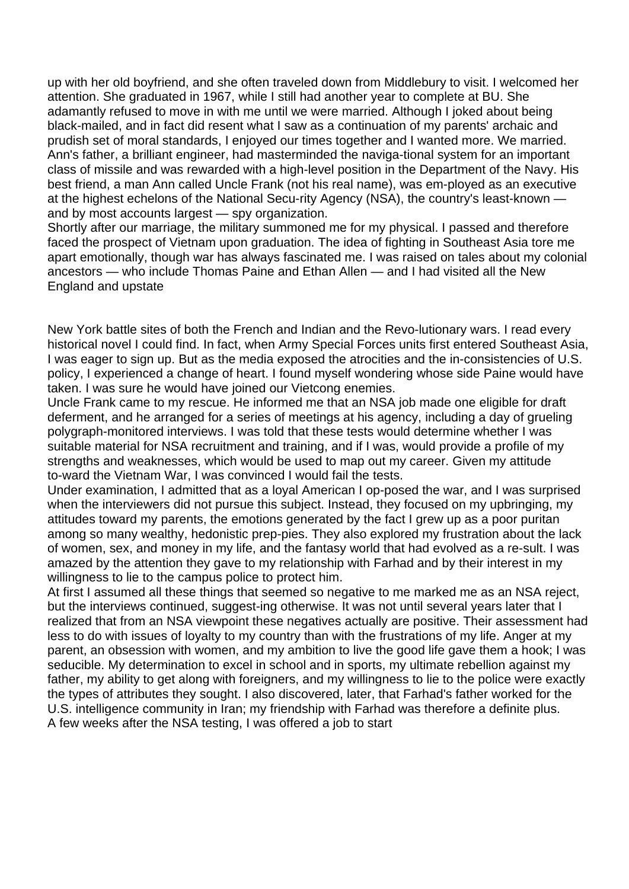up with her old boyfriend, and she often traveled down from Middlebury to visit. I welcomed her attention. She graduated in 1967, while I still had another year to complete at BU. She adamantly refused to move in with me until we were married. Although I joked about being black-mailed, and in fact did resent what I saw as a continuation of my parents' archaic and prudish set of moral standards, I enjoyed our times together and I wanted more. We married. Ann's father, a brilliant engineer, had masterminded the naviga-tional system for an important class of missile and was rewarded with a high-level position in the Department of the Navy. His best friend, a man Ann called Uncle Frank (not his real name), was em-ployed as an executive at the highest echelons of the National Secu-rity Agency (NSA), the country's least-known and by most accounts largest — spy organization.

Shortly after our marriage, the military summoned me for my physical. I passed and therefore faced the prospect of Vietnam upon graduation. The idea of fighting in Southeast Asia tore me apart emotionally, though war has always fascinated me. I was raised on tales about my colonial ancestors — who include Thomas Paine and Ethan Allen — and I had visited all the New England and upstate

New York battle sites of both the French and Indian and the Revo-lutionary wars. I read every historical novel I could find. In fact, when Army Special Forces units first entered Southeast Asia, I was eager to sign up. But as the media exposed the atrocities and the in-consistencies of U.S. policy, I experienced a change of heart. I found myself wondering whose side Paine would have taken. I was sure he would have joined our Vietcong enemies.

Uncle Frank came to my rescue. He informed me that an NSA job made one eligible for draft deferment, and he arranged for a series of meetings at his agency, including a day of grueling polygraph-monitored interviews. I was told that these tests would determine whether I was suitable material for NSA recruitment and training, and if I was, would provide a profile of my strengths and weaknesses, which would be used to map out my career. Given my attitude to-ward the Vietnam War, I was convinced I would fail the tests.

Under examination, I admitted that as a loyal American I op-posed the war, and I was surprised when the interviewers did not pursue this subject. Instead, they focused on my upbringing, my attitudes toward my parents, the emotions generated by the fact I grew up as a poor puritan among so many wealthy, hedonistic prep-pies. They also explored my frustration about the lack of women, sex, and money in my life, and the fantasy world that had evolved as a re-sult. I was amazed by the attention they gave to my relationship with Farhad and by their interest in my willingness to lie to the campus police to protect him.

At first I assumed all these things that seemed so negative to me marked me as an NSA reject, but the interviews continued, suggest-ing otherwise. It was not until several years later that I realized that from an NSA viewpoint these negatives actually are positive. Their assessment had less to do with issues of loyalty to my country than with the frustrations of my life. Anger at my parent, an obsession with women, and my ambition to live the good life gave them a hook; I was seducible. My determination to excel in school and in sports, my ultimate rebellion against my father, my ability to get along with foreigners, and my willingness to lie to the police were exactly the types of attributes they sought. I also discovered, later, that Farhad's father worked for the U.S. intelligence community in Iran; my friendship with Farhad was therefore a definite plus. A few weeks after the NSA testing, I was offered a job to start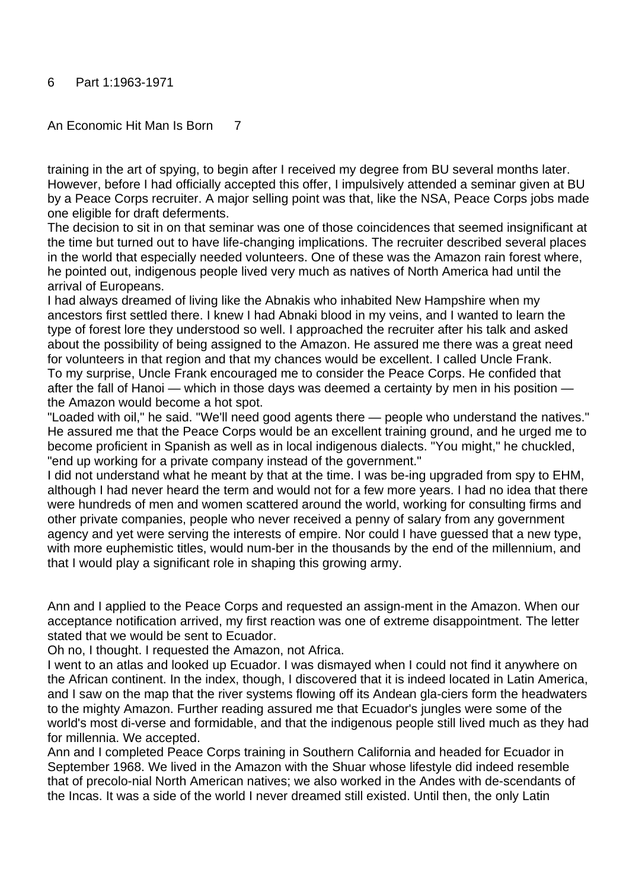### 6 Part 1:1963-1971

An Economic Hit Man Is Born 7

training in the art of spying, to begin after I received my degree from BU several months later. However, before I had officially accepted this offer, I impulsively attended a seminar given at BU by a Peace Corps recruiter. A major selling point was that, like the NSA, Peace Corps jobs made one eligible for draft deferments.

The decision to sit in on that seminar was one of those coincidences that seemed insignificant at the time but turned out to have life-changing implications. The recruiter described several places in the world that especially needed volunteers. One of these was the Amazon rain forest where, he pointed out, indigenous people lived very much as natives of North America had until the arrival of Europeans.

I had always dreamed of living like the Abnakis who inhabited New Hampshire when my ancestors first settled there. I knew I had Abnaki blood in my veins, and I wanted to learn the type of forest lore they understood so well. I approached the recruiter after his talk and asked about the possibility of being assigned to the Amazon. He assured me there was a great need for volunteers in that region and that my chances would be excellent. I called Uncle Frank. To my surprise, Uncle Frank encouraged me to consider the Peace Corps. He confided that after the fall of Hanoi — which in those days was deemed a certainty by men in his position the Amazon would become a hot spot.

"Loaded with oil," he said. "We'll need good agents there — people who understand the natives." He assured me that the Peace Corps would be an excellent training ground, and he urged me to become proficient in Spanish as well as in local indigenous dialects. "You might," he chuckled, "end up working for a private company instead of the government."

I did not understand what he meant by that at the time. I was be-ing upgraded from spy to EHM, although I had never heard the term and would not for a few more years. I had no idea that there were hundreds of men and women scattered around the world, working for consulting firms and other private companies, people who never received a penny of salary from any government agency and yet were serving the interests of empire. Nor could I have guessed that a new type, with more euphemistic titles, would num-ber in the thousands by the end of the millennium, and that I would play a significant role in shaping this growing army.

Ann and I applied to the Peace Corps and requested an assign-ment in the Amazon. When our acceptance notification arrived, my first reaction was one of extreme disappointment. The letter stated that we would be sent to Ecuador.

Oh no, I thought. I requested the Amazon, not Africa.

I went to an atlas and looked up Ecuador. I was dismayed when I could not find it anywhere on the African continent. In the index, though, I discovered that it is indeed located in Latin America, and I saw on the map that the river systems flowing off its Andean gla-ciers form the headwaters to the mighty Amazon. Further reading assured me that Ecuador's jungles were some of the world's most di-verse and formidable, and that the indigenous people still lived much as they had for millennia. We accepted.

Ann and I completed Peace Corps training in Southern California and headed for Ecuador in September 1968. We lived in the Amazon with the Shuar whose lifestyle did indeed resemble that of precolo-nial North American natives; we also worked in the Andes with de-scendants of the Incas. It was a side of the world I never dreamed still existed. Until then, the only Latin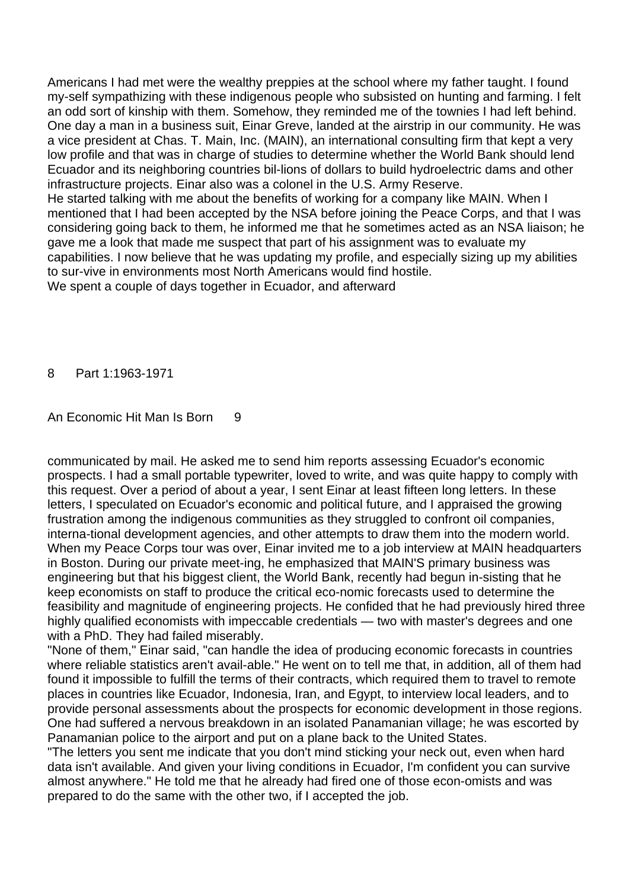Americans I had met were the wealthy preppies at the school where my father taught. I found my-self sympathizing with these indigenous people who subsisted on hunting and farming. I felt an odd sort of kinship with them. Somehow, they reminded me of the townies I had left behind. One day a man in a business suit, Einar Greve, landed at the airstrip in our community. He was a vice president at Chas. T. Main, Inc. (MAIN), an international consulting firm that kept a very low profile and that was in charge of studies to determine whether the World Bank should lend Ecuador and its neighboring countries bil-lions of dollars to build hydroelectric dams and other infrastructure projects. Einar also was a colonel in the U.S. Army Reserve. He started talking with me about the benefits of working for a company like MAIN. When I mentioned that I had been accepted by the NSA before joining the Peace Corps, and that I was considering going back to them, he informed me that he sometimes acted as an NSA liaison; he gave me a look that made me suspect that part of his assignment was to evaluate my capabilities. I now believe that he was updating my profile, and especially sizing up my abilities to sur-vive in environments most North Americans would find hostile. We spent a couple of days together in Ecuador, and afterward

8 Part 1:1963-1971

An Economic Hit Man Is Born 9

communicated by mail. He asked me to send him reports assessing Ecuador's economic prospects. I had a small portable typewriter, loved to write, and was quite happy to comply with this request. Over a period of about a year, I sent Einar at least fifteen long letters. In these letters, I speculated on Ecuador's economic and political future, and I appraised the growing frustration among the indigenous communities as they struggled to confront oil companies, interna-tional development agencies, and other attempts to draw them into the modern world. When my Peace Corps tour was over, Einar invited me to a job interview at MAIN headquarters in Boston. During our private meet-ing, he emphasized that MAIN'S primary business was engineering but that his biggest client, the World Bank, recently had begun in-sisting that he keep economists on staff to produce the critical eco-nomic forecasts used to determine the feasibility and magnitude of engineering projects. He confided that he had previously hired three highly qualified economists with impeccable credentials — two with master's degrees and one with a PhD. They had failed miserably.

"None of them," Einar said, "can handle the idea of producing economic forecasts in countries where reliable statistics aren't avail-able." He went on to tell me that, in addition, all of them had found it impossible to fulfill the terms of their contracts, which required them to travel to remote places in countries like Ecuador, Indonesia, Iran, and Egypt, to interview local leaders, and to provide personal assessments about the prospects for economic development in those regions. One had suffered a nervous breakdown in an isolated Panamanian village; he was escorted by Panamanian police to the airport and put on a plane back to the United States.

"The letters you sent me indicate that you don't mind sticking your neck out, even when hard data isn't available. And given your living conditions in Ecuador, I'm confident you can survive almost anywhere." He told me that he already had fired one of those econ-omists and was prepared to do the same with the other two, if I accepted the job.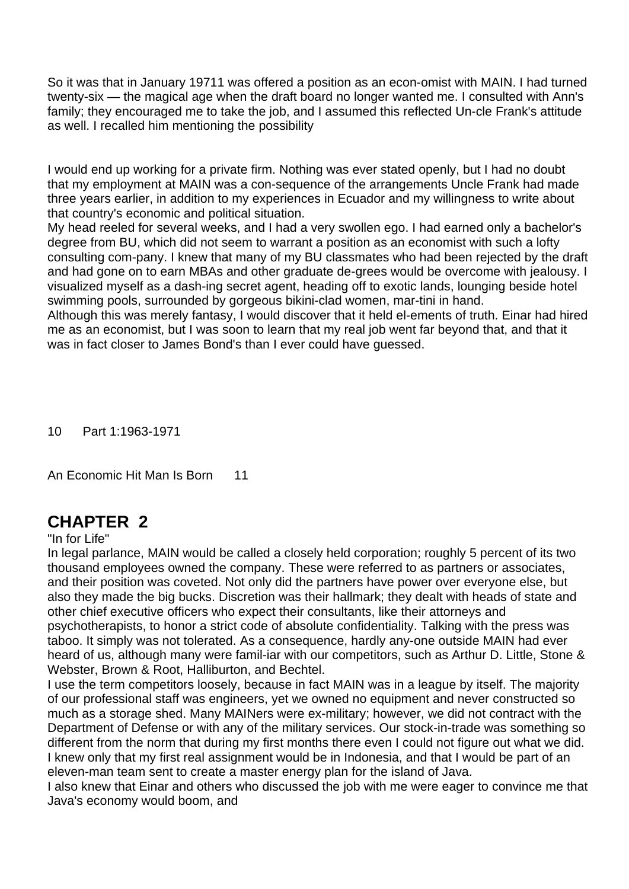So it was that in January 19711 was offered a position as an econ-omist with MAIN. I had turned twenty-six — the magical age when the draft board no longer wanted me. I consulted with Ann's family; they encouraged me to take the job, and I assumed this reflected Un-cle Frank's attitude as well. I recalled him mentioning the possibility

I would end up working for a private firm. Nothing was ever stated openly, but I had no doubt that my employment at MAIN was a con-sequence of the arrangements Uncle Frank had made three years earlier, in addition to my experiences in Ecuador and my willingness to write about that country's economic and political situation.

My head reeled for several weeks, and I had a very swollen ego. I had earned only a bachelor's degree from BU, which did not seem to warrant a position as an economist with such a lofty consulting com-pany. I knew that many of my BU classmates who had been rejected by the draft and had gone on to earn MBAs and other graduate de-grees would be overcome with jealousy. I visualized myself as a dash-ing secret agent, heading off to exotic lands, lounging beside hotel swimming pools, surrounded by gorgeous bikini-clad women, mar-tini in hand.

Although this was merely fantasy, I would discover that it held el-ements of truth. Einar had hired me as an economist, but I was soon to learn that my real job went far beyond that, and that it was in fact closer to James Bond's than I ever could have guessed.

10 Part 1:1963-1971

An Economic Hit Man Is Born 11

### **CHAPTER 2**

#### "In for Life"

In legal parlance, MAIN would be called a closely held corporation; roughly 5 percent of its two thousand employees owned the company. These were referred to as partners or associates, and their position was coveted. Not only did the partners have power over everyone else, but also they made the big bucks. Discretion was their hallmark; they dealt with heads of state and other chief executive officers who expect their consultants, like their attorneys and psychotherapists, to honor a strict code of absolute confidentiality. Talking with the press was taboo. It simply was not tolerated. As a consequence, hardly any-one outside MAIN had ever heard of us, although many were famil-iar with our competitors, such as Arthur D. Little, Stone & Webster, Brown & Root, Halliburton, and Bechtel.

I use the term competitors loosely, because in fact MAIN was in a league by itself. The majority of our professional staff was engineers, yet we owned no equipment and never constructed so much as a storage shed. Many MAINers were ex-military; however, we did not contract with the Department of Defense or with any of the military services. Our stock-in-trade was something so different from the norm that during my first months there even I could not figure out what we did. I knew only that my first real assignment would be in Indonesia, and that I would be part of an eleven-man team sent to create a master energy plan for the island of Java.

I also knew that Einar and others who discussed the job with me were eager to convince me that Java's economy would boom, and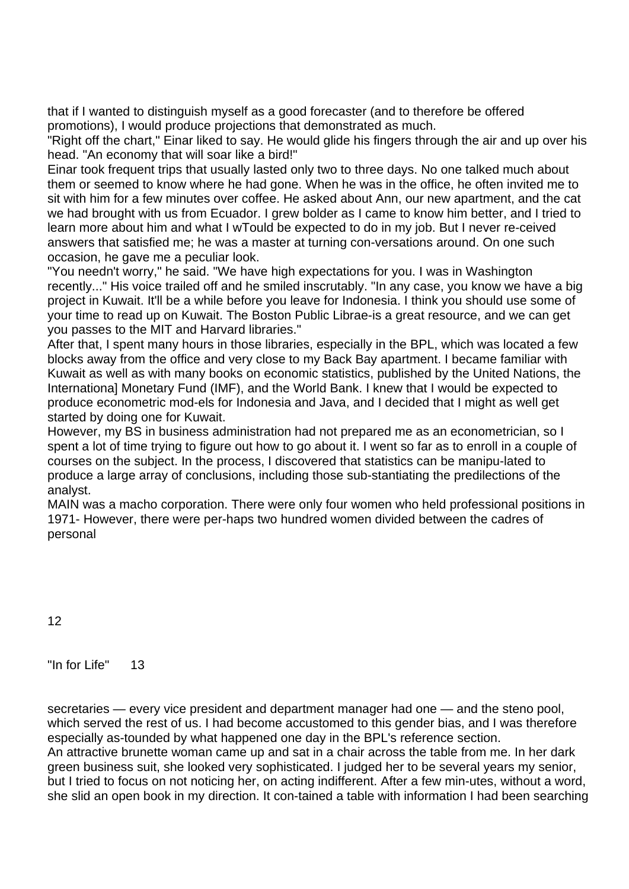that if I wanted to distinguish myself as a good forecaster (and to therefore be offered promotions), I would produce projections that demonstrated as much.

"Right off the chart," Einar liked to say. He would glide his fingers through the air and up over his head. "An economy that will soar like a bird!"

Einar took frequent trips that usually lasted only two to three days. No one talked much about them or seemed to know where he had gone. When he was in the office, he often invited me to sit with him for a few minutes over coffee. He asked about Ann, our new apartment, and the cat we had brought with us from Ecuador. I grew bolder as I came to know him better, and I tried to learn more about him and what I wTould be expected to do in my job. But I never re-ceived answers that satisfied me; he was a master at turning con-versations around. On one such occasion, he gave me a peculiar look.

"You needn't worry," he said. "We have high expectations for you. I was in Washington recently..." His voice trailed off and he smiled inscrutably. "In any case, you know we have a big project in Kuwait. It'll be a while before you leave for Indonesia. I think you should use some of your time to read up on Kuwait. The Boston Public Librae-is a great resource, and we can get you passes to the MIT and Harvard libraries."

After that, I spent many hours in those libraries, especially in the BPL, which was located a few blocks away from the office and very close to my Back Bay apartment. I became familiar with Kuwait as well as with many books on economic statistics, published by the United Nations, the Internationa] Monetary Fund (IMF), and the World Bank. I knew that I would be expected to produce econometric mod-els for Indonesia and Java, and I decided that I might as well get started by doing one for Kuwait.

However, my BS in business administration had not prepared me as an econometrician, so I spent a lot of time trying to figure out how to go about it. I went so far as to enroll in a couple of courses on the subject. In the process, I discovered that statistics can be manipu-lated to produce a large array of conclusions, including those sub-stantiating the predilections of the analyst.

MAIN was a macho corporation. There were only four women who held professional positions in 1971- However, there were per-haps two hundred women divided between the cadres of personal

12

"In for Life" 13

secretaries — every vice president and department manager had one — and the steno pool, which served the rest of us. I had become accustomed to this gender bias, and I was therefore especially as-tounded by what happened one day in the BPL's reference section. An attractive brunette woman came up and sat in a chair across the table from me. In her dark green business suit, she looked very sophisticated. I judged her to be several years my senior, but I tried to focus on not noticing her, on acting indifferent. After a few min-utes, without a word, she slid an open book in my direction. It con-tained a table with information I had been searching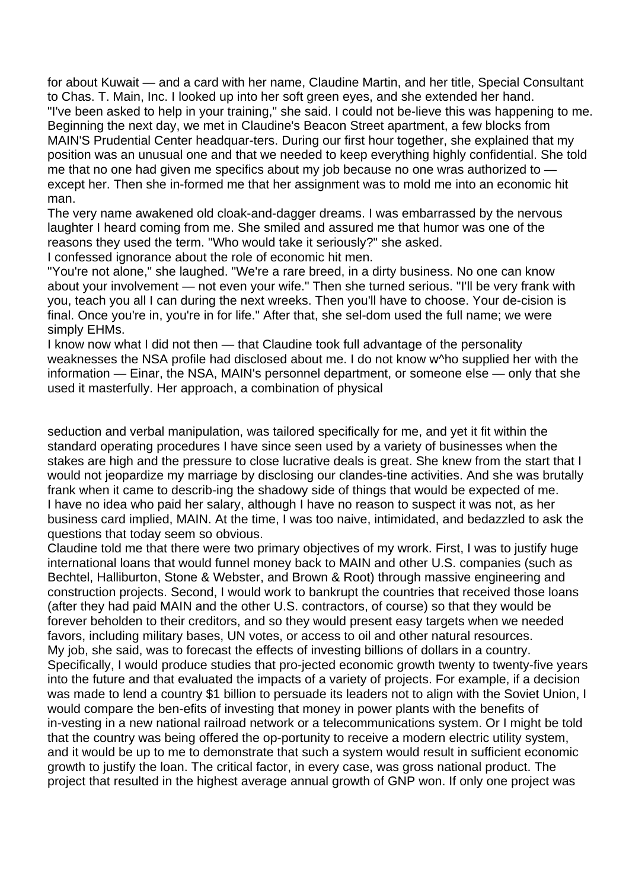for about Kuwait — and a card with her name, Claudine Martin, and her title, Special Consultant to Chas. T. Main, Inc. I looked up into her soft green eyes, and she extended her hand. "I've been asked to help in your training," she said. I could not be-lieve this was happening to me. Beginning the next day, we met in Claudine's Beacon Street apartment, a few blocks from MAIN'S Prudential Center headquar-ters. During our first hour together, she explained that my position was an unusual one and that we needed to keep everything highly confidential. She told me that no one had given me specifics about my job because no one wras authorized to except her. Then she in-formed me that her assignment was to mold me into an economic hit man.

The very name awakened old cloak-and-dagger dreams. I was embarrassed by the nervous laughter I heard coming from me. She smiled and assured me that humor was one of the reasons they used the term. "Who would take it seriously?" she asked.

I confessed ignorance about the role of economic hit men.

"You're not alone," she laughed. "We're a rare breed, in a dirty business. No one can know about your involvement — not even your wife." Then she turned serious. "I'll be very frank with you, teach you all I can during the next wreeks. Then you'll have to choose. Your de-cision is final. Once you're in, you're in for life." After that, she sel-dom used the full name; we were simply EHMs.

I know now what I did not then — that Claudine took full advantage of the personality weaknesses the NSA profile had disclosed about me. I do not know w^ho supplied her with the information — Einar, the NSA, MAIN's personnel department, or someone else — only that she used it masterfully. Her approach, a combination of physical

seduction and verbal manipulation, was tailored specifically for me, and yet it fit within the standard operating procedures I have since seen used by a variety of businesses when the stakes are high and the pressure to close lucrative deals is great. She knew from the start that I would not jeopardize my marriage by disclosing our clandes-tine activities. And she was brutally frank when it came to describ-ing the shadowy side of things that would be expected of me. I have no idea who paid her salary, although I have no reason to suspect it was not, as her business card implied, MAIN. At the time, I was too naive, intimidated, and bedazzled to ask the questions that today seem so obvious.

Claudine told me that there were two primary objectives of my wrork. First, I was to justify huge international loans that would funnel money back to MAIN and other U.S. companies (such as Bechtel, Halliburton, Stone & Webster, and Brown & Root) through massive engineering and construction projects. Second, I would work to bankrupt the countries that received those loans (after they had paid MAIN and the other U.S. contractors, of course) so that they would be forever beholden to their creditors, and so they would present easy targets when we needed favors, including military bases, UN votes, or access to oil and other natural resources. My job, she said, was to forecast the effects of investing billions of dollars in a country. Specifically, I would produce studies that pro-jected economic growth twenty to twenty-five years into the future and that evaluated the impacts of a variety of projects. For example, if a decision was made to lend a country \$1 billion to persuade its leaders not to align with the Soviet Union, I would compare the ben-efits of investing that money in power plants with the benefits of in-vesting in a new national railroad network or a telecommunications system. Or I might be told that the country was being offered the op-portunity to receive a modern electric utility system, and it would be up to me to demonstrate that such a system would result in sufficient economic growth to justify the loan. The critical factor, in every case, was gross national product. The project that resulted in the highest average annual growth of GNP won. If only one project was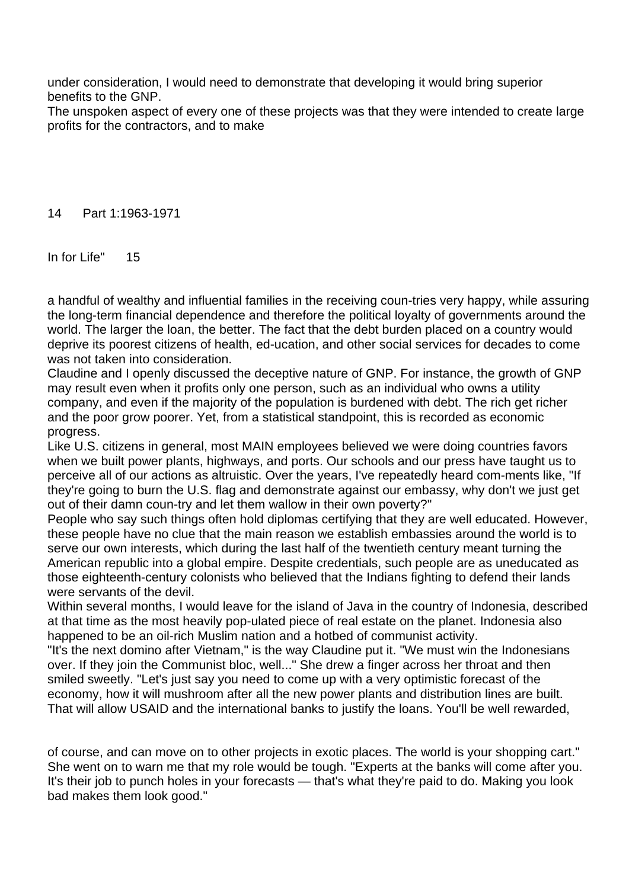under consideration, I would need to demonstrate that developing it would bring superior benefits to the GNP.

The unspoken aspect of every one of these projects was that they were intended to create large profits for the contractors, and to make

14 Part 1:1963-1971

In for Life" 15

a handful of wealthy and influential families in the receiving coun-tries very happy, while assuring the long-term financial dependence and therefore the political loyalty of governments around the world. The larger the loan, the better. The fact that the debt burden placed on a country would deprive its poorest citizens of health, ed-ucation, and other social services for decades to come was not taken into consideration.

Claudine and I openly discussed the deceptive nature of GNP. For instance, the growth of GNP may result even when it profits only one person, such as an individual who owns a utility company, and even if the majority of the population is burdened with debt. The rich get richer and the poor grow poorer. Yet, from a statistical standpoint, this is recorded as economic progress.

Like U.S. citizens in general, most MAIN employees believed we were doing countries favors when we built power plants, highways, and ports. Our schools and our press have taught us to perceive all of our actions as altruistic. Over the years, I've repeatedly heard com-ments like, "If they're going to burn the U.S. flag and demonstrate against our embassy, why don't we just get out of their damn coun-try and let them wallow in their own poverty?"

People who say such things often hold diplomas certifying that they are well educated. However, these people have no clue that the main reason we establish embassies around the world is to serve our own interests, which during the last half of the twentieth century meant turning the American republic into a global empire. Despite credentials, such people are as uneducated as those eighteenth-century colonists who believed that the Indians fighting to defend their lands were servants of the devil.

Within several months, I would leave for the island of Java in the country of Indonesia, described at that time as the most heavily pop-ulated piece of real estate on the planet. Indonesia also happened to be an oil-rich Muslim nation and a hotbed of communist activity.

"It's the next domino after Vietnam," is the way Claudine put it. "We must win the Indonesians over. If they join the Communist bloc, well..." She drew a finger across her throat and then smiled sweetly. "Let's just say you need to come up with a very optimistic forecast of the economy, how it will mushroom after all the new power plants and distribution lines are built. That will allow USAID and the international banks to justify the loans. You'll be well rewarded,

of course, and can move on to other projects in exotic places. The world is your shopping cart." She went on to warn me that my role would be tough. "Experts at the banks will come after you. It's their job to punch holes in your forecasts — that's what they're paid to do. Making you look bad makes them look good."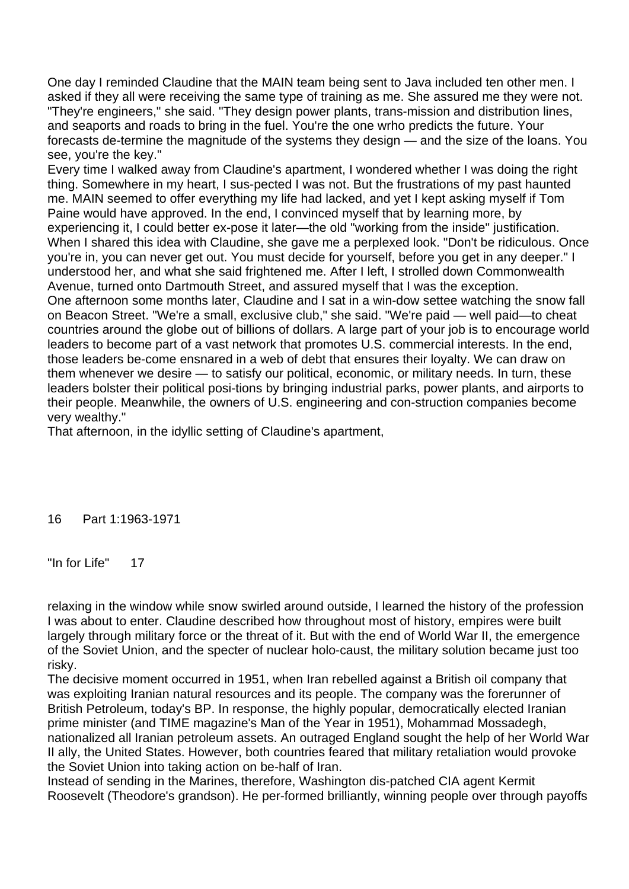One day I reminded Claudine that the MAIN team being sent to Java included ten other men. I asked if they all were receiving the same type of training as me. She assured me they were not. "They're engineers," she said. "They design power plants, trans-mission and distribution lines, and seaports and roads to bring in the fuel. You're the one wrho predicts the future. Your forecasts de-termine the magnitude of the systems they design — and the size of the loans. You see, you're the key."

Every time I walked away from Claudine's apartment, I wondered whether I was doing the right thing. Somewhere in my heart, I sus-pected I was not. But the frustrations of my past haunted me. MAIN seemed to offer everything my life had lacked, and yet I kept asking myself if Tom Paine would have approved. In the end, I convinced myself that by learning more, by experiencing it, I could better ex-pose it later—the old "working from the inside" justification. When I shared this idea with Claudine, she gave me a perplexed look. "Don't be ridiculous. Once you're in, you can never get out. You must decide for yourself, before you get in any deeper." I understood her, and what she said frightened me. After I left, I strolled down Commonwealth Avenue, turned onto Dartmouth Street, and assured myself that I was the exception. One afternoon some months later, Claudine and I sat in a win-dow settee watching the snow fall on Beacon Street. "We're a small, exclusive club," she said. "We're paid — well paid—to cheat countries around the globe out of billions of dollars. A large part of your job is to encourage world leaders to become part of a vast network that promotes U.S. commercial interests. In the end, those leaders be-come ensnared in a web of debt that ensures their loyalty. We can draw on them whenever we desire — to satisfy our political, economic, or military needs. In turn, these leaders bolster their political posi-tions by bringing industrial parks, power plants, and airports to their people. Meanwhile, the owners of U.S. engineering and con-struction companies become very wealthy."

That afternoon, in the idyllic setting of Claudine's apartment,

16 Part 1:1963-1971

"In for Life" 17

relaxing in the window while snow swirled around outside, I learned the history of the profession I was about to enter. Claudine described how throughout most of history, empires were built largely through military force or the threat of it. But with the end of World War II, the emergence of the Soviet Union, and the specter of nuclear holo-caust, the military solution became just too risky.

The decisive moment occurred in 1951, when Iran rebelled against a British oil company that was exploiting Iranian natural resources and its people. The company was the forerunner of British Petroleum, today's BP. In response, the highly popular, democratically elected Iranian prime minister (and TIME magazine's Man of the Year in 1951), Mohammad Mossadegh, nationalized all Iranian petroleum assets. An outraged England sought the help of her World War II ally, the United States. However, both countries feared that military retaliation would provoke the Soviet Union into taking action on be-half of Iran.

Instead of sending in the Marines, therefore, Washington dis-patched CIA agent Kermit Roosevelt (Theodore's grandson). He per-formed brilliantly, winning people over through payoffs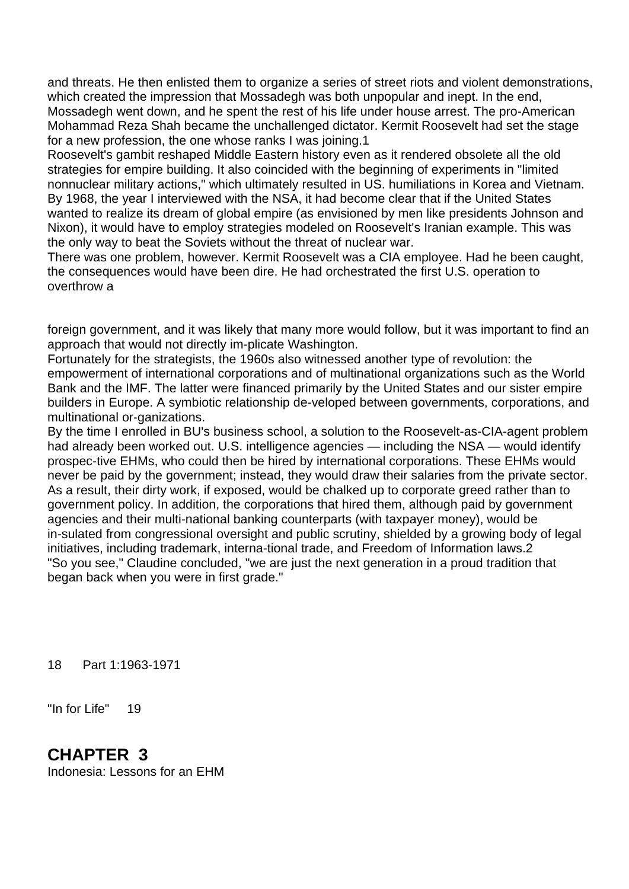and threats. He then enlisted them to organize a series of street riots and violent demonstrations, which created the impression that Mossadegh was both unpopular and inept. In the end, Mossadegh went down, and he spent the rest of his life under house arrest. The pro-American Mohammad Reza Shah became the unchallenged dictator. Kermit Roosevelt had set the stage for a new profession, the one whose ranks I was joining.1

Roosevelt's gambit reshaped Middle Eastern history even as it rendered obsolete all the old strategies for empire building. It also coincided with the beginning of experiments in "limited nonnuclear military actions," which ultimately resulted in US. humiliations in Korea and Vietnam. By 1968, the year I interviewed with the NSA, it had become clear that if the United States wanted to realize its dream of global empire (as envisioned by men like presidents Johnson and Nixon), it would have to employ strategies modeled on Roosevelt's Iranian example. This was the only way to beat the Soviets without the threat of nuclear war.

There was one problem, however. Kermit Roosevelt was a CIA employee. Had he been caught, the consequences would have been dire. He had orchestrated the first U.S. operation to overthrow a

foreign government, and it was likely that many more would follow, but it was important to find an approach that would not directly im-plicate Washington.

Fortunately for the strategists, the 1960s also witnessed another type of revolution: the empowerment of international corporations and of multinational organizations such as the World Bank and the IMF. The latter were financed primarily by the United States and our sister empire builders in Europe. A symbiotic relationship de-veloped between governments, corporations, and multinational or-ganizations.

By the time I enrolled in BU's business school, a solution to the Roosevelt-as-CIA-agent problem had already been worked out. U.S. intelligence agencies — including the NSA — would identify prospec-tive EHMs, who could then be hired by international corporations. These EHMs would never be paid by the government; instead, they would draw their salaries from the private sector. As a result, their dirty work, if exposed, would be chalked up to corporate greed rather than to government policy. In addition, the corporations that hired them, although paid by government agencies and their multi-national banking counterparts (with taxpayer money), would be in-sulated from congressional oversight and public scrutiny, shielded by a growing body of legal initiatives, including trademark, interna-tional trade, and Freedom of Information laws.2 "So you see," Claudine concluded, "we are just the next generation in a proud tradition that began back when you were in first grade."

18 Part 1:1963-1971

"In for Life" 19

### **CHAPTER 3**

Indonesia: Lessons for an EHM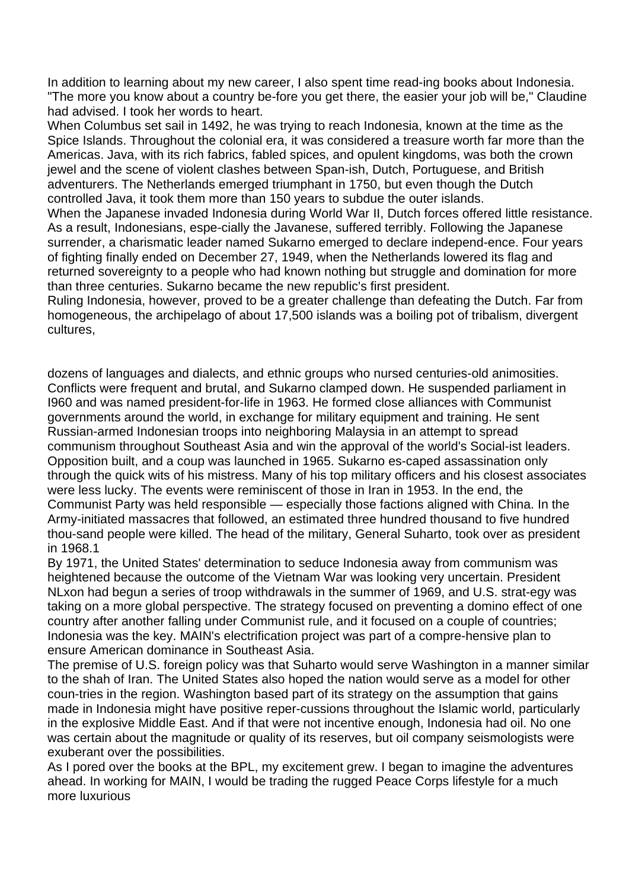In addition to learning about my new career, I also spent time read-ing books about Indonesia. "The more you know about a country be-fore you get there, the easier your job will be," Claudine had advised. I took her words to heart.

When Columbus set sail in 1492, he was trying to reach Indonesia, known at the time as the Spice Islands. Throughout the colonial era, it was considered a treasure worth far more than the Americas. Java, with its rich fabrics, fabled spices, and opulent kingdoms, was both the crown jewel and the scene of violent clashes between Span-ish, Dutch, Portuguese, and British adventurers. The Netherlands emerged triumphant in 1750, but even though the Dutch controlled Java, it took them more than 150 years to subdue the outer islands. When the Japanese invaded Indonesia during World War II, Dutch forces offered little resistance. As a result, Indonesians, espe-cially the Javanese, suffered terribly. Following the Japanese surrender, a charismatic leader named Sukarno emerged to declare independ-ence. Four years of fighting finally ended on December 27, 1949, when the Netherlands lowered its flag and returned sovereignty to a people who had known nothing but struggle and domination for more than three centuries. Sukarno became the new republic's first president.

Ruling Indonesia, however, proved to be a greater challenge than defeating the Dutch. Far from homogeneous, the archipelago of about 17,500 islands was a boiling pot of tribalism, divergent cultures,

dozens of languages and dialects, and ethnic groups who nursed centuries-old animosities. Conflicts were frequent and brutal, and Sukarno clamped down. He suspended parliament in I960 and was named president-for-life in 1963. He formed close alliances with Communist governments around the world, in exchange for military equipment and training. He sent Russian-armed Indonesian troops into neighboring Malaysia in an attempt to spread communism throughout Southeast Asia and win the approval of the world's Social-ist leaders. Opposition built, and a coup was launched in 1965. Sukarno es-caped assassination only through the quick wits of his mistress. Many of his top military officers and his closest associates were less lucky. The events were reminiscent of those in Iran in 1953. In the end, the Communist Party was held responsible — especially those factions aligned with China. In the Army-initiated massacres that followed, an estimated three hundred thousand to five hundred thou-sand people were killed. The head of the military, General Suharto, took over as president in 1968.1

By 1971, the United States' determination to seduce Indonesia away from communism was heightened because the outcome of the Vietnam War was looking very uncertain. President NLxon had begun a series of troop withdrawals in the summer of 1969, and U.S. strat-egy was taking on a more global perspective. The strategy focused on preventing a domino effect of one country after another falling under Communist rule, and it focused on a couple of countries; Indonesia was the key. MAIN's electrification project was part of a compre-hensive plan to ensure American dominance in Southeast Asia.

The premise of U.S. foreign policy was that Suharto would serve Washington in a manner similar to the shah of Iran. The United States also hoped the nation would serve as a model for other coun-tries in the region. Washington based part of its strategy on the assumption that gains made in Indonesia might have positive reper-cussions throughout the Islamic world, particularly in the explosive Middle East. And if that were not incentive enough, Indonesia had oil. No one was certain about the magnitude or quality of its reserves, but oil company seismologists were exuberant over the possibilities.

As I pored over the books at the BPL, my excitement grew. I began to imagine the adventures ahead. In working for MAIN, I would be trading the rugged Peace Corps lifestyle for a much more luxurious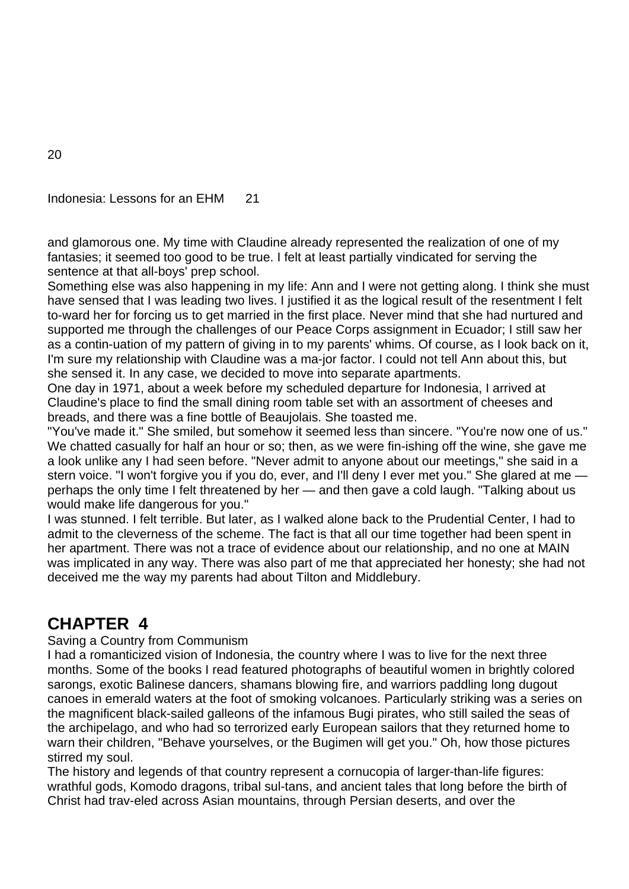### Indonesia: Lessons for an EHM 21

and glamorous one. My time with Claudine already represented the realization of one of my fantasies; it seemed too good to be true. I felt at least partially vindicated for serving the sentence at that all-boys' prep school.

Something else was also happening in my life: Ann and I were not getting along. I think she must have sensed that I was leading two lives. I justified it as the logical result of the resentment I felt to-ward her for forcing us to get married in the first place. Never mind that she had nurtured and supported me through the challenges of our Peace Corps assignment in Ecuador; I still saw her as a contin-uation of my pattern of giving in to my parents' whims. Of course, as I look back on it, I'm sure my relationship with Claudine was a ma-jor factor. I could not tell Ann about this, but she sensed it. In any case, we decided to move into separate apartments.

One day in 1971, about a week before my scheduled departure for Indonesia, I arrived at Claudine's place to find the small dining room table set with an assortment of cheeses and breads, and there was a fine bottle of Beaujolais. She toasted me.

"You've made it." She smiled, but somehow it seemed less than sincere. "You're now one of us." We chatted casually for half an hour or so; then, as we were fin-ishing off the wine, she gave me a look unlike any I had seen before. "Never admit to anyone about our meetings," she said in a stern voice. "I won't forgive you if you do, ever, and I'll deny I ever met you." She glared at me perhaps the only time I felt threatened by her — and then gave a cold laugh. "Talking about us would make life dangerous for you."

I was stunned. I felt terrible. But later, as I walked alone back to the Prudential Center, I had to admit to the cleverness of the scheme. The fact is that all our time together had been spent in her apartment. There was not a trace of evidence about our relationship, and no one at MAIN was implicated in any way. There was also part of me that appreciated her honesty; she had not deceived me the way my parents had about Tilton and Middlebury.

# **CHAPTER 4**

### Saving a Country from Communism

I had a romanticized vision of Indonesia, the country where I was to live for the next three months. Some of the books I read featured photographs of beautiful women in brightly colored sarongs, exotic Balinese dancers, shamans blowing fire, and warriors paddling long dugout canoes in emerald waters at the foot of smoking volcanoes. Particularly striking was a series on the magnificent black-sailed galleons of the infamous Bugi pirates, who still sailed the seas of the archipelago, and who had so terrorized early European sailors that they returned home to warn their children, "Behave yourselves, or the Bugimen will get you." Oh, how those pictures stirred my soul.

The history and legends of that country represent a cornucopia of larger-than-life figures: wrathful gods, Komodo dragons, tribal sul-tans, and ancient tales that long before the birth of Christ had trav-eled across Asian mountains, through Persian deserts, and over the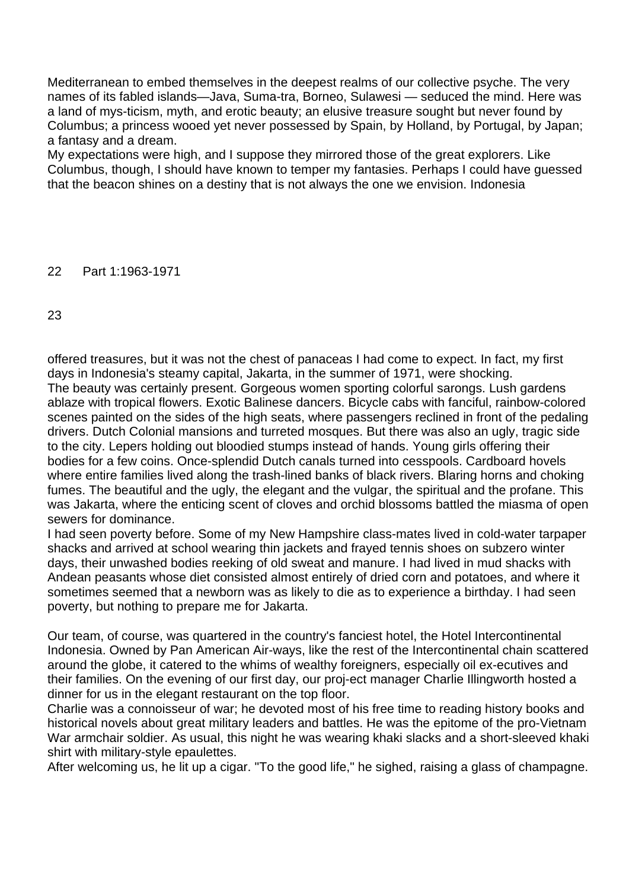Mediterranean to embed themselves in the deepest realms of our collective psyche. The very names of its fabled islands—Java, Suma-tra, Borneo, Sulawesi — seduced the mind. Here was a land of mys-ticism, myth, and erotic beauty; an elusive treasure sought but never found by Columbus; a princess wooed yet never possessed by Spain, by Holland, by Portugal, by Japan; a fantasy and a dream.

My expectations were high, and I suppose they mirrored those of the great explorers. Like Columbus, though, I should have known to temper my fantasies. Perhaps I could have guessed that the beacon shines on a destiny that is not always the one we envision. Indonesia

### 22 Part 1:1963-1971

23

offered treasures, but it was not the chest of panaceas I had come to expect. In fact, my first days in Indonesia's steamy capital, Jakarta, in the summer of 1971, were shocking. The beauty was certainly present. Gorgeous women sporting colorful sarongs. Lush gardens ablaze with tropical flowers. Exotic Balinese dancers. Bicycle cabs with fanciful, rainbow-colored scenes painted on the sides of the high seats, where passengers reclined in front of the pedaling drivers. Dutch Colonial mansions and turreted mosques. But there was also an ugly, tragic side to the city. Lepers holding out bloodied stumps instead of hands. Young girls offering their bodies for a few coins. Once-splendid Dutch canals turned into cesspools. Cardboard hovels where entire families lived along the trash-lined banks of black rivers. Blaring horns and choking fumes. The beautiful and the ugly, the elegant and the vulgar, the spiritual and the profane. This was Jakarta, where the enticing scent of cloves and orchid blossoms battled the miasma of open sewers for dominance.

I had seen poverty before. Some of my New Hampshire class-mates lived in cold-water tarpaper shacks and arrived at school wearing thin jackets and frayed tennis shoes on subzero winter days, their unwashed bodies reeking of old sweat and manure. I had lived in mud shacks with Andean peasants whose diet consisted almost entirely of dried corn and potatoes, and where it sometimes seemed that a newborn was as likely to die as to experience a birthday. I had seen poverty, but nothing to prepare me for Jakarta.

Our team, of course, was quartered in the country's fanciest hotel, the Hotel Intercontinental Indonesia. Owned by Pan American Air-ways, like the rest of the Intercontinental chain scattered around the globe, it catered to the whims of wealthy foreigners, especially oil ex-ecutives and their families. On the evening of our first day, our proj-ect manager Charlie Illingworth hosted a dinner for us in the elegant restaurant on the top floor.

Charlie was a connoisseur of war; he devoted most of his free time to reading history books and historical novels about great military leaders and battles. He was the epitome of the pro-Vietnam War armchair soldier. As usual, this night he was wearing khaki slacks and a short-sleeved khaki shirt with military-style epaulettes.

After welcoming us, he lit up a cigar. "To the good life," he sighed, raising a glass of champagne.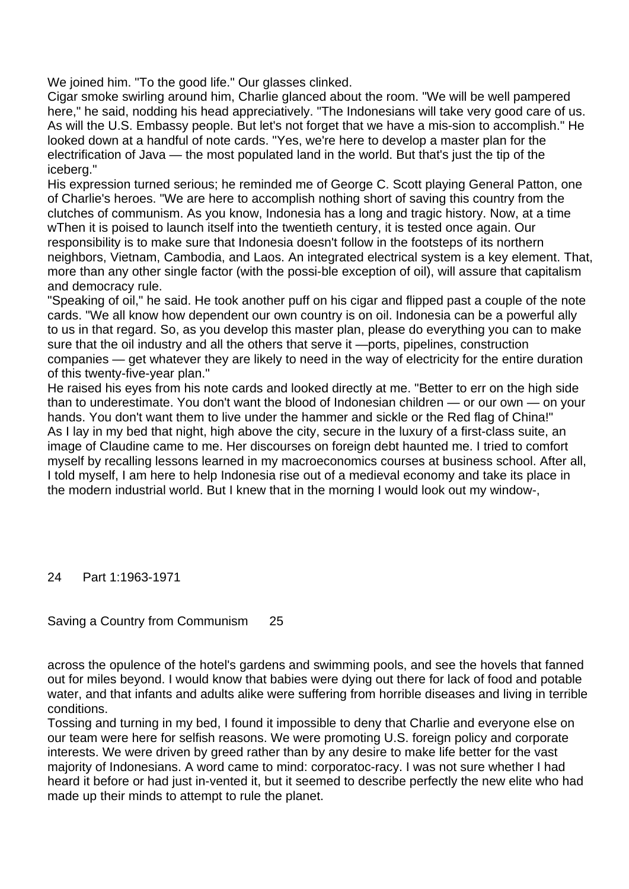We joined him. "To the good life." Our glasses clinked.

Cigar smoke swirling around him, Charlie glanced about the room. "We will be well pampered here," he said, nodding his head appreciatively. "The Indonesians will take very good care of us. As will the U.S. Embassy people. But let's not forget that we have a mis-sion to accomplish." He looked down at a handful of note cards. "Yes, we're here to develop a master plan for the electrification of Java — the most populated land in the world. But that's just the tip of the iceberg."

His expression turned serious; he reminded me of George C. Scott playing General Patton, one of Charlie's heroes. "We are here to accomplish nothing short of saving this country from the clutches of communism. As you know, Indonesia has a long and tragic history. Now, at a time wThen it is poised to launch itself into the twentieth century, it is tested once again. Our responsibility is to make sure that Indonesia doesn't follow in the footsteps of its northern neighbors, Vietnam, Cambodia, and Laos. An integrated electrical system is a key element. That, more than any other single factor (with the possi-ble exception of oil), will assure that capitalism and democracy rule.

"Speaking of oil," he said. He took another puff on his cigar and flipped past a couple of the note cards. "We all know how dependent our own country is on oil. Indonesia can be a powerful ally to us in that regard. So, as you develop this master plan, please do everything you can to make sure that the oil industry and all the others that serve it —ports, pipelines, construction companies — get whatever they are likely to need in the way of electricity for the entire duration of this twenty-five-year plan."

He raised his eyes from his note cards and looked directly at me. "Better to err on the high side than to underestimate. You don't want the blood of Indonesian children — or our own — on your hands. You don't want them to live under the hammer and sickle or the Red flag of China!" As I lay in my bed that night, high above the city, secure in the luxury of a first-class suite, an image of Claudine came to me. Her discourses on foreign debt haunted me. I tried to comfort myself by recalling lessons learned in my macroeconomics courses at business school. After all, I told myself, I am here to help Indonesia rise out of a medieval economy and take its place in the modern industrial world. But I knew that in the morning I would look out my window-,

24 Part 1:1963-1971

Saving a Country from Communism 25

across the opulence of the hotel's gardens and swimming pools, and see the hovels that fanned out for miles beyond. I would know that babies were dying out there for lack of food and potable water, and that infants and adults alike were suffering from horrible diseases and living in terrible conditions.

Tossing and turning in my bed, I found it impossible to deny that Charlie and everyone else on our team were here for selfish reasons. We were promoting U.S. foreign policy and corporate interests. We were driven by greed rather than by any desire to make life better for the vast majority of Indonesians. A word came to mind: corporatoc-racy. I was not sure whether I had heard it before or had just in-vented it, but it seemed to describe perfectly the new elite who had made up their minds to attempt to rule the planet.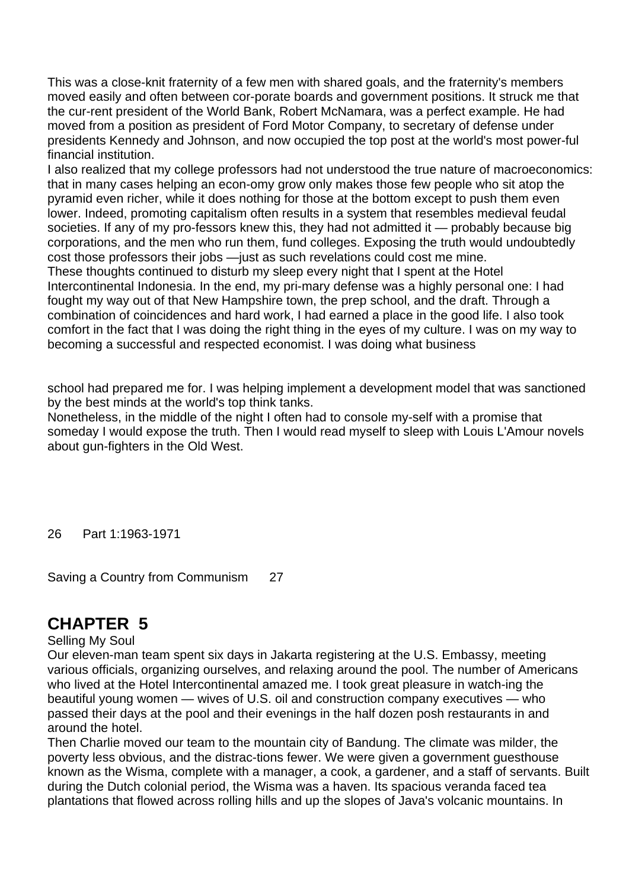This was a close-knit fraternity of a few men with shared goals, and the fraternity's members moved easily and often between cor-porate boards and government positions. It struck me that the cur-rent president of the World Bank, Robert McNamara, was a perfect example. He had moved from a position as president of Ford Motor Company, to secretary of defense under presidents Kennedy and Johnson, and now occupied the top post at the world's most power-ful financial institution.

I also realized that my college professors had not understood the true nature of macroeconomics: that in many cases helping an econ-omy grow only makes those few people who sit atop the pyramid even richer, while it does nothing for those at the bottom except to push them even lower. Indeed, promoting capitalism often results in a system that resembles medieval feudal societies. If any of my pro-fessors knew this, they had not admitted it — probably because big corporations, and the men who run them, fund colleges. Exposing the truth would undoubtedly cost those professors their jobs —just as such revelations could cost me mine. These thoughts continued to disturb my sleep every night that I spent at the Hotel Intercontinental Indonesia. In the end, my pri-mary defense was a highly personal one: I had fought my way out of that New Hampshire town, the prep school, and the draft. Through a combination of coincidences and hard work, I had earned a place in the good life. I also took comfort in the fact that I was doing the right thing in the eyes of my culture. I was on my way to becoming a successful and respected economist. I was doing what business

school had prepared me for. I was helping implement a development model that was sanctioned by the best minds at the world's top think tanks.

Nonetheless, in the middle of the night I often had to console my-self with a promise that someday I would expose the truth. Then I would read myself to sleep with Louis L'Amour novels about gun-fighters in the Old West.

26 Part 1:1963-1971

Saving a Country from Communism 27

# **CHAPTER 5**

#### Selling My Soul

Our eleven-man team spent six days in Jakarta registering at the U.S. Embassy, meeting various officials, organizing ourselves, and relaxing around the pool. The number of Americans who lived at the Hotel Intercontinental amazed me. I took great pleasure in watch-ing the beautiful young women — wives of U.S. oil and construction company executives — who passed their days at the pool and their evenings in the half dozen posh restaurants in and around the hotel.

Then Charlie moved our team to the mountain city of Bandung. The climate was milder, the poverty less obvious, and the distrac-tions fewer. We were given a government guesthouse known as the Wisma, complete with a manager, a cook, a gardener, and a staff of servants. Built during the Dutch colonial period, the Wisma was a haven. Its spacious veranda faced tea plantations that flowed across rolling hills and up the slopes of Java's volcanic mountains. In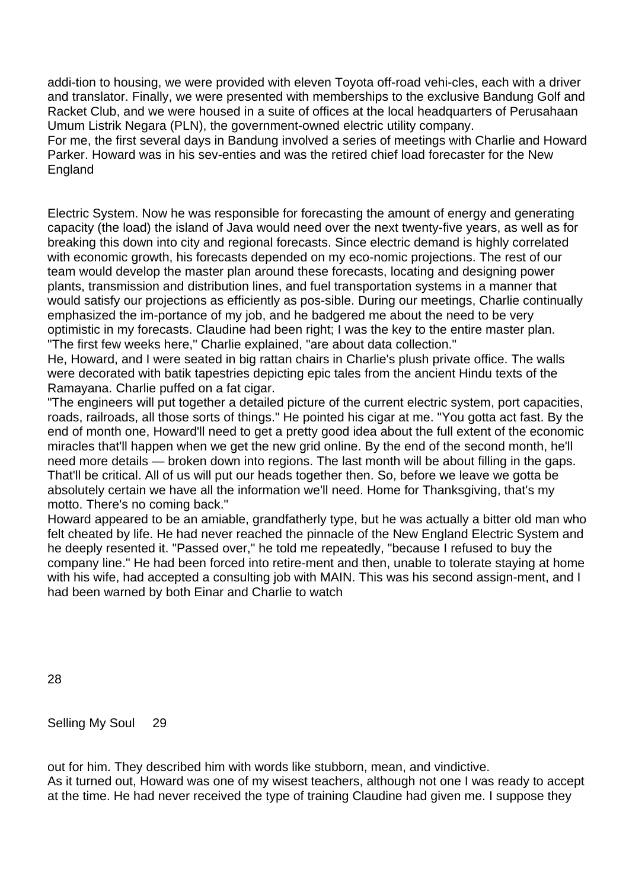addi-tion to housing, we were provided with eleven Toyota off-road vehi-cles, each with a driver and translator. Finally, we were presented with memberships to the exclusive Bandung Golf and Racket Club, and we were housed in a suite of offices at the local headquarters of Perusahaan Umum Listrik Negara (PLN), the government-owned electric utility company.

For me, the first several days in Bandung involved a series of meetings with Charlie and Howard Parker. Howard was in his sev-enties and was the retired chief load forecaster for the New England

Electric System. Now he was responsible for forecasting the amount of energy and generating capacity (the load) the island of Java would need over the next twenty-five years, as well as for breaking this down into city and regional forecasts. Since electric demand is highly correlated with economic growth, his forecasts depended on my eco-nomic projections. The rest of our team would develop the master plan around these forecasts, locating and designing power plants, transmission and distribution lines, and fuel transportation systems in a manner that would satisfy our projections as efficiently as pos-sible. During our meetings, Charlie continually emphasized the im-portance of my job, and he badgered me about the need to be very optimistic in my forecasts. Claudine had been right; I was the key to the entire master plan. "The first few weeks here," Charlie explained, "are about data collection."

He, Howard, and I were seated in big rattan chairs in Charlie's plush private office. The walls were decorated with batik tapestries depicting epic tales from the ancient Hindu texts of the Ramayana. Charlie puffed on a fat cigar.

"The engineers will put together a detailed picture of the current electric system, port capacities, roads, railroads, all those sorts of things." He pointed his cigar at me. "You gotta act fast. By the end of month one, Howard'll need to get a pretty good idea about the full extent of the economic miracles that'll happen when we get the new grid online. By the end of the second month, he'll need more details — broken down into regions. The last month will be about filling in the gaps. That'll be critical. All of us will put our heads together then. So, before we leave we gotta be absolutely certain we have all the information we'll need. Home for Thanksgiving, that's my motto. There's no coming back."

Howard appeared to be an amiable, grandfatherly type, but he was actually a bitter old man who felt cheated by life. He had never reached the pinnacle of the New England Electric System and he deeply resented it. "Passed over," he told me repeatedly, "because I refused to buy the company line." He had been forced into retire-ment and then, unable to tolerate staying at home with his wife, had accepted a consulting job with MAIN. This was his second assign-ment, and I had been warned by both Einar and Charlie to watch

28

Selling My Soul 29

out for him. They described him with words like stubborn, mean, and vindictive. As it turned out, Howard was one of my wisest teachers, although not one I was ready to accept at the time. He had never received the type of training Claudine had given me. I suppose they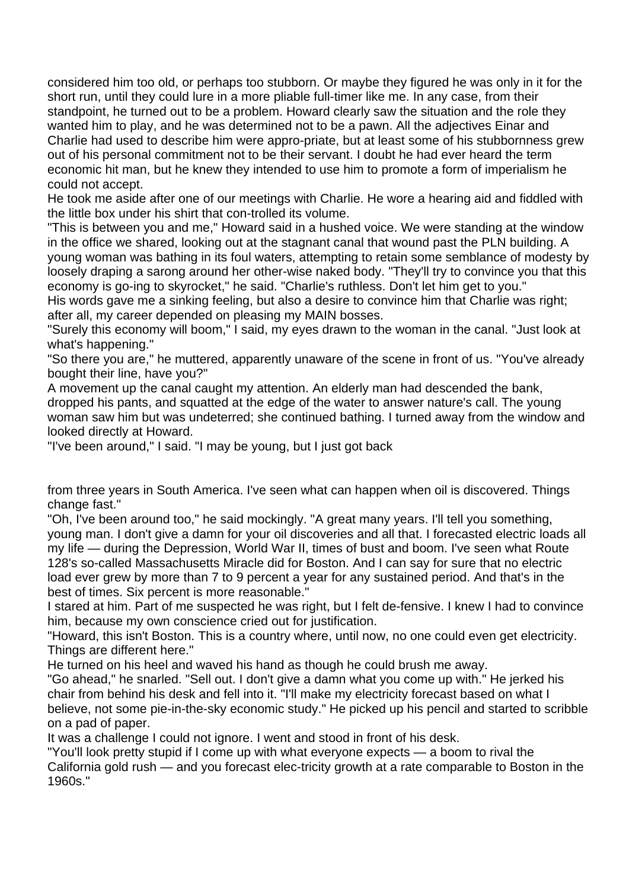considered him too old, or perhaps too stubborn. Or maybe they figured he was only in it for the short run, until they could lure in a more pliable full-timer like me. In any case, from their standpoint, he turned out to be a problem. Howard clearly saw the situation and the role they wanted him to play, and he was determined not to be a pawn. All the adjectives Einar and Charlie had used to describe him were appro-priate, but at least some of his stubbornness grew out of his personal commitment not to be their servant. I doubt he had ever heard the term economic hit man, but he knew they intended to use him to promote a form of imperialism he could not accept.

He took me aside after one of our meetings with Charlie. He wore a hearing aid and fiddled with the little box under his shirt that con-trolled its volume.

"This is between you and me," Howard said in a hushed voice. We were standing at the window in the office we shared, looking out at the stagnant canal that wound past the PLN building. A young woman was bathing in its foul waters, attempting to retain some semblance of modesty by loosely draping a sarong around her other-wise naked body. "They'll try to convince you that this economy is go-ing to skyrocket," he said. "Charlie's ruthless. Don't let him get to you."

His words gave me a sinking feeling, but also a desire to convince him that Charlie was right; after all, my career depended on pleasing my MAIN bosses.

"Surely this economy will boom," I said, my eyes drawn to the woman in the canal. "Just look at what's happening."

"So there you are," he muttered, apparently unaware of the scene in front of us. "You've already bought their line, have you?"

A movement up the canal caught my attention. An elderly man had descended the bank, dropped his pants, and squatted at the edge of the water to answer nature's call. The young woman saw him but was undeterred; she continued bathing. I turned away from the window and looked directly at Howard.

"I've been around," I said. "I may be young, but I just got back

from three years in South America. I've seen what can happen when oil is discovered. Things change fast."

"Oh, I've been around too," he said mockingly. "A great many years. I'll tell you something, young man. I don't give a damn for your oil discoveries and all that. I forecasted electric loads all my life — during the Depression, World War II, times of bust and boom. I've seen what Route 128's so-called Massachusetts Miracle did for Boston. And I can say for sure that no electric load ever grew by more than 7 to 9 percent a year for any sustained period. And that's in the best of times. Six percent is more reasonable."

I stared at him. Part of me suspected he was right, but I felt de-fensive. I knew I had to convince him, because my own conscience cried out for justification.

"Howard, this isn't Boston. This is a country where, until now, no one could even get electricity. Things are different here."

He turned on his heel and waved his hand as though he could brush me away.

"Go ahead," he snarled. "Sell out. I don't give a damn what you come up with." He jerked his chair from behind his desk and fell into it. "I'll make my electricity forecast based on what I believe, not some pie-in-the-sky economic study." He picked up his pencil and started to scribble on a pad of paper.

It was a challenge I could not ignore. I went and stood in front of his desk.

"You'll look pretty stupid if I come up with what everyone expects — a boom to rival the California gold rush — and you forecast elec-tricity growth at a rate comparable to Boston in the 1960s."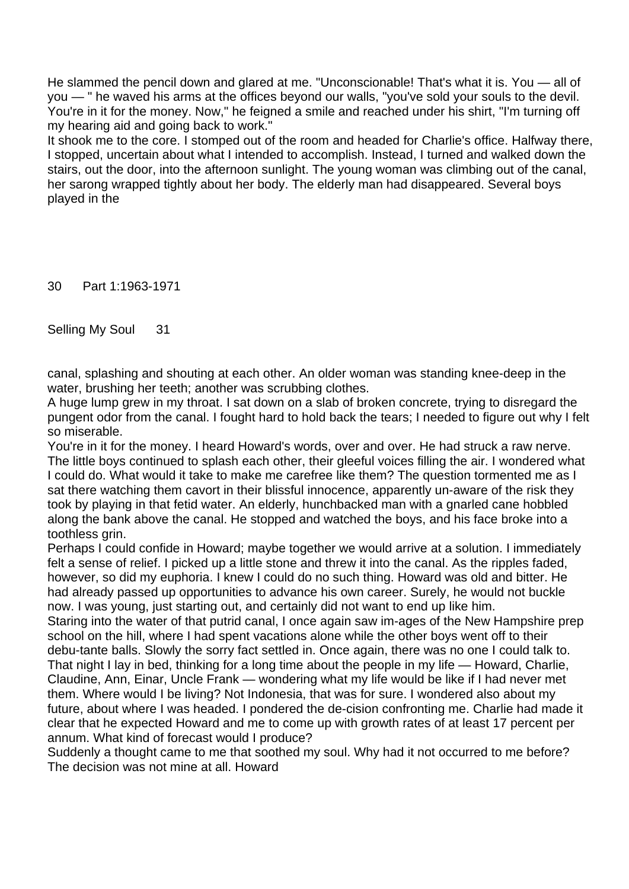He slammed the pencil down and glared at me. "Unconscionable! That's what it is. You — all of you — " he waved his arms at the offices beyond our walls, "you've sold your souls to the devil. You're in it for the money. Now," he feigned a smile and reached under his shirt, "I'm turning off my hearing aid and going back to work."

It shook me to the core. I stomped out of the room and headed for Charlie's office. Halfway there, I stopped, uncertain about what I intended to accomplish. Instead, I turned and walked down the stairs, out the door, into the afternoon sunlight. The young woman was climbing out of the canal, her sarong wrapped tightly about her body. The elderly man had disappeared. Several boys played in the

30 Part 1:1963-1971

Selling My Soul 31

canal, splashing and shouting at each other. An older woman was standing knee-deep in the water, brushing her teeth; another was scrubbing clothes.

A huge lump grew in my throat. I sat down on a slab of broken concrete, trying to disregard the pungent odor from the canal. I fought hard to hold back the tears; I needed to figure out why I felt so miserable.

You're in it for the money. I heard Howard's words, over and over. He had struck a raw nerve. The little boys continued to splash each other, their gleeful voices filling the air. I wondered what I could do. What would it take to make me carefree like them? The question tormented me as I sat there watching them cavort in their blissful innocence, apparently un-aware of the risk they took by playing in that fetid water. An elderly, hunchbacked man with a gnarled cane hobbled along the bank above the canal. He stopped and watched the boys, and his face broke into a toothless grin.

Perhaps I could confide in Howard; maybe together we would arrive at a solution. I immediately felt a sense of relief. I picked up a little stone and threw it into the canal. As the ripples faded, however, so did my euphoria. I knew I could do no such thing. Howard was old and bitter. He had already passed up opportunities to advance his own career. Surely, he would not buckle now. I was young, just starting out, and certainly did not want to end up like him.

Staring into the water of that putrid canal, I once again saw im-ages of the New Hampshire prep school on the hill, where I had spent vacations alone while the other boys went off to their debu-tante balls. Slowly the sorry fact settled in. Once again, there was no one I could talk to. That night I lay in bed, thinking for a long time about the people in my life — Howard, Charlie, Claudine, Ann, Einar, Uncle Frank — wondering what my life would be like if I had never met them. Where would I be living? Not Indonesia, that was for sure. I wondered also about my future, about where I was headed. I pondered the de-cision confronting me. Charlie had made it clear that he expected Howard and me to come up with growth rates of at least 17 percent per annum. What kind of forecast would I produce?

Suddenly a thought came to me that soothed my soul. Why had it not occurred to me before? The decision was not mine at all. Howard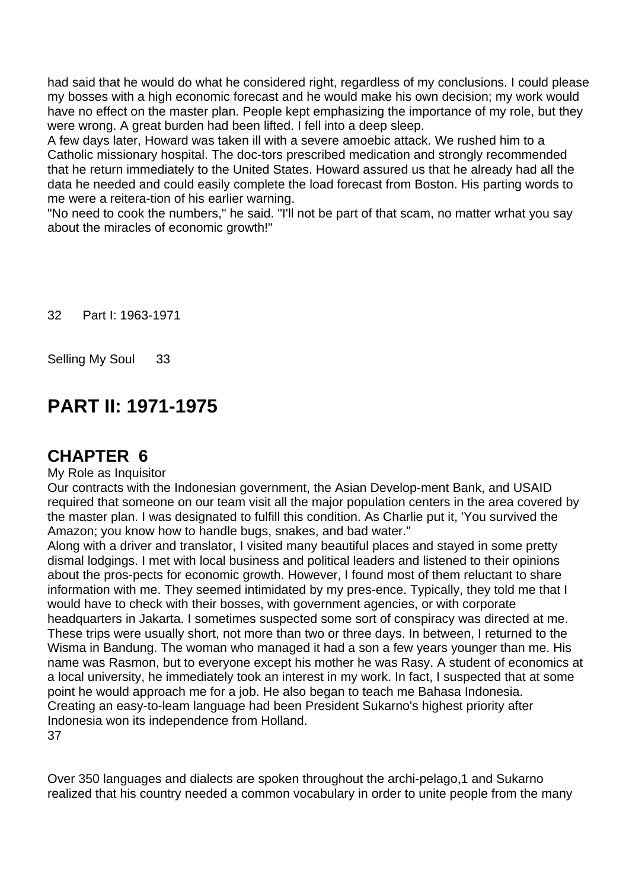had said that he would do what he considered right, regardless of my conclusions. I could please my bosses with a high economic forecast and he would make his own decision; my work would have no effect on the master plan. People kept emphasizing the importance of my role, but they were wrong. A great burden had been lifted. I fell into a deep sleep.

A few days later, Howard was taken ill with a severe amoebic attack. We rushed him to a Catholic missionary hospital. The doc-tors prescribed medication and strongly recommended that he return immediately to the United States. Howard assured us that he already had all the data he needed and could easily complete the load forecast from Boston. His parting words to me were a reitera-tion of his earlier warning.

"No need to cook the numbers," he said. "I'll not be part of that scam, no matter wrhat you say about the miracles of economic growth!"

32 Part I: 1963-1971

Selling My Soul 33

# **PART II: 1971-1975**

# **CHAPTER 6**

### My Role as Inquisitor

Our contracts with the Indonesian government, the Asian Develop-ment Bank, and USAID required that someone on our team visit all the major population centers in the area covered by the master plan. I was designated to fulfill this condition. As Charlie put it, 'You survived the Amazon; you know how to handle bugs, snakes, and bad water."

Along with a driver and translator, I visited many beautiful places and stayed in some pretty dismal lodgings. I met with local business and political leaders and listened to their opinions about the pros-pects for economic growth. However, I found most of them reluctant to share information with me. They seemed intimidated by my pres-ence. Typically, they told me that I would have to check with their bosses, with government agencies, or with corporate headquarters in Jakarta. I sometimes suspected some sort of conspiracy was directed at me. These trips were usually short, not more than two or three days. In between, I returned to the Wisma in Bandung. The woman who managed it had a son a few years younger than me. His name was Rasmon, but to everyone except his mother he was Rasy. A student of economics at a local university, he immediately took an interest in my work. In fact, I suspected that at some point he would approach me for a job. He also began to teach me Bahasa Indonesia. Creating an easy-to-leam language had been President Sukarno's highest priority after Indonesia won its independence from Holland. 37

Over 350 languages and dialects are spoken throughout the archi-pelago,1 and Sukarno realized that his country needed a common vocabulary in order to unite people from the many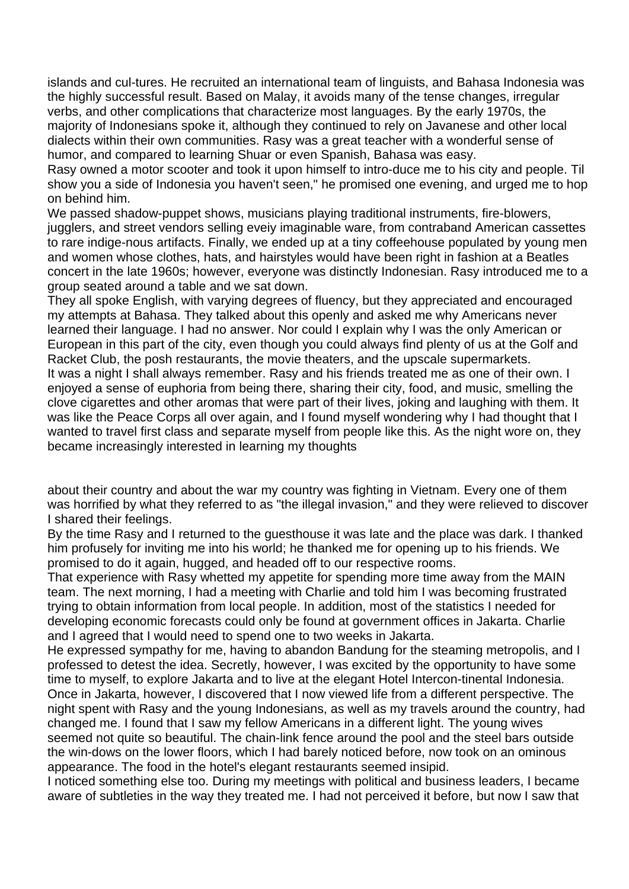islands and cul-tures. He recruited an international team of linguists, and Bahasa Indonesia was the highly successful result. Based on Malay, it avoids many of the tense changes, irregular verbs, and other complications that characterize most languages. By the early 1970s, the majority of Indonesians spoke it, although they continued to rely on Javanese and other local dialects within their own communities. Rasy was a great teacher with a wonderful sense of humor, and compared to learning Shuar or even Spanish, Bahasa was easy.

Rasy owned a motor scooter and took it upon himself to intro-duce me to his city and people. Til show you a side of Indonesia you haven't seen," he promised one evening, and urged me to hop on behind him.

We passed shadow-puppet shows, musicians playing traditional instruments, fire-blowers, jugglers, and street vendors selling eveiy imaginable ware, from contraband American cassettes to rare indige-nous artifacts. Finally, we ended up at a tiny coffeehouse populated by young men and women whose clothes, hats, and hairstyles would have been right in fashion at a Beatles concert in the late 1960s; however, everyone was distinctly Indonesian. Rasy introduced me to a group seated around a table and we sat down.

They all spoke English, with varying degrees of fluency, but they appreciated and encouraged my attempts at Bahasa. They talked about this openly and asked me why Americans never learned their language. I had no answer. Nor could I explain why I was the only American or European in this part of the city, even though you could always find plenty of us at the Golf and Racket Club, the posh restaurants, the movie theaters, and the upscale supermarkets. It was a night I shall always remember. Rasy and his friends treated me as one of their own. I enjoyed a sense of euphoria from being there, sharing their city, food, and music, smelling the clove cigarettes and other aromas that were part of their lives, joking and laughing with them. It was like the Peace Corps all over again, and I found myself wondering why I had thought that I wanted to travel first class and separate myself from people like this. As the night wore on, they became increasingly interested in learning my thoughts

about their country and about the war my country was fighting in Vietnam. Every one of them was horrified by what they referred to as "the illegal invasion," and they were relieved to discover I shared their feelings.

By the time Rasy and I returned to the guesthouse it was late and the place was dark. I thanked him profusely for inviting me into his world; he thanked me for opening up to his friends. We promised to do it again, hugged, and headed off to our respective rooms.

That experience with Rasy whetted my appetite for spending more time away from the MAIN team. The next morning, I had a meeting with Charlie and told him I was becoming frustrated trying to obtain information from local people. In addition, most of the statistics I needed for developing economic forecasts could only be found at government offices in Jakarta. Charlie and I agreed that I would need to spend one to two weeks in Jakarta.

He expressed sympathy for me, having to abandon Bandung for the steaming metropolis, and I professed to detest the idea. Secretly, however, I was excited by the opportunity to have some time to myself, to explore Jakarta and to live at the elegant Hotel Intercon-tinental Indonesia. Once in Jakarta, however, I discovered that I now viewed life from a different perspective. The night spent with Rasy and the young Indonesians, as well as my travels around the country, had changed me. I found that I saw my fellow Americans in a different light. The young wives seemed not quite so beautiful. The chain-link fence around the pool and the steel bars outside the win-dows on the lower floors, which I had barely noticed before, now took on an ominous appearance. The food in the hotel's elegant restaurants seemed insipid.

I noticed something else too. During my meetings with political and business leaders, I became aware of subtleties in the way they treated me. I had not perceived it before, but now I saw that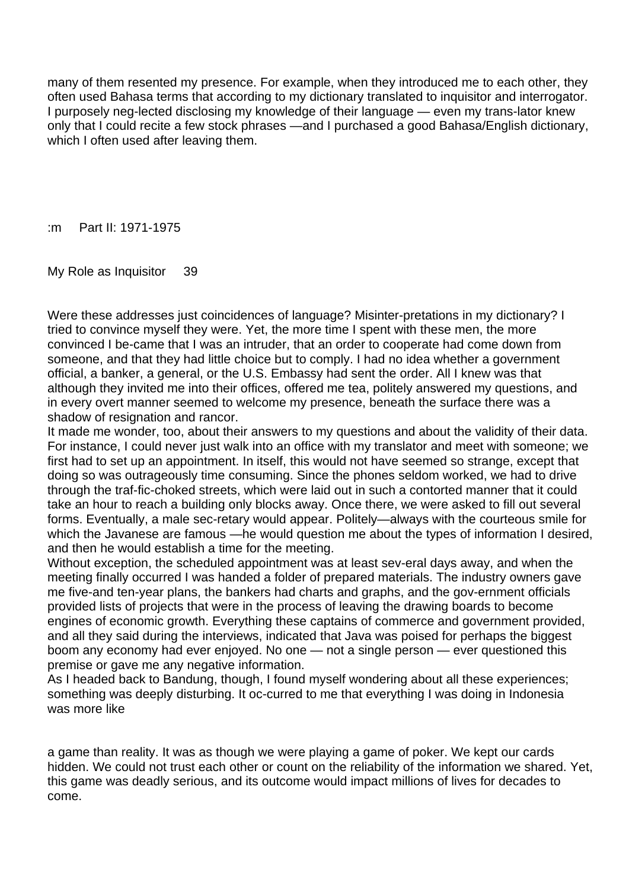many of them resented my presence. For example, when they introduced me to each other, they often used Bahasa terms that according to my dictionary translated to inquisitor and interrogator. I purposely neg-lected disclosing my knowledge of their language — even my trans-lator knew only that I could recite a few stock phrases —and I purchased a good Bahasa/English dictionary, which I often used after leaving them.

:m Part II: 1971-1975

My Role as Inquisitor 39

Were these addresses just coincidences of language? Misinter-pretations in my dictionary? I tried to convince myself they were. Yet, the more time I spent with these men, the more convinced I be-came that I was an intruder, that an order to cooperate had come down from someone, and that they had little choice but to comply. I had no idea whether a government official, a banker, a general, or the U.S. Embassy had sent the order. All I knew was that although they invited me into their offices, offered me tea, politely answered my questions, and in every overt manner seemed to welcome my presence, beneath the surface there was a shadow of resignation and rancor.

It made me wonder, too, about their answers to my questions and about the validity of their data. For instance, I could never just walk into an office with my translator and meet with someone; we first had to set up an appointment. In itself, this would not have seemed so strange, except that doing so was outrageously time consuming. Since the phones seldom worked, we had to drive through the traf-fic-choked streets, which were laid out in such a contorted manner that it could take an hour to reach a building only blocks away. Once there, we were asked to fill out several forms. Eventually, a male sec-retary would appear. Politely—always with the courteous smile for which the Javanese are famous —he would question me about the types of information I desired, and then he would establish a time for the meeting.

Without exception, the scheduled appointment was at least sev-eral days away, and when the meeting finally occurred I was handed a folder of prepared materials. The industry owners gave me five-and ten-year plans, the bankers had charts and graphs, and the gov-ernment officials provided lists of projects that were in the process of leaving the drawing boards to become engines of economic growth. Everything these captains of commerce and government provided, and all they said during the interviews, indicated that Java was poised for perhaps the biggest boom any economy had ever enjoyed. No one — not a single person — ever questioned this premise or gave me any negative information.

As I headed back to Bandung, though, I found myself wondering about all these experiences; something was deeply disturbing. It oc-curred to me that everything I was doing in Indonesia was more like

a game than reality. It was as though we were playing a game of poker. We kept our cards hidden. We could not trust each other or count on the reliability of the information we shared. Yet, this game was deadly serious, and its outcome would impact millions of lives for decades to come.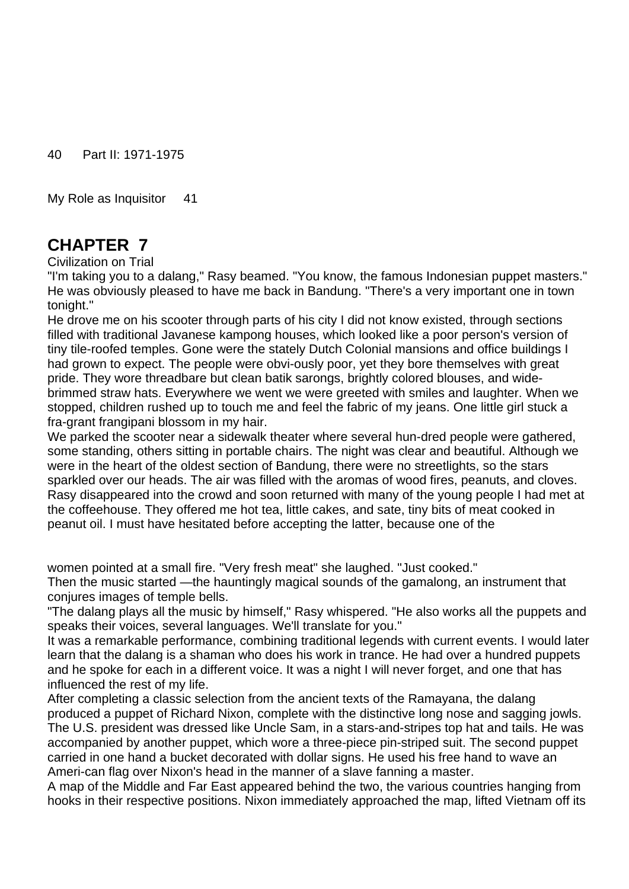40 Part II: 1971-1975

My Role as Inquisitor 41

### **CHAPTER 7**

Civilization on Trial

"I'm taking you to a dalang," Rasy beamed. "You know, the famous Indonesian puppet masters." He was obviously pleased to have me back in Bandung. "There's a very important one in town tonight."

He drove me on his scooter through parts of his city I did not know existed, through sections filled with traditional Javanese kampong houses, which looked like a poor person's version of tiny tile-roofed temples. Gone were the stately Dutch Colonial mansions and office buildings I had grown to expect. The people were obvi-ously poor, yet they bore themselves with great pride. They wore threadbare but clean batik sarongs, brightly colored blouses, and widebrimmed straw hats. Everywhere we went we were greeted with smiles and laughter. When we stopped, children rushed up to touch me and feel the fabric of my jeans. One little girl stuck a fra-grant frangipani blossom in my hair.

We parked the scooter near a sidewalk theater where several hun-dred people were gathered, some standing, others sitting in portable chairs. The night was clear and beautiful. Although we were in the heart of the oldest section of Bandung, there were no streetlights, so the stars sparkled over our heads. The air was filled with the aromas of wood fires, peanuts, and cloves. Rasy disappeared into the crowd and soon returned with many of the young people I had met at the coffeehouse. They offered me hot tea, little cakes, and sate, tiny bits of meat cooked in peanut oil. I must have hesitated before accepting the latter, because one of the

women pointed at a small fire. "Very fresh meat" she laughed. "Just cooked."

Then the music started —the hauntingly magical sounds of the gamalong, an instrument that conjures images of temple bells.

"The dalang plays all the music by himself," Rasy whispered. "He also works all the puppets and speaks their voices, several languages. We'll translate for you."

It was a remarkable performance, combining traditional legends with current events. I would later learn that the dalang is a shaman who does his work in trance. He had over a hundred puppets and he spoke for each in a different voice. It was a night I will never forget, and one that has influenced the rest of my life.

After completing a classic selection from the ancient texts of the Ramayana, the dalang produced a puppet of Richard Nixon, complete with the distinctive long nose and sagging jowls. The U.S. president was dressed like Uncle Sam, in a stars-and-stripes top hat and tails. He was accompanied by another puppet, which wore a three-piece pin-striped suit. The second puppet carried in one hand a bucket decorated with dollar signs. He used his free hand to wave an Ameri-can flag over Nixon's head in the manner of a slave fanning a master.

A map of the Middle and Far East appeared behind the two, the various countries hanging from hooks in their respective positions. Nixon immediately approached the map, lifted Vietnam off its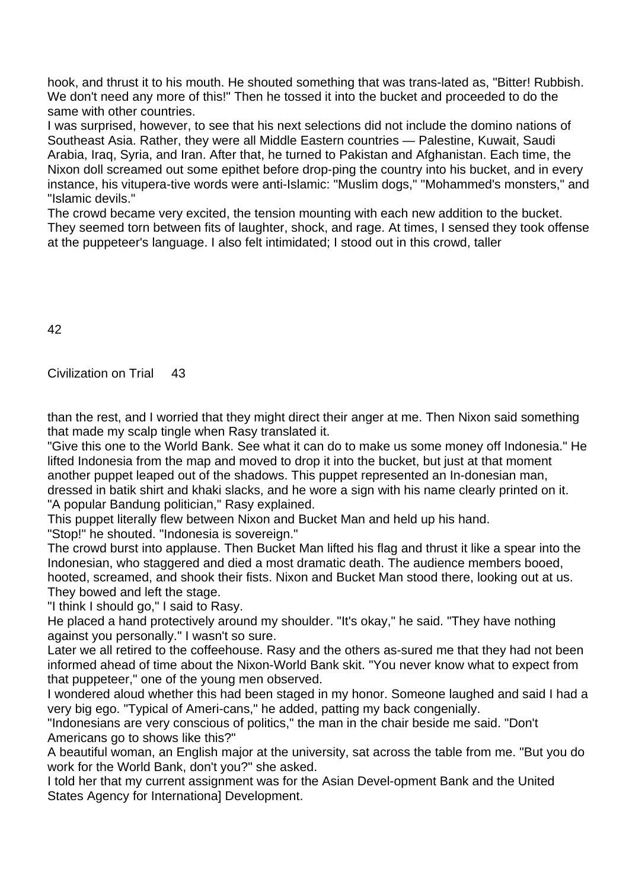hook, and thrust it to his mouth. He shouted something that was trans-lated as, "Bitter! Rubbish. We don't need any more of this!" Then he tossed it into the bucket and proceeded to do the same with other countries.

I was surprised, however, to see that his next selections did not include the domino nations of Southeast Asia. Rather, they were all Middle Eastern countries — Palestine, Kuwait, Saudi Arabia, Iraq, Syria, and Iran. After that, he turned to Pakistan and Afghanistan. Each time, the Nixon doll screamed out some epithet before drop-ping the country into his bucket, and in every instance, his vitupera-tive words were anti-Islamic: "Muslim dogs," "Mohammed's monsters," and "Islamic devils."

The crowd became very excited, the tension mounting with each new addition to the bucket. They seemed torn between fits of laughter, shock, and rage. At times, I sensed they took offense at the puppeteer's language. I also felt intimidated; I stood out in this crowd, taller

42

Civilization on Trial 43

than the rest, and I worried that they might direct their anger at me. Then Nixon said something that made my scalp tingle when Rasy translated it.

"Give this one to the World Bank. See what it can do to make us some money off Indonesia." He lifted Indonesia from the map and moved to drop it into the bucket, but just at that moment another puppet leaped out of the shadows. This puppet represented an In-donesian man, dressed in batik shirt and khaki slacks, and he wore a sign with his name clearly printed on it. "A popular Bandung politician," Rasy explained.

This puppet literally flew between Nixon and Bucket Man and held up his hand.

"Stop!" he shouted. "Indonesia is sovereign."

The crowd burst into applause. Then Bucket Man lifted his flag and thrust it like a spear into the Indonesian, who staggered and died a most dramatic death. The audience members booed, hooted, screamed, and shook their fists. Nixon and Bucket Man stood there, looking out at us. They bowed and left the stage.

"I think I should go," I said to Rasy.

He placed a hand protectively around my shoulder. "It's okay," he said. "They have nothing against you personally." I wasn't so sure.

Later we all retired to the coffeehouse. Rasy and the others as-sured me that they had not been informed ahead of time about the Nixon-World Bank skit. "You never know what to expect from that puppeteer," one of the young men observed.

I wondered aloud whether this had been staged in my honor. Someone laughed and said I had a very big ego. "Typical of Ameri-cans," he added, patting my back congenially.

"Indonesians are very conscious of politics," the man in the chair beside me said. "Don't Americans go to shows like this?"

A beautiful woman, an English major at the university, sat across the table from me. "But you do work for the World Bank, don't you?" she asked.

I told her that my current assignment was for the Asian Devel-opment Bank and the United States Agency for Internationa] Development.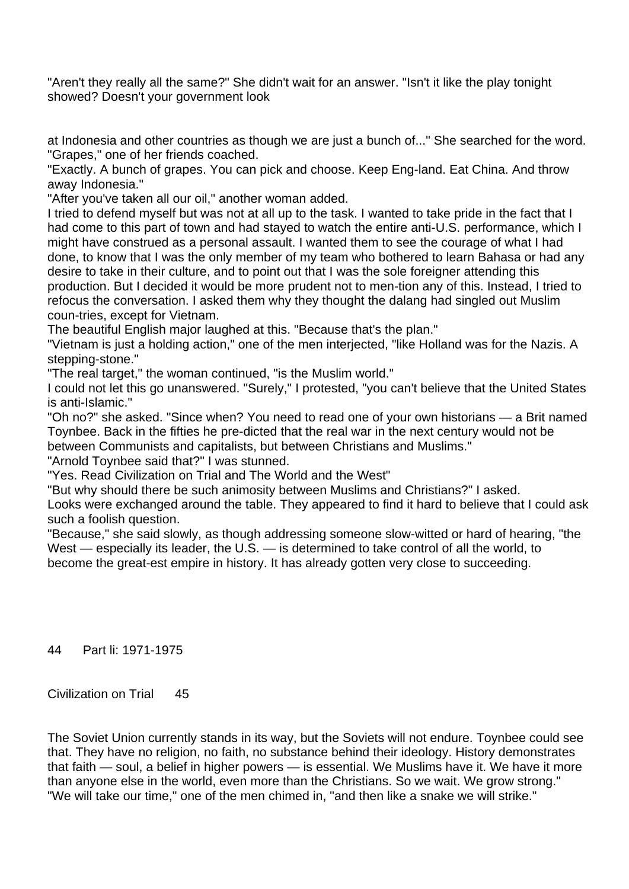"Aren't they really all the same?" She didn't wait for an answer. "Isn't it like the play tonight showed? Doesn't your government look

at Indonesia and other countries as though we are just a bunch of..." She searched for the word. "Grapes," one of her friends coached.

"Exactly. A bunch of grapes. You can pick and choose. Keep Eng-land. Eat China. And throw away Indonesia."

"After you've taken all our oil," another woman added.

I tried to defend myself but was not at all up to the task. I wanted to take pride in the fact that I had come to this part of town and had stayed to watch the entire anti-U.S. performance, which I might have construed as a personal assault. I wanted them to see the courage of what I had done, to know that I was the only member of my team who bothered to learn Bahasa or had any desire to take in their culture, and to point out that I was the sole foreigner attending this production. But I decided it would be more prudent not to men-tion any of this. Instead, I tried to refocus the conversation. I asked them why they thought the dalang had singled out Muslim coun-tries, except for Vietnam.

The beautiful English major laughed at this. "Because that's the plan."

"Vietnam is just a holding action," one of the men interjected, "like Holland was for the Nazis. A stepping-stone."

"The real target," the woman continued, "is the Muslim world."

I could not let this go unanswered. "Surely," I protested, "you can't believe that the United States is anti-Islamic."

"Oh no?" she asked. "Since when? You need to read one of your own historians — a Brit named Toynbee. Back in the fifties he pre-dicted that the real war in the next century would not be between Communists and capitalists, but between Christians and Muslims."

"Arnold Toynbee said that?" I was stunned.

"Yes. Read Civilization on Trial and The World and the West"

"But why should there be such animosity between Muslims and Christians?" I asked.

Looks were exchanged around the table. They appeared to find it hard to believe that I could ask such a foolish question.

"Because," she said slowly, as though addressing someone slow-witted or hard of hearing, "the West — especially its leader, the U.S. — is determined to take control of all the world, to become the great-est empire in history. It has already gotten very close to succeeding.

44 Part li: 1971-1975

Civilization on Trial 45

The Soviet Union currently stands in its way, but the Soviets will not endure. Toynbee could see that. They have no religion, no faith, no substance behind their ideology. History demonstrates that faith — soul, a belief in higher powers — is essential. We Muslims have it. We have it more than anyone else in the world, even more than the Christians. So we wait. We grow strong." "We will take our time," one of the men chimed in, "and then like a snake we will strike."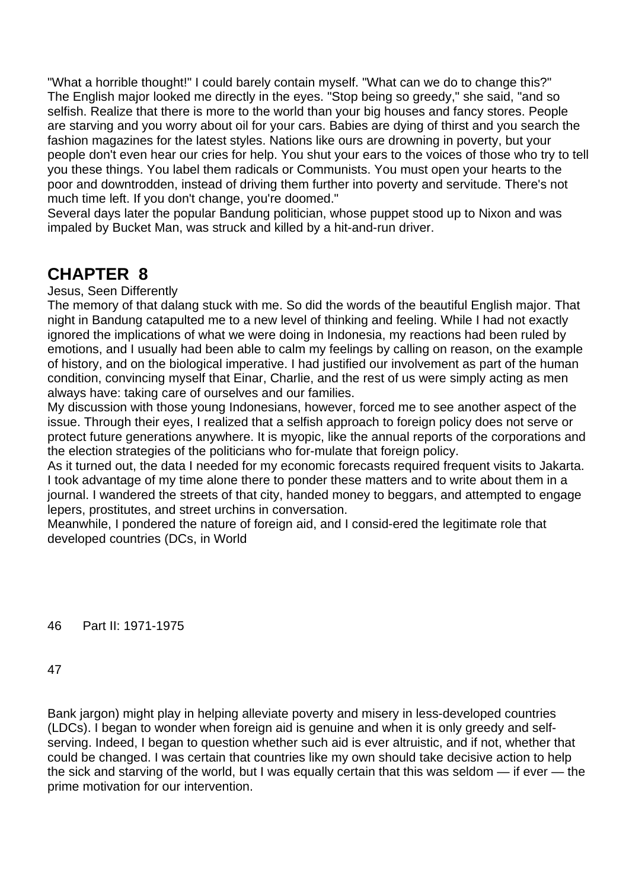"What a horrible thought!" I could barely contain myself. "What can we do to change this?" The English major looked me directly in the eyes. "Stop being so greedy," she said, "and so selfish. Realize that there is more to the world than your big houses and fancy stores. People are starving and you worry about oil for your cars. Babies are dying of thirst and you search the fashion magazines for the latest styles. Nations like ours are drowning in poverty, but your people don't even hear our cries for help. You shut your ears to the voices of those who try to tell you these things. You label them radicals or Communists. You must open your hearts to the poor and downtrodden, instead of driving them further into poverty and servitude. There's not much time left. If you don't change, you're doomed."

Several days later the popular Bandung politician, whose puppet stood up to Nixon and was impaled by Bucket Man, was struck and killed by a hit-and-run driver.

# **CHAPTER 8**

Jesus, Seen Differently

The memory of that dalang stuck with me. So did the words of the beautiful English major. That night in Bandung catapulted me to a new level of thinking and feeling. While I had not exactly ignored the implications of what we were doing in Indonesia, my reactions had been ruled by emotions, and I usually had been able to calm my feelings by calling on reason, on the example of history, and on the biological imperative. I had justified our involvement as part of the human condition, convincing myself that Einar, Charlie, and the rest of us were simply acting as men always have: taking care of ourselves and our families.

My discussion with those young Indonesians, however, forced me to see another aspect of the issue. Through their eyes, I realized that a selfish approach to foreign policy does not serve or protect future generations anywhere. It is myopic, like the annual reports of the corporations and the election strategies of the politicians who for-mulate that foreign policy.

As it turned out, the data I needed for my economic forecasts required frequent visits to Jakarta. I took advantage of my time alone there to ponder these matters and to write about them in a journal. I wandered the streets of that city, handed money to beggars, and attempted to engage lepers, prostitutes, and street urchins in conversation.

Meanwhile, I pondered the nature of foreign aid, and I consid-ered the legitimate role that developed countries (DCs, in World

46 Part II: 1971-1975

47

Bank jargon) might play in helping alleviate poverty and misery in less-developed countries (LDCs). I began to wonder when foreign aid is genuine and when it is only greedy and selfserving. Indeed, I began to question whether such aid is ever altruistic, and if not, whether that could be changed. I was certain that countries like my own should take decisive action to help the sick and starving of the world, but I was equally certain that this was seldom — if ever — the prime motivation for our intervention.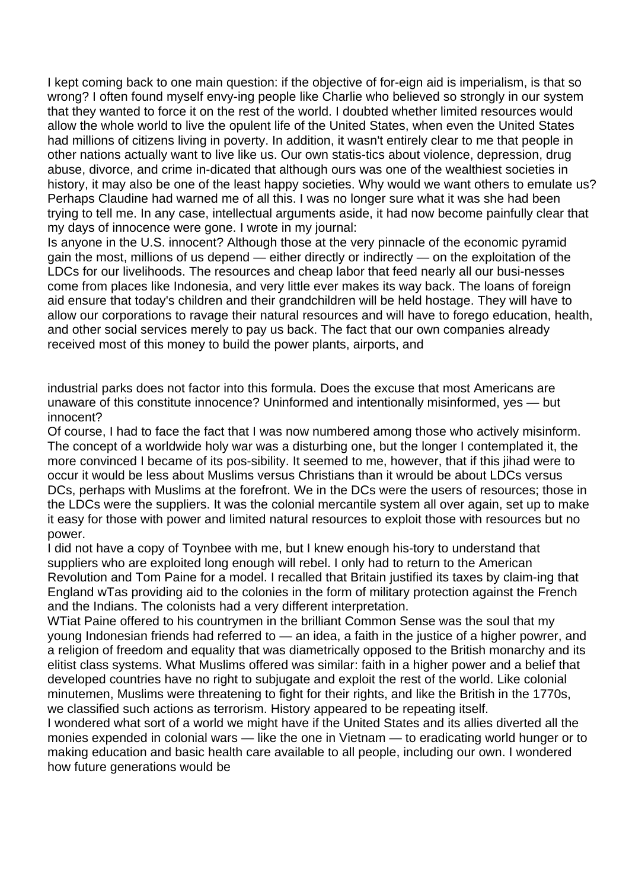I kept coming back to one main question: if the objective of for-eign aid is imperialism, is that so wrong? I often found myself envy-ing people like Charlie who believed so strongly in our system that they wanted to force it on the rest of the world. I doubted whether limited resources would allow the whole world to live the opulent life of the United States, when even the United States had millions of citizens living in poverty. In addition, it wasn't entirely clear to me that people in other nations actually want to live like us. Our own statis-tics about violence, depression, drug abuse, divorce, and crime in-dicated that although ours was one of the wealthiest societies in history, it may also be one of the least happy societies. Why would we want others to emulate us? Perhaps Claudine had warned me of all this. I was no longer sure what it was she had been trying to tell me. In any case, intellectual arguments aside, it had now become painfully clear that my days of innocence were gone. I wrote in my journal:

Is anyone in the U.S. innocent? Although those at the very pinnacle of the economic pyramid gain the most, millions of us depend — either directly or indirectly — on the exploitation of the LDCs for our livelihoods. The resources and cheap labor that feed nearly all our busi-nesses come from places like Indonesia, and very little ever makes its way back. The loans of foreign aid ensure that today's children and their grandchildren will be held hostage. They will have to allow our corporations to ravage their natural resources and will have to forego education, health, and other social services merely to pay us back. The fact that our own companies already received most of this money to build the power plants, airports, and

industrial parks does not factor into this formula. Does the excuse that most Americans are unaware of this constitute innocence? Uninformed and intentionally misinformed, yes — but innocent?

Of course, I had to face the fact that I was now numbered among those who actively misinform. The concept of a worldwide holy war was a disturbing one, but the longer I contemplated it, the more convinced I became of its pos-sibility. It seemed to me, however, that if this jihad were to occur it would be less about Muslims versus Christians than it wrould be about LDCs versus DCs, perhaps with Muslims at the forefront. We in the DCs were the users of resources; those in the LDCs were the suppliers. It was the colonial mercantile system all over again, set up to make it easy for those with power and limited natural resources to exploit those with resources but no power.

I did not have a copy of Toynbee with me, but I knew enough his-tory to understand that suppliers who are exploited long enough will rebel. I only had to return to the American Revolution and Tom Paine for a model. I recalled that Britain justified its taxes by claim-ing that England wTas providing aid to the colonies in the form of military protection against the French and the Indians. The colonists had a very different interpretation.

WTiat Paine offered to his countrymen in the brilliant Common Sense was the soul that my young Indonesian friends had referred to — an idea, a faith in the justice of a higher powrer, and a religion of freedom and equality that was diametrically opposed to the British monarchy and its elitist class systems. What Muslims offered was similar: faith in a higher power and a belief that developed countries have no right to subjugate and exploit the rest of the world. Like colonial minutemen, Muslims were threatening to fight for their rights, and like the British in the 1770s, we classified such actions as terrorism. History appeared to be repeating itself.

I wondered what sort of a world we might have if the United States and its allies diverted all the monies expended in colonial wars — like the one in Vietnam — to eradicating world hunger or to making education and basic health care available to all people, including our own. I wondered how future generations would be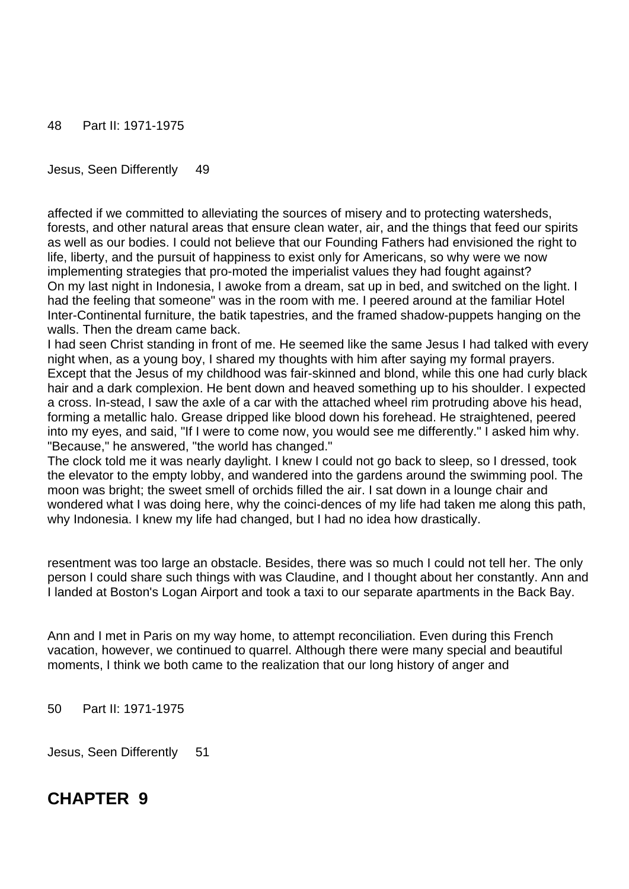#### 48 Part II: 1971-1975

#### Jesus, Seen Differently 49

affected if we committed to alleviating the sources of misery and to protecting watersheds, forests, and other natural areas that ensure clean water, air, and the things that feed our spirits as well as our bodies. I could not believe that our Founding Fathers had envisioned the right to life, liberty, and the pursuit of happiness to exist only for Americans, so why were we now implementing strategies that pro-moted the imperialist values they had fought against? On my last night in Indonesia, I awoke from a dream, sat up in bed, and switched on the light. I had the feeling that someone" was in the room with me. I peered around at the familiar Hotel Inter-Continental furniture, the batik tapestries, and the framed shadow-puppets hanging on the walls. Then the dream came back.

I had seen Christ standing in front of me. He seemed like the same Jesus I had talked with every night when, as a young boy, I shared my thoughts with him after saying my formal prayers. Except that the Jesus of my childhood was fair-skinned and blond, while this one had curly black hair and a dark complexion. He bent down and heaved something up to his shoulder. I expected a cross. In-stead, I saw the axle of a car with the attached wheel rim protruding above his head, forming a metallic halo. Grease dripped like blood down his forehead. He straightened, peered into my eyes, and said, "If I were to come now, you would see me differently." I asked him why. "Because," he answered, "the world has changed."

The clock told me it was nearly daylight. I knew I could not go back to sleep, so I dressed, took the elevator to the empty lobby, and wandered into the gardens around the swimming pool. The moon was bright; the sweet smell of orchids filled the air. I sat down in a lounge chair and wondered what I was doing here, why the coinci-dences of my life had taken me along this path, why Indonesia. I knew my life had changed, but I had no idea how drastically.

resentment was too large an obstacle. Besides, there was so much I could not tell her. The only person I could share such things with was Claudine, and I thought about her constantly. Ann and I landed at Boston's Logan Airport and took a taxi to our separate apartments in the Back Bay.

Ann and I met in Paris on my way home, to attempt reconciliation. Even during this French vacation, however, we continued to quarrel. Although there were many special and beautiful moments, I think we both came to the realization that our long history of anger and

50 Part II: 1971-1975

Jesus, Seen Differently 51

### **CHAPTER 9**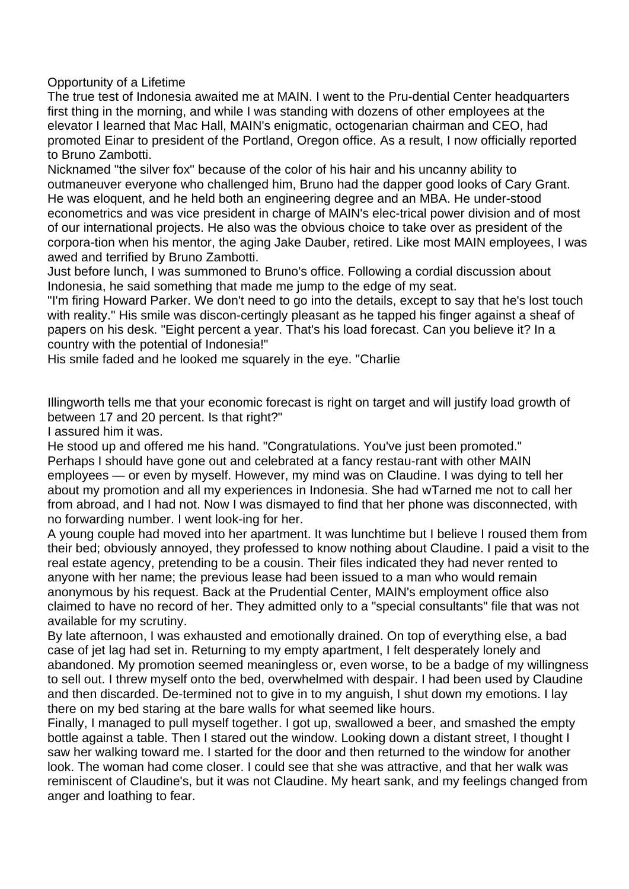Opportunity of a Lifetime

The true test of Indonesia awaited me at MAIN. I went to the Pru-dential Center headquarters first thing in the morning, and while I was standing with dozens of other employees at the elevator I learned that Mac Hall, MAIN's enigmatic, octogenarian chairman and CEO, had promoted Einar to president of the Portland, Oregon office. As a result, I now officially reported to Bruno Zambotti.

Nicknamed "the silver fox" because of the color of his hair and his uncanny ability to outmaneuver everyone who challenged him, Bruno had the dapper good looks of Cary Grant. He was eloquent, and he held both an engineering degree and an MBA. He under-stood econometrics and was vice president in charge of MAIN's elec-trical power division and of most of our international projects. He also was the obvious choice to take over as president of the corpora-tion when his mentor, the aging Jake Dauber, retired. Like most MAIN employees, I was awed and terrified by Bruno Zambotti.

Just before lunch, I was summoned to Bruno's office. Following a cordial discussion about Indonesia, he said something that made me jump to the edge of my seat.

"I'm firing Howard Parker. We don't need to go into the details, except to say that he's lost touch with reality." His smile was discon-certingly pleasant as he tapped his finger against a sheaf of papers on his desk. "Eight percent a year. That's his load forecast. Can you believe it? In a country with the potential of Indonesia!"

His smile faded and he looked me squarely in the eye. "Charlie

Illingworth tells me that your economic forecast is right on target and will justify load growth of between 17 and 20 percent. Is that right?"

I assured him it was.

He stood up and offered me his hand. "Congratulations. You've just been promoted." Perhaps I should have gone out and celebrated at a fancy restau-rant with other MAIN employees — or even by myself. However, my mind was on Claudine. I was dying to tell her about my promotion and all my experiences in Indonesia. She had wTarned me not to call her from abroad, and I had not. Now I was dismayed to find that her phone was disconnected, with no forwarding number. I went look-ing for her.

A young couple had moved into her apartment. It was lunchtime but I believe I roused them from their bed; obviously annoyed, they professed to know nothing about Claudine. I paid a visit to the real estate agency, pretending to be a cousin. Their files indicated they had never rented to anyone with her name; the previous lease had been issued to a man who would remain anonymous by his request. Back at the Prudential Center, MAIN's employment office also claimed to have no record of her. They admitted only to a "special consultants" file that was not available for my scrutiny.

By late afternoon, I was exhausted and emotionally drained. On top of everything else, a bad case of jet lag had set in. Returning to my empty apartment, I felt desperately lonely and abandoned. My promotion seemed meaningless or, even worse, to be a badge of my willingness to sell out. I threw myself onto the bed, overwhelmed with despair. I had been used by Claudine and then discarded. De-termined not to give in to my anguish, I shut down my emotions. I lay there on my bed staring at the bare walls for what seemed like hours.

Finally, I managed to pull myself together. I got up, swallowed a beer, and smashed the empty bottle against a table. Then I stared out the window. Looking down a distant street, I thought I saw her walking toward me. I started for the door and then returned to the window for another look. The woman had come closer. I could see that she was attractive, and that her walk was reminiscent of Claudine's, but it was not Claudine. My heart sank, and my feelings changed from anger and loathing to fear.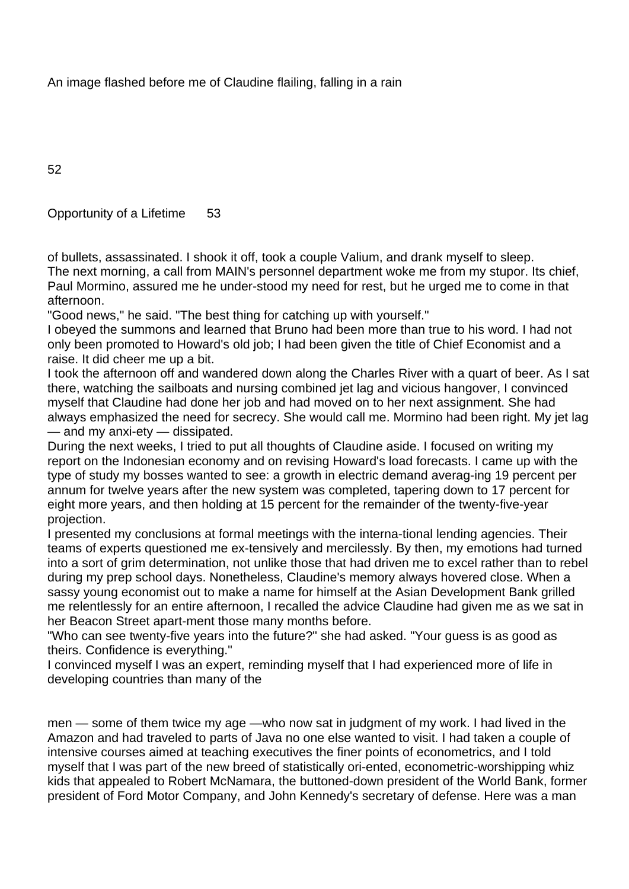An image flashed before me of Claudine flailing, falling in a rain

52

Opportunity of a Lifetime 53

of bullets, assassinated. I shook it off, took a couple Valium, and drank myself to sleep. The next morning, a call from MAIN's personnel department woke me from my stupor. Its chief, Paul Mormino, assured me he under-stood my need for rest, but he urged me to come in that afternoon.

"Good news," he said. "The best thing for catching up with yourself."

I obeyed the summons and learned that Bruno had been more than true to his word. I had not only been promoted to Howard's old job; I had been given the title of Chief Economist and a raise. It did cheer me up a bit.

I took the afternoon off and wandered down along the Charles River with a quart of beer. As I sat there, watching the sailboats and nursing combined jet lag and vicious hangover, I convinced myself that Claudine had done her job and had moved on to her next assignment. She had always emphasized the need for secrecy. She would call me. Mormino had been right. My jet lag — and my anxi-ety — dissipated.

During the next weeks, I tried to put all thoughts of Claudine aside. I focused on writing my report on the Indonesian economy and on revising Howard's load forecasts. I came up with the type of study my bosses wanted to see: a growth in electric demand averag-ing 19 percent per annum for twelve years after the new system was completed, tapering down to 17 percent for eight more years, and then holding at 15 percent for the remainder of the twenty-five-year projection.

I presented my conclusions at formal meetings with the interna-tional lending agencies. Their teams of experts questioned me ex-tensively and mercilessly. By then, my emotions had turned into a sort of grim determination, not unlike those that had driven me to excel rather than to rebel during my prep school days. Nonetheless, Claudine's memory always hovered close. When a sassy young economist out to make a name for himself at the Asian Development Bank grilled me relentlessly for an entire afternoon, I recalled the advice Claudine had given me as we sat in her Beacon Street apart-ment those many months before.

"Who can see twenty-five years into the future?" she had asked. "Your guess is as good as theirs. Confidence is everything."

I convinced myself I was an expert, reminding myself that I had experienced more of life in developing countries than many of the

men — some of them twice my age —who now sat in judgment of my work. I had lived in the Amazon and had traveled to parts of Java no one else wanted to visit. I had taken a couple of intensive courses aimed at teaching executives the finer points of econometrics, and I told myself that I was part of the new breed of statistically ori-ented, econometric-worshipping whiz kids that appealed to Robert McNamara, the buttoned-down president of the World Bank, former president of Ford Motor Company, and John Kennedy's secretary of defense. Here was a man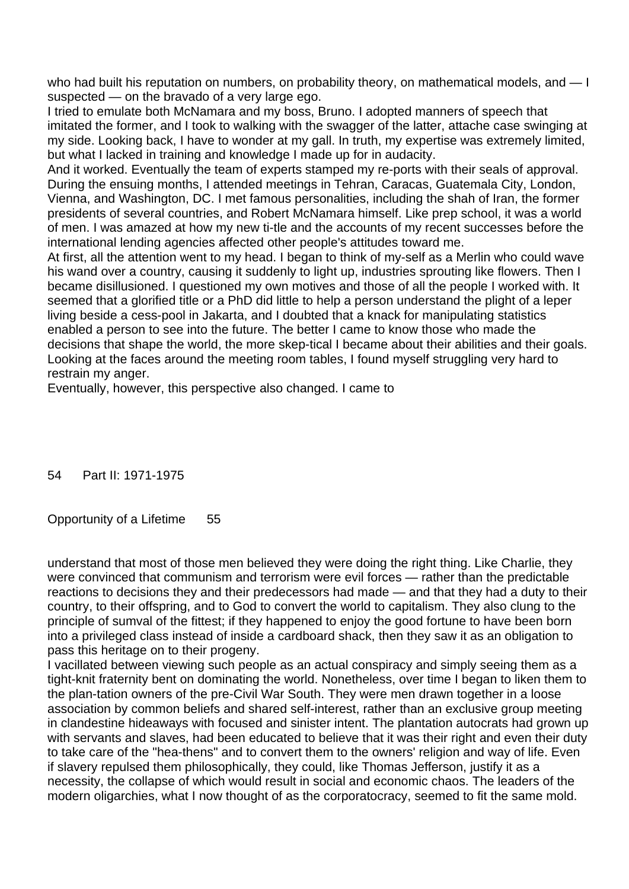who had built his reputation on numbers, on probability theory, on mathematical models, and - I suspected — on the bravado of a very large ego.

I tried to emulate both McNamara and my boss, Bruno. I adopted manners of speech that imitated the former, and I took to walking with the swagger of the latter, attache case swinging at my side. Looking back, I have to wonder at my gall. In truth, my expertise was extremely limited, but what I lacked in training and knowledge I made up for in audacity.

And it worked. Eventually the team of experts stamped my re-ports with their seals of approval. During the ensuing months, I attended meetings in Tehran, Caracas, Guatemala City, London, Vienna, and Washington, DC. I met famous personalities, including the shah of Iran, the former presidents of several countries, and Robert McNamara himself. Like prep school, it was a world of men. I was amazed at how my new ti-tle and the accounts of my recent successes before the international lending agencies affected other people's attitudes toward me.

At first, all the attention went to my head. I began to think of my-self as a Merlin who could wave his wand over a country, causing it suddenly to light up, industries sprouting like flowers. Then I became disillusioned. I questioned my own motives and those of all the people I worked with. It seemed that a glorified title or a PhD did little to help a person understand the plight of a leper living beside a cess-pool in Jakarta, and I doubted that a knack for manipulating statistics enabled a person to see into the future. The better I came to know those who made the decisions that shape the world, the more skep-tical I became about their abilities and their goals. Looking at the faces around the meeting room tables, I found myself struggling very hard to restrain my anger.

Eventually, however, this perspective also changed. I came to

54 Part II: 1971-1975

Opportunity of a Lifetime 55

understand that most of those men believed they were doing the right thing. Like Charlie, they were convinced that communism and terrorism were evil forces — rather than the predictable reactions to decisions they and their predecessors had made — and that they had a duty to their country, to their offspring, and to God to convert the world to capitalism. They also clung to the principle of sumval of the fittest; if they happened to enjoy the good fortune to have been born into a privileged class instead of inside a cardboard shack, then they saw it as an obligation to pass this heritage on to their progeny.

I vacillated between viewing such people as an actual conspiracy and simply seeing them as a tight-knit fraternity bent on dominating the world. Nonetheless, over time I began to liken them to the plan-tation owners of the pre-Civil War South. They were men drawn together in a loose association by common beliefs and shared self-interest, rather than an exclusive group meeting in clandestine hideaways with focused and sinister intent. The plantation autocrats had grown up with servants and slaves, had been educated to believe that it was their right and even their duty to take care of the "hea-thens" and to convert them to the owners' religion and way of life. Even if slavery repulsed them philosophically, they could, like Thomas Jefferson, justify it as a necessity, the collapse of which would result in social and economic chaos. The leaders of the modern oligarchies, what I now thought of as the corporatocracy, seemed to fit the same mold.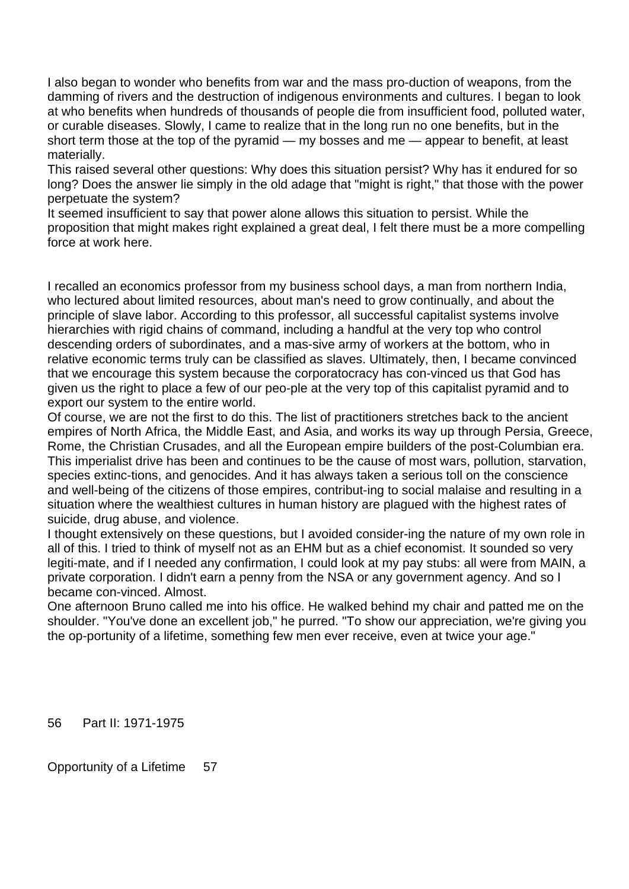I also began to wonder who benefits from war and the mass pro-duction of weapons, from the damming of rivers and the destruction of indigenous environments and cultures. I began to look at who benefits when hundreds of thousands of people die from insufficient food, polluted water, or curable diseases. Slowly, I came to realize that in the long run no one benefits, but in the short term those at the top of the pyramid — my bosses and me — appear to benefit, at least materially.

This raised several other questions: Why does this situation persist? Why has it endured for so long? Does the answer lie simply in the old adage that "might is right," that those with the power perpetuate the system?

It seemed insufficient to say that power alone allows this situation to persist. While the proposition that might makes right explained a great deal, I felt there must be a more compelling force at work here.

I recalled an economics professor from my business school days, a man from northern India, who lectured about limited resources, about man's need to grow continually, and about the principle of slave labor. According to this professor, all successful capitalist systems involve hierarchies with rigid chains of command, including a handful at the very top who control descending orders of subordinates, and a mas-sive army of workers at the bottom, who in relative economic terms truly can be classified as slaves. Ultimately, then, I became convinced that we encourage this system because the corporatocracy has con-vinced us that God has given us the right to place a few of our peo-ple at the very top of this capitalist pyramid and to export our system to the entire world.

Of course, we are not the first to do this. The list of practitioners stretches back to the ancient empires of North Africa, the Middle East, and Asia, and works its way up through Persia, Greece, Rome, the Christian Crusades, and all the European empire builders of the post-Columbian era. This imperialist drive has been and continues to be the cause of most wars, pollution, starvation, species extinc-tions, and genocides. And it has always taken a serious toll on the conscience and well-being of the citizens of those empires, contribut-ing to social malaise and resulting in a situation where the wealthiest cultures in human history are plagued with the highest rates of suicide, drug abuse, and violence.

I thought extensively on these questions, but I avoided consider-ing the nature of my own role in all of this. I tried to think of myself not as an EHM but as a chief economist. It sounded so very legiti-mate, and if I needed any confirmation, I could look at my pay stubs: all were from MAIN, a private corporation. I didn't earn a penny from the NSA or any government agency. And so I became con-vinced. Almost.

One afternoon Bruno called me into his office. He walked behind my chair and patted me on the shoulder. "You've done an excellent job," he purred. "To show our appreciation, we're giving you the op-portunity of a lifetime, something few men ever receive, even at twice your age."

56 Part II: 1971-1975

Opportunity of a Lifetime 57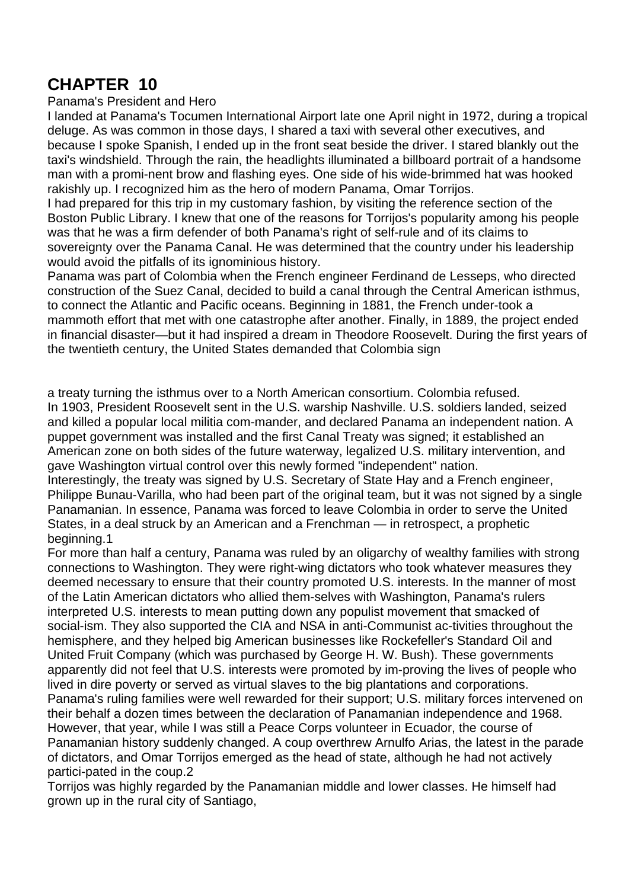# **CHAPTER 10**

Panama's President and Hero

I landed at Panama's Tocumen International Airport late one April night in 1972, during a tropical deluge. As was common in those days, I shared a taxi with several other executives, and because I spoke Spanish, I ended up in the front seat beside the driver. I stared blankly out the taxi's windshield. Through the rain, the headlights illuminated a billboard portrait of a handsome man with a promi-nent brow and flashing eyes. One side of his wide-brimmed hat was hooked rakishly up. I recognized him as the hero of modern Panama, Omar Torrijos.

I had prepared for this trip in my customary fashion, by visiting the reference section of the Boston Public Library. I knew that one of the reasons for Torrijos's popularity among his people was that he was a firm defender of both Panama's right of self-rule and of its claims to sovereignty over the Panama Canal. He was determined that the country under his leadership would avoid the pitfalls of its ignominious history.

Panama was part of Colombia when the French engineer Ferdinand de Lesseps, who directed construction of the Suez Canal, decided to build a canal through the Central American isthmus, to connect the Atlantic and Pacific oceans. Beginning in 1881, the French under-took a mammoth effort that met with one catastrophe after another. Finally, in 1889, the project ended in financial disaster—but it had inspired a dream in Theodore Roosevelt. During the first years of the twentieth century, the United States demanded that Colombia sign

a treaty turning the isthmus over to a North American consortium. Colombia refused. In 1903, President Roosevelt sent in the U.S. warship Nashville. U.S. soldiers landed, seized and killed a popular local militia com-mander, and declared Panama an independent nation. A puppet government was installed and the first Canal Treaty was signed; it established an American zone on both sides of the future waterway, legalized U.S. military intervention, and gave Washington virtual control over this newly formed "independent" nation.

Interestingly, the treaty was signed by U.S. Secretary of State Hay and a French engineer, Philippe Bunau-Varilla, who had been part of the original team, but it was not signed by a single Panamanian. In essence, Panama was forced to leave Colombia in order to serve the United States, in a deal struck by an American and a Frenchman — in retrospect, a prophetic beginning.1

For more than half a century, Panama was ruled by an oligarchy of wealthy families with strong connections to Washington. They were right-wing dictators who took whatever measures they deemed necessary to ensure that their country promoted U.S. interests. In the manner of most of the Latin American dictators who allied them-selves with Washington, Panama's rulers interpreted U.S. interests to mean putting down any populist movement that smacked of social-ism. They also supported the CIA and NSA in anti-Communist ac-tivities throughout the hemisphere, and they helped big American businesses like Rockefeller's Standard Oil and United Fruit Company (which was purchased by George H. W. Bush). These governments apparently did not feel that U.S. interests were promoted by im-proving the lives of people who lived in dire poverty or served as virtual slaves to the big plantations and corporations. Panama's ruling families were well rewarded for their support; U.S. military forces intervened on their behalf a dozen times between the declaration of Panamanian independence and 1968. However, that year, while I was still a Peace Corps volunteer in Ecuador, the course of Panamanian history suddenly changed. A coup overthrew Arnulfo Arias, the latest in the parade of dictators, and Omar Torrijos emerged as the head of state, although he had not actively partici-pated in the coup.2

Torrijos was highly regarded by the Panamanian middle and lower classes. He himself had grown up in the rural city of Santiago,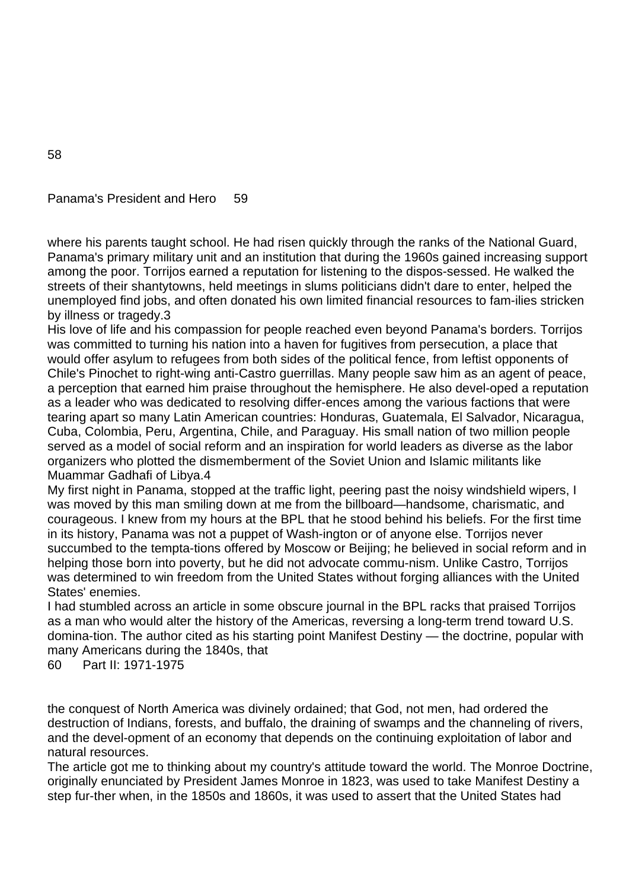### Panama's President and Hero 59

where his parents taught school. He had risen quickly through the ranks of the National Guard, Panama's primary military unit and an institution that during the 1960s gained increasing support among the poor. Torrijos earned a reputation for listening to the dispos-sessed. He walked the streets of their shantytowns, held meetings in slums politicians didn't dare to enter, helped the unemployed find jobs, and often donated his own limited financial resources to fam-ilies stricken by illness or tragedy.3

His love of life and his compassion for people reached even beyond Panama's borders. Torrijos was committed to turning his nation into a haven for fugitives from persecution, a place that would offer asylum to refugees from both sides of the political fence, from leftist opponents of Chile's Pinochet to right-wing anti-Castro guerrillas. Many people saw him as an agent of peace, a perception that earned him praise throughout the hemisphere. He also devel-oped a reputation as a leader who was dedicated to resolving differ-ences among the various factions that were tearing apart so many Latin American countries: Honduras, Guatemala, El Salvador, Nicaragua, Cuba, Colombia, Peru, Argentina, Chile, and Paraguay. His small nation of two million people served as a model of social reform and an inspiration for world leaders as diverse as the labor organizers who plotted the dismemberment of the Soviet Union and Islamic militants like Muammar Gadhafi of Libya.4

My first night in Panama, stopped at the traffic light, peering past the noisy windshield wipers, I was moved by this man smiling down at me from the billboard—handsome, charismatic, and courageous. I knew from my hours at the BPL that he stood behind his beliefs. For the first time in its history, Panama was not a puppet of Wash-ington or of anyone else. Torrijos never succumbed to the tempta-tions offered by Moscow or Beijing; he believed in social reform and in helping those born into poverty, but he did not advocate commu-nism. Unlike Castro, Torrijos was determined to win freedom from the United States without forging alliances with the United States' enemies.

I had stumbled across an article in some obscure journal in the BPL racks that praised Torrijos as a man who would alter the history of the Americas, reversing a long-term trend toward U.S. domina-tion. The author cited as his starting point Manifest Destiny — the doctrine, popular with many Americans during the 1840s, that

60 Part II: 1971-1975

the conquest of North America was divinely ordained; that God, not men, had ordered the destruction of Indians, forests, and buffalo, the draining of swamps and the channeling of rivers, and the devel-opment of an economy that depends on the continuing exploitation of labor and natural resources.

The article got me to thinking about my country's attitude toward the world. The Monroe Doctrine, originally enunciated by President James Monroe in 1823, was used to take Manifest Destiny a step fur-ther when, in the 1850s and 1860s, it was used to assert that the United States had

58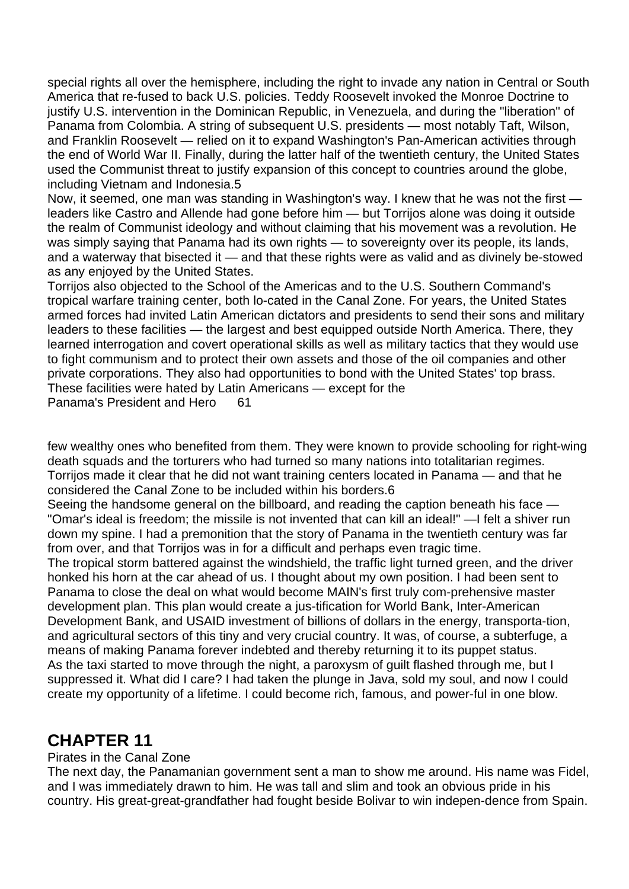special rights all over the hemisphere, including the right to invade any nation in Central or South America that re-fused to back U.S. policies. Teddy Roosevelt invoked the Monroe Doctrine to justify U.S. intervention in the Dominican Republic, in Venezuela, and during the "liberation" of Panama from Colombia. A string of subsequent U.S. presidents — most notably Taft, Wilson, and Franklin Roosevelt — relied on it to expand Washington's Pan-American activities through the end of World War II. Finally, during the latter half of the twentieth century, the United States used the Communist threat to justify expansion of this concept to countries around the globe, including Vietnam and Indonesia.5

Now, it seemed, one man was standing in Washington's way. I knew that he was not the first leaders like Castro and Allende had gone before him — but Torrijos alone was doing it outside the realm of Communist ideology and without claiming that his movement was a revolution. He was simply saying that Panama had its own rights — to sovereignty over its people, its lands, and a waterway that bisected it — and that these rights were as valid and as divinely be-stowed as any enjoyed by the United States.

Torrijos also objected to the School of the Americas and to the U.S. Southern Command's tropical warfare training center, both lo-cated in the Canal Zone. For years, the United States armed forces had invited Latin American dictators and presidents to send their sons and military leaders to these facilities — the largest and best equipped outside North America. There, they learned interrogation and covert operational skills as well as military tactics that they would use to fight communism and to protect their own assets and those of the oil companies and other private corporations. They also had opportunities to bond with the United States' top brass. These facilities were hated by Latin Americans — except for the Panama's President and Hero 61

few wealthy ones who benefited from them. They were known to provide schooling for right-wing death squads and the torturers who had turned so many nations into totalitarian regimes. Torrijos made it clear that he did not want training centers located in Panama — and that he considered the Canal Zone to be included within his borders.6

Seeing the handsome general on the billboard, and reading the caption beneath his face – "Omar's ideal is freedom; the missile is not invented that can kill an ideal!" —I felt a shiver run down my spine. I had a premonition that the story of Panama in the twentieth century was far from over, and that Torrijos was in for a difficult and perhaps even tragic time.

The tropical storm battered against the windshield, the traffic light turned green, and the driver honked his horn at the car ahead of us. I thought about my own position. I had been sent to Panama to close the deal on what would become MAIN's first truly com-prehensive master development plan. This plan would create a jus-tification for World Bank, Inter-American Development Bank, and USAID investment of billions of dollars in the energy, transporta-tion, and agricultural sectors of this tiny and very crucial country. It was, of course, a subterfuge, a means of making Panama forever indebted and thereby returning it to its puppet status. As the taxi started to move through the night, a paroxysm of guilt flashed through me, but I suppressed it. What did I care? I had taken the plunge in Java, sold my soul, and now I could create my opportunity of a lifetime. I could become rich, famous, and power-ful in one blow.

### **CHAPTER 11**

### Pirates in the Canal Zone

The next day, the Panamanian government sent a man to show me around. His name was Fidel, and I was immediately drawn to him. He was tall and slim and took an obvious pride in his country. His great-great-grandfather had fought beside Bolivar to win indepen-dence from Spain.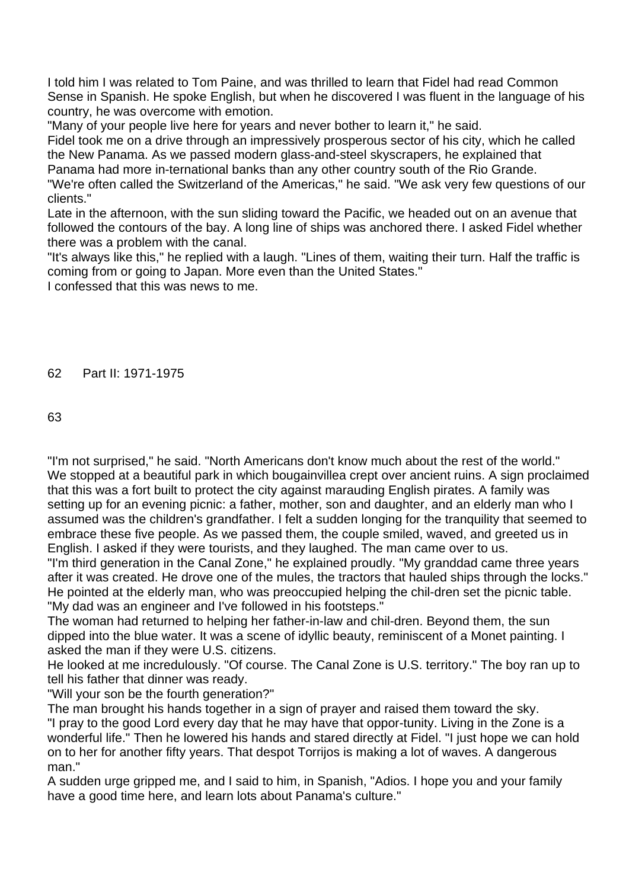I told him I was related to Tom Paine, and was thrilled to learn that Fidel had read Common Sense in Spanish. He spoke English, but when he discovered I was fluent in the language of his country, he was overcome with emotion.

"Many of your people live here for years and never bother to learn it," he said.

Fidel took me on a drive through an impressively prosperous sector of his city, which he called the New Panama. As we passed modern glass-and-steel skyscrapers, he explained that Panama had more in-ternational banks than any other country south of the Rio Grande.

"We're often called the Switzerland of the Americas," he said. "We ask very few questions of our clients."

Late in the afternoon, with the sun sliding toward the Pacific, we headed out on an avenue that followed the contours of the bay. A long line of ships was anchored there. I asked Fidel whether there was a problem with the canal.

"It's always like this," he replied with a laugh. "Lines of them, waiting their turn. Half the traffic is coming from or going to Japan. More even than the United States."

I confessed that this was news to me.

62 Part II: 1971-1975

63

"I'm not surprised," he said. "North Americans don't know much about the rest of the world." We stopped at a beautiful park in which bougainvillea crept over ancient ruins. A sign proclaimed that this was a fort built to protect the city against marauding English pirates. A family was setting up for an evening picnic: a father, mother, son and daughter, and an elderly man who I assumed was the children's grandfather. I felt a sudden longing for the tranquility that seemed to embrace these five people. As we passed them, the couple smiled, waved, and greeted us in English. I asked if they were tourists, and they laughed. The man came over to us.

"I'm third generation in the Canal Zone," he explained proudly. "My granddad came three years after it was created. He drove one of the mules, the tractors that hauled ships through the locks." He pointed at the elderly man, who was preoccupied helping the chil-dren set the picnic table. "My dad was an engineer and I've followed in his footsteps."

The woman had returned to helping her father-in-law and chil-dren. Beyond them, the sun dipped into the blue water. It was a scene of idyllic beauty, reminiscent of a Monet painting. I asked the man if they were U.S. citizens.

He looked at me incredulously. "Of course. The Canal Zone is U.S. territory." The boy ran up to tell his father that dinner was ready.

"Will your son be the fourth generation?"

The man brought his hands together in a sign of prayer and raised them toward the sky. "I pray to the good Lord every day that he may have that oppor-tunity. Living in the Zone is a wonderful life." Then he lowered his hands and stared directly at Fidel. "I just hope we can hold on to her for another fifty years. That despot Torrijos is making a lot of waves. A dangerous man."

A sudden urge gripped me, and I said to him, in Spanish, "Adios. I hope you and your family have a good time here, and learn lots about Panama's culture."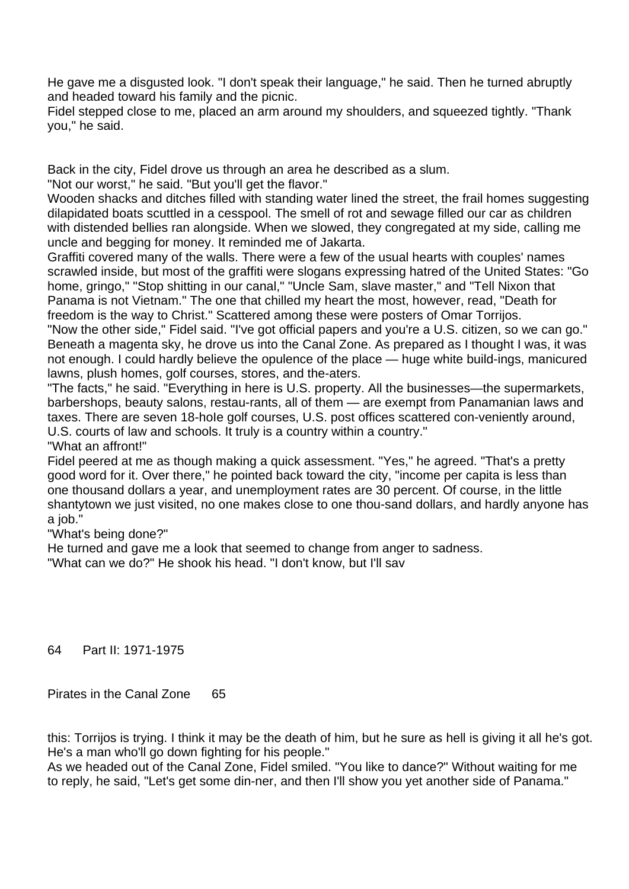He gave me a disgusted look. "I don't speak their language," he said. Then he turned abruptly and headed toward his family and the picnic.

Fidel stepped close to me, placed an arm around my shoulders, and squeezed tightly. "Thank you," he said.

Back in the city, Fidel drove us through an area he described as a slum.

"Not our worst," he said. "But you'll get the flavor."

Wooden shacks and ditches filled with standing water lined the street, the frail homes suggesting dilapidated boats scuttled in a cesspool. The smell of rot and sewage filled our car as children with distended bellies ran alongside. When we slowed, they congregated at my side, calling me uncle and begging for money. It reminded me of Jakarta.

Graffiti covered many of the walls. There were a few of the usual hearts with couples' names scrawled inside, but most of the graffiti were slogans expressing hatred of the United States: "Go home, gringo," "Stop shitting in our canal," "Uncle Sam, slave master," and "Tell Nixon that Panama is not Vietnam." The one that chilled my heart the most, however, read, "Death for freedom is the way to Christ." Scattered among these were posters of Omar Torrijos.

"Now the other side," Fidel said. "I've got official papers and you're a U.S. citizen, so we can go." Beneath a magenta sky, he drove us into the Canal Zone. As prepared as I thought I was, it was not enough. I could hardly believe the opulence of the place — huge white build-ings, manicured lawns, plush homes, golf courses, stores, and the-aters.

"The facts," he said. "Everything in here is U.S. property. All the businesses—the supermarkets, barbershops, beauty salons, restau-rants, all of them — are exempt from Panamanian laws and taxes. There are seven 18-hole golf courses, U.S. post offices scattered con-veniently around, U.S. courts of law and schools. It truly is a country within a country."

"What an affront!"

Fidel peered at me as though making a quick assessment. "Yes," he agreed. "That's a pretty good word for it. Over there," he pointed back toward the city, "income per capita is less than one thousand dollars a year, and unemployment rates are 30 percent. Of course, in the little shantytown we just visited, no one makes close to one thou-sand dollars, and hardly anyone has a job."

"What's being done?"

He turned and gave me a look that seemed to change from anger to sadness.

"What can we do?" He shook his head. "I don't know, but I'll sav

64 Part II: 1971-1975

Pirates in the Canal Zone 65

this: Torrijos is trying. I think it may be the death of him, but he sure as hell is giving it all he's got. He's a man who'll go down fighting for his people."

As we headed out of the Canal Zone, Fidel smiled. "You like to dance?" Without waiting for me to reply, he said, "Let's get some din-ner, and then I'll show you yet another side of Panama."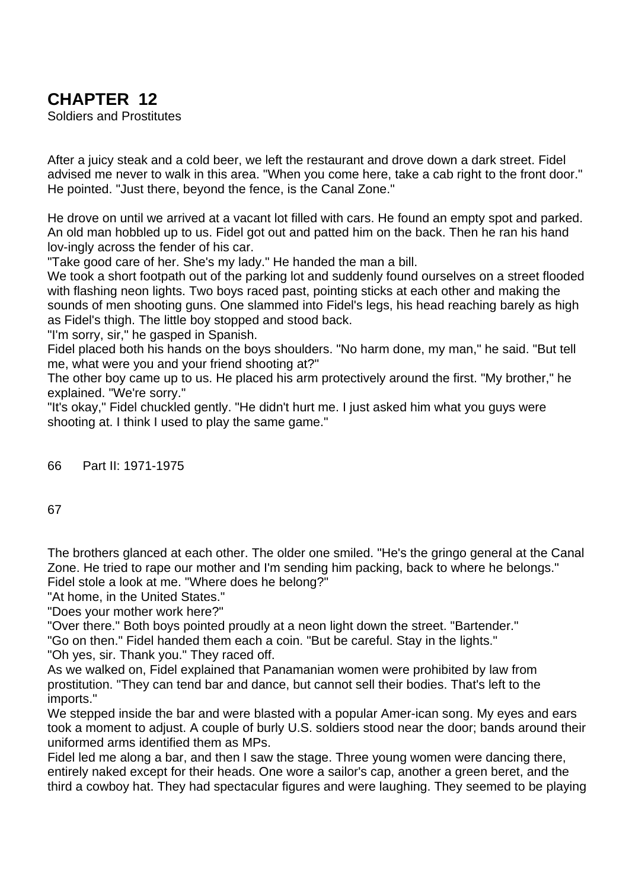# **CHAPTER 12**

Soldiers and Prostitutes

After a juicy steak and a cold beer, we left the restaurant and drove down a dark street. Fidel advised me never to walk in this area. "When you come here, take a cab right to the front door." He pointed. "Just there, beyond the fence, is the Canal Zone."

He drove on until we arrived at a vacant lot filled with cars. He found an empty spot and parked. An old man hobbled up to us. Fidel got out and patted him on the back. Then he ran his hand lov-ingly across the fender of his car.

"Take good care of her. She's my lady." He handed the man a bill.

We took a short footpath out of the parking lot and suddenly found ourselves on a street flooded with flashing neon lights. Two boys raced past, pointing sticks at each other and making the sounds of men shooting guns. One slammed into Fidel's legs, his head reaching barely as high as Fidel's thigh. The little boy stopped and stood back.

"I'm sorry, sir," he gasped in Spanish.

Fidel placed both his hands on the boys shoulders. "No harm done, my man," he said. "But tell me, what were you and your friend shooting at?"

The other boy came up to us. He placed his arm protectively around the first. "My brother," he explained. "We're sorry."

"It's okay," Fidel chuckled gently. "He didn't hurt me. I just asked him what you guys were shooting at. I think I used to play the same game."

66 Part II: 1971-1975

67

The brothers glanced at each other. The older one smiled. "He's the gringo general at the Canal Zone. He tried to rape our mother and I'm sending him packing, back to where he belongs." Fidel stole a look at me. "Where does he belong?"

"At home, in the United States."

"Does your mother work here?"

"Over there." Both boys pointed proudly at a neon light down the street. "Bartender."

"Go on then." Fidel handed them each a coin. "But be careful. Stay in the lights."

"Oh yes, sir. Thank you." They raced off.

As we walked on, Fidel explained that Panamanian women were prohibited by law from prostitution. "They can tend bar and dance, but cannot sell their bodies. That's left to the imports."

We stepped inside the bar and were blasted with a popular Amer-ican song. My eyes and ears took a moment to adjust. A couple of burly U.S. soldiers stood near the door; bands around their uniformed arms identified them as MPs.

Fidel led me along a bar, and then I saw the stage. Three young women were dancing there, entirely naked except for their heads. One wore a sailor's cap, another a green beret, and the third a cowboy hat. They had spectacular figures and were laughing. They seemed to be playing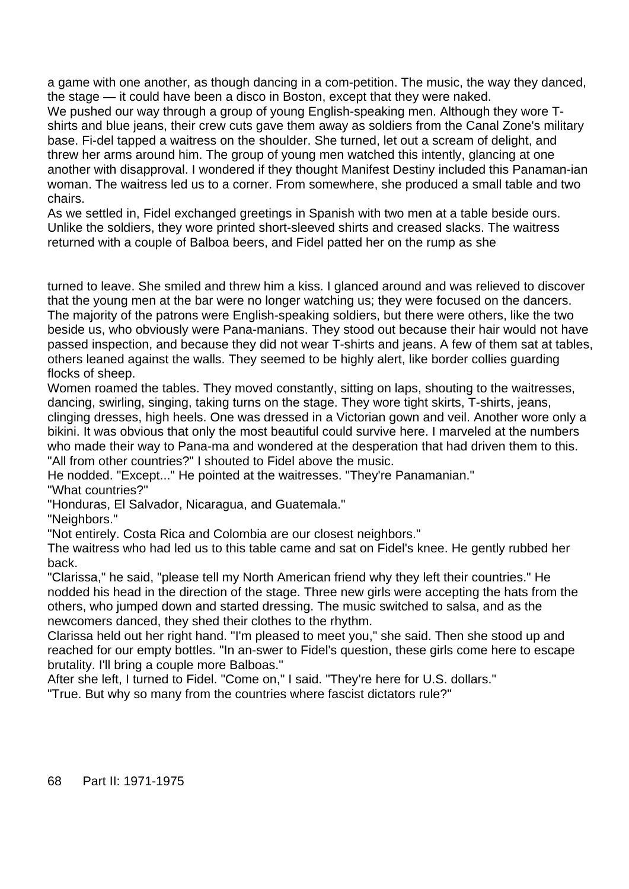a game with one another, as though dancing in a com-petition. The music, the way they danced, the stage — it could have been a disco in Boston, except that they were naked.

We pushed our way through a group of young English-speaking men. Although they wore Tshirts and blue jeans, their crew cuts gave them away as soldiers from the Canal Zone's military base. Fi-del tapped a waitress on the shoulder. She turned, let out a scream of delight, and threw her arms around him. The group of young men watched this intently, glancing at one another with disapproval. I wondered if they thought Manifest Destiny included this Panaman-ian woman. The waitress led us to a corner. From somewhere, she produced a small table and two chairs.

As we settled in, Fidel exchanged greetings in Spanish with two men at a table beside ours. Unlike the soldiers, they wore printed short-sleeved shirts and creased slacks. The waitress returned with a couple of Balboa beers, and Fidel patted her on the rump as she

turned to leave. She smiled and threw him a kiss. I glanced around and was relieved to discover that the young men at the bar were no longer watching us; they were focused on the dancers. The majority of the patrons were English-speaking soldiers, but there were others, like the two beside us, who obviously were Pana-manians. They stood out because their hair would not have passed inspection, and because they did not wear T-shirts and jeans. A few of them sat at tables, others leaned against the walls. They seemed to be highly alert, like border collies guarding flocks of sheep.

Women roamed the tables. They moved constantly, sitting on laps, shouting to the waitresses, dancing, swirling, singing, taking turns on the stage. They wore tight skirts, T-shirts, jeans, clinging dresses, high heels. One was dressed in a Victorian gown and veil. Another wore only a bikini. It was obvious that only the most beautiful could survive here. I marveled at the numbers who made their way to Pana-ma and wondered at the desperation that had driven them to this. "All from other countries?" I shouted to Fidel above the music.

He nodded. "Except..." He pointed at the waitresses. "They're Panamanian."

"What countries?"

"Honduras, El Salvador, Nicaragua, and Guatemala."

"Neighbors."

"Not entirely. Costa Rica and Colombia are our closest neighbors."

The waitress who had led us to this table came and sat on Fidel's knee. He gently rubbed her back.

"Clarissa," he said, "please tell my North American friend why they left their countries." He nodded his head in the direction of the stage. Three new girls were accepting the hats from the others, who jumped down and started dressing. The music switched to salsa, and as the newcomers danced, they shed their clothes to the rhythm.

Clarissa held out her right hand. "I'm pleased to meet you," she said. Then she stood up and reached for our empty bottles. "In an-swer to Fidel's question, these girls come here to escape brutality. I'll bring a couple more Balboas."

After she left, I turned to Fidel. "Come on," I said. "They're here for U.S. dollars."

"True. But why so many from the countries where fascist dictators rule?"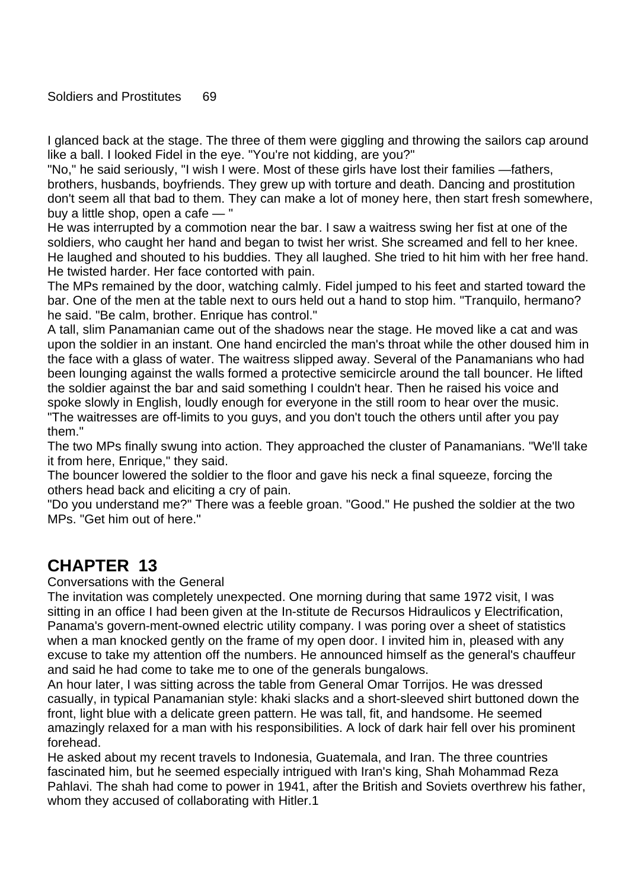### Soldiers and Prostitutes 69

I glanced back at the stage. The three of them were giggling and throwing the sailors cap around like a ball. I looked Fidel in the eye. "You're not kidding, are you?"

"No," he said seriously, "I wish I were. Most of these girls have lost their families —fathers, brothers, husbands, boyfriends. They grew up with torture and death. Dancing and prostitution don't seem all that bad to them. They can make a lot of money here, then start fresh somewhere, buy a little shop, open a cafe — "

He was interrupted by a commotion near the bar. I saw a waitress swing her fist at one of the soldiers, who caught her hand and began to twist her wrist. She screamed and fell to her knee. He laughed and shouted to his buddies. They all laughed. She tried to hit him with her free hand. He twisted harder. Her face contorted with pain.

The MPs remained by the door, watching calmly. Fidel jumped to his feet and started toward the bar. One of the men at the table next to ours held out a hand to stop him. "Tranquilo, hermano? he said. "Be calm, brother. Enrique has control."

A tall, slim Panamanian came out of the shadows near the stage. He moved like a cat and was upon the soldier in an instant. One hand encircled the man's throat while the other doused him in the face with a glass of water. The waitress slipped away. Several of the Panamanians who had been lounging against the walls formed a protective semicircle around the tall bouncer. He lifted the soldier against the bar and said something I couldn't hear. Then he raised his voice and spoke slowly in English, loudly enough for everyone in the still room to hear over the music. "The waitresses are off-limits to you guys, and you don't touch the others until after you pay them."

The two MPs finally swung into action. They approached the cluster of Panamanians. "We'll take it from here, Enrique," they said.

The bouncer lowered the soldier to the floor and gave his neck a final squeeze, forcing the others head back and eliciting a cry of pain.

"Do you understand me?" There was a feeble groan. "Good." He pushed the soldier at the two MPs. "Get him out of here."

### **CHAPTER 13**

Conversations with the General

The invitation was completely unexpected. One morning during that same 1972 visit, I was sitting in an office I had been given at the In-stitute de Recursos Hidraulicos y Electrification, Panama's govern-ment-owned electric utility company. I was poring over a sheet of statistics when a man knocked gently on the frame of my open door. I invited him in, pleased with any excuse to take my attention off the numbers. He announced himself as the general's chauffeur and said he had come to take me to one of the generals bungalows.

An hour later, I was sitting across the table from General Omar Torrijos. He was dressed casually, in typical Panamanian style: khaki slacks and a short-sleeved shirt buttoned down the front, light blue with a delicate green pattern. He was tall, fit, and handsome. He seemed amazingly relaxed for a man with his responsibilities. A lock of dark hair fell over his prominent forehead.

He asked about my recent travels to Indonesia, Guatemala, and Iran. The three countries fascinated him, but he seemed especially intrigued with Iran's king, Shah Mohammad Reza Pahlavi. The shah had come to power in 1941, after the British and Soviets overthrew his father, whom they accused of collaborating with Hitler.1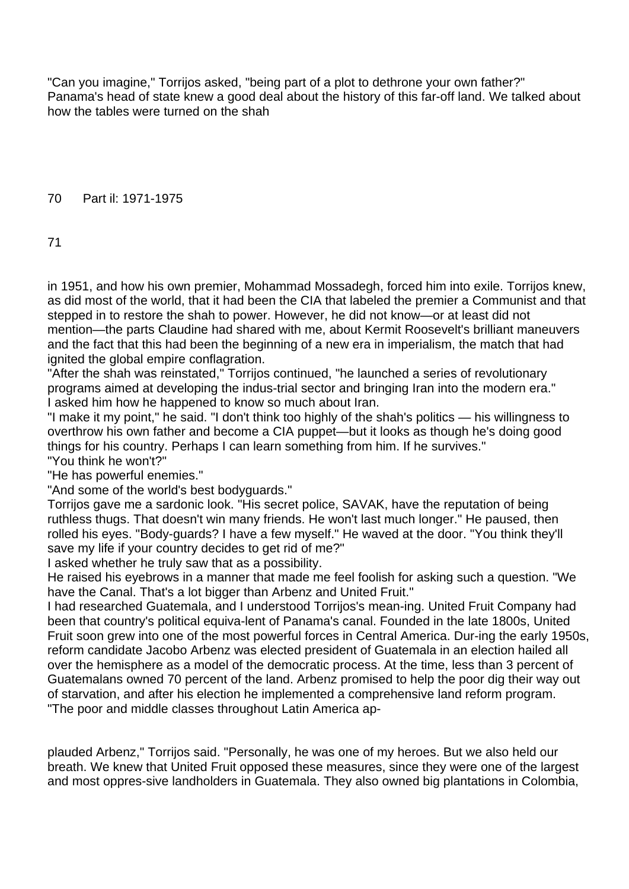"Can you imagine," Torrijos asked, "being part of a plot to dethrone your own father?" Panama's head of state knew a good deal about the history of this far-off land. We talked about how the tables were turned on the shah

70 Part il: 1971-1975

71

in 1951, and how his own premier, Mohammad Mossadegh, forced him into exile. Torrijos knew, as did most of the world, that it had been the CIA that labeled the premier a Communist and that stepped in to restore the shah to power. However, he did not know—or at least did not mention—the parts Claudine had shared with me, about Kermit Roosevelt's brilliant maneuvers and the fact that this had been the beginning of a new era in imperialism, the match that had ignited the global empire conflagration.

"After the shah was reinstated," Torrijos continued, "he launched a series of revolutionary programs aimed at developing the indus-trial sector and bringing Iran into the modern era." I asked him how he happened to know so much about Iran.

"I make it my point," he said. "I don't think too highly of the shah's politics — his willingness to overthrow his own father and become a CIA puppet—but it looks as though he's doing good things for his country. Perhaps I can learn something from him. If he survives." "You think he won't?"

"He has powerful enemies."

"And some of the world's best bodyguards."

Torrijos gave me a sardonic look. "His secret police, SAVAK, have the reputation of being ruthless thugs. That doesn't win many friends. He won't last much longer." He paused, then rolled his eyes. "Body-guards? I have a few myself." He waved at the door. "You think they'll save my life if your country decides to get rid of me?"

I asked whether he truly saw that as a possibility.

He raised his eyebrows in a manner that made me feel foolish for asking such a question. "We have the Canal. That's a lot bigger than Arbenz and United Fruit."

I had researched Guatemala, and I understood Torrijos's mean-ing. United Fruit Company had been that country's political equiva-lent of Panama's canal. Founded in the late 1800s, United Fruit soon grew into one of the most powerful forces in Central America. Dur-ing the early 1950s, reform candidate Jacobo Arbenz was elected president of Guatemala in an election hailed all over the hemisphere as a model of the democratic process. At the time, less than 3 percent of Guatemalans owned 70 percent of the land. Arbenz promised to help the poor dig their way out of starvation, and after his election he implemented a comprehensive land reform program. "The poor and middle classes throughout Latin America ap-

plauded Arbenz," Torrijos said. "Personally, he was one of my heroes. But we also held our breath. We knew that United Fruit opposed these measures, since they were one of the largest and most oppres-sive landholders in Guatemala. They also owned big plantations in Colombia,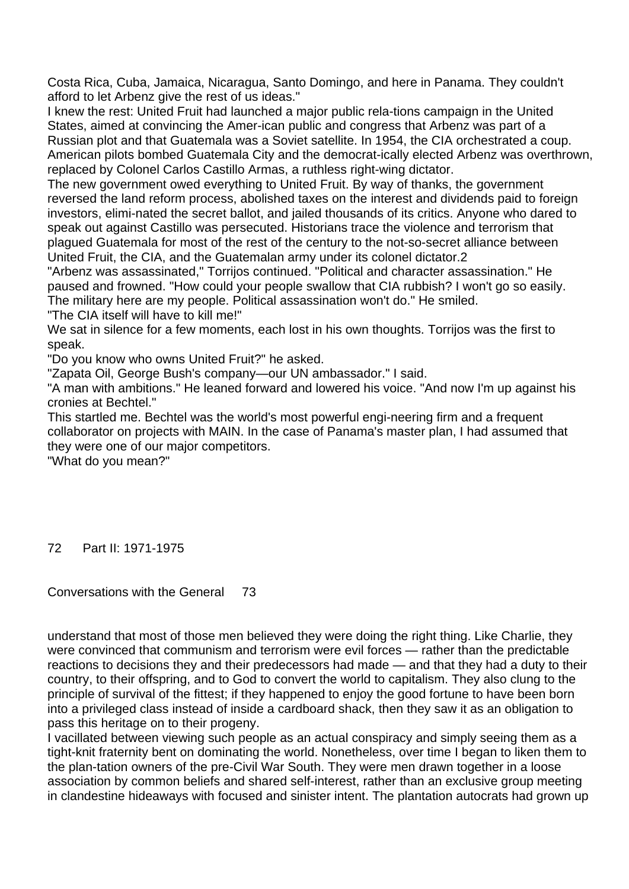Costa Rica, Cuba, Jamaica, Nicaragua, Santo Domingo, and here in Panama. They couldn't afford to let Arbenz give the rest of us ideas."

I knew the rest: United Fruit had launched a major public rela-tions campaign in the United States, aimed at convincing the Amer-ican public and congress that Arbenz was part of a Russian plot and that Guatemala was a Soviet satellite. In 1954, the CIA orchestrated a coup. American pilots bombed Guatemala City and the democrat-ically elected Arbenz was overthrown, replaced by Colonel Carlos Castillo Armas, a ruthless right-wing dictator.

The new government owed everything to United Fruit. By way of thanks, the government reversed the land reform process, abolished taxes on the interest and dividends paid to foreign investors, elimi-nated the secret ballot, and jailed thousands of its critics. Anyone who dared to speak out against Castillo was persecuted. Historians trace the violence and terrorism that plagued Guatemala for most of the rest of the century to the not-so-secret alliance between United Fruit, the CIA, and the Guatemalan army under its colonel dictator.2

"Arbenz was assassinated," Torrijos continued. "Political and character assassination." He paused and frowned. "How could your people swallow that CIA rubbish? I won't go so easily. The military here are my people. Political assassination won't do." He smiled.

"The CIA itself will have to kill me!"

We sat in silence for a few moments, each lost in his own thoughts. Torrijos was the first to speak.

"Do you know who owns United Fruit?" he asked.

"Zapata Oil, George Bush's company—our UN ambassador." I said.

"A man with ambitions." He leaned forward and lowered his voice. "And now I'm up against his cronies at Bechtel."

This startled me. Bechtel was the world's most powerful engi-neering firm and a frequent collaborator on projects with MAIN. In the case of Panama's master plan, I had assumed that they were one of our major competitors.

"What do you mean?"

72 Part II: 1971-1975

Conversations with the General 73

understand that most of those men believed they were doing the right thing. Like Charlie, they were convinced that communism and terrorism were evil forces — rather than the predictable reactions to decisions they and their predecessors had made — and that they had a duty to their country, to their offspring, and to God to convert the world to capitalism. They also clung to the principle of survival of the fittest; if they happened to enjoy the good fortune to have been born into a privileged class instead of inside a cardboard shack, then they saw it as an obligation to pass this heritage on to their progeny.

I vacillated between viewing such people as an actual conspiracy and simply seeing them as a tight-knit fraternity bent on dominating the world. Nonetheless, over time I began to liken them to the plan-tation owners of the pre-Civil War South. They were men drawn together in a loose association by common beliefs and shared self-interest, rather than an exclusive group meeting in clandestine hideaways with focused and sinister intent. The plantation autocrats had grown up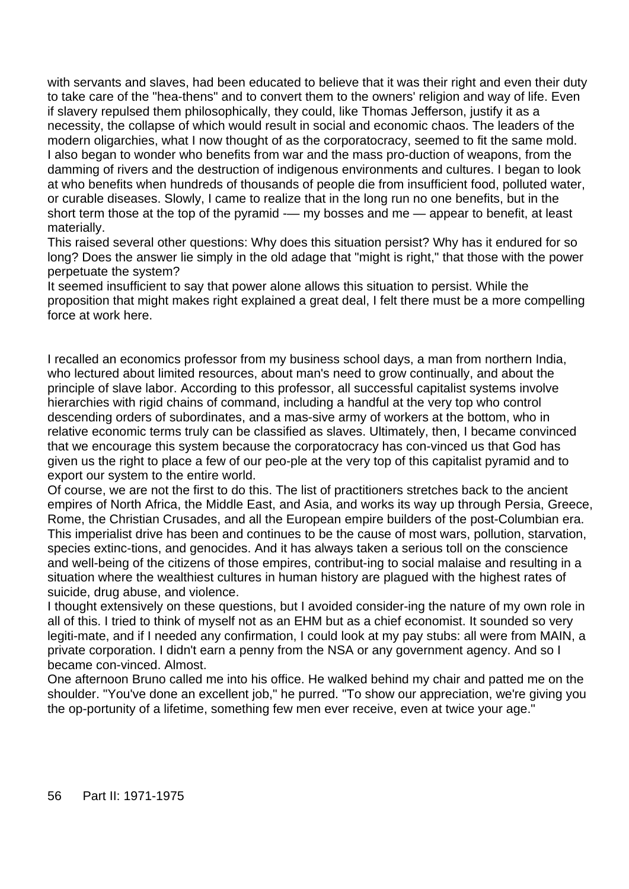with servants and slaves, had been educated to believe that it was their right and even their duty to take care of the "hea-thens" and to convert them to the owners' religion and way of life. Even if slavery repulsed them philosophically, they could, like Thomas Jefferson, justify it as a necessity, the collapse of which would result in social and economic chaos. The leaders of the modern oligarchies, what I now thought of as the corporatocracy, seemed to fit the same mold. I also began to wonder who benefits from war and the mass pro-duction of weapons, from the damming of rivers and the destruction of indigenous environments and cultures. I began to look at who benefits when hundreds of thousands of people die from insufficient food, polluted water, or curable diseases. Slowly, I came to realize that in the long run no one benefits, but in the short term those at the top of the pyramid -— my bosses and me — appear to benefit, at least materially.

This raised several other questions: Why does this situation persist? Why has it endured for so long? Does the answer lie simply in the old adage that "might is right," that those with the power perpetuate the system?

It seemed insufficient to say that power alone allows this situation to persist. While the proposition that might makes right explained a great deal, I felt there must be a more compelling force at work here.

I recalled an economics professor from my business school days, a man from northern India, who lectured about limited resources, about man's need to grow continually, and about the principle of slave labor. According to this professor, all successful capitalist systems involve hierarchies with rigid chains of command, including a handful at the very top who control descending orders of subordinates, and a mas-sive army of workers at the bottom, who in relative economic terms truly can be classified as slaves. Ultimately, then, I became convinced that we encourage this system because the corporatocracy has con-vinced us that God has given us the right to place a few of our peo-ple at the very top of this capitalist pyramid and to export our system to the entire world.

Of course, we are not the first to do this. The list of practitioners stretches back to the ancient empires of North Africa, the Middle East, and Asia, and works its way up through Persia, Greece, Rome, the Christian Crusades, and all the European empire builders of the post-Columbian era. This imperialist drive has been and continues to be the cause of most wars, pollution, starvation, species extinc-tions, and genocides. And it has always taken a serious toll on the conscience and well-being of the citizens of those empires, contribut-ing to social malaise and resulting in a situation where the wealthiest cultures in human history are plagued with the highest rates of suicide, drug abuse, and violence.

I thought extensively on these questions, but I avoided consider-ing the nature of my own role in all of this. I tried to think of myself not as an EHM but as a chief economist. It sounded so very legiti-mate, and if I needed any confirmation, I could look at my pay stubs: all were from MAIN, a private corporation. I didn't earn a penny from the NSA or any government agency. And so I became con-vinced. Almost.

One afternoon Bruno called me into his office. He walked behind my chair and patted me on the shoulder. "You've done an excellent job," he purred. "To show our appreciation, we're giving you the op-portunity of a lifetime, something few men ever receive, even at twice your age."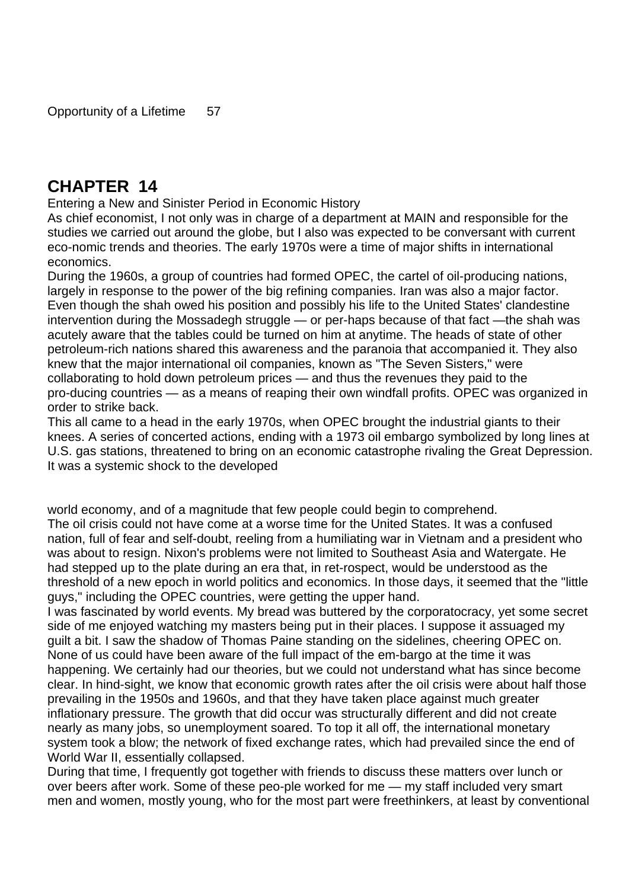Opportunity of a Lifetime 57

### **CHAPTER 14**

Entering a New and Sinister Period in Economic History

As chief economist, I not only was in charge of a department at MAIN and responsible for the studies we carried out around the globe, but I also was expected to be conversant with current eco-nomic trends and theories. The early 1970s were a time of major shifts in international economics.

During the 1960s, a group of countries had formed OPEC, the cartel of oil-producing nations, largely in response to the power of the big refining companies. Iran was also a major factor. Even though the shah owed his position and possibly his life to the United States' clandestine intervention during the Mossadegh struggle — or per-haps because of that fact —the shah was acutely aware that the tables could be turned on him at anytime. The heads of state of other petroleum-rich nations shared this awareness and the paranoia that accompanied it. They also knew that the major international oil companies, known as "The Seven Sisters," were collaborating to hold down petroleum prices — and thus the revenues they paid to the pro-ducing countries — as a means of reaping their own windfall profits. OPEC was organized in order to strike back.

This all came to a head in the early 1970s, when OPEC brought the industrial giants to their knees. A series of concerted actions, ending with a 1973 oil embargo symbolized by long lines at U.S. gas stations, threatened to bring on an economic catastrophe rivaling the Great Depression. It was a systemic shock to the developed

world economy, and of a magnitude that few people could begin to comprehend. The oil crisis could not have come at a worse time for the United States. It was a confused nation, full of fear and self-doubt, reeling from a humiliating war in Vietnam and a president who was about to resign. Nixon's problems were not limited to Southeast Asia and Watergate. He had stepped up to the plate during an era that, in ret-rospect, would be understood as the threshold of a new epoch in world politics and economics. In those days, it seemed that the "little guys," including the OPEC countries, were getting the upper hand.

I was fascinated by world events. My bread was buttered by the corporatocracy, yet some secret side of me enjoyed watching my masters being put in their places. I suppose it assuaged my guilt a bit. I saw the shadow of Thomas Paine standing on the sidelines, cheering OPEC on. None of us could have been aware of the full impact of the em-bargo at the time it was happening. We certainly had our theories, but we could not understand what has since become clear. In hind-sight, we know that economic growth rates after the oil crisis were about half those prevailing in the 1950s and 1960s, and that they have taken place against much greater inflationary pressure. The growth that did occur was structurally different and did not create nearly as many jobs, so unemployment soared. To top it all off, the international monetary system took a blow; the network of fixed exchange rates, which had prevailed since the end of World War II, essentially collapsed.

During that time, I frequently got together with friends to discuss these matters over lunch or over beers after work. Some of these peo-ple worked for me — my staff included very smart men and women, mostly young, who for the most part were freethinkers, at least by conventional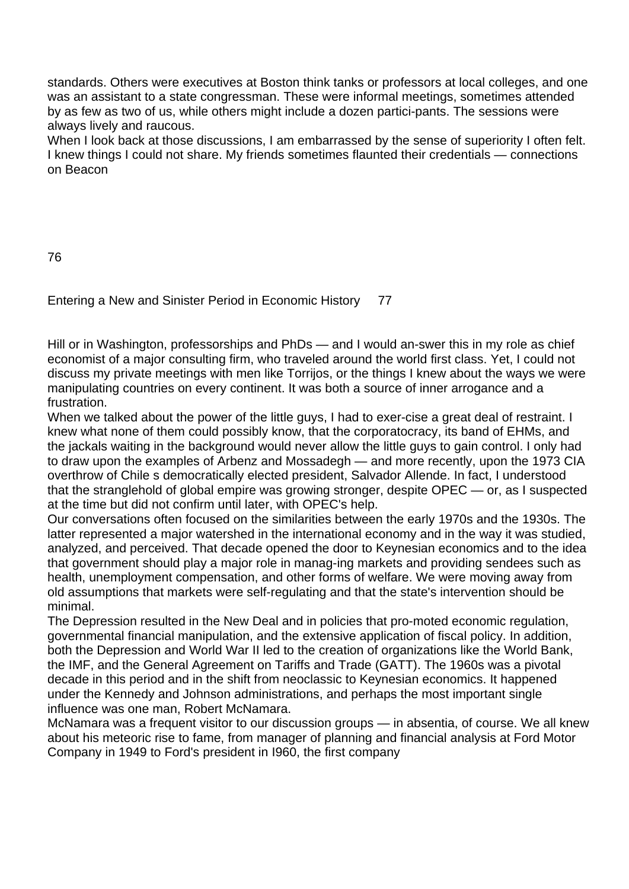standards. Others were executives at Boston think tanks or professors at local colleges, and one was an assistant to a state congressman. These were informal meetings, sometimes attended by as few as two of us, while others might include a dozen partici-pants. The sessions were always lively and raucous.

When I look back at those discussions, I am embarrassed by the sense of superiority I often felt. I knew things I could not share. My friends sometimes flaunted their credentials — connections on Beacon

76

Entering a New and Sinister Period in Economic History 77

Hill or in Washington, professorships and PhDs — and I would an-swer this in my role as chief economist of a major consulting firm, who traveled around the world first class. Yet, I could not discuss my private meetings with men like Torrijos, or the things I knew about the ways we were manipulating countries on every continent. It was both a source of inner arrogance and a frustration.

When we talked about the power of the little guys, I had to exer-cise a great deal of restraint. I knew what none of them could possibly know, that the corporatocracy, its band of EHMs, and the jackals waiting in the background would never allow the little guys to gain control. I only had to draw upon the examples of Arbenz and Mossadegh — and more recently, upon the 1973 CIA overthrow of Chile s democratically elected president, Salvador Allende. In fact, I understood that the stranglehold of global empire was growing stronger, despite OPEC — or, as I suspected at the time but did not confirm until later, with OPEC's help.

Our conversations often focused on the similarities between the early 1970s and the 1930s. The latter represented a major watershed in the international economy and in the way it was studied, analyzed, and perceived. That decade opened the door to Keynesian economics and to the idea that government should play a major role in manag-ing markets and providing sendees such as health, unemployment compensation, and other forms of welfare. We were moving away from old assumptions that markets were self-regulating and that the state's intervention should be minimal.

The Depression resulted in the New Deal and in policies that pro-moted economic regulation, governmental financial manipulation, and the extensive application of fiscal policy. In addition, both the Depression and World War II led to the creation of organizations like the World Bank, the IMF, and the General Agreement on Tariffs and Trade (GATT). The 1960s was a pivotal decade in this period and in the shift from neoclassic to Keynesian economics. It happened under the Kennedy and Johnson administrations, and perhaps the most important single influence was one man, Robert McNamara.

McNamara was a frequent visitor to our discussion groups — in absentia, of course. We all knew about his meteoric rise to fame, from manager of planning and financial analysis at Ford Motor Company in 1949 to Ford's president in I960, the first company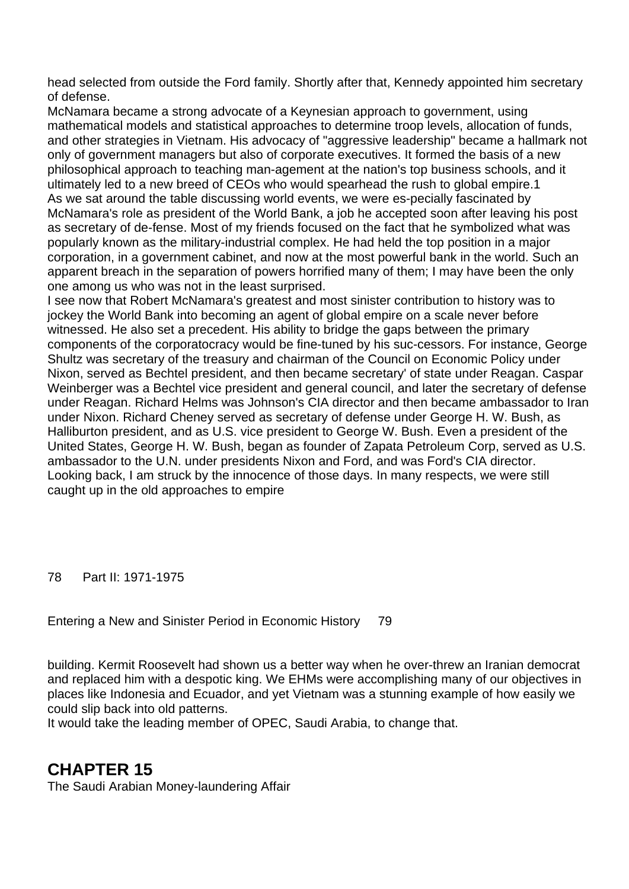head selected from outside the Ford family. Shortly after that, Kennedy appointed him secretary of defense.

McNamara became a strong advocate of a Keynesian approach to government, using mathematical models and statistical approaches to determine troop levels, allocation of funds, and other strategies in Vietnam. His advocacy of "aggressive leadership" became a hallmark not only of government managers but also of corporate executives. It formed the basis of a new philosophical approach to teaching man-agement at the nation's top business schools, and it ultimately led to a new breed of CEOs who would spearhead the rush to global empire.1 As we sat around the table discussing world events, we were es-pecially fascinated by McNamara's role as president of the World Bank, a job he accepted soon after leaving his post as secretary of de-fense. Most of my friends focused on the fact that he symbolized what was popularly known as the military-industrial complex. He had held the top position in a major corporation, in a government cabinet, and now at the most powerful bank in the world. Such an apparent breach in the separation of powers horrified many of them; I may have been the only one among us who was not in the least surprised.

I see now that Robert McNamara's greatest and most sinister contribution to history was to jockey the World Bank into becoming an agent of global empire on a scale never before witnessed. He also set a precedent. His ability to bridge the gaps between the primary components of the corporatocracy would be fine-tuned by his suc-cessors. For instance, George Shultz was secretary of the treasury and chairman of the Council on Economic Policy under Nixon, served as Bechtel president, and then became secretary' of state under Reagan. Caspar Weinberger was a Bechtel vice president and general council, and later the secretary of defense under Reagan. Richard Helms was Johnson's CIA director and then became ambassador to Iran under Nixon. Richard Cheney served as secretary of defense under George H. W. Bush, as Halliburton president, and as U.S. vice president to George W. Bush. Even a president of the United States, George H. W. Bush, began as founder of Zapata Petroleum Corp, served as U.S. ambassador to the U.N. under presidents Nixon and Ford, and was Ford's CIA director. Looking back, I am struck by the innocence of those days. In many respects, we were still caught up in the old approaches to empire

78 Part II: 1971-1975

Entering a New and Sinister Period in Economic History 79

building. Kermit Roosevelt had shown us a better way when he over-threw an Iranian democrat and replaced him with a despotic king. We EHMs were accomplishing many of our objectives in places like Indonesia and Ecuador, and yet Vietnam was a stunning example of how easily we could slip back into old patterns.

It would take the leading member of OPEC, Saudi Arabia, to change that.

### **CHAPTER 15**

The Saudi Arabian Money-laundering Affair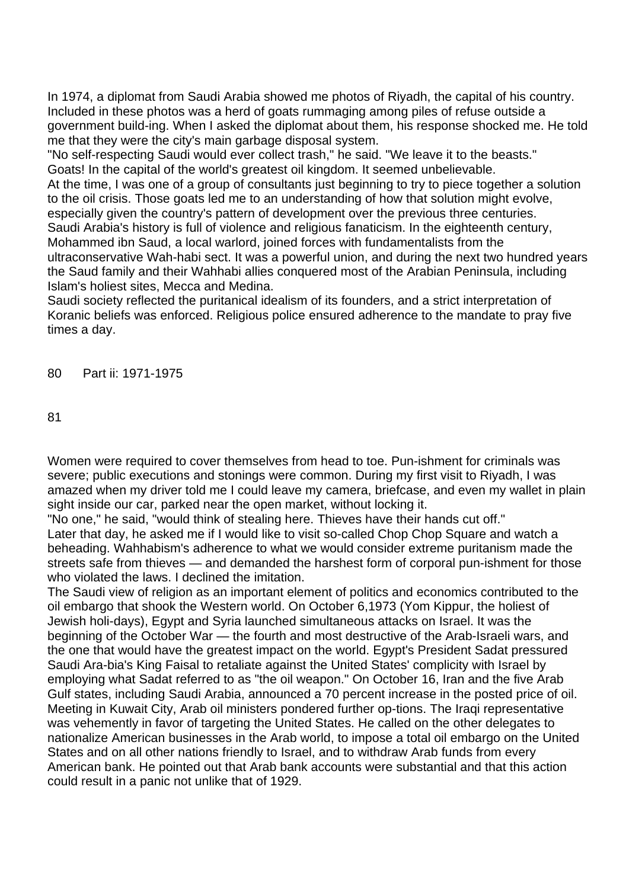In 1974, a diplomat from Saudi Arabia showed me photos of Riyadh, the capital of his country. Included in these photos was a herd of goats rummaging among piles of refuse outside a government build-ing. When I asked the diplomat about them, his response shocked me. He told me that they were the city's main garbage disposal system.

"No self-respecting Saudi would ever collect trash," he said. "We leave it to the beasts." Goats! In the capital of the world's greatest oil kingdom. It seemed unbelievable.

At the time, I was one of a group of consultants just beginning to try to piece together a solution to the oil crisis. Those goats led me to an understanding of how that solution might evolve, especially given the country's pattern of development over the previous three centuries. Saudi Arabia's history is full of violence and religious fanaticism. In the eighteenth century, Mohammed ibn Saud, a local warlord, joined forces with fundamentalists from the ultraconservative Wah-habi sect. It was a powerful union, and during the next two hundred years the Saud family and their Wahhabi allies conquered most of the Arabian Peninsula, including Islam's holiest sites, Mecca and Medina.

Saudi society reflected the puritanical idealism of its founders, and a strict interpretation of Koranic beliefs was enforced. Religious police ensured adherence to the mandate to pray five times a day.

80 Part ii: 1971-1975

81

Women were required to cover themselves from head to toe. Pun-ishment for criminals was severe; public executions and stonings were common. During my first visit to Riyadh, I was amazed when my driver told me I could leave my camera, briefcase, and even my wallet in plain sight inside our car, parked near the open market, without locking it.

"No one," he said, "would think of stealing here. Thieves have their hands cut off." Later that day, he asked me if I would like to visit so-called Chop Chop Square and watch a beheading. Wahhabism's adherence to what we would consider extreme puritanism made the streets safe from thieves — and demanded the harshest form of corporal pun-ishment for those who violated the laws. I declined the imitation.

The Saudi view of religion as an important element of politics and economics contributed to the oil embargo that shook the Western world. On October 6,1973 (Yom Kippur, the holiest of Jewish holi-days), Egypt and Syria launched simultaneous attacks on Israel. It was the beginning of the October War — the fourth and most destructive of the Arab-Israeli wars, and the one that would have the greatest impact on the world. Egypt's President Sadat pressured Saudi Ara-bia's King Faisal to retaliate against the United States' complicity with Israel by employing what Sadat referred to as "the oil weapon." On October 16, Iran and the five Arab Gulf states, including Saudi Arabia, announced a 70 percent increase in the posted price of oil. Meeting in Kuwait City, Arab oil ministers pondered further op-tions. The Iraqi representative was vehemently in favor of targeting the United States. He called on the other delegates to nationalize American businesses in the Arab world, to impose a total oil embargo on the United States and on all other nations friendly to Israel, and to withdraw Arab funds from every American bank. He pointed out that Arab bank accounts were substantial and that this action could result in a panic not unlike that of 1929.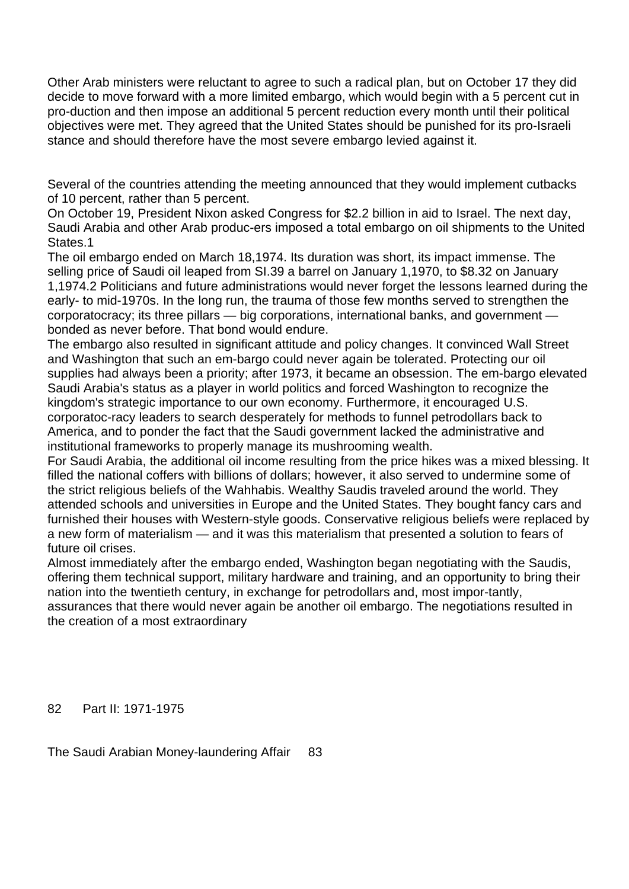Other Arab ministers were reluctant to agree to such a radical plan, but on October 17 they did decide to move forward with a more limited embargo, which would begin with a 5 percent cut in pro-duction and then impose an additional 5 percent reduction every month until their political objectives were met. They agreed that the United States should be punished for its pro-Israeli stance and should therefore have the most severe embargo levied against it.

Several of the countries attending the meeting announced that they would implement cutbacks of 10 percent, rather than 5 percent.

On October 19, President Nixon asked Congress for \$2.2 billion in aid to Israel. The next day, Saudi Arabia and other Arab produc-ers imposed a total embargo on oil shipments to the United States.1

The oil embargo ended on March 18,1974. Its duration was short, its impact immense. The selling price of Saudi oil leaped from SI.39 a barrel on January 1,1970, to \$8.32 on January 1,1974.2 Politicians and future administrations would never forget the lessons learned during the early- to mid-1970s. In the long run, the trauma of those few months served to strengthen the corporatocracy; its three pillars — big corporations, international banks, and government bonded as never before. That bond would endure.

The embargo also resulted in significant attitude and policy changes. It convinced Wall Street and Washington that such an em-bargo could never again be tolerated. Protecting our oil supplies had always been a priority; after 1973, it became an obsession. The em-bargo elevated Saudi Arabia's status as a player in world politics and forced Washington to recognize the kingdom's strategic importance to our own economy. Furthermore, it encouraged U.S. corporatoc-racy leaders to search desperately for methods to funnel petrodollars back to America, and to ponder the fact that the Saudi government lacked the administrative and institutional frameworks to properly manage its mushrooming wealth.

For Saudi Arabia, the additional oil income resulting from the price hikes was a mixed blessing. It filled the national coffers with billions of dollars; however, it also served to undermine some of the strict religious beliefs of the Wahhabis. Wealthy Saudis traveled around the world. They attended schools and universities in Europe and the United States. They bought fancy cars and furnished their houses with Western-style goods. Conservative religious beliefs were replaced by a new form of materialism — and it was this materialism that presented a solution to fears of future oil crises.

Almost immediately after the embargo ended, Washington began negotiating with the Saudis, offering them technical support, military hardware and training, and an opportunity to bring their nation into the twentieth century, in exchange for petrodollars and, most impor-tantly, assurances that there would never again be another oil embargo. The negotiations resulted in the creation of a most extraordinary

82 Part II: 1971-1975

The Saudi Arabian Money-laundering Affair 83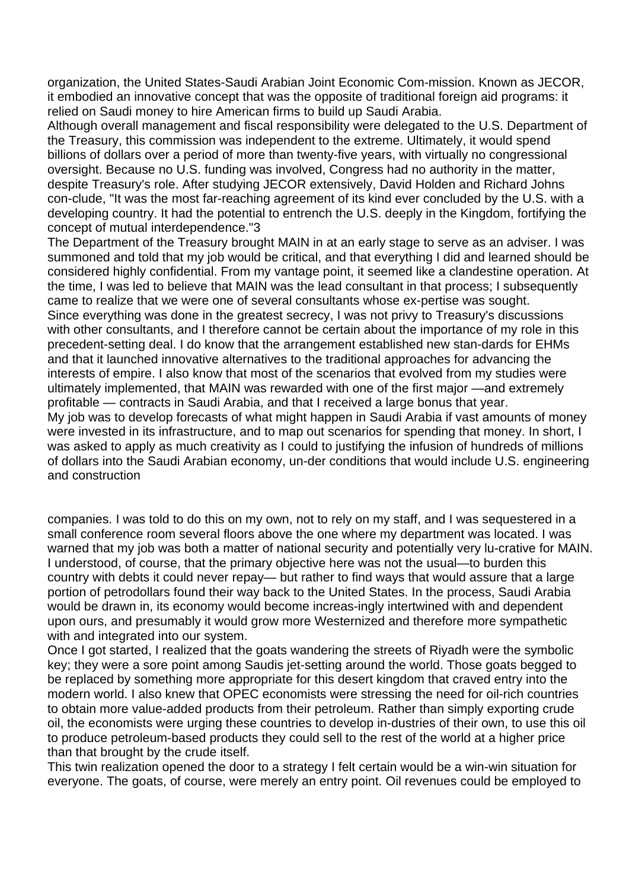organization, the United States-Saudi Arabian Joint Economic Com-mission. Known as JECOR, it embodied an innovative concept that was the opposite of traditional foreign aid programs: it relied on Saudi money to hire American firms to build up Saudi Arabia.

Although overall management and fiscal responsibility were delegated to the U.S. Department of the Treasury, this commission was independent to the extreme. Ultimately, it would spend billions of dollars over a period of more than twenty-five years, with virtually no congressional oversight. Because no U.S. funding was involved, Congress had no authority in the matter, despite Treasury's role. After studying JECOR extensively, David Holden and Richard Johns con-clude, "It was the most far-reaching agreement of its kind ever concluded by the U.S. with a developing country. It had the potential to entrench the U.S. deeply in the Kingdom, fortifying the concept of mutual interdependence."3

The Department of the Treasury brought MAIN in at an early stage to serve as an adviser. I was summoned and told that my job would be critical, and that everything I did and learned should be considered highly confidential. From my vantage point, it seemed like a clandestine operation. At the time, I was led to believe that MAIN was the lead consultant in that process; I subsequently came to realize that we were one of several consultants whose ex-pertise was sought. Since everything was done in the greatest secrecy, I was not privy to Treasury's discussions with other consultants, and I therefore cannot be certain about the importance of my role in this precedent-setting deal. I do know that the arrangement established new stan-dards for EHMs and that it launched innovative alternatives to the traditional approaches for advancing the interests of empire. I also know that most of the scenarios that evolved from my studies were ultimately implemented, that MAIN was rewarded with one of the first major —and extremely profitable — contracts in Saudi Arabia, and that I received a large bonus that year. My job was to develop forecasts of what might happen in Saudi Arabia if vast amounts of money were invested in its infrastructure, and to map out scenarios for spending that money. In short, I was asked to apply as much creativity as I could to justifying the infusion of hundreds of millions of dollars into the Saudi Arabian economy, un-der conditions that would include U.S. engineering and construction

companies. I was told to do this on my own, not to rely on my staff, and I was sequestered in a small conference room several floors above the one where my department was located. I was warned that my job was both a matter of national security and potentially very lu-crative for MAIN. I understood, of course, that the primary objective here was not the usual—to burden this country with debts it could never repay— but rather to find ways that would assure that a large portion of petrodollars found their way back to the United States. In the process, Saudi Arabia would be drawn in, its economy would become increas-ingly intertwined with and dependent upon ours, and presumably it would grow more Westernized and therefore more sympathetic with and integrated into our system.

Once I got started, I realized that the goats wandering the streets of Riyadh were the symbolic key; they were a sore point among Saudis jet-setting around the world. Those goats begged to be replaced by something more appropriate for this desert kingdom that craved entry into the modern world. I also knew that OPEC economists were stressing the need for oil-rich countries to obtain more value-added products from their petroleum. Rather than simply exporting crude oil, the economists were urging these countries to develop in-dustries of their own, to use this oil to produce petroleum-based products they could sell to the rest of the world at a higher price than that brought by the crude itself.

This twin realization opened the door to a strategy I felt certain would be a win-win situation for everyone. The goats, of course, were merely an entry point. Oil revenues could be employed to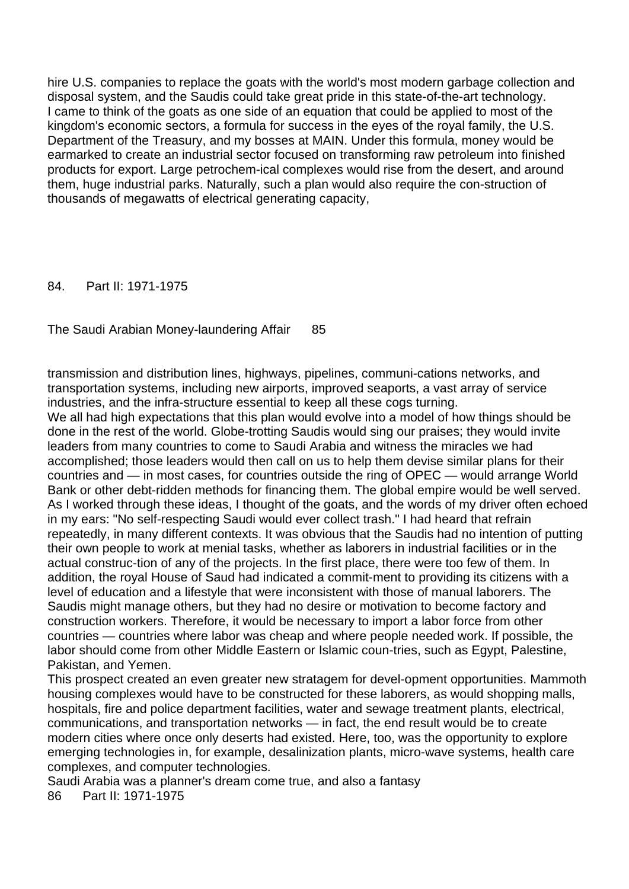hire U.S. companies to replace the goats with the world's most modern garbage collection and disposal system, and the Saudis could take great pride in this state-of-the-art technology. I came to think of the goats as one side of an equation that could be applied to most of the kingdom's economic sectors, a formula for success in the eyes of the royal family, the U.S. Department of the Treasury, and my bosses at MAIN. Under this formula, money would be earmarked to create an industrial sector focused on transforming raw petroleum into finished products for export. Large petrochem-ical complexes would rise from the desert, and around them, huge industrial parks. Naturally, such a plan would also require the con-struction of thousands of megawatts of electrical generating capacity,

### 84. Part II: 1971-1975

#### The Saudi Arabian Money-laundering Affair 85

transmission and distribution lines, highways, pipelines, communi-cations networks, and transportation systems, including new airports, improved seaports, a vast array of service industries, and the infra-structure essential to keep all these cogs turning.

We all had high expectations that this plan would evolve into a model of how things should be done in the rest of the world. Globe-trotting Saudis would sing our praises; they would invite leaders from many countries to come to Saudi Arabia and witness the miracles we had accomplished; those leaders would then call on us to help them devise similar plans for their countries and — in most cases, for countries outside the ring of OPEC — would arrange World Bank or other debt-ridden methods for financing them. The global empire would be well served. As I worked through these ideas, I thought of the goats, and the words of my driver often echoed in my ears: "No self-respecting Saudi would ever collect trash." I had heard that refrain repeatedly, in many different contexts. It was obvious that the Saudis had no intention of putting their own people to work at menial tasks, whether as laborers in industrial facilities or in the actual construc-tion of any of the projects. In the first place, there were too few of them. In addition, the royal House of Saud had indicated a commit-ment to providing its citizens with a level of education and a lifestyle that were inconsistent with those of manual laborers. The Saudis might manage others, but they had no desire or motivation to become factory and construction workers. Therefore, it would be necessary to import a labor force from other countries — countries where labor was cheap and where people needed work. If possible, the labor should come from other Middle Eastern or Islamic coun-tries, such as Egypt, Palestine, Pakistan, and Yemen.

This prospect created an even greater new stratagem for devel-opment opportunities. Mammoth housing complexes would have to be constructed for these laborers, as would shopping malls, hospitals, fire and police department facilities, water and sewage treatment plants, electrical, communications, and transportation networks — in fact, the end result would be to create modern cities where once only deserts had existed. Here, too, was the opportunity to explore emerging technologies in, for example, desalinization plants, micro-wave systems, health care complexes, and computer technologies.

Saudi Arabia was a planner's dream come true, and also a fantasy 86 Part II: 1971-1975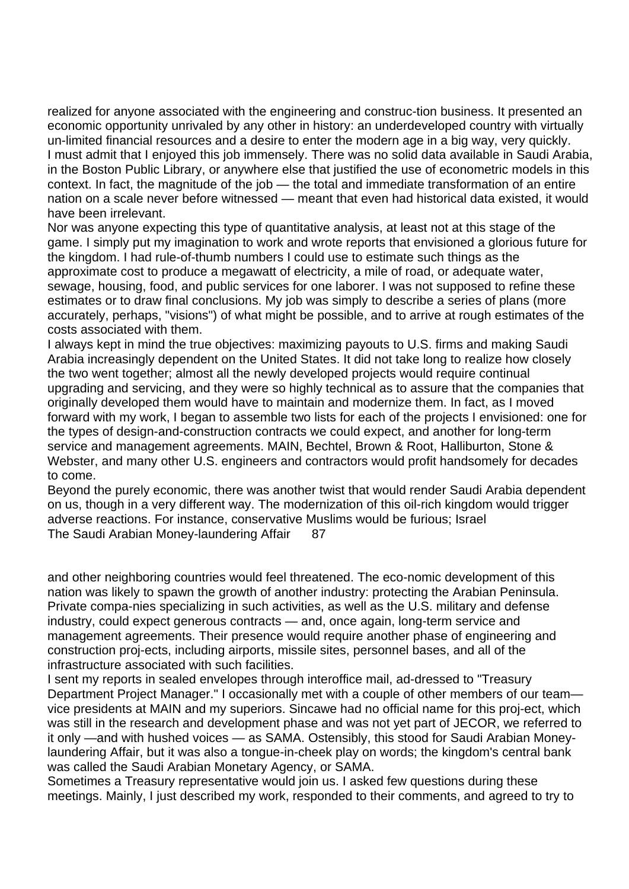realized for anyone associated with the engineering and construc-tion business. It presented an economic opportunity unrivaled by any other in history: an underdeveloped country with virtually un-limited financial resources and a desire to enter the modern age in a big way, very quickly. I must admit that I enjoyed this job immensely. There was no solid data available in Saudi Arabia, in the Boston Public Library, or anywhere else that justified the use of econometric models in this context. In fact, the magnitude of the job — the total and immediate transformation of an entire nation on a scale never before witnessed — meant that even had historical data existed, it would have been irrelevant.

Nor was anyone expecting this type of quantitative analysis, at least not at this stage of the game. I simply put my imagination to work and wrote reports that envisioned a glorious future for the kingdom. I had rule-of-thumb numbers I could use to estimate such things as the approximate cost to produce a megawatt of electricity, a mile of road, or adequate water, sewage, housing, food, and public services for one laborer. I was not supposed to refine these estimates or to draw final conclusions. My job was simply to describe a series of plans (more accurately, perhaps, "visions") of what might be possible, and to arrive at rough estimates of the costs associated with them.

I always kept in mind the true objectives: maximizing payouts to U.S. firms and making Saudi Arabia increasingly dependent on the United States. It did not take long to realize how closely the two went together; almost all the newly developed projects would require continual upgrading and servicing, and they were so highly technical as to assure that the companies that originally developed them would have to maintain and modernize them. In fact, as I moved forward with my work, I began to assemble two lists for each of the projects I envisioned: one for the types of design-and-construction contracts we could expect, and another for long-term service and management agreements. MAIN, Bechtel, Brown & Root, Halliburton, Stone & Webster, and many other U.S. engineers and contractors would profit handsomely for decades to come.

Beyond the purely economic, there was another twist that would render Saudi Arabia dependent on us, though in a very different way. The modernization of this oil-rich kingdom would trigger adverse reactions. For instance, conservative Muslims would be furious; Israel The Saudi Arabian Money-laundering Affair 87

and other neighboring countries would feel threatened. The eco-nomic development of this nation was likely to spawn the growth of another industry: protecting the Arabian Peninsula. Private compa-nies specializing in such activities, as well as the U.S. military and defense industry, could expect generous contracts — and, once again, long-term service and management agreements. Their presence would require another phase of engineering and construction proj-ects, including airports, missile sites, personnel bases, and all of the infrastructure associated with such facilities.

I sent my reports in sealed envelopes through interoffice mail, ad-dressed to "Treasury Department Project Manager." I occasionally met with a couple of other members of our team vice presidents at MAIN and my superiors. Sincawe had no official name for this proj-ect, which was still in the research and development phase and was not yet part of JECOR, we referred to it only —and with hushed voices — as SAMA. Ostensibly, this stood for Saudi Arabian Moneylaundering Affair, but it was also a tongue-in-cheek play on words; the kingdom's central bank was called the Saudi Arabian Monetary Agency, or SAMA.

Sometimes a Treasury representative would join us. I asked few questions during these meetings. Mainly, I just described my work, responded to their comments, and agreed to try to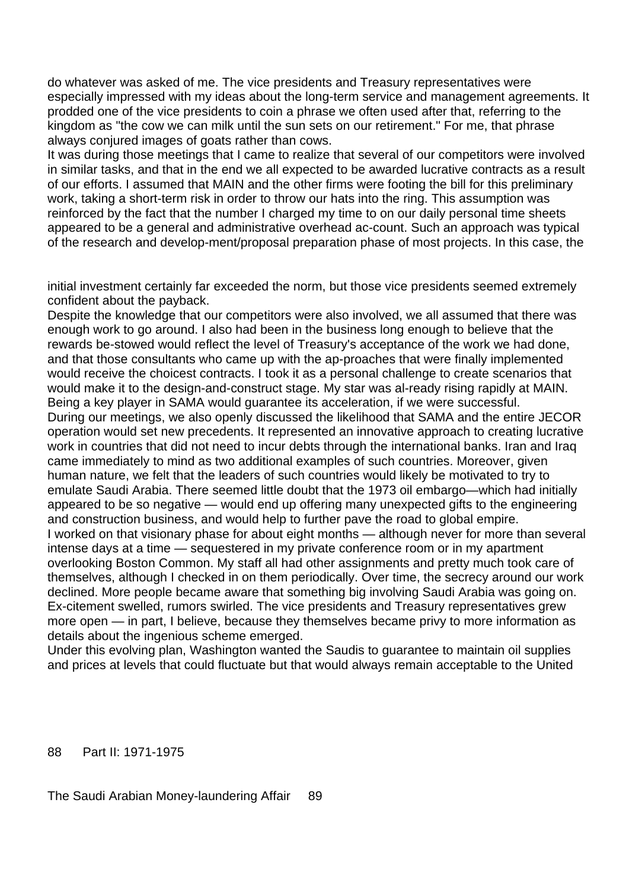do whatever was asked of me. The vice presidents and Treasury representatives were especially impressed with my ideas about the long-term service and management agreements. It prodded one of the vice presidents to coin a phrase we often used after that, referring to the kingdom as "the cow we can milk until the sun sets on our retirement." For me, that phrase always conjured images of goats rather than cows.

It was during those meetings that I came to realize that several of our competitors were involved in similar tasks, and that in the end we all expected to be awarded lucrative contracts as a result of our efforts. I assumed that MAIN and the other firms were footing the bill for this preliminary work, taking a short-term risk in order to throw our hats into the ring. This assumption was reinforced by the fact that the number I charged my time to on our daily personal time sheets appeared to be a general and administrative overhead ac-count. Such an approach was typical of the research and develop-ment/proposal preparation phase of most projects. In this case, the

initial investment certainly far exceeded the norm, but those vice presidents seemed extremely confident about the payback.

Despite the knowledge that our competitors were also involved, we all assumed that there was enough work to go around. I also had been in the business long enough to believe that the rewards be-stowed would reflect the level of Treasury's acceptance of the work we had done, and that those consultants who came up with the ap-proaches that were finally implemented would receive the choicest contracts. I took it as a personal challenge to create scenarios that would make it to the design-and-construct stage. My star was al-ready rising rapidly at MAIN. Being a key player in SAMA would guarantee its acceleration, if we were successful. During our meetings, we also openly discussed the likelihood that SAMA and the entire JECOR operation would set new precedents. It represented an innovative approach to creating lucrative work in countries that did not need to incur debts through the international banks. Iran and Iraq came immediately to mind as two additional examples of such countries. Moreover, given human nature, we felt that the leaders of such countries would likely be motivated to try to emulate Saudi Arabia. There seemed little doubt that the 1973 oil embargo—which had initially appeared to be so negative — would end up offering many unexpected gifts to the engineering and construction business, and would help to further pave the road to global empire. I worked on that visionary phase for about eight months — although never for more than several intense days at a time — sequestered in my private conference room or in my apartment overlooking Boston Common. My staff all had other assignments and pretty much took care of themselves, although I checked in on them periodically. Over time, the secrecy around our work declined. More people became aware that something big involving Saudi Arabia was going on. Ex-citement swelled, rumors swirled. The vice presidents and Treasury representatives grew more open — in part, I believe, because they themselves became privy to more information as details about the ingenious scheme emerged.

Under this evolving plan, Washington wanted the Saudis to guarantee to maintain oil supplies and prices at levels that could fluctuate but that would always remain acceptable to the United

88 Part II: 1971-1975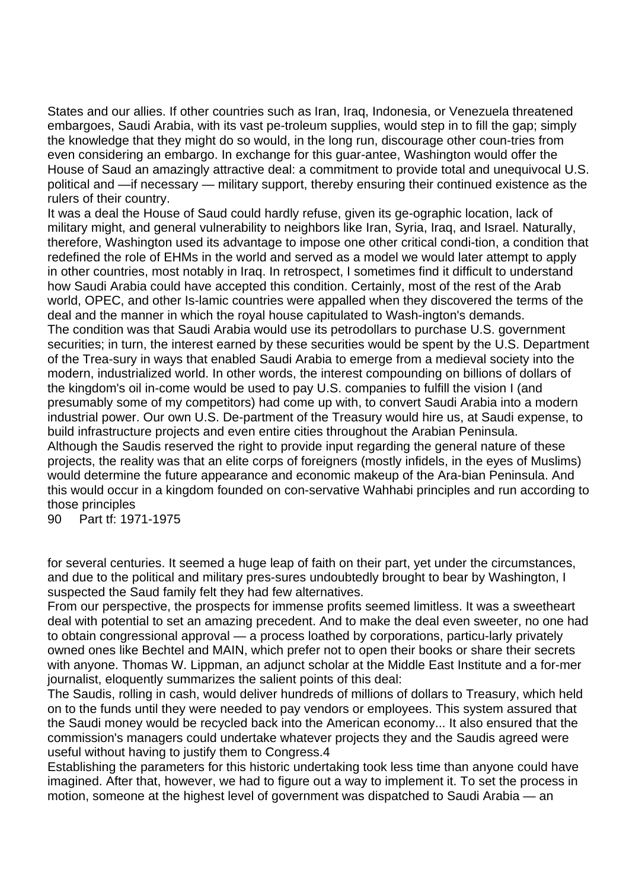States and our allies. If other countries such as Iran, Iraq, Indonesia, or Venezuela threatened embargoes, Saudi Arabia, with its vast pe-troleum supplies, would step in to fill the gap; simply the knowledge that they might do so would, in the long run, discourage other coun-tries from even considering an embargo. In exchange for this guar-antee, Washington would offer the House of Saud an amazingly attractive deal: a commitment to provide total and unequivocal U.S. political and —if necessary — military support, thereby ensuring their continued existence as the rulers of their country.

It was a deal the House of Saud could hardly refuse, given its ge-ographic location, lack of military might, and general vulnerability to neighbors like Iran, Syria, Iraq, and Israel. Naturally, therefore, Washington used its advantage to impose one other critical condi-tion, a condition that redefined the role of EHMs in the world and served as a model we would later attempt to apply in other countries, most notably in Iraq. In retrospect, I sometimes find it difficult to understand how Saudi Arabia could have accepted this condition. Certainly, most of the rest of the Arab world, OPEC, and other Is-lamic countries were appalled when they discovered the terms of the deal and the manner in which the royal house capitulated to Wash-ington's demands. The condition was that Saudi Arabia would use its petrodollars to purchase U.S. government securities; in turn, the interest earned by these securities would be spent by the U.S. Department of the Trea-sury in ways that enabled Saudi Arabia to emerge from a medieval society into the modern, industrialized world. In other words, the interest compounding on billions of dollars of the kingdom's oil in-come would be used to pay U.S. companies to fulfill the vision I (and presumably some of my competitors) had come up with, to convert Saudi Arabia into a modern industrial power. Our own U.S. De-partment of the Treasury would hire us, at Saudi expense, to build infrastructure projects and even entire cities throughout the Arabian Peninsula. Although the Saudis reserved the right to provide input regarding the general nature of these projects, the reality was that an elite corps of foreigners (mostly infidels, in the eyes of Muslims) would determine the future appearance and economic makeup of the Ara-bian Peninsula. And this would occur in a kingdom founded on con-servative Wahhabi principles and run according to those principles

90 Part tf: 1971-1975

for several centuries. It seemed a huge leap of faith on their part, yet under the circumstances, and due to the political and military pres-sures undoubtedly brought to bear by Washington, I suspected the Saud family felt they had few alternatives.

From our perspective, the prospects for immense profits seemed limitless. It was a sweetheart deal with potential to set an amazing precedent. And to make the deal even sweeter, no one had to obtain congressional approval — a process loathed by corporations, particu-larly privately owned ones like Bechtel and MAIN, which prefer not to open their books or share their secrets with anyone. Thomas W. Lippman, an adjunct scholar at the Middle East Institute and a for-mer journalist, eloquently summarizes the salient points of this deal:

The Saudis, rolling in cash, would deliver hundreds of millions of dollars to Treasury, which held on to the funds until they were needed to pay vendors or employees. This system assured that the Saudi money would be recycled back into the American economy... It also ensured that the commission's managers could undertake whatever projects they and the Saudis agreed were useful without having to justify them to Congress.4

Establishing the parameters for this historic undertaking took less time than anyone could have imagined. After that, however, we had to figure out a way to implement it. To set the process in motion, someone at the highest level of government was dispatched to Saudi Arabia — an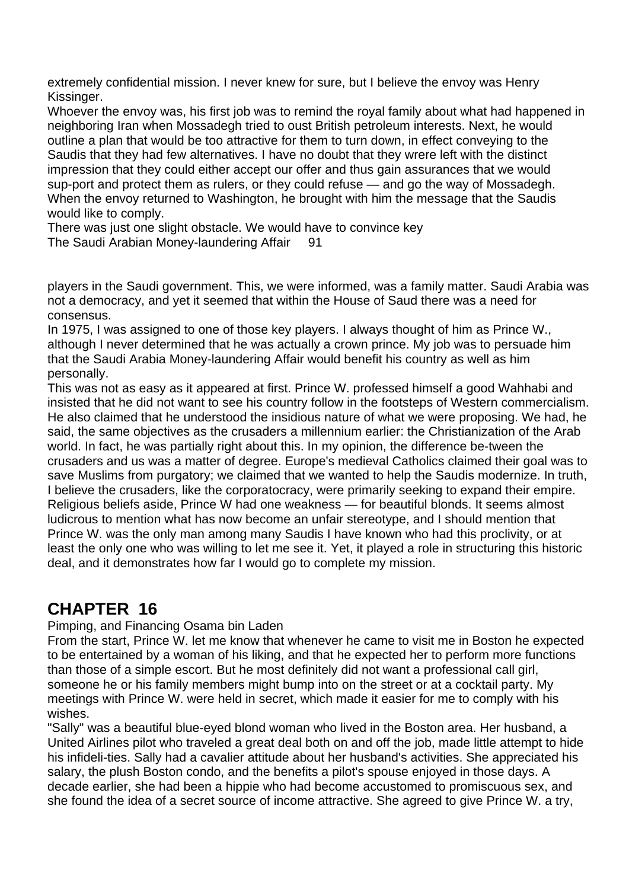extremely confidential mission. I never knew for sure, but I believe the envoy was Henry Kissinger.

Whoever the envoy was, his first job was to remind the royal family about what had happened in neighboring Iran when Mossadegh tried to oust British petroleum interests. Next, he would outline a plan that would be too attractive for them to turn down, in effect conveying to the Saudis that they had few alternatives. I have no doubt that they wrere left with the distinct impression that they could either accept our offer and thus gain assurances that we would sup-port and protect them as rulers, or they could refuse — and go the way of Mossadegh. When the envoy returned to Washington, he brought with him the message that the Saudis would like to comply.

There was just one slight obstacle. We would have to convince key

The Saudi Arabian Money-laundering Affair 91

players in the Saudi government. This, we were informed, was a family matter. Saudi Arabia was not a democracy, and yet it seemed that within the House of Saud there was a need for consensus.

In 1975, I was assigned to one of those key players. I always thought of him as Prince W., although I never determined that he was actually a crown prince. My job was to persuade him that the Saudi Arabia Money-laundering Affair would benefit his country as well as him personally.

This was not as easy as it appeared at first. Prince W. professed himself a good Wahhabi and insisted that he did not want to see his country follow in the footsteps of Western commercialism. He also claimed that he understood the insidious nature of what we were proposing. We had, he said, the same objectives as the crusaders a millennium earlier: the Christianization of the Arab world. In fact, he was partially right about this. In my opinion, the difference be-tween the crusaders and us was a matter of degree. Europe's medieval Catholics claimed their goal was to save Muslims from purgatory; we claimed that we wanted to help the Saudis modernize. In truth, I believe the crusaders, like the corporatocracy, were primarily seeking to expand their empire. Religious beliefs aside, Prince W had one weakness — for beautiful blonds. It seems almost ludicrous to mention what has now become an unfair stereotype, and I should mention that Prince W. was the only man among many Saudis I have known who had this proclivity, or at least the only one who was willing to let me see it. Yet, it played a role in structuring this historic deal, and it demonstrates how far I would go to complete my mission.

# **CHAPTER 16**

Pimping, and Financing Osama bin Laden

From the start, Prince W. let me know that whenever he came to visit me in Boston he expected to be entertained by a woman of his liking, and that he expected her to perform more functions than those of a simple escort. But he most definitely did not want a professional call girl, someone he or his family members might bump into on the street or at a cocktail party. My meetings with Prince W. were held in secret, which made it easier for me to comply with his wishes.

"Sally" was a beautiful blue-eyed blond woman who lived in the Boston area. Her husband, a United Airlines pilot who traveled a great deal both on and off the job, made little attempt to hide his infideli-ties. Sally had a cavalier attitude about her husband's activities. She appreciated his salary, the plush Boston condo, and the benefits a pilot's spouse enjoyed in those days. A decade earlier, she had been a hippie who had become accustomed to promiscuous sex, and she found the idea of a secret source of income attractive. She agreed to give Prince W. a try,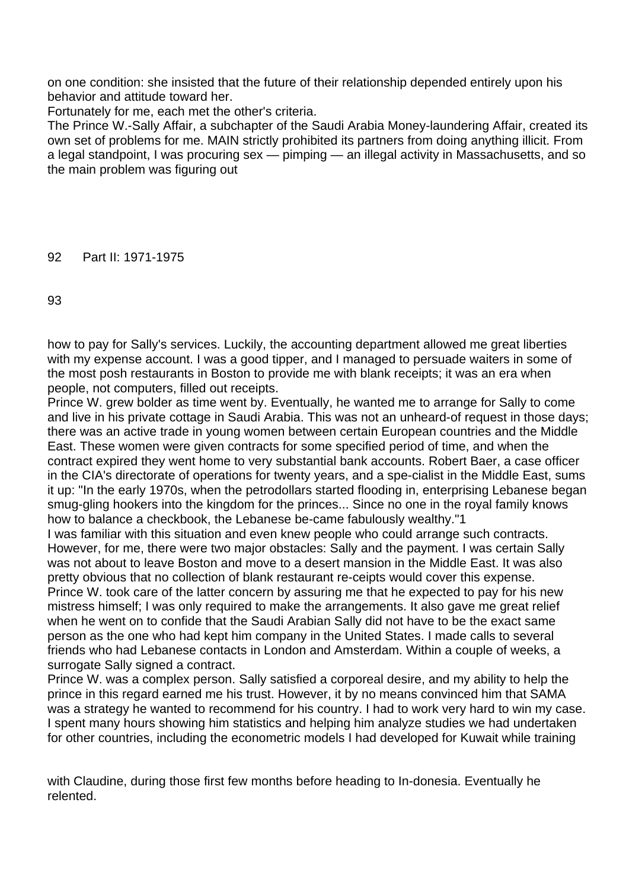on one condition: she insisted that the future of their relationship depended entirely upon his behavior and attitude toward her.

Fortunately for me, each met the other's criteria.

The Prince W.-Sally Affair, a subchapter of the Saudi Arabia Money-laundering Affair, created its own set of problems for me. MAIN strictly prohibited its partners from doing anything illicit. From a legal standpoint, I was procuring sex — pimping — an illegal activity in Massachusetts, and so the main problem was figuring out

#### 92 Part II: 1971-1975

93

how to pay for Sally's services. Luckily, the accounting department allowed me great liberties with my expense account. I was a good tipper, and I managed to persuade waiters in some of the most posh restaurants in Boston to provide me with blank receipts; it was an era when people, not computers, filled out receipts.

Prince W. grew bolder as time went by. Eventually, he wanted me to arrange for Sally to come and live in his private cottage in Saudi Arabia. This was not an unheard-of request in those days; there was an active trade in young women between certain European countries and the Middle East. These women were given contracts for some specified period of time, and when the contract expired they went home to very substantial bank accounts. Robert Baer, a case officer in the CIA's directorate of operations for twenty years, and a spe-cialist in the Middle East, sums it up: "In the early 1970s, when the petrodollars started flooding in, enterprising Lebanese began smug-gling hookers into the kingdom for the princes... Since no one in the royal family knows how to balance a checkbook, the Lebanese be-came fabulously wealthy."1

I was familiar with this situation and even knew people who could arrange such contracts. However, for me, there were two major obstacles: Sally and the payment. I was certain Sally was not about to leave Boston and move to a desert mansion in the Middle East. It was also pretty obvious that no collection of blank restaurant re-ceipts would cover this expense. Prince W. took care of the latter concern by assuring me that he expected to pay for his new mistress himself; I was only required to make the arrangements. It also gave me great relief when he went on to confide that the Saudi Arabian Sally did not have to be the exact same person as the one who had kept him company in the United States. I made calls to several friends who had Lebanese contacts in London and Amsterdam. Within a couple of weeks, a surrogate Sally signed a contract.

Prince W. was a complex person. Sally satisfied a corporeal desire, and my ability to help the prince in this regard earned me his trust. However, it by no means convinced him that SAMA was a strategy he wanted to recommend for his country. I had to work very hard to win my case. I spent many hours showing him statistics and helping him analyze studies we had undertaken for other countries, including the econometric models I had developed for Kuwait while training

with Claudine, during those first few months before heading to In-donesia. Eventually he relented.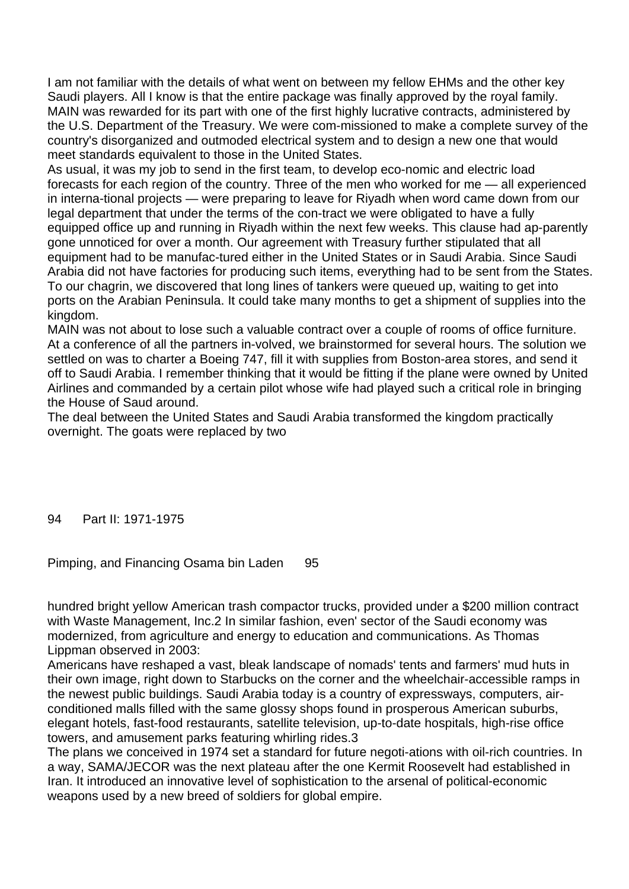I am not familiar with the details of what went on between my fellow EHMs and the other key Saudi players. All I know is that the entire package was finally approved by the royal family. MAIN was rewarded for its part with one of the first highly lucrative contracts, administered by the U.S. Department of the Treasury. We were com-missioned to make a complete survey of the country's disorganized and outmoded electrical system and to design a new one that would meet standards equivalent to those in the United States.

As usual, it was my job to send in the first team, to develop eco-nomic and electric load forecasts for each region of the country. Three of the men who worked for me — all experienced in interna-tional projects — were preparing to leave for Riyadh when word came down from our legal department that under the terms of the con-tract we were obligated to have a fully equipped office up and running in Riyadh within the next few weeks. This clause had ap-parently gone unnoticed for over a month. Our agreement with Treasury further stipulated that all equipment had to be manufac-tured either in the United States or in Saudi Arabia. Since Saudi Arabia did not have factories for producing such items, everything had to be sent from the States. To our chagrin, we discovered that long lines of tankers were queued up, waiting to get into ports on the Arabian Peninsula. It could take many months to get a shipment of supplies into the kingdom.

MAIN was not about to lose such a valuable contract over a couple of rooms of office furniture. At a conference of all the partners in-volved, we brainstormed for several hours. The solution we settled on was to charter a Boeing 747, fill it with supplies from Boston-area stores, and send it off to Saudi Arabia. I remember thinking that it would be fitting if the plane were owned by United Airlines and commanded by a certain pilot whose wife had played such a critical role in bringing the House of Saud around.

The deal between the United States and Saudi Arabia transformed the kingdom practically overnight. The goats were replaced by two

94 Part II: 1971-1975

Pimping, and Financing Osama bin Laden 95

hundred bright yellow American trash compactor trucks, provided under a \$200 million contract with Waste Management, Inc.2 In similar fashion, even' sector of the Saudi economy was modernized, from agriculture and energy to education and communications. As Thomas Lippman observed in 2003:

Americans have reshaped a vast, bleak landscape of nomads' tents and farmers' mud huts in their own image, right down to Starbucks on the corner and the wheelchair-accessible ramps in the newest public buildings. Saudi Arabia today is a country of expressways, computers, airconditioned malls filled with the same glossy shops found in prosperous American suburbs, elegant hotels, fast-food restaurants, satellite television, up-to-date hospitals, high-rise office towers, and amusement parks featuring whirling rides.3

The plans we conceived in 1974 set a standard for future negoti-ations with oil-rich countries. In a way, SAMA/JECOR was the next plateau after the one Kermit Roosevelt had established in Iran. It introduced an innovative level of sophistication to the arsenal of political-economic weapons used by a new breed of soldiers for global empire.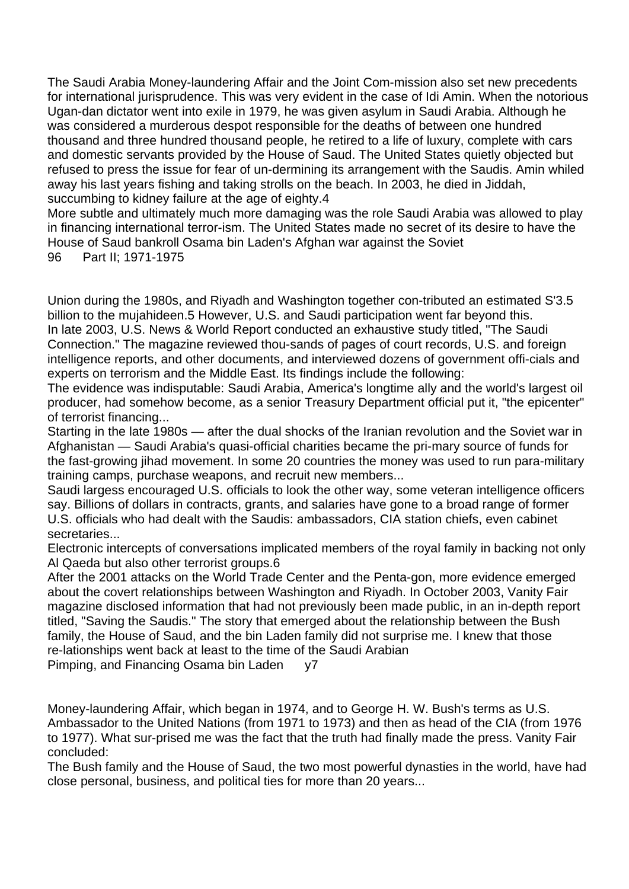The Saudi Arabia Money-laundering Affair and the Joint Com-mission also set new precedents for international jurisprudence. This was very evident in the case of Idi Amin. When the notorious Ugan-dan dictator went into exile in 1979, he was given asylum in Saudi Arabia. Although he was considered a murderous despot responsible for the deaths of between one hundred thousand and three hundred thousand people, he retired to a life of luxury, complete with cars and domestic servants provided by the House of Saud. The United States quietly objected but refused to press the issue for fear of un-dermining its arrangement with the Saudis. Amin whiled away his last years fishing and taking strolls on the beach. In 2003, he died in Jiddah, succumbing to kidney failure at the age of eighty.4

More subtle and ultimately much more damaging was the role Saudi Arabia was allowed to play in financing international terror-ism. The United States made no secret of its desire to have the House of Saud bankroll Osama bin Laden's Afghan war against the Soviet 96 Part II; 1971-1975

Union during the 1980s, and Riyadh and Washington together con-tributed an estimated S'3.5 billion to the mujahideen.5 However, U.S. and Saudi participation went far beyond this. In late 2003, U.S. News & World Report conducted an exhaustive study titled, "The Saudi Connection." The magazine reviewed thou-sands of pages of court records, U.S. and foreign intelligence reports, and other documents, and interviewed dozens of government offi-cials and experts on terrorism and the Middle East. Its findings include the following:

The evidence was indisputable: Saudi Arabia, America's longtime ally and the world's largest oil producer, had somehow become, as a senior Treasury Department official put it, "the epicenter" of terrorist financing...

Starting in the late 1980s — after the dual shocks of the Iranian revolution and the Soviet war in Afghanistan — Saudi Arabia's quasi-official charities became the pri-mary source of funds for the fast-growing jihad movement. In some 20 countries the money was used to run para-military training camps, purchase weapons, and recruit new members...

Saudi largess encouraged U.S. officials to look the other way, some veteran intelligence officers say. Billions of dollars in contracts, grants, and salaries have gone to a broad range of former U.S. officials who had dealt with the Saudis: ambassadors, CIA station chiefs, even cabinet secretaries...

Electronic intercepts of conversations implicated members of the royal family in backing not only Al Qaeda but also other terrorist groups.6

After the 2001 attacks on the World Trade Center and the Penta-gon, more evidence emerged about the covert relationships between Washington and Riyadh. In October 2003, Vanity Fair magazine disclosed information that had not previously been made public, in an in-depth report titled, "Saving the Saudis." The story that emerged about the relationship between the Bush family, the House of Saud, and the bin Laden family did not surprise me. I knew that those re-lationships went back at least to the time of the Saudi Arabian

Pimping, and Financing Osama bin Laden y7

Money-laundering Affair, which began in 1974, and to George H. W. Bush's terms as U.S. Ambassador to the United Nations (from 1971 to 1973) and then as head of the CIA (from 1976 to 1977). What sur-prised me was the fact that the truth had finally made the press. Vanity Fair concluded:

The Bush family and the House of Saud, the two most powerful dynasties in the world, have had close personal, business, and political ties for more than 20 years...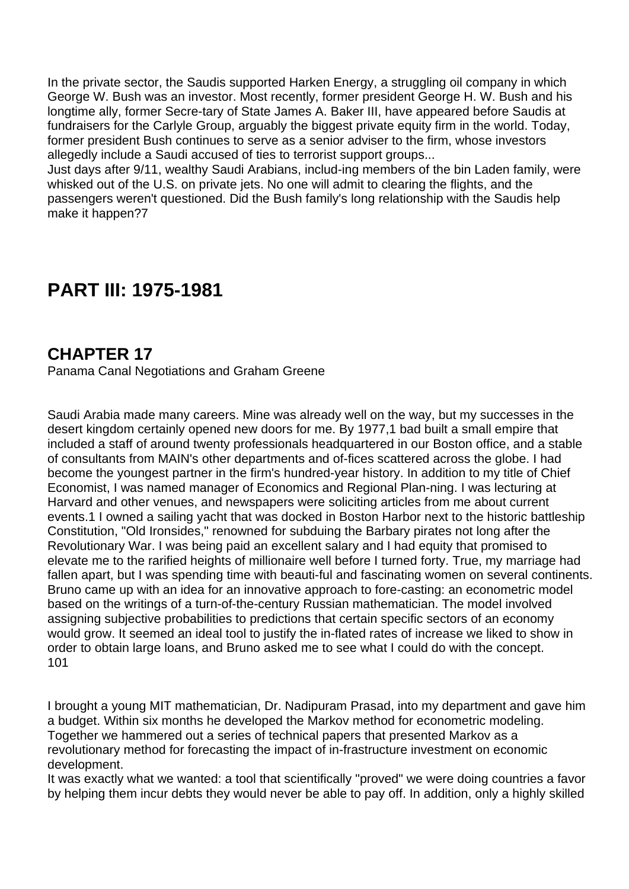In the private sector, the Saudis supported Harken Energy, a struggling oil company in which George W. Bush was an investor. Most recently, former president George H. W. Bush and his longtime ally, former Secre-tary of State James A. Baker III, have appeared before Saudis at fundraisers for the Carlyle Group, arguably the biggest private equity firm in the world. Today, former president Bush continues to serve as a senior adviser to the firm, whose investors allegedly include a Saudi accused of ties to terrorist support groups...

Just days after 9/11, wealthy Saudi Arabians, includ-ing members of the bin Laden family, were whisked out of the U.S. on private jets. No one will admit to clearing the flights, and the passengers weren't questioned. Did the Bush family's long relationship with the Saudis help make it happen?7

# **PART III: 1975-1981**

### **CHAPTER 17**

Panama Canal Negotiations and Graham Greene

Saudi Arabia made many careers. Mine was already well on the way, but my successes in the desert kingdom certainly opened new doors for me. By 1977,1 bad built a small empire that included a staff of around twenty professionals headquartered in our Boston office, and a stable of consultants from MAIN's other departments and of-fices scattered across the globe. I had become the youngest partner in the firm's hundred-year history. In addition to my title of Chief Economist, I was named manager of Economics and Regional Plan-ning. I was lecturing at Harvard and other venues, and newspapers were soliciting articles from me about current events.1 I owned a sailing yacht that was docked in Boston Harbor next to the historic battleship Constitution, "Old Ironsides," renowned for subduing the Barbary pirates not long after the Revolutionary War. I was being paid an excellent salary and I had equity that promised to elevate me to the rarified heights of millionaire well before I turned forty. True, my marriage had fallen apart, but I was spending time with beauti-ful and fascinating women on several continents. Bruno came up with an idea for an innovative approach to fore-casting: an econometric model based on the writings of a turn-of-the-century Russian mathematician. The model involved assigning subjective probabilities to predictions that certain specific sectors of an economy would grow. It seemed an ideal tool to justify the in-flated rates of increase we liked to show in order to obtain large loans, and Bruno asked me to see what I could do with the concept. 101

I brought a young MIT mathematician, Dr. Nadipuram Prasad, into my department and gave him a budget. Within six months he developed the Markov method for econometric modeling. Together we hammered out a series of technical papers that presented Markov as a revolutionary method for forecasting the impact of in-frastructure investment on economic development.

It was exactly what we wanted: a tool that scientifically "proved" we were doing countries a favor by helping them incur debts they would never be able to pay off. In addition, only a highly skilled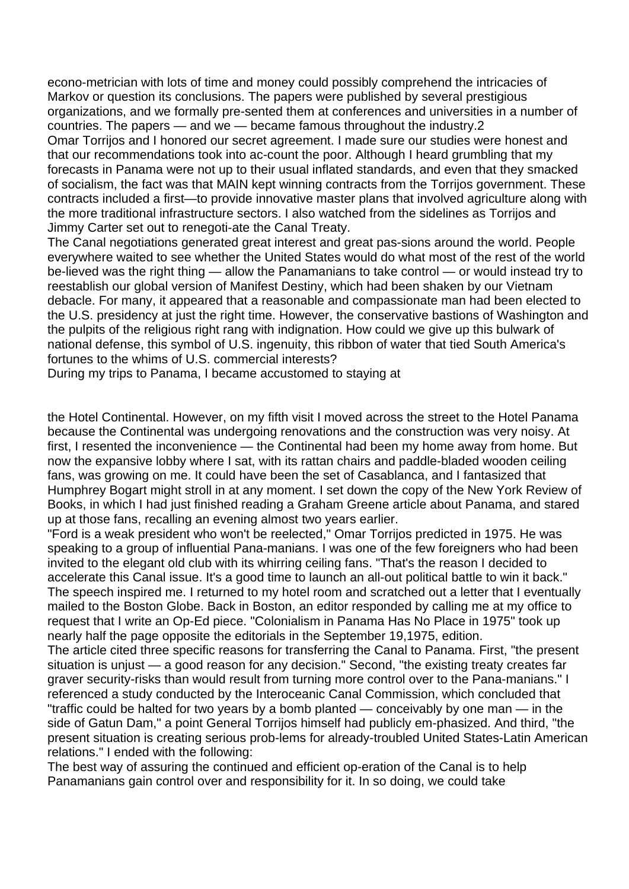econo-metrician with lots of time and money could possibly comprehend the intricacies of Markov or question its conclusions. The papers were published by several prestigious organizations, and we formally pre-sented them at conferences and universities in a number of countries. The papers — and we — became famous throughout the industry.2 Omar Torrijos and I honored our secret agreement. I made sure our studies were honest and that our recommendations took into ac-count the poor. Although I heard grumbling that my forecasts in Panama were not up to their usual inflated standards, and even that they smacked of socialism, the fact was that MAIN kept winning contracts from the Torrijos government. These contracts included a first—to provide innovative master plans that involved agriculture along with the more traditional infrastructure sectors. I also watched from the sidelines as Torrijos and Jimmy Carter set out to renegoti-ate the Canal Treaty.

The Canal negotiations generated great interest and great pas-sions around the world. People everywhere waited to see whether the United States would do what most of the rest of the world be-lieved was the right thing — allow the Panamanians to take control — or would instead try to reestablish our global version of Manifest Destiny, which had been shaken by our Vietnam debacle. For many, it appeared that a reasonable and compassionate man had been elected to the U.S. presidency at just the right time. However, the conservative bastions of Washington and the pulpits of the religious right rang with indignation. How could we give up this bulwark of national defense, this symbol of U.S. ingenuity, this ribbon of water that tied South America's fortunes to the whims of U.S. commercial interests?

During my trips to Panama, I became accustomed to staying at

the Hotel Continental. However, on my fifth visit I moved across the street to the Hotel Panama because the Continental was undergoing renovations and the construction was very noisy. At first, I resented the inconvenience — the Continental had been my home away from home. But now the expansive lobby where I sat, with its rattan chairs and paddle-bladed wooden ceiling fans, was growing on me. It could have been the set of Casablanca, and I fantasized that Humphrey Bogart might stroll in at any moment. I set down the copy of the New York Review of Books, in which I had just finished reading a Graham Greene article about Panama, and stared up at those fans, recalling an evening almost two years earlier.

"Ford is a weak president who won't be reelected," Omar Torrijos predicted in 1975. He was speaking to a group of influential Pana-manians. I was one of the few foreigners who had been invited to the elegant old club with its whirring ceiling fans. "That's the reason I decided to accelerate this Canal issue. It's a good time to launch an all-out political battle to win it back." The speech inspired me. I returned to my hotel room and scratched out a letter that I eventually mailed to the Boston Globe. Back in Boston, an editor responded by calling me at my office to request that I write an Op-Ed piece. "Colonialism in Panama Has No Place in 1975" took up nearly half the page opposite the editorials in the September 19,1975, edition.

The article cited three specific reasons for transferring the Canal to Panama. First, "the present situation is unjust — a good reason for any decision." Second, "the existing treaty creates far graver security-risks than would result from turning more control over to the Pana-manians." I referenced a study conducted by the Interoceanic Canal Commission, which concluded that "traffic could be halted for two years by a bomb planted — conceivably by one man — in the side of Gatun Dam," a point General Torrijos himself had publicly em-phasized. And third, "the present situation is creating serious prob-lems for already-troubled United States-Latin American relations." I ended with the following:

The best way of assuring the continued and efficient op-eration of the Canal is to help Panamanians gain control over and responsibility for it. In so doing, we could take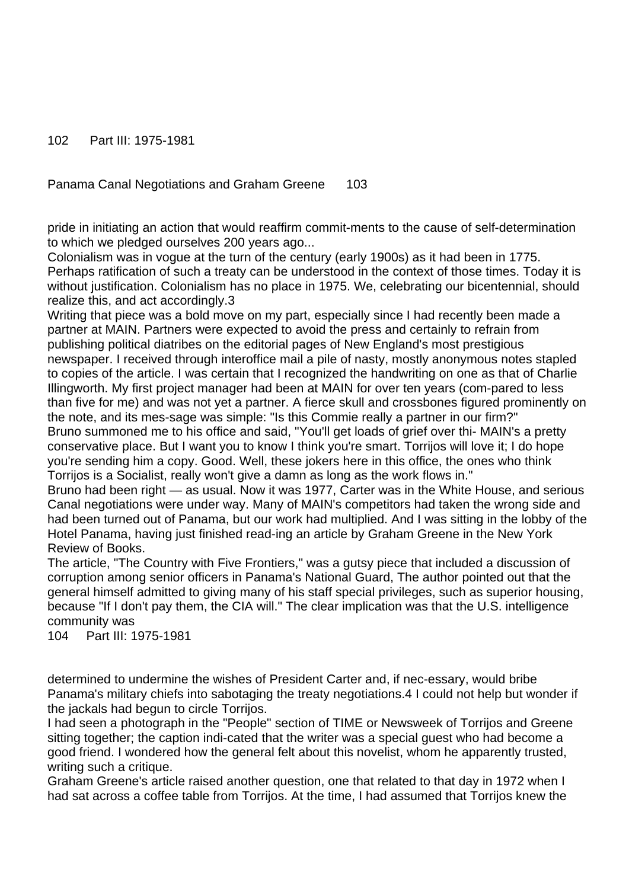#### 102 Part III: 1975-1981

#### Panama Canal Negotiations and Graham Greene 103

pride in initiating an action that would reaffirm commit-ments to the cause of self-determination to which we pledged ourselves 200 years ago...

Colonialism was in vogue at the turn of the century (early 1900s) as it had been in 1775. Perhaps ratification of such a treaty can be understood in the context of those times. Today it is without justification. Colonialism has no place in 1975. We, celebrating our bicentennial, should realize this, and act accordingly.3

Writing that piece was a bold move on my part, especially since I had recently been made a partner at MAIN. Partners were expected to avoid the press and certainly to refrain from publishing political diatribes on the editorial pages of New England's most prestigious newspaper. I received through interoffice mail a pile of nasty, mostly anonymous notes stapled to copies of the article. I was certain that I recognized the handwriting on one as that of Charlie Illingworth. My first project manager had been at MAIN for over ten years (com-pared to less than five for me) and was not yet a partner. A fierce skull and crossbones figured prominently on the note, and its mes-sage was simple: "Is this Commie really a partner in our firm?" Bruno summoned me to his office and said, "You'll get loads of grief over thi- MAIN's a pretty conservative place. But I want you to know I think you're smart. Torrijos will love it; I do hope you're sending him a copy. Good. Well, these jokers here in this office, the ones who think Torrijos is a Socialist, really won't give a damn as long as the work flows in."

Bruno had been right — as usual. Now it was 1977, Carter was in the White House, and serious Canal negotiations were under way. Many of MAIN's competitors had taken the wrong side and had been turned out of Panama, but our work had multiplied. And I was sitting in the lobby of the Hotel Panama, having just finished read-ing an article by Graham Greene in the New York Review of Books.

The article, "The Country with Five Frontiers," was a gutsy piece that included a discussion of corruption among senior officers in Panama's National Guard, The author pointed out that the general himself admitted to giving many of his staff special privileges, such as superior housing, because "If I don't pay them, the CIA will." The clear implication was that the U.S. intelligence community was

104 Part III: 1975-1981

determined to undermine the wishes of President Carter and, if nec-essary, would bribe Panama's military chiefs into sabotaging the treaty negotiations.4 I could not help but wonder if the jackals had begun to circle Torrijos.

I had seen a photograph in the "People" section of TIME or Newsweek of Torrijos and Greene sitting together; the caption indi-cated that the writer was a special guest who had become a good friend. I wondered how the general felt about this novelist, whom he apparently trusted, writing such a critique.

Graham Greene's article raised another question, one that related to that day in 1972 when I had sat across a coffee table from Torrijos. At the time, I had assumed that Torrijos knew the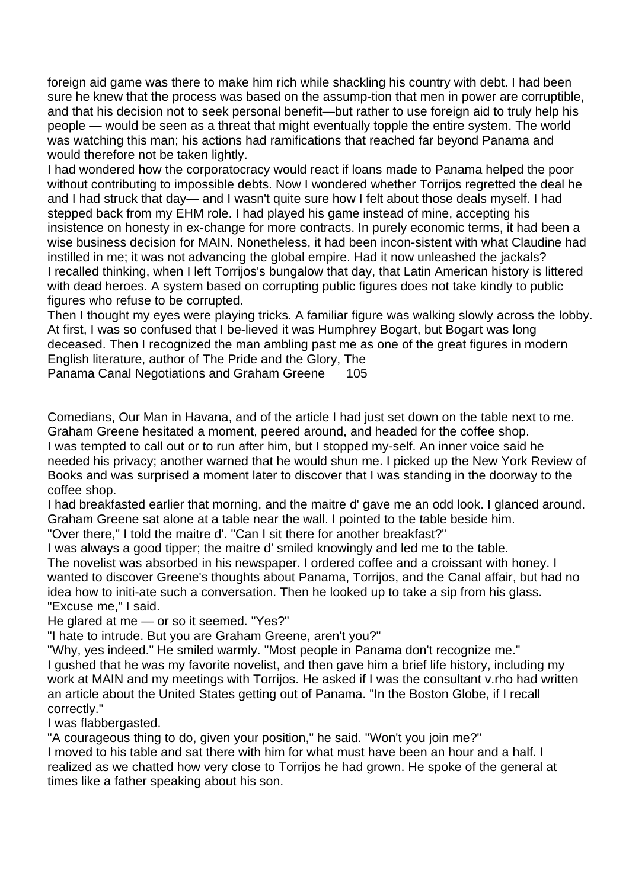foreign aid game was there to make him rich while shackling his country with debt. I had been sure he knew that the process was based on the assump-tion that men in power are corruptible, and that his decision not to seek personal benefit—but rather to use foreign aid to truly help his people — would be seen as a threat that might eventually topple the entire system. The world was watching this man; his actions had ramifications that reached far beyond Panama and would therefore not be taken lightly.

I had wondered how the corporatocracy would react if loans made to Panama helped the poor without contributing to impossible debts. Now I wondered whether Torrijos regretted the deal he and I had struck that day— and I wasn't quite sure how I felt about those deals myself. I had stepped back from my EHM role. I had played his game instead of mine, accepting his insistence on honesty in ex-change for more contracts. In purely economic terms, it had been a wise business decision for MAIN. Nonetheless, it had been incon-sistent with what Claudine had instilled in me; it was not advancing the global empire. Had it now unleashed the jackals? I recalled thinking, when I left Torrijos's bungalow that day, that Latin American history is littered with dead heroes. A system based on corrupting public figures does not take kindly to public figures who refuse to be corrupted.

Then I thought my eyes were playing tricks. A familiar figure was walking slowly across the lobby. At first, I was so confused that I be-lieved it was Humphrey Bogart, but Bogart was long deceased. Then I recognized the man ambling past me as one of the great figures in modern English literature, author of The Pride and the Glory, The

Panama Canal Negotiations and Graham Greene 105

Comedians, Our Man in Havana, and of the article I had just set down on the table next to me. Graham Greene hesitated a moment, peered around, and headed for the coffee shop. I was tempted to call out or to run after him, but I stopped my-self. An inner voice said he needed his privacy; another warned that he would shun me. I picked up the New York Review of Books and was surprised a moment later to discover that I was standing in the doorway to the coffee shop.

I had breakfasted earlier that morning, and the maitre d' gave me an odd look. I glanced around. Graham Greene sat alone at a table near the wall. I pointed to the table beside him.

"Over there," I told the maitre d'. "Can I sit there for another breakfast?"

I was always a good tipper; the maitre d' smiled knowingly and led me to the table. The novelist was absorbed in his newspaper. I ordered coffee and a croissant with honey. I wanted to discover Greene's thoughts about Panama, Torrijos, and the Canal affair, but had no idea how to initi-ate such a conversation. Then he looked up to take a sip from his glass. "Excuse me," I said.

He glared at me — or so it seemed. "Yes?"

"I hate to intrude. But you are Graham Greene, aren't you?"

"Why, yes indeed." He smiled warmly. "Most people in Panama don't recognize me." I gushed that he was my favorite novelist, and then gave him a brief life history, including my work at MAIN and my meetings with Torrijos. He asked if I was the consultant v.rho had written an article about the United States getting out of Panama. "In the Boston Globe, if I recall correctly."

I was flabbergasted.

"A courageous thing to do, given your position," he said. "Won't you join me?"

I moved to his table and sat there with him for what must have been an hour and a half. I realized as we chatted how very close to Torrijos he had grown. He spoke of the general at times like a father speaking about his son.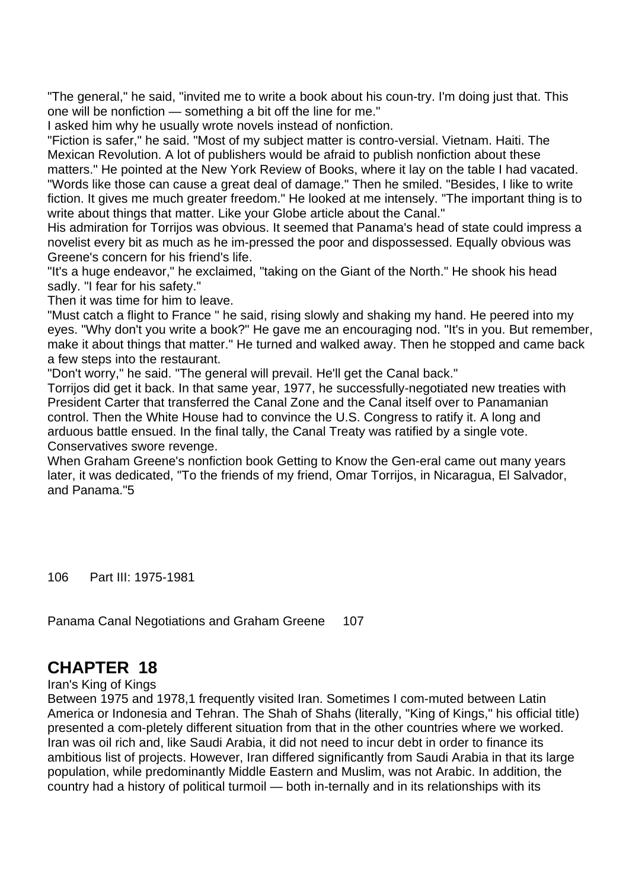"The general," he said, "invited me to write a book about his coun-try. I'm doing just that. This one will be nonfiction — something a bit off the line for me."

I asked him why he usually wrote novels instead of nonfiction.

"Fiction is safer," he said. "Most of my subject matter is contro-versial. Vietnam. Haiti. The Mexican Revolution. A lot of publishers would be afraid to publish nonfiction about these matters." He pointed at the New York Review of Books, where it lay on the table I had vacated. "Words like those can cause a great deal of damage." Then he smiled. "Besides, I like to write fiction. It gives me much greater freedom." He looked at me intensely. "The important thing is to write about things that matter. Like your Globe article about the Canal."

His admiration for Torrijos was obvious. It seemed that Panama's head of state could impress a novelist every bit as much as he im-pressed the poor and dispossessed. Equally obvious was Greene's concern for his friend's life.

"It's a huge endeavor," he exclaimed, "taking on the Giant of the North." He shook his head sadly. "I fear for his safety."

Then it was time for him to leave.

"Must catch a flight to France " he said, rising slowly and shaking my hand. He peered into my eyes. "Why don't you write a book?" He gave me an encouraging nod. "It's in you. But remember, make it about things that matter." He turned and walked away. Then he stopped and came back a few steps into the restaurant.

"Don't worry," he said. "The general will prevail. He'll get the Canal back."

Torrijos did get it back. In that same year, 1977, he successfully-negotiated new treaties with President Carter that transferred the Canal Zone and the Canal itself over to Panamanian control. Then the White House had to convince the U.S. Congress to ratify it. A long and arduous battle ensued. In the final tally, the Canal Treaty was ratified by a single vote. Conservatives swore revenge.

When Graham Greene's nonfiction book Getting to Know the Gen-eral came out many years later, it was dedicated, "To the friends of my friend, Omar Torrijos, in Nicaragua, El Salvador, and Panama."5

106 Part III: 1975-1981

Panama Canal Negotiations and Graham Greene 107

# **CHAPTER 18**

Iran's King of Kings

Between 1975 and 1978,1 frequently visited Iran. Sometimes I com-muted between Latin America or Indonesia and Tehran. The Shah of Shahs (literally, "King of Kings," his official title) presented a com-pletely different situation from that in the other countries where we worked. Iran was oil rich and, like Saudi Arabia, it did not need to incur debt in order to finance its ambitious list of projects. However, Iran differed significantly from Saudi Arabia in that its large population, while predominantly Middle Eastern and Muslim, was not Arabic. In addition, the country had a history of political turmoil — both in-ternally and in its relationships with its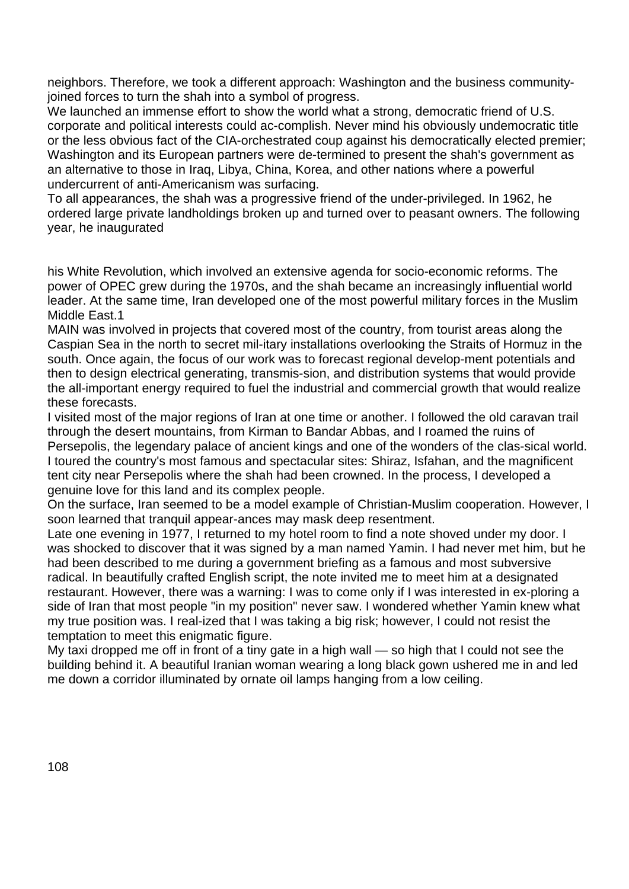neighbors. Therefore, we took a different approach: Washington and the business communityjoined forces to turn the shah into a symbol of progress.

We launched an immense effort to show the world what a strong, democratic friend of U.S. corporate and political interests could ac-complish. Never mind his obviously undemocratic title or the less obvious fact of the CIA-orchestrated coup against his democratically elected premier; Washington and its European partners were de-termined to present the shah's government as an alternative to those in Iraq, Libya, China, Korea, and other nations where a powerful undercurrent of anti-Americanism was surfacing.

To all appearances, the shah was a progressive friend of the under-privileged. In 1962, he ordered large private landholdings broken up and turned over to peasant owners. The following year, he inaugurated

his White Revolution, which involved an extensive agenda for socio-economic reforms. The power of OPEC grew during the 1970s, and the shah became an increasingly influential world leader. At the same time, Iran developed one of the most powerful military forces in the Muslim Middle East.1

MAIN was involved in projects that covered most of the country, from tourist areas along the Caspian Sea in the north to secret mil-itary installations overlooking the Straits of Hormuz in the south. Once again, the focus of our work was to forecast regional develop-ment potentials and then to design electrical generating, transmis-sion, and distribution systems that would provide the all-important energy required to fuel the industrial and commercial growth that would realize these forecasts.

I visited most of the major regions of Iran at one time or another. I followed the old caravan trail through the desert mountains, from Kirman to Bandar Abbas, and I roamed the ruins of Persepolis, the legendary palace of ancient kings and one of the wonders of the clas-sical world. I toured the country's most famous and spectacular sites: Shiraz, Isfahan, and the magnificent tent city near Persepolis where the shah had been crowned. In the process, I developed a genuine love for this land and its complex people.

On the surface, Iran seemed to be a model example of Christian-Muslim cooperation. However, I soon learned that tranquil appear-ances may mask deep resentment.

Late one evening in 1977, I returned to my hotel room to find a note shoved under my door. I was shocked to discover that it was signed by a man named Yamin. I had never met him, but he had been described to me during a government briefing as a famous and most subversive radical. In beautifully crafted English script, the note invited me to meet him at a designated restaurant. However, there was a warning: I was to come only if I was interested in ex-ploring a side of Iran that most people "in my position" never saw. I wondered whether Yamin knew what my true position was. I real-ized that I was taking a big risk; however, I could not resist the temptation to meet this enigmatic figure.

My taxi dropped me off in front of a tiny gate in a high wall — so high that I could not see the building behind it. A beautiful Iranian woman wearing a long black gown ushered me in and led me down a corridor illuminated by ornate oil lamps hanging from a low ceiling.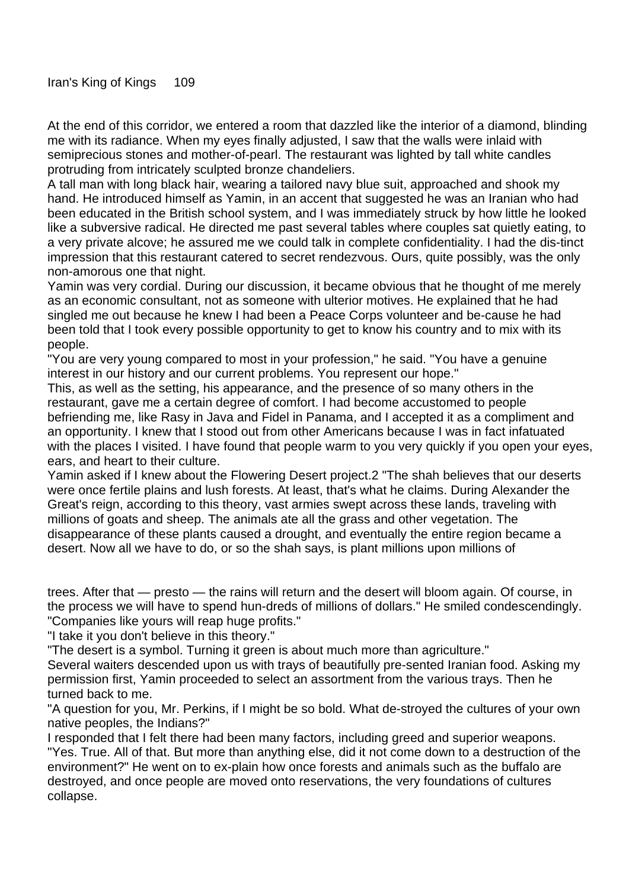At the end of this corridor, we entered a room that dazzled like the interior of a diamond, blinding me with its radiance. When my eyes finally adjusted, I saw that the walls were inlaid with semiprecious stones and mother-of-pearl. The restaurant was lighted by tall white candles protruding from intricately sculpted bronze chandeliers.

A tall man with long black hair, wearing a tailored navy blue suit, approached and shook my hand. He introduced himself as Yamin, in an accent that suggested he was an Iranian who had been educated in the British school system, and I was immediately struck by how little he looked like a subversive radical. He directed me past several tables where couples sat quietly eating, to a very private alcove; he assured me we could talk in complete confidentiality. I had the dis-tinct impression that this restaurant catered to secret rendezvous. Ours, quite possibly, was the only non-amorous one that night.

Yamin was very cordial. During our discussion, it became obvious that he thought of me merely as an economic consultant, not as someone with ulterior motives. He explained that he had singled me out because he knew I had been a Peace Corps volunteer and be-cause he had been told that I took every possible opportunity to get to know his country and to mix with its people.

"You are very young compared to most in your profession," he said. "You have a genuine interest in our history and our current problems. You represent our hope."

This, as well as the setting, his appearance, and the presence of so many others in the restaurant, gave me a certain degree of comfort. I had become accustomed to people befriending me, like Rasy in Java and Fidel in Panama, and I accepted it as a compliment and an opportunity. I knew that I stood out from other Americans because I was in fact infatuated with the places I visited. I have found that people warm to you very quickly if you open your eyes, ears, and heart to their culture.

Yamin asked if I knew about the Flowering Desert project.2 "The shah believes that our deserts were once fertile plains and lush forests. At least, that's what he claims. During Alexander the Great's reign, according to this theory, vast armies swept across these lands, traveling with millions of goats and sheep. The animals ate all the grass and other vegetation. The disappearance of these plants caused a drought, and eventually the entire region became a desert. Now all we have to do, or so the shah says, is plant millions upon millions of

trees. After that — presto — the rains will return and the desert will bloom again. Of course, in the process we will have to spend hun-dreds of millions of dollars." He smiled condescendingly. "Companies like yours will reap huge profits."

"I take it you don't believe in this theory."

"The desert is a symbol. Turning it green is about much more than agriculture."

Several waiters descended upon us with trays of beautifully pre-sented Iranian food. Asking my permission first, Yamin proceeded to select an assortment from the various trays. Then he turned back to me.

"A question for you, Mr. Perkins, if I might be so bold. What de-stroyed the cultures of your own native peoples, the Indians?"

I responded that I felt there had been many factors, including greed and superior weapons. "Yes. True. All of that. But more than anything else, did it not come down to a destruction of the environment?" He went on to ex-plain how once forests and animals such as the buffalo are destroyed, and once people are moved onto reservations, the very foundations of cultures collapse.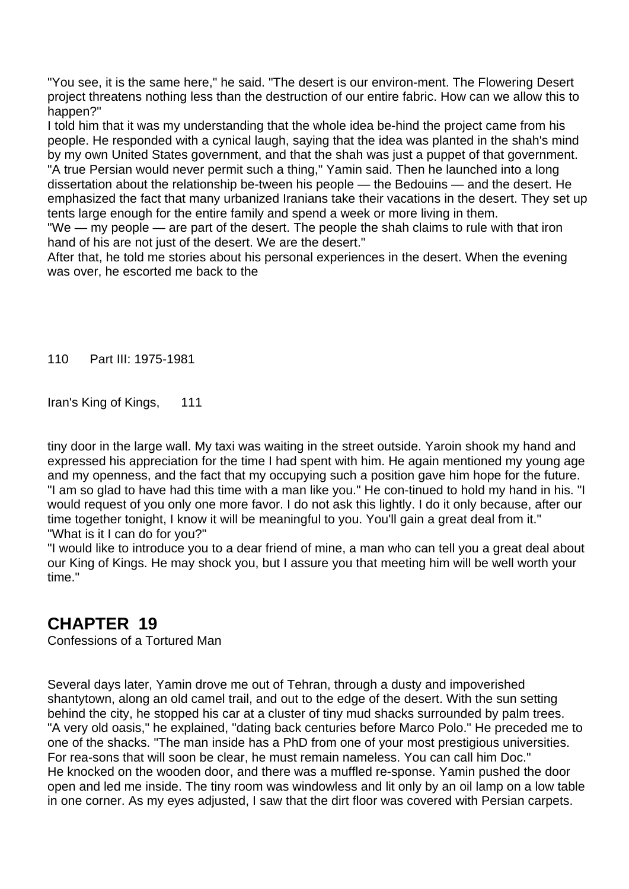"You see, it is the same here," he said. "The desert is our environ-ment. The Flowering Desert project threatens nothing less than the destruction of our entire fabric. How can we allow this to happen?"

I told him that it was my understanding that the whole idea be-hind the project came from his people. He responded with a cynical laugh, saying that the idea was planted in the shah's mind by my own United States government, and that the shah was just a puppet of that government. "A true Persian would never permit such a thing," Yamin said. Then he launched into a long dissertation about the relationship be-tween his people — the Bedouins — and the desert. He emphasized the fact that many urbanized Iranians take their vacations in the desert. They set up tents large enough for the entire family and spend a week or more living in them.

"We — my people — are part of the desert. The people the shah claims to rule with that iron hand of his are not just of the desert. We are the desert."

After that, he told me stories about his personal experiences in the desert. When the evening was over, he escorted me back to the

110 Part III: 1975-1981

Iran's King of Kings, 111

tiny door in the large wall. My taxi was waiting in the street outside. Yaroin shook my hand and expressed his appreciation for the time I had spent with him. He again mentioned my young age and my openness, and the fact that my occupying such a position gave him hope for the future. "I am so glad to have had this time with a man like you." He con-tinued to hold my hand in his. "I would request of you only one more favor. I do not ask this lightly. I do it only because, after our time together tonight, I know it will be meaningful to you. You'll gain a great deal from it." "What is it I can do for you?"

"I would like to introduce you to a dear friend of mine, a man who can tell you a great deal about our King of Kings. He may shock you, but I assure you that meeting him will be well worth your time."

### **CHAPTER 19**

Confessions of a Tortured Man

Several days later, Yamin drove me out of Tehran, through a dusty and impoverished shantytown, along an old camel trail, and out to the edge of the desert. With the sun setting behind the city, he stopped his car at a cluster of tiny mud shacks surrounded by palm trees. "A very old oasis," he explained, "dating back centuries before Marco Polo." He preceded me to one of the shacks. "The man inside has a PhD from one of your most prestigious universities. For rea-sons that will soon be clear, he must remain nameless. You can call him Doc." He knocked on the wooden door, and there was a muffled re-sponse. Yamin pushed the door open and led me inside. The tiny room was windowless and lit only by an oil lamp on a low table in one corner. As my eyes adjusted, I saw that the dirt floor was covered with Persian carpets.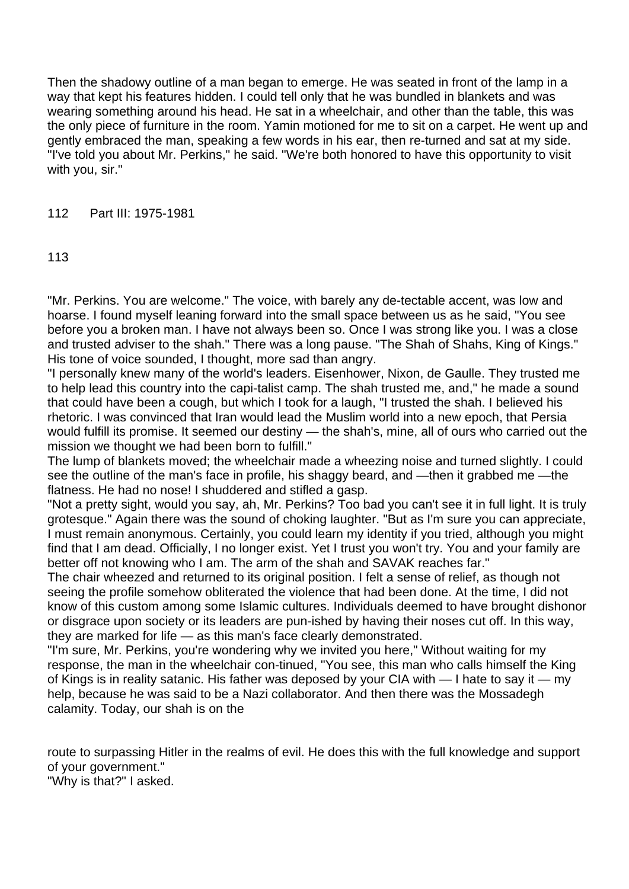Then the shadowy outline of a man began to emerge. He was seated in front of the lamp in a way that kept his features hidden. I could tell only that he was bundled in blankets and was wearing something around his head. He sat in a wheelchair, and other than the table, this was the only piece of furniture in the room. Yamin motioned for me to sit on a carpet. He went up and gently embraced the man, speaking a few words in his ear, then re-turned and sat at my side. "I've told you about Mr. Perkins," he said. "We're both honored to have this opportunity to visit with you, sir."

112 Part III: 1975-1981

113

"Mr. Perkins. You are welcome." The voice, with barely any de-tectable accent, was low and hoarse. I found myself leaning forward into the small space between us as he said, "You see before you a broken man. I have not always been so. Once I was strong like you. I was a close and trusted adviser to the shah." There was a long pause. "The Shah of Shahs, King of Kings." His tone of voice sounded, I thought, more sad than angry.

"I personally knew many of the world's leaders. Eisenhower, Nixon, de Gaulle. They trusted me to help lead this country into the capi-talist camp. The shah trusted me, and," he made a sound that could have been a cough, but which I took for a laugh, "I trusted the shah. I believed his rhetoric. I was convinced that Iran would lead the Muslim world into a new epoch, that Persia would fulfill its promise. It seemed our destiny — the shah's, mine, all of ours who carried out the mission we thought we had been born to fulfill."

The lump of blankets moved; the wheelchair made a wheezing noise and turned slightly. I could see the outline of the man's face in profile, his shaggy beard, and —then it grabbed me —the flatness. He had no nose! I shuddered and stifled a gasp.

"Not a pretty sight, would you say, ah, Mr. Perkins? Too bad you can't see it in full light. It is truly grotesque." Again there was the sound of choking laughter. "But as I'm sure you can appreciate, I must remain anonymous. Certainly, you could learn my identity if you tried, although you might find that I am dead. Officially, I no longer exist. Yet I trust you won't try. You and your family are better off not knowing who I am. The arm of the shah and SAVAK reaches far."

The chair wheezed and returned to its original position. I felt a sense of relief, as though not seeing the profile somehow obliterated the violence that had been done. At the time, I did not know of this custom among some Islamic cultures. Individuals deemed to have brought dishonor or disgrace upon society or its leaders are pun-ished by having their noses cut off. In this way, they are marked for life — as this man's face clearly demonstrated.

"I'm sure, Mr. Perkins, you're wondering why we invited you here," Without waiting for my response, the man in the wheelchair con-tinued, "You see, this man who calls himself the King of Kings is in reality satanic. His father was deposed by your CIA with — I hate to say it — my help, because he was said to be a Nazi collaborator. And then there was the Mossadegh calamity. Today, our shah is on the

route to surpassing Hitler in the realms of evil. He does this with the full knowledge and support of your government."

"Why is that?" I asked.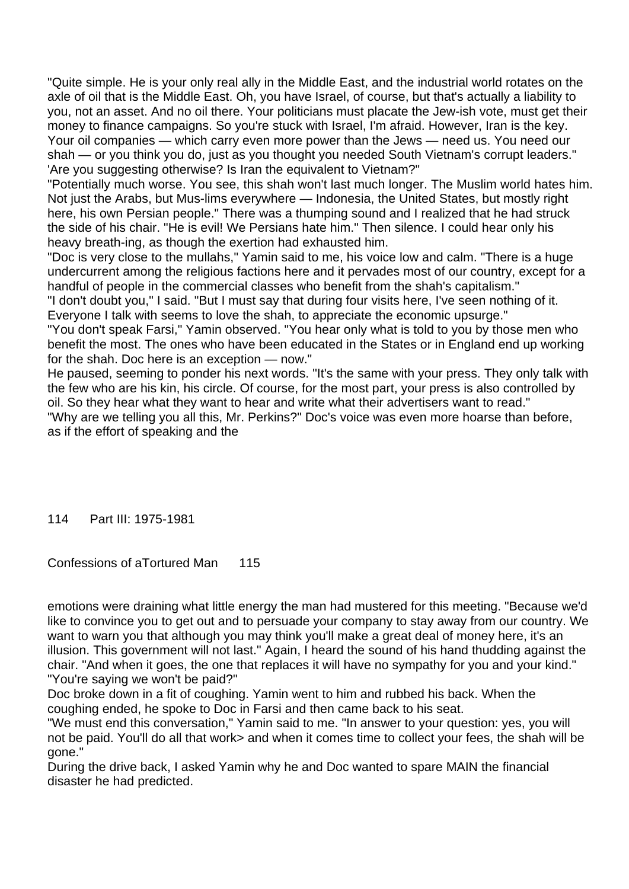"Quite simple. He is your only real ally in the Middle East, and the industrial world rotates on the axle of oil that is the Middle East. Oh, you have Israel, of course, but that's actually a liability to you, not an asset. And no oil there. Your politicians must placate the Jew-ish vote, must get their money to finance campaigns. So you're stuck with Israel, I'm afraid. However, Iran is the key. Your oil companies — which carry even more power than the Jews — need us. You need our shah — or you think you do, just as you thought you needed South Vietnam's corrupt leaders." 'Are you suggesting otherwise? Is Iran the equivalent to Vietnam?"

"Potentially much worse. You see, this shah won't last much longer. The Muslim world hates him. Not just the Arabs, but Mus-lims everywhere — Indonesia, the United States, but mostly right here, his own Persian people." There was a thumping sound and I realized that he had struck the side of his chair. "He is evil! We Persians hate him." Then silence. I could hear only his heavy breath-ing, as though the exertion had exhausted him.

"Doc is very close to the mullahs," Yamin said to me, his voice low and calm. "There is a huge undercurrent among the religious factions here and it pervades most of our country, except for a handful of people in the commercial classes who benefit from the shah's capitalism."

"I don't doubt you," I said. "But I must say that during four visits here, I've seen nothing of it. Everyone I talk with seems to love the shah, to appreciate the economic upsurge."

"You don't speak Farsi," Yamin observed. "You hear only what is told to you by those men who benefit the most. The ones who have been educated in the States or in England end up working for the shah. Doc here is an exception — now."

He paused, seeming to ponder his next words. "It's the same with your press. They only talk with the few who are his kin, his circle. Of course, for the most part, your press is also controlled by oil. So they hear what they want to hear and write what their advertisers want to read." "Why are we telling you all this, Mr. Perkins?" Doc's voice was even more hoarse than before,

as if the effort of speaking and the

114 Part III: 1975-1981

Confessions of aTortured Man 115

emotions were draining what little energy the man had mustered for this meeting. "Because we'd like to convince you to get out and to persuade your company to stay away from our country. We want to warn you that although you may think you'll make a great deal of money here, it's an illusion. This government will not last." Again, I heard the sound of his hand thudding against the chair. "And when it goes, the one that replaces it will have no sympathy for you and your kind." "You're saying we won't be paid?"

Doc broke down in a fit of coughing. Yamin went to him and rubbed his back. When the coughing ended, he spoke to Doc in Farsi and then came back to his seat.

"We must end this conversation," Yamin said to me. "In answer to your question: yes, you will not be paid. You'll do all that work> and when it comes time to collect your fees, the shah will be gone."

During the drive back, I asked Yamin why he and Doc wanted to spare MAIN the financial disaster he had predicted.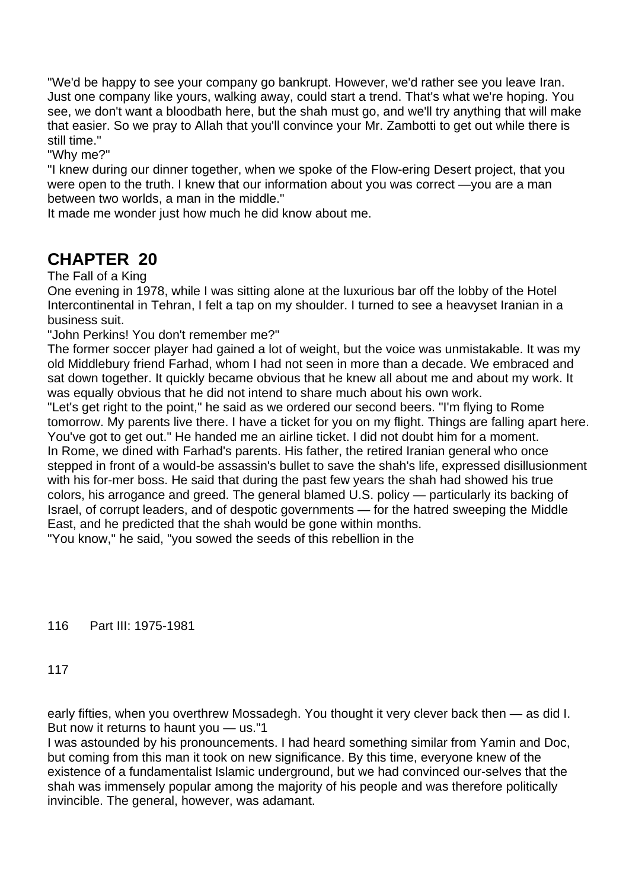"We'd be happy to see your company go bankrupt. However, we'd rather see you leave Iran. Just one company like yours, walking away, could start a trend. That's what we're hoping. You see, we don't want a bloodbath here, but the shah must go, and we'll try anything that will make that easier. So we pray to Allah that you'll convince your Mr. Zambotti to get out while there is still time."

"Why me?"

"I knew during our dinner together, when we spoke of the Flow-ering Desert project, that you were open to the truth. I knew that our information about you was correct —you are a man between two worlds, a man in the middle."

It made me wonder just how much he did know about me.

### **CHAPTER 20**

The Fall of a King

One evening in 1978, while I was sitting alone at the luxurious bar off the lobby of the Hotel Intercontinental in Tehran, I felt a tap on my shoulder. I turned to see a heavyset Iranian in a business suit.

"John Perkins! You don't remember me?"

The former soccer player had gained a lot of weight, but the voice was unmistakable. It was my old Middlebury friend Farhad, whom I had not seen in more than a decade. We embraced and sat down together. It quickly became obvious that he knew all about me and about my work. It was equally obvious that he did not intend to share much about his own work.

"Let's get right to the point," he said as we ordered our second beers. "I'm flying to Rome tomorrow. My parents live there. I have a ticket for you on my flight. Things are falling apart here. You've got to get out." He handed me an airline ticket. I did not doubt him for a moment. In Rome, we dined with Farhad's parents. His father, the retired Iranian general who once stepped in front of a would-be assassin's bullet to save the shah's life, expressed disillusionment with his for-mer boss. He said that during the past few years the shah had showed his true colors, his arrogance and greed. The general blamed U.S. policy — particularly its backing of Israel, of corrupt leaders, and of despotic governments — for the hatred sweeping the Middle East, and he predicted that the shah would be gone within months.

"You know," he said, "you sowed the seeds of this rebellion in the

116 Part III: 1975-1981

117

early fifties, when you overthrew Mossadegh. You thought it very clever back then — as did I. But now it returns to haunt you — us."1

I was astounded by his pronouncements. I had heard something similar from Yamin and Doc, but coming from this man it took on new significance. By this time, everyone knew of the existence of a fundamentalist Islamic underground, but we had convinced our-selves that the shah was immensely popular among the majority of his people and was therefore politically invincible. The general, however, was adamant.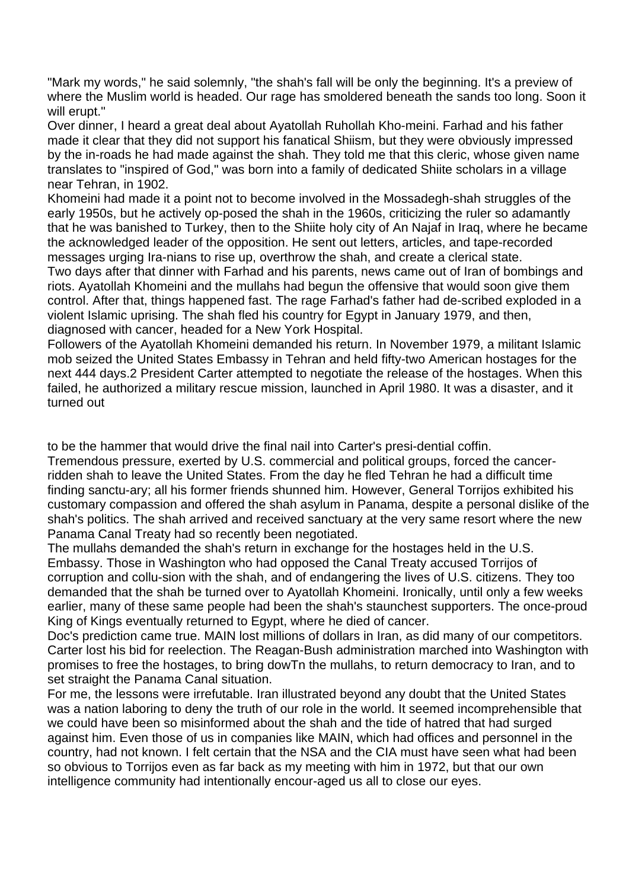"Mark my words," he said solemnly, "the shah's fall will be only the beginning. It's a preview of where the Muslim world is headed. Our rage has smoldered beneath the sands too long. Soon it will erupt."

Over dinner, I heard a great deal about Ayatollah Ruhollah Kho-meini. Farhad and his father made it clear that they did not support his fanatical Shiism, but they were obviously impressed by the in-roads he had made against the shah. They told me that this cleric, whose given name translates to "inspired of God," was born into a family of dedicated Shiite scholars in a village near Tehran, in 1902.

Khomeini had made it a point not to become involved in the Mossadegh-shah struggles of the early 1950s, but he actively op-posed the shah in the 1960s, criticizing the ruler so adamantly that he was banished to Turkey, then to the Shiite holy city of An Najaf in Iraq, where he became the acknowledged leader of the opposition. He sent out letters, articles, and tape-recorded messages urging Ira-nians to rise up, overthrow the shah, and create a clerical state.

Two days after that dinner with Farhad and his parents, news came out of Iran of bombings and riots. Ayatollah Khomeini and the mullahs had begun the offensive that would soon give them control. After that, things happened fast. The rage Farhad's father had de-scribed exploded in a violent Islamic uprising. The shah fled his country for Egypt in January 1979, and then, diagnosed with cancer, headed for a New York Hospital.

Followers of the Ayatollah Khomeini demanded his return. In November 1979, a militant Islamic mob seized the United States Embassy in Tehran and held fifty-two American hostages for the next 444 days.2 President Carter attempted to negotiate the release of the hostages. When this failed, he authorized a military rescue mission, launched in April 1980. It was a disaster, and it turned out

to be the hammer that would drive the final nail into Carter's presi-dential coffin.

Tremendous pressure, exerted by U.S. commercial and political groups, forced the cancerridden shah to leave the United States. From the day he fled Tehran he had a difficult time finding sanctu-ary; all his former friends shunned him. However, General Torrijos exhibited his customary compassion and offered the shah asylum in Panama, despite a personal dislike of the shah's politics. The shah arrived and received sanctuary at the very same resort where the new Panama Canal Treaty had so recently been negotiated.

The mullahs demanded the shah's return in exchange for the hostages held in the U.S. Embassy. Those in Washington who had opposed the Canal Treaty accused Torrijos of corruption and collu-sion with the shah, and of endangering the lives of U.S. citizens. They too demanded that the shah be turned over to Ayatollah Khomeini. Ironically, until only a few weeks earlier, many of these same people had been the shah's staunchest supporters. The once-proud King of Kings eventually returned to Egypt, where he died of cancer.

Doc's prediction came true. MAIN lost millions of dollars in Iran, as did many of our competitors. Carter lost his bid for reelection. The Reagan-Bush administration marched into Washington with promises to free the hostages, to bring dowTn the mullahs, to return democracy to Iran, and to set straight the Panama Canal situation.

For me, the lessons were irrefutable. Iran illustrated beyond any doubt that the United States was a nation laboring to deny the truth of our role in the world. It seemed incomprehensible that we could have been so misinformed about the shah and the tide of hatred that had surged against him. Even those of us in companies like MAIN, which had offices and personnel in the country, had not known. I felt certain that the NSA and the CIA must have seen what had been so obvious to Torrijos even as far back as my meeting with him in 1972, but that our own intelligence community had intentionally encour-aged us all to close our eyes.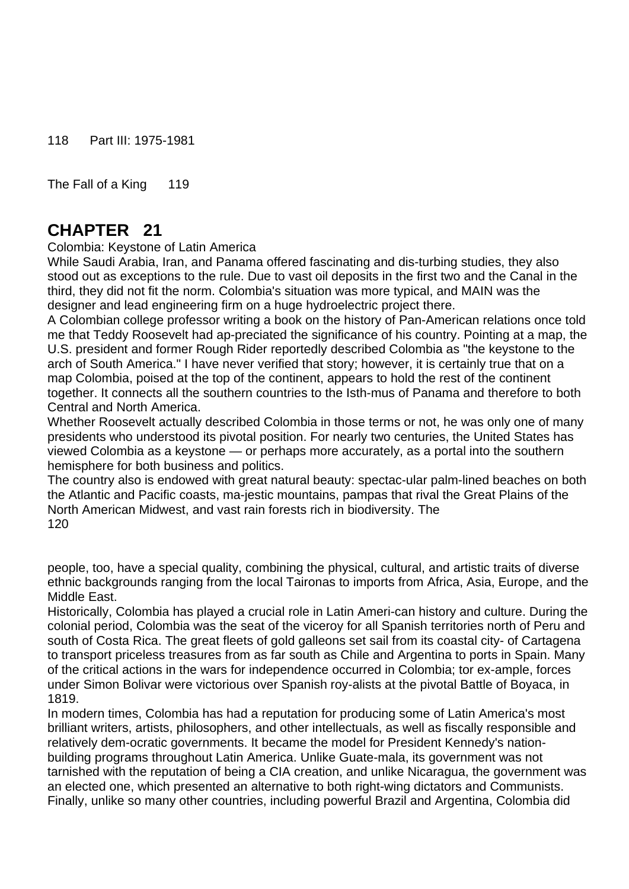The Fall of a King 119

### **CHAPTER 21**

Colombia: Keystone of Latin America

While Saudi Arabia, Iran, and Panama offered fascinating and dis-turbing studies, they also stood out as exceptions to the rule. Due to vast oil deposits in the first two and the Canal in the third, they did not fit the norm. Colombia's situation was more typical, and MAIN was the designer and lead engineering firm on a huge hydroelectric project there.

A Colombian college professor writing a book on the history of Pan-American relations once told me that Teddy Roosevelt had ap-preciated the significance of his country. Pointing at a map, the U.S. president and former Rough Rider reportedly described Colombia as "the keystone to the arch of South America." I have never verified that story; however, it is certainly true that on a map Colombia, poised at the top of the continent, appears to hold the rest of the continent together. It connects all the southern countries to the Isth-mus of Panama and therefore to both Central and North America.

Whether Roosevelt actually described Colombia in those terms or not, he was only one of many presidents who understood its pivotal position. For nearly two centuries, the United States has viewed Colombia as a keystone — or perhaps more accurately, as a portal into the southern hemisphere for both business and politics.

The country also is endowed with great natural beauty: spectac-ular palm-lined beaches on both the Atlantic and Pacific coasts, ma-jestic mountains, pampas that rival the Great Plains of the North American Midwest, and vast rain forests rich in biodiversity. The 120

people, too, have a special quality, combining the physical, cultural, and artistic traits of diverse ethnic backgrounds ranging from the local Taironas to imports from Africa, Asia, Europe, and the Middle East.

Historically, Colombia has played a crucial role in Latin Ameri-can history and culture. During the colonial period, Colombia was the seat of the viceroy for all Spanish territories north of Peru and south of Costa Rica. The great fleets of gold galleons set sail from its coastal city- of Cartagena to transport priceless treasures from as far south as Chile and Argentina to ports in Spain. Many of the critical actions in the wars for independence occurred in Colombia; tor ex-ample, forces under Simon Bolivar were victorious over Spanish roy-alists at the pivotal Battle of Boyaca, in 1819.

In modern times, Colombia has had a reputation for producing some of Latin America's most brilliant writers, artists, philosophers, and other intellectuals, as well as fiscally responsible and relatively dem-ocratic governments. It became the model for President Kennedy's nationbuilding programs throughout Latin America. Unlike Guate-mala, its government was not tarnished with the reputation of being a CIA creation, and unlike Nicaragua, the government was an elected one, which presented an alternative to both right-wing dictators and Communists. Finally, unlike so many other countries, including powerful Brazil and Argentina, Colombia did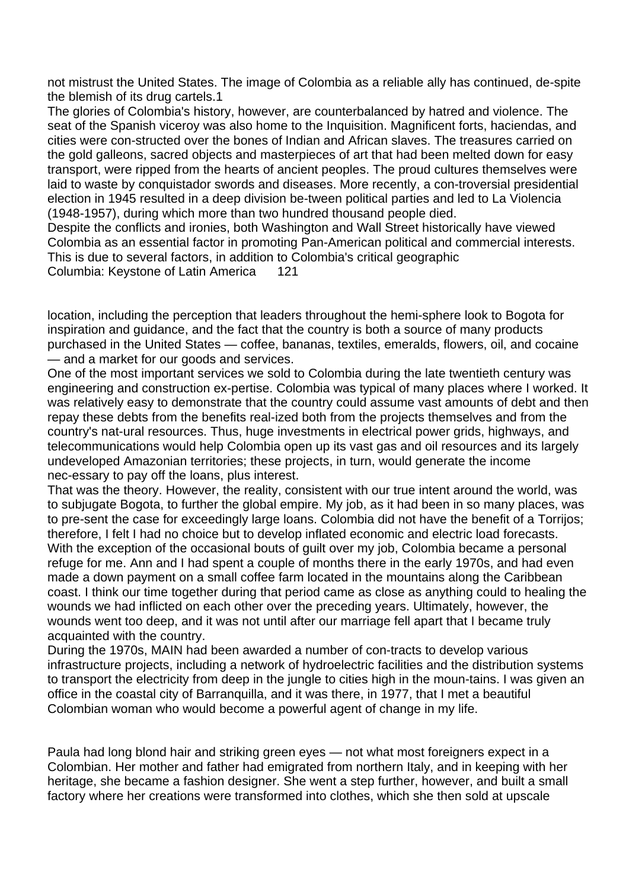not mistrust the United States. The image of Colombia as a reliable ally has continued, de-spite the blemish of its drug cartels.1

The glories of Colombia's history, however, are counterbalanced by hatred and violence. The seat of the Spanish viceroy was also home to the Inquisition. Magnificent forts, haciendas, and cities were con-structed over the bones of Indian and African slaves. The treasures carried on the gold galleons, sacred objects and masterpieces of art that had been melted down for easy transport, were ripped from the hearts of ancient peoples. The proud cultures themselves were laid to waste by conquistador swords and diseases. More recently, a con-troversial presidential election in 1945 resulted in a deep division be-tween political parties and led to La Violencia (1948-1957), during which more than two hundred thousand people died.

Despite the conflicts and ironies, both Washington and Wall Street historically have viewed Colombia as an essential factor in promoting Pan-American political and commercial interests. This is due to several factors, in addition to Colombia's critical geographic Columbia: Keystone of Latin America 121

location, including the perception that leaders throughout the hemi-sphere look to Bogota for inspiration and guidance, and the fact that the country is both a source of many products purchased in the United States — coffee, bananas, textiles, emeralds, flowers, oil, and cocaine — and a market for our goods and services.

One of the most important services we sold to Colombia during the late twentieth century was engineering and construction ex-pertise. Colombia was typical of many places where I worked. It was relatively easy to demonstrate that the country could assume vast amounts of debt and then repay these debts from the benefits real-ized both from the projects themselves and from the country's nat-ural resources. Thus, huge investments in electrical power grids, highways, and telecommunications would help Colombia open up its vast gas and oil resources and its largely undeveloped Amazonian territories; these projects, in turn, would generate the income nec-essary to pay off the loans, plus interest.

That was the theory. However, the reality, consistent with our true intent around the world, was to subjugate Bogota, to further the global empire. My job, as it had been in so many places, was to pre-sent the case for exceedingly large loans. Colombia did not have the benefit of a Torrijos; therefore, I felt I had no choice but to develop inflated economic and electric load forecasts. With the exception of the occasional bouts of guilt over my job, Colombia became a personal refuge for me. Ann and I had spent a couple of months there in the early 1970s, and had even made a down payment on a small coffee farm located in the mountains along the Caribbean coast. I think our time together during that period came as close as anything could to healing the wounds we had inflicted on each other over the preceding years. Ultimately, however, the wounds went too deep, and it was not until after our marriage fell apart that I became truly acquainted with the country.

During the 1970s, MAIN had been awarded a number of con-tracts to develop various infrastructure projects, including a network of hydroelectric facilities and the distribution systems to transport the electricity from deep in the jungle to cities high in the moun-tains. I was given an office in the coastal city of Barranquilla, and it was there, in 1977, that I met a beautiful Colombian woman who would become a powerful agent of change in my life.

Paula had long blond hair and striking green eyes — not what most foreigners expect in a Colombian. Her mother and father had emigrated from northern Italy, and in keeping with her heritage, she became a fashion designer. She went a step further, however, and built a small factory where her creations were transformed into clothes, which she then sold at upscale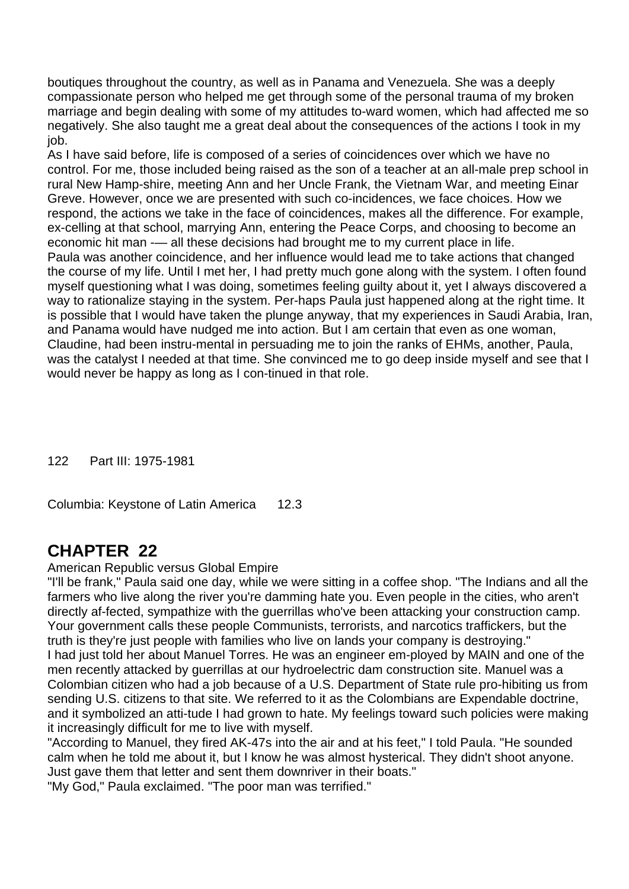boutiques throughout the country, as well as in Panama and Venezuela. She was a deeply compassionate person who helped me get through some of the personal trauma of my broken marriage and begin dealing with some of my attitudes to-ward women, which had affected me so negatively. She also taught me a great deal about the consequences of the actions I took in my job.

As I have said before, life is composed of a series of coincidences over which we have no control. For me, those included being raised as the son of a teacher at an all-male prep school in rural New Hamp-shire, meeting Ann and her Uncle Frank, the Vietnam War, and meeting Einar Greve. However, once we are presented with such co-incidences, we face choices. How we respond, the actions we take in the face of coincidences, makes all the difference. For example, ex-celling at that school, marrying Ann, entering the Peace Corps, and choosing to become an economic hit man -— all these decisions had brought me to my current place in life. Paula was another coincidence, and her influence would lead me to take actions that changed the course of my life. Until I met her, I had pretty much gone along with the system. I often found myself questioning what I was doing, sometimes feeling guilty about it, yet I always discovered a way to rationalize staying in the system. Per-haps Paula just happened along at the right time. It is possible that I would have taken the plunge anyway, that my experiences in Saudi Arabia, Iran, and Panama would have nudged me into action. But I am certain that even as one woman, Claudine, had been instru-mental in persuading me to join the ranks of EHMs, another, Paula, was the catalyst I needed at that time. She convinced me to go deep inside myself and see that I would never be happy as long as I con-tinued in that role.

122 Part III: 1975-1981

Columbia: Keystone of Latin America 12.3

### **CHAPTER 22**

American Republic versus Global Empire

"I'll be frank," Paula said one day, while we were sitting in a coffee shop. "The Indians and all the farmers who live along the river you're damming hate you. Even people in the cities, who aren't directly af-fected, sympathize with the guerrillas who've been attacking your construction camp. Your government calls these people Communists, terrorists, and narcotics traffickers, but the truth is they're just people with families who live on lands your company is destroying." I had just told her about Manuel Torres. He was an engineer em-ployed by MAIN and one of the men recently attacked by guerrillas at our hydroelectric dam construction site. Manuel was a Colombian citizen who had a job because of a U.S. Department of State rule pro-hibiting us from sending U.S. citizens to that site. We referred to it as the Colombians are Expendable doctrine, and it symbolized an atti-tude I had grown to hate. My feelings toward such policies were making it increasingly difficult for me to live with myself.

"According to Manuel, they fired AK-47s into the air and at his feet," I told Paula. "He sounded calm when he told me about it, but I know he was almost hysterical. They didn't shoot anyone. Just gave them that letter and sent them downriver in their boats."

"My God," Paula exclaimed. "The poor man was terrified."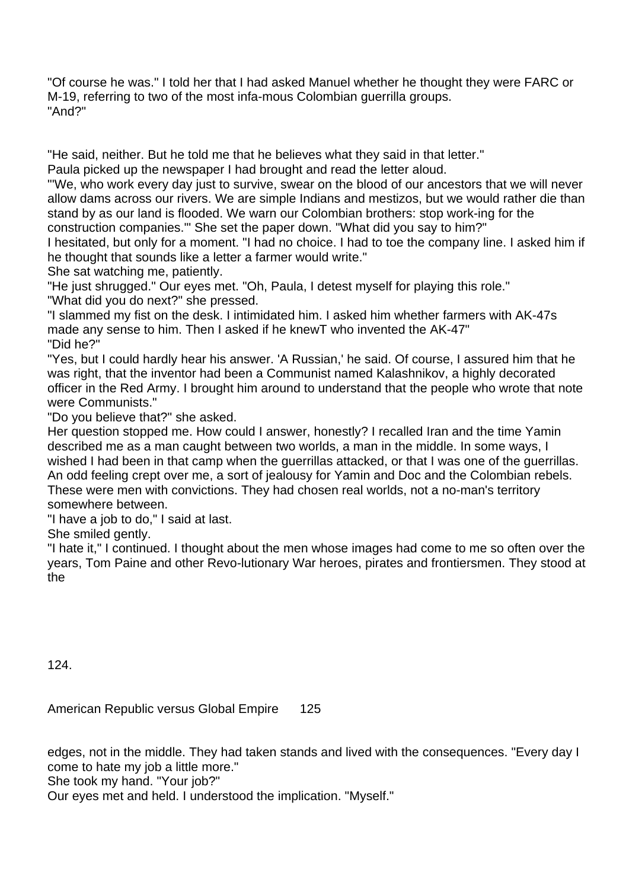"Of course he was." I told her that I had asked Manuel whether he thought they were FARC or M-19, referring to two of the most infa-mous Colombian guerrilla groups. "And?"

"He said, neither. But he told me that he believes what they said in that letter." Paula picked up the newspaper I had brought and read the letter aloud.

"'We, who work every day just to survive, swear on the blood of our ancestors that we will never allow dams across our rivers. We are simple Indians and mestizos, but we would rather die than stand by as our land is flooded. We warn our Colombian brothers: stop work-ing for the construction companies.'" She set the paper down. "What did you say to him?"

I hesitated, but only for a moment. "I had no choice. I had to toe the company line. I asked him if he thought that sounds like a letter a farmer would write."

She sat watching me, patiently.

"He just shrugged." Our eyes met. "Oh, Paula, I detest myself for playing this role." "What did you do next?" she pressed.

"I slammed my fist on the desk. I intimidated him. I asked him whether farmers with AK-47s made any sense to him. Then I asked if he knewT who invented the AK-47" "Did he?"

"Yes, but I could hardly hear his answer. 'A Russian,' he said. Of course, I assured him that he was right, that the inventor had been a Communist named Kalashnikov, a highly decorated officer in the Red Army. I brought him around to understand that the people who wrote that note were Communists."

"Do you believe that?" she asked.

Her question stopped me. How could I answer, honestly? I recalled Iran and the time Yamin described me as a man caught between two worlds, a man in the middle. In some ways, I wished I had been in that camp when the guerrillas attacked, or that I was one of the guerrillas. An odd feeling crept over me, a sort of jealousy for Yamin and Doc and the Colombian rebels. These were men with convictions. They had chosen real worlds, not a no-man's territory somewhere between.

"I have a job to do," I said at last.

She smiled gently.

"I hate it," I continued. I thought about the men whose images had come to me so often over the years, Tom Paine and other Revo-lutionary War heroes, pirates and frontiersmen. They stood at the

124.

American Republic versus Global Empire 125

edges, not in the middle. They had taken stands and lived with the consequences. "Every day I come to hate my job a little more."

She took my hand. "Your job?"

Our eyes met and held. I understood the implication. "Myself."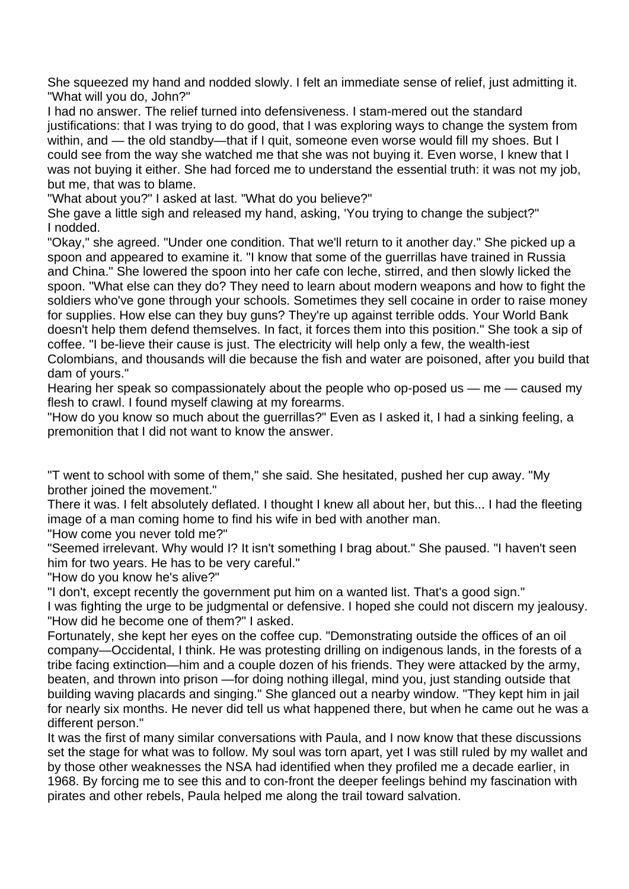She squeezed my hand and nodded slowly. I felt an immediate sense of relief, just admitting it. "What will you do, John?"

I had no answer. The relief turned into defensiveness. I stam-mered out the standard justifications: that I was trying to do good, that I was exploring ways to change the system from within, and — the old standby—that if I quit, someone even worse would fill my shoes. But I could see from the way she watched me that she was not buying it. Even worse, I knew that I was not buying it either. She had forced me to understand the essential truth: it was not my job, but me, that was to blame.

"What about you?" I asked at last. "What do you believe?"

She gave a little sigh and released my hand, asking, 'You trying to change the subject?" I nodded.

"Okay," she agreed. "Under one condition. That we'll return to it another day." She picked up a spoon and appeared to examine it. "I know that some of the guerrillas have trained in Russia and China." She lowered the spoon into her cafe con leche, stirred, and then slowly licked the spoon. "What else can they do? They need to learn about modern weapons and how to fight the soldiers who've gone through your schools. Sometimes they sell cocaine in order to raise money for supplies. How else can they buy guns? They're up against terrible odds. Your World Bank doesn't help them defend themselves. In fact, it forces them into this position." She took a sip of coffee. "I be-lieve their cause is just. The electricity will help only a few, the wealth-iest Colombians, and thousands will die because the fish and water are poisoned, after you build that dam of yours."

Hearing her speak so compassionately about the people who op-posed us — me — caused my flesh to crawl. I found myself clawing at my forearms.

"How do you know so much about the guerrillas?" Even as I asked it, I had a sinking feeling, a premonition that I did not want to know the answer.

"T went to school with some of them," she said. She hesitated, pushed her cup away. "My brother joined the movement."

There it was. I felt absolutely deflated. I thought I knew all about her, but this... I had the fleeting image of a man coming home to find his wife in bed with another man.

"How come you never told me?"

"Seemed irrelevant. Why would I? It isn't something I brag about." She paused. "I haven't seen him for two years. He has to be very careful."

"How do you know he's alive?"

"I don't, except recently the government put him on a wanted list. That's a good sign."

I was fighting the urge to be judgmental or defensive. I hoped she could not discern my jealousy. "How did he become one of them?" I asked.

Fortunately, she kept her eyes on the coffee cup. "Demonstrating outside the offices of an oil company—Occidental, I think. He was protesting drilling on indigenous lands, in the forests of a tribe facing extinction—him and a couple dozen of his friends. They were attacked by the army, beaten, and thrown into prison —for doing nothing illegal, mind you, just standing outside that building waving placards and singing." She glanced out a nearby window. "They kept him in jail for nearly six months. He never did tell us what happened there, but when he came out he was a different person."

It was the first of many similar conversations with Paula, and I now know that these discussions set the stage for what was to follow. My soul was torn apart, yet I was still ruled by my wallet and by those other weaknesses the NSA had identified when they profiled me a decade earlier, in 1968. By forcing me to see this and to con-front the deeper feelings behind my fascination with pirates and other rebels, Paula helped me along the trail toward salvation.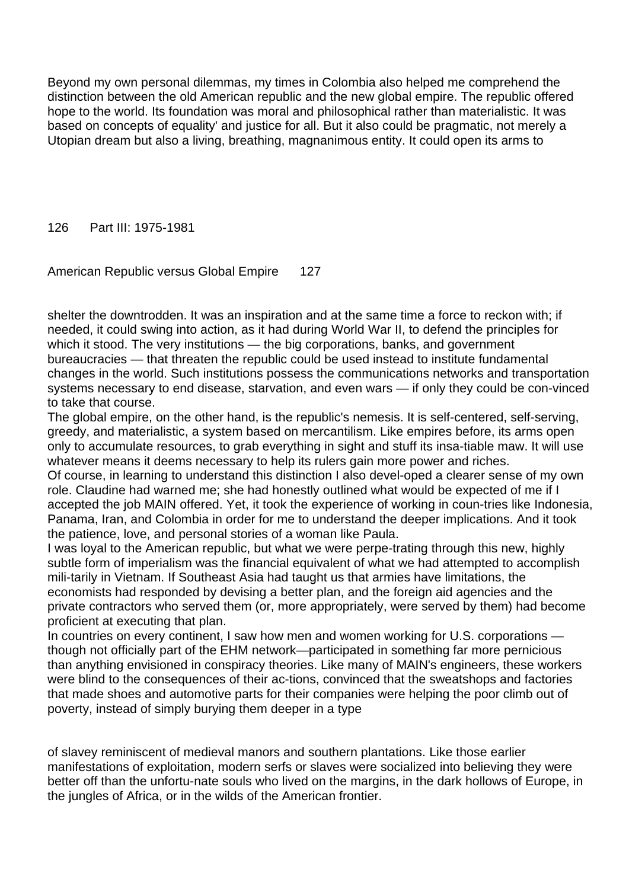Beyond my own personal dilemmas, my times in Colombia also helped me comprehend the distinction between the old American republic and the new global empire. The republic offered hope to the world. Its foundation was moral and philosophical rather than materialistic. It was based on concepts of equality' and justice for all. But it also could be pragmatic, not merely a Utopian dream but also a living, breathing, magnanimous entity. It could open its arms to

126 Part III: 1975-1981

American Republic versus Global Empire 127

shelter the downtrodden. It was an inspiration and at the same time a force to reckon with; if needed, it could swing into action, as it had during World War II, to defend the principles for which it stood. The very institutions — the big corporations, banks, and government bureaucracies — that threaten the republic could be used instead to institute fundamental changes in the world. Such institutions possess the communications networks and transportation systems necessary to end disease, starvation, and even wars — if only they could be con-vinced to take that course.

The global empire, on the other hand, is the republic's nemesis. It is self-centered, self-serving, greedy, and materialistic, a system based on mercantilism. Like empires before, its arms open only to accumulate resources, to grab everything in sight and stuff its insa-tiable maw. It will use whatever means it deems necessary to help its rulers gain more power and riches.

Of course, in learning to understand this distinction I also devel-oped a clearer sense of my own role. Claudine had warned me; she had honestly outlined what would be expected of me if I accepted the job MAIN offered. Yet, it took the experience of working in coun-tries like Indonesia, Panama, Iran, and Colombia in order for me to understand the deeper implications. And it took the patience, love, and personal stories of a woman like Paula.

I was loyal to the American republic, but what we were perpe-trating through this new, highly subtle form of imperialism was the financial equivalent of what we had attempted to accomplish mili-tarily in Vietnam. If Southeast Asia had taught us that armies have limitations, the economists had responded by devising a better plan, and the foreign aid agencies and the private contractors who served them (or, more appropriately, were served by them) had become proficient at executing that plan.

In countries on every continent, I saw how men and women working for U.S. corporations though not officially part of the EHM network—participated in something far more pernicious than anything envisioned in conspiracy theories. Like many of MAIN's engineers, these workers were blind to the consequences of their ac-tions, convinced that the sweatshops and factories that made shoes and automotive parts for their companies were helping the poor climb out of poverty, instead of simply burying them deeper in a type

of slavey reminiscent of medieval manors and southern plantations. Like those earlier manifestations of exploitation, modern serfs or slaves were socialized into believing they were better off than the unfortu-nate souls who lived on the margins, in the dark hollows of Europe, in the jungles of Africa, or in the wilds of the American frontier.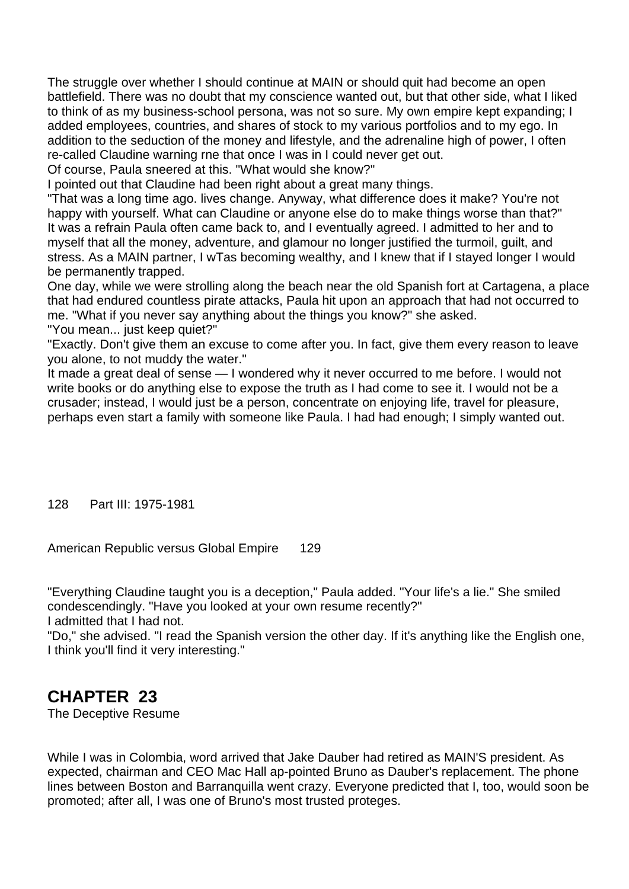The struggle over whether I should continue at MAIN or should quit had become an open battlefield. There was no doubt that my conscience wanted out, but that other side, what I liked to think of as my business-school persona, was not so sure. My own empire kept expanding; I added employees, countries, and shares of stock to my various portfolios and to my ego. In addition to the seduction of the money and lifestyle, and the adrenaline high of power, I often re-called Claudine warning rne that once I was in I could never get out.

Of course, Paula sneered at this. "What would she know?"

I pointed out that Claudine had been right about a great many things.

"That was a long time ago. lives change. Anyway, what difference does it make? You're not happy with yourself. What can Claudine or anyone else do to make things worse than that?" It was a refrain Paula often came back to, and I eventually agreed. I admitted to her and to myself that all the money, adventure, and glamour no longer justified the turmoil, guilt, and stress. As a MAIN partner, I wTas becoming wealthy, and I knew that if I stayed longer I would be permanently trapped.

One day, while we were strolling along the beach near the old Spanish fort at Cartagena, a place that had endured countless pirate attacks, Paula hit upon an approach that had not occurred to me. "What if you never say anything about the things you know?" she asked.

"You mean... just keep quiet?"

"Exactly. Don't give them an excuse to come after you. In fact, give them every reason to leave you alone, to not muddy the water."

It made a great deal of sense — I wondered why it never occurred to me before. I would not write books or do anything else to expose the truth as I had come to see it. I would not be a crusader; instead, I would just be a person, concentrate on enjoying life, travel for pleasure, perhaps even start a family with someone like Paula. I had had enough; I simply wanted out.

#### 128 Part III: 1975-1981

American Republic versus Global Empire 129

"Everything Claudine taught you is a deception," Paula added. "Your life's a lie." She smiled condescendingly. "Have you looked at your own resume recently?"

I admitted that I had not.

"Do," she advised. "I read the Spanish version the other day. If it's anything like the English one, I think you'll find it very interesting."

### **CHAPTER 23**

The Deceptive Resume

While I was in Colombia, word arrived that Jake Dauber had retired as MAIN'S president. As expected, chairman and CEO Mac Hall ap-pointed Bruno as Dauber's replacement. The phone lines between Boston and Barranquilla went crazy. Everyone predicted that I, too, would soon be promoted; after all, I was one of Bruno's most trusted proteges.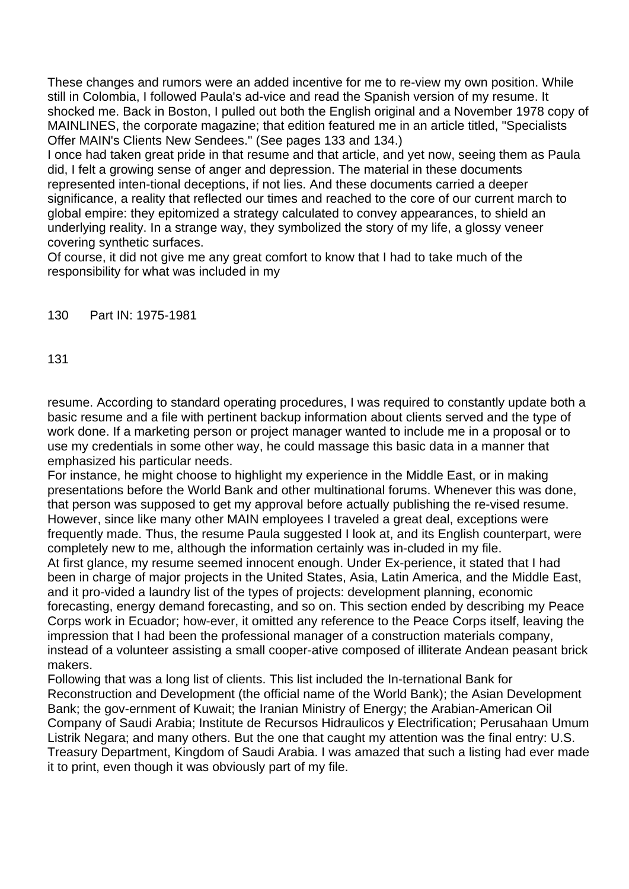These changes and rumors were an added incentive for me to re-view my own position. While still in Colombia, I followed Paula's ad-vice and read the Spanish version of my resume. It shocked me. Back in Boston, I pulled out both the English original and a November 1978 copy of MAINLINES, the corporate magazine; that edition featured me in an article titled, "Specialists Offer MAIN's Clients New Sendees." (See pages 133 and 134.)

I once had taken great pride in that resume and that article, and yet now, seeing them as Paula did, I felt a growing sense of anger and depression. The material in these documents represented inten-tional deceptions, if not lies. And these documents carried a deeper significance, a reality that reflected our times and reached to the core of our current march to global empire: they epitomized a strategy calculated to convey appearances, to shield an underlying reality. In a strange way, they symbolized the story of my life, a glossy veneer covering synthetic surfaces.

Of course, it did not give me any great comfort to know that I had to take much of the responsibility for what was included in my

130 Part IN: 1975-1981

131

resume. According to standard operating procedures, I was required to constantly update both a basic resume and a file with pertinent backup information about clients served and the type of work done. If a marketing person or project manager wanted to include me in a proposal or to use my credentials in some other way, he could massage this basic data in a manner that emphasized his particular needs.

For instance, he might choose to highlight my experience in the Middle East, or in making presentations before the World Bank and other multinational forums. Whenever this was done, that person was supposed to get my approval before actually publishing the re-vised resume. However, since like many other MAIN employees I traveled a great deal, exceptions were frequently made. Thus, the resume Paula suggested I look at, and its English counterpart, were completely new to me, although the information certainly was in-cluded in my file.

At first glance, my resume seemed innocent enough. Under Ex-perience, it stated that I had been in charge of major projects in the United States, Asia, Latin America, and the Middle East, and it pro-vided a laundry list of the types of projects: development planning, economic forecasting, energy demand forecasting, and so on. This section ended by describing my Peace Corps work in Ecuador; how-ever, it omitted any reference to the Peace Corps itself, leaving the impression that I had been the professional manager of a construction materials company, instead of a volunteer assisting a small cooper-ative composed of illiterate Andean peasant brick makers.

Following that was a long list of clients. This list included the In-ternational Bank for Reconstruction and Development (the official name of the World Bank); the Asian Development Bank; the gov-ernment of Kuwait; the Iranian Ministry of Energy; the Arabian-American Oil Company of Saudi Arabia; Institute de Recursos Hidraulicos y Electrification; Perusahaan Umum Listrik Negara; and many others. But the one that caught my attention was the final entry: U.S. Treasury Department, Kingdom of Saudi Arabia. I was amazed that such a listing had ever made it to print, even though it was obviously part of my file.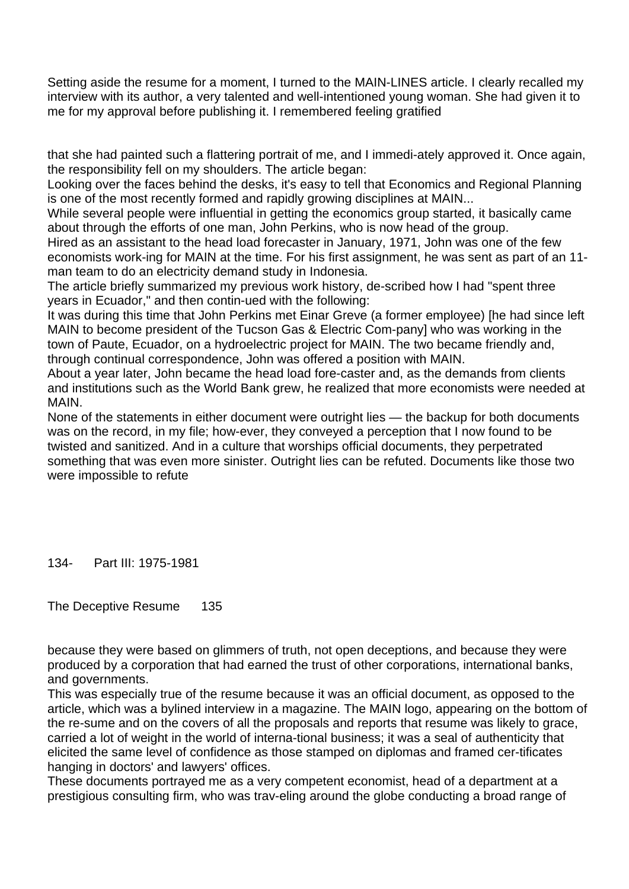Setting aside the resume for a moment, I turned to the MAIN-LINES article. I clearly recalled my interview with its author, a very talented and well-intentioned young woman. She had given it to me for my approval before publishing it. I remembered feeling gratified

that she had painted such a flattering portrait of me, and I immedi-ately approved it. Once again, the responsibility fell on my shoulders. The article began:

Looking over the faces behind the desks, it's easy to tell that Economics and Regional Planning is one of the most recently formed and rapidly growing disciplines at MAIN...

While several people were influential in getting the economics group started, it basically came about through the efforts of one man, John Perkins, who is now head of the group.

Hired as an assistant to the head load forecaster in January, 1971, John was one of the few economists work-ing for MAIN at the time. For his first assignment, he was sent as part of an 11 man team to do an electricity demand study in Indonesia.

The article briefly summarized my previous work history, de-scribed how I had "spent three years in Ecuador," and then contin-ued with the following:

It was during this time that John Perkins met Einar Greve (a former employee) [he had since left MAIN to become president of the Tucson Gas & Electric Com-pany] who was working in the town of Paute, Ecuador, on a hydroelectric project for MAIN. The two became friendly and, through continual correspondence, John was offered a position with MAIN.

About a year later, John became the head load fore-caster and, as the demands from clients and institutions such as the World Bank grew, he realized that more economists were needed at MAIN.

None of the statements in either document were outright lies — the backup for both documents was on the record, in my file; how-ever, they conveyed a perception that I now found to be twisted and sanitized. And in a culture that worships official documents, they perpetrated something that was even more sinister. Outright lies can be refuted. Documents like those two were impossible to refute

134- Part III: 1975-1981

The Deceptive Resume 135

because they were based on glimmers of truth, not open deceptions, and because they were produced by a corporation that had earned the trust of other corporations, international banks, and governments.

This was especially true of the resume because it was an official document, as opposed to the article, which was a bylined interview in a magazine. The MAIN logo, appearing on the bottom of the re-sume and on the covers of all the proposals and reports that resume was likely to grace, carried a lot of weight in the world of interna-tional business; it was a seal of authenticity that elicited the same level of confidence as those stamped on diplomas and framed cer-tificates hanging in doctors' and lawyers' offices.

These documents portrayed me as a very competent economist, head of a department at a prestigious consulting firm, who was trav-eling around the globe conducting a broad range of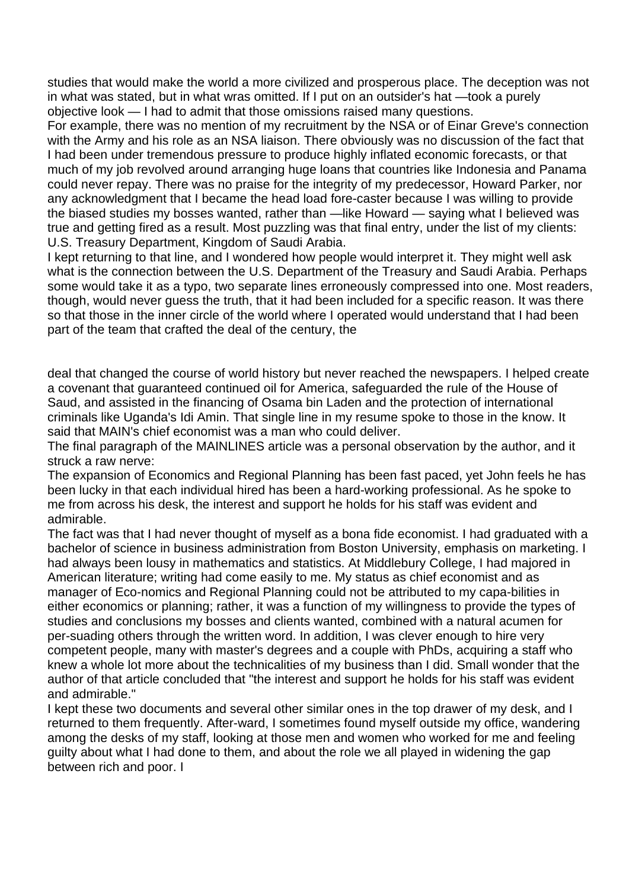studies that would make the world a more civilized and prosperous place. The deception was not in what was stated, but in what wras omitted. If I put on an outsider's hat —took a purely objective look — I had to admit that those omissions raised many questions.

For example, there was no mention of my recruitment by the NSA or of Einar Greve's connection with the Army and his role as an NSA liaison. There obviously was no discussion of the fact that I had been under tremendous pressure to produce highly inflated economic forecasts, or that much of my job revolved around arranging huge loans that countries like Indonesia and Panama could never repay. There was no praise for the integrity of my predecessor, Howard Parker, nor any acknowledgment that I became the head load fore-caster because I was willing to provide the biased studies my bosses wanted, rather than —like Howard — saying what I believed was true and getting fired as a result. Most puzzling was that final entry, under the list of my clients: U.S. Treasury Department, Kingdom of Saudi Arabia.

I kept returning to that line, and I wondered how people would interpret it. They might well ask what is the connection between the U.S. Department of the Treasury and Saudi Arabia. Perhaps some would take it as a typo, two separate lines erroneously compressed into one. Most readers, though, would never guess the truth, that it had been included for a specific reason. It was there so that those in the inner circle of the world where I operated would understand that I had been part of the team that crafted the deal of the century, the

deal that changed the course of world history but never reached the newspapers. I helped create a covenant that guaranteed continued oil for America, safeguarded the rule of the House of Saud, and assisted in the financing of Osama bin Laden and the protection of international criminals like Uganda's Idi Amin. That single line in my resume spoke to those in the know. It said that MAIN's chief economist was a man who could deliver.

The final paragraph of the MAINLINES article was a personal observation by the author, and it struck a raw nerve:

The expansion of Economics and Regional Planning has been fast paced, yet John feels he has been lucky in that each individual hired has been a hard-working professional. As he spoke to me from across his desk, the interest and support he holds for his staff was evident and admirable.

The fact was that I had never thought of myself as a bona fide economist. I had graduated with a bachelor of science in business administration from Boston University, emphasis on marketing. I had always been lousy in mathematics and statistics. At Middlebury College, I had majored in American literature; writing had come easily to me. My status as chief economist and as manager of Eco-nomics and Regional Planning could not be attributed to my capa-bilities in either economics or planning; rather, it was a function of my willingness to provide the types of studies and conclusions my bosses and clients wanted, combined with a natural acumen for per-suading others through the written word. In addition, I was clever enough to hire very competent people, many with master's degrees and a couple with PhDs, acquiring a staff who knew a whole lot more about the technicalities of my business than I did. Small wonder that the author of that article concluded that "the interest and support he holds for his staff was evident and admirable."

I kept these two documents and several other similar ones in the top drawer of my desk, and I returned to them frequently. After-ward, I sometimes found myself outside my office, wandering among the desks of my staff, looking at those men and women who worked for me and feeling guilty about what I had done to them, and about the role we all played in widening the gap between rich and poor. I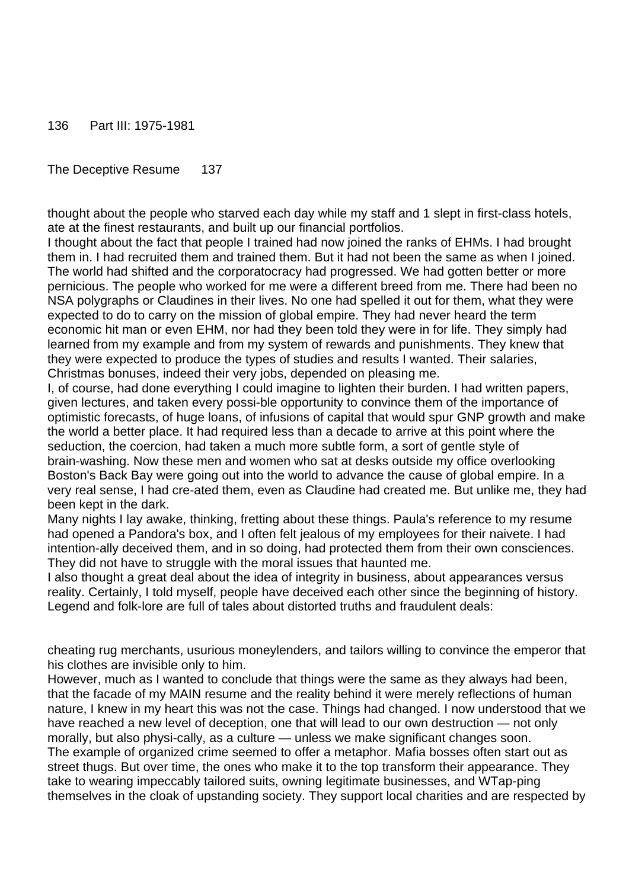#### The Deceptive Resume 137

thought about the people who starved each day while my staff and 1 slept in first-class hotels, ate at the finest restaurants, and built up our financial portfolios.

I thought about the fact that people I trained had now joined the ranks of EHMs. I had brought them in. I had recruited them and trained them. But it had not been the same as when I joined. The world had shifted and the corporatocracy had progressed. We had gotten better or more pernicious. The people who worked for me were a different breed from me. There had been no NSA polygraphs or Claudines in their lives. No one had spelled it out for them, what they were expected to do to carry on the mission of global empire. They had never heard the term economic hit man or even EHM, nor had they been told they were in for life. They simply had learned from my example and from my system of rewards and punishments. They knew that they were expected to produce the types of studies and results I wanted. Their salaries, Christmas bonuses, indeed their very jobs, depended on pleasing me.

I, of course, had done everything I could imagine to lighten their burden. I had written papers, given lectures, and taken every possi-ble opportunity to convince them of the importance of optimistic forecasts, of huge loans, of infusions of capital that would spur GNP growth and make the world a better place. It had required less than a decade to arrive at this point where the seduction, the coercion, had taken a much more subtle form, a sort of gentle style of brain-washing. Now these men and women who sat at desks outside my office overlooking Boston's Back Bay were going out into the world to advance the cause of global empire. In a very real sense, I had cre-ated them, even as Claudine had created me. But unlike me, they had been kept in the dark.

Many nights I lay awake, thinking, fretting about these things. Paula's reference to my resume had opened a Pandora's box, and I often felt jealous of my employees for their naivete. I had intention-ally deceived them, and in so doing, had protected them from their own consciences. They did not have to struggle with the moral issues that haunted me.

I also thought a great deal about the idea of integrity in business, about appearances versus reality. Certainly, I told myself, people have deceived each other since the beginning of history. Legend and folk-lore are full of tales about distorted truths and fraudulent deals:

cheating rug merchants, usurious moneylenders, and tailors willing to convince the emperor that his clothes are invisible only to him.

However, much as I wanted to conclude that things were the same as they always had been, that the facade of my MAIN resume and the reality behind it were merely reflections of human nature, I knew in my heart this was not the case. Things had changed. I now understood that we have reached a new level of deception, one that will lead to our own destruction — not only morally, but also physi-cally, as a culture — unless we make significant changes soon. The example of organized crime seemed to offer a metaphor. Mafia bosses often start out as street thugs. But over time, the ones who make it to the top transform their appearance. They take to wearing impeccably tailored suits, owning legitimate businesses, and WTap-ping themselves in the cloak of upstanding society. They support local charities and are respected by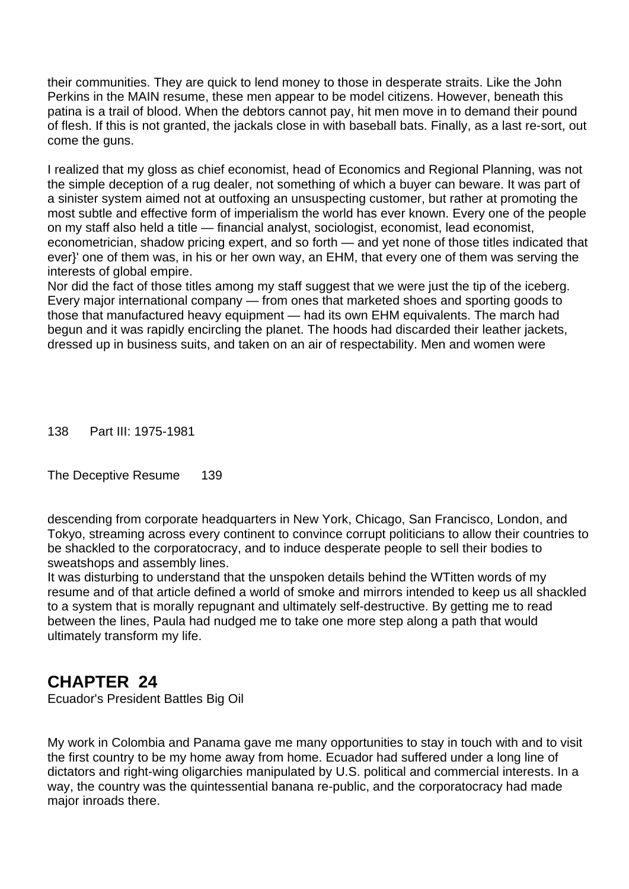their communities. They are quick to lend money to those in desperate straits. Like the John Perkins in the MAIN resume, these men appear to be model citizens. However, beneath this patina is a trail of blood. When the debtors cannot pay, hit men move in to demand their pound of flesh. If this is not granted, the jackals close in with baseball bats. Finally, as a last re-sort, out come the guns.

I realized that my gloss as chief economist, head of Economics and Regional Planning, was not the simple deception of a rug dealer, not something of which a buyer can beware. It was part of a sinister system aimed not at outfoxing an unsuspecting customer, but rather at promoting the most subtle and effective form of imperialism the world has ever known. Every one of the people on my staff also held a title — financial analyst, sociologist, economist, lead economist, econometrician, shadow pricing expert, and so forth — and yet none of those titles indicated that ever}' one of them was, in his or her own way, an EHM, that every one of them was serving the interests of global empire.

Nor did the fact of those titles among my staff suggest that we were just the tip of the iceberg. Every major international company — from ones that marketed shoes and sporting goods to those that manufactured heavy equipment — had its own EHM equivalents. The march had begun and it was rapidly encircling the planet. The hoods had discarded their leather jackets, dressed up in business suits, and taken on an air of respectability. Men and women were

138 Part III: 1975-1981

The Deceptive Resume 139

descending from corporate headquarters in New York, Chicago, San Francisco, London, and Tokyo, streaming across every continent to convince corrupt politicians to allow their countries to be shackled to the corporatocracy, and to induce desperate people to sell their bodies to sweatshops and assembly lines.

It was disturbing to understand that the unspoken details behind the WTitten words of my resume and of that article defined a world of smoke and mirrors intended to keep us all shackled to a system that is morally repugnant and ultimately self-destructive. By getting me to read between the lines, Paula had nudged me to take one more step along a path that would ultimately transform my life.

### **CHAPTER 24**

Ecuador's President Battles Big Oil

My work in Colombia and Panama gave me many opportunities to stay in touch with and to visit the first country to be my home away from home. Ecuador had suffered under a long line of dictators and right-wing oligarchies manipulated by U.S. political and commercial interests. In a way, the country was the quintessential banana re-public, and the corporatocracy had made major inroads there.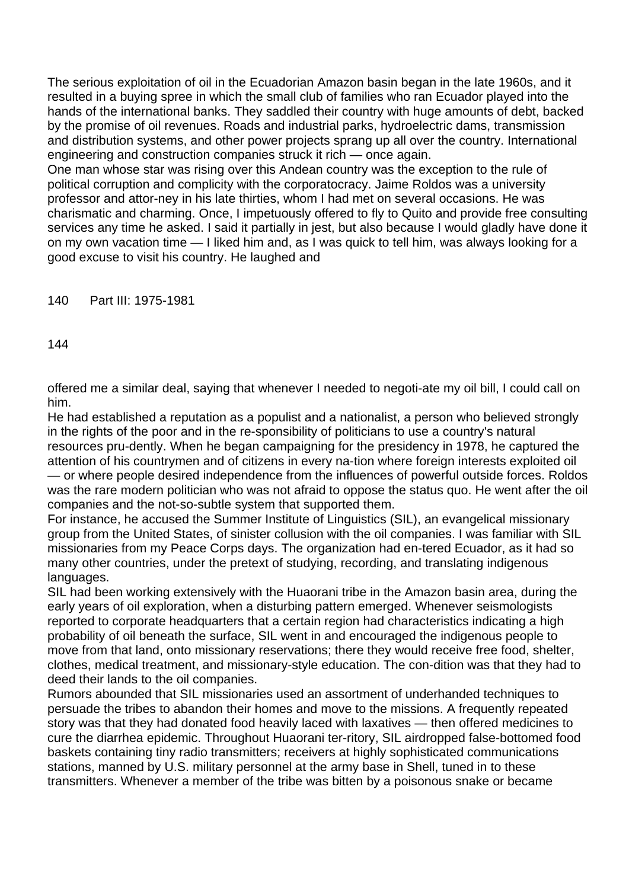The serious exploitation of oil in the Ecuadorian Amazon basin began in the late 1960s, and it resulted in a buying spree in which the small club of families who ran Ecuador played into the hands of the international banks. They saddled their country with huge amounts of debt, backed by the promise of oil revenues. Roads and industrial parks, hydroelectric dams, transmission and distribution systems, and other power projects sprang up all over the country. International engineering and construction companies struck it rich — once again.

One man whose star was rising over this Andean country was the exception to the rule of political corruption and complicity with the corporatocracy. Jaime Roldos was a university professor and attor-ney in his late thirties, whom I had met on several occasions. He was charismatic and charming. Once, I impetuously offered to fly to Quito and provide free consulting services any time he asked. I said it partially in jest, but also because I would gladly have done it on my own vacation time — I liked him and, as I was quick to tell him, was always looking for a good excuse to visit his country. He laughed and

140 Part III: 1975-1981

144

offered me a similar deal, saying that whenever I needed to negoti-ate my oil bill, I could call on him.

He had established a reputation as a populist and a nationalist, a person who believed strongly in the rights of the poor and in the re-sponsibility of politicians to use a country's natural resources pru-dently. When he began campaigning for the presidency in 1978, he captured the attention of his countrymen and of citizens in every na-tion where foreign interests exploited oil — or where people desired independence from the influences of powerful outside forces. Roldos was the rare modern politician who was not afraid to oppose the status quo. He went after the oil companies and the not-so-subtle system that supported them.

For instance, he accused the Summer Institute of Linguistics (SIL), an evangelical missionary group from the United States, of sinister collusion with the oil companies. I was familiar with SIL missionaries from my Peace Corps days. The organization had en-tered Ecuador, as it had so many other countries, under the pretext of studying, recording, and translating indigenous languages.

SIL had been working extensively with the Huaorani tribe in the Amazon basin area, during the early years of oil exploration, when a disturbing pattern emerged. Whenever seismologists reported to corporate headquarters that a certain region had characteristics indicating a high probability of oil beneath the surface, SIL went in and encouraged the indigenous people to move from that land, onto missionary reservations; there they would receive free food, shelter, clothes, medical treatment, and missionary-style education. The con-dition was that they had to deed their lands to the oil companies.

Rumors abounded that SIL missionaries used an assortment of underhanded techniques to persuade the tribes to abandon their homes and move to the missions. A frequently repeated story was that they had donated food heavily laced with laxatives — then offered medicines to cure the diarrhea epidemic. Throughout Huaorani ter-ritory, SIL airdropped false-bottomed food baskets containing tiny radio transmitters; receivers at highly sophisticated communications stations, manned by U.S. military personnel at the army base in Shell, tuned in to these transmitters. Whenever a member of the tribe was bitten by a poisonous snake or became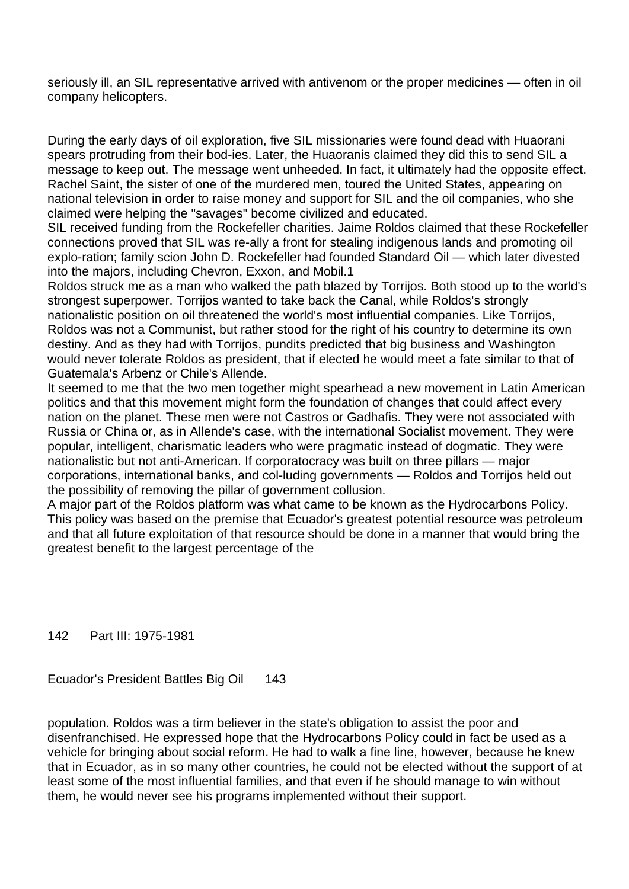seriously ill, an SIL representative arrived with antivenom or the proper medicines — often in oil company helicopters.

During the early days of oil exploration, five SIL missionaries were found dead with Huaorani spears protruding from their bod-ies. Later, the Huaoranis claimed they did this to send SIL a message to keep out. The message went unheeded. In fact, it ultimately had the opposite effect. Rachel Saint, the sister of one of the murdered men, toured the United States, appearing on national television in order to raise money and support for SIL and the oil companies, who she claimed were helping the "savages" become civilized and educated.

SIL received funding from the Rockefeller charities. Jaime Roldos claimed that these Rockefeller connections proved that SIL was re-ally a front for stealing indigenous lands and promoting oil explo-ration; family scion John D. Rockefeller had founded Standard Oil — which later divested into the majors, including Chevron, Exxon, and Mobil.1

Roldos struck me as a man who walked the path blazed by Torrijos. Both stood up to the world's strongest superpower. Torrijos wanted to take back the Canal, while Roldos's strongly nationalistic position on oil threatened the world's most influential companies. Like Torrijos, Roldos was not a Communist, but rather stood for the right of his country to determine its own destiny. And as they had with Torrijos, pundits predicted that big business and Washington would never tolerate Roldos as president, that if elected he would meet a fate similar to that of Guatemala's Arbenz or Chile's Allende.

It seemed to me that the two men together might spearhead a new movement in Latin American politics and that this movement might form the foundation of changes that could affect every nation on the planet. These men were not Castros or Gadhafis. They were not associated with Russia or China or, as in Allende's case, with the international Socialist movement. They were popular, intelligent, charismatic leaders who were pragmatic instead of dogmatic. They were nationalistic but not anti-American. If corporatocracy was built on three pillars — major corporations, international banks, and col-luding governments — Roldos and Torrijos held out the possibility of removing the pillar of government collusion.

A major part of the Roldos platform was what came to be known as the Hydrocarbons Policy. This policy was based on the premise that Ecuador's greatest potential resource was petroleum and that all future exploitation of that resource should be done in a manner that would bring the greatest benefit to the largest percentage of the

142 Part III: 1975-1981

Ecuador's President Battles Big Oil 143

population. Roldos was a tirm believer in the state's obligation to assist the poor and disenfranchised. He expressed hope that the Hydrocarbons Policy could in fact be used as a vehicle for bringing about social reform. He had to walk a fine line, however, because he knew that in Ecuador, as in so many other countries, he could not be elected without the support of at least some of the most influential families, and that even if he should manage to win without them, he would never see his programs implemented without their support.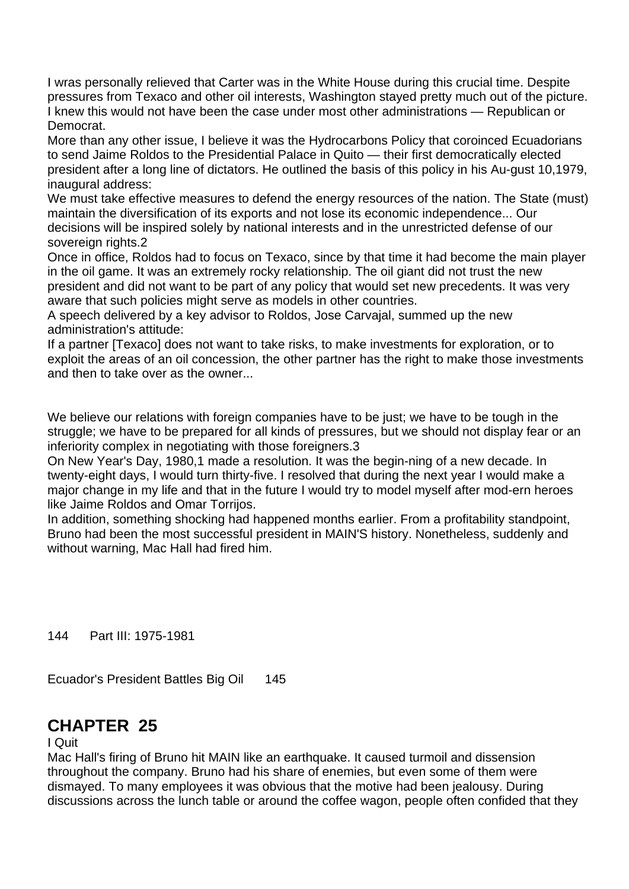I wras personally relieved that Carter was in the White House during this crucial time. Despite pressures from Texaco and other oil interests, Washington stayed pretty much out of the picture. I knew this would not have been the case under most other administrations — Republican or Democrat.

More than any other issue, I believe it was the Hydrocarbons Policy that coroinced Ecuadorians to send Jaime Roldos to the Presidential Palace in Quito — their first democratically elected president after a long line of dictators. He outlined the basis of this policy in his Au-gust 10,1979, inaugural address:

We must take effective measures to defend the energy resources of the nation. The State (must) maintain the diversification of its exports and not lose its economic independence... Our decisions will be inspired solely by national interests and in the unrestricted defense of our sovereign rights.2

Once in office, Roldos had to focus on Texaco, since by that time it had become the main player in the oil game. It was an extremely rocky relationship. The oil giant did not trust the new president and did not want to be part of any policy that would set new precedents. It was very aware that such policies might serve as models in other countries.

A speech delivered by a key advisor to Roldos, Jose Carvajal, summed up the new administration's attitude:

If a partner [Texaco] does not want to take risks, to make investments for exploration, or to exploit the areas of an oil concession, the other partner has the right to make those investments and then to take over as the owner...

We believe our relations with foreign companies have to be just; we have to be tough in the struggle; we have to be prepared for all kinds of pressures, but we should not display fear or an inferiority complex in negotiating with those foreigners.3

On New Year's Day, 1980,1 made a resolution. It was the begin-ning of a new decade. In twenty-eight days, I would turn thirty-five. I resolved that during the next year I would make a major change in my life and that in the future I would try to model myself after mod-ern heroes like Jaime Roldos and Omar Torrijos.

In addition, something shocking had happened months earlier. From a profitability standpoint, Bruno had been the most successful president in MAIN'S history. Nonetheless, suddenly and without warning, Mac Hall had fired him.

144 Part III: 1975-1981

Ecuador's President Battles Big Oil 145

# **CHAPTER 25**

#### I Quit

Mac Hall's firing of Bruno hit MAIN like an earthquake. It caused turmoil and dissension throughout the company. Bruno had his share of enemies, but even some of them were dismayed. To many employees it was obvious that the motive had been jealousy. During discussions across the lunch table or around the coffee wagon, people often confided that they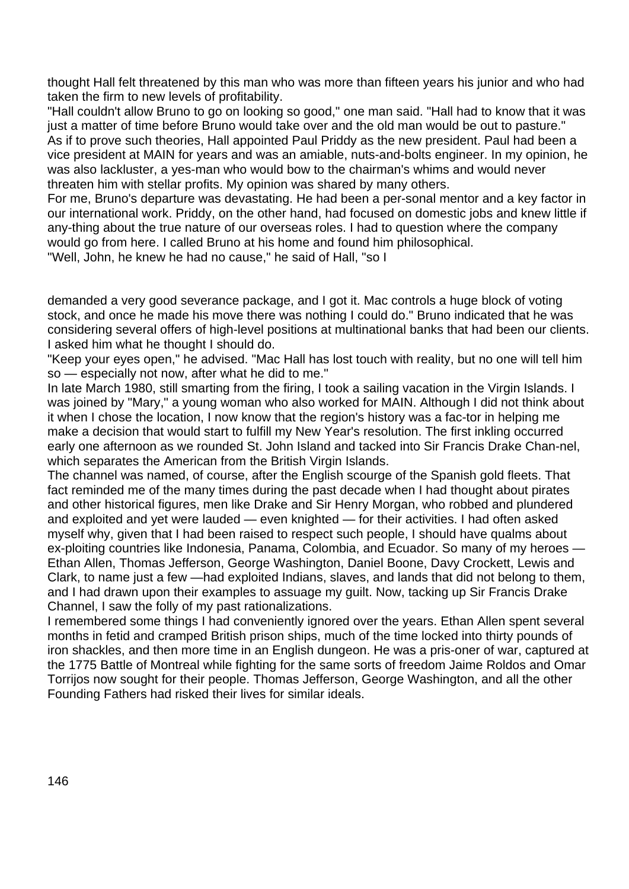thought Hall felt threatened by this man who was more than fifteen years his junior and who had taken the firm to new levels of profitability.

"Hall couldn't allow Bruno to go on looking so good," one man said. "Hall had to know that it was just a matter of time before Bruno would take over and the old man would be out to pasture." As if to prove such theories, Hall appointed Paul Priddy as the new president. Paul had been a vice president at MAIN for years and was an amiable, nuts-and-bolts engineer. In my opinion, he was also lackluster, a yes-man who would bow to the chairman's whims and would never threaten him with stellar profits. My opinion was shared by many others.

For me, Bruno's departure was devastating. He had been a per-sonal mentor and a key factor in our international work. Priddy, on the other hand, had focused on domestic jobs and knew little if any-thing about the true nature of our overseas roles. I had to question where the company would go from here. I called Bruno at his home and found him philosophical.

"Well, John, he knew he had no cause," he said of Hall, "so I

demanded a very good severance package, and I got it. Mac controls a huge block of voting stock, and once he made his move there was nothing I could do." Bruno indicated that he was considering several offers of high-level positions at multinational banks that had been our clients. I asked him what he thought I should do.

"Keep your eyes open," he advised. "Mac Hall has lost touch with reality, but no one will tell him so — especially not now, after what he did to me."

In late March 1980, still smarting from the firing, I took a sailing vacation in the Virgin Islands. I was joined by "Mary," a young woman who also worked for MAIN. Although I did not think about it when I chose the location, I now know that the region's history was a fac-tor in helping me make a decision that would start to fulfill my New Year's resolution. The first inkling occurred early one afternoon as we rounded St. John Island and tacked into Sir Francis Drake Chan-nel, which separates the American from the British Virgin Islands.

The channel was named, of course, after the English scourge of the Spanish gold fleets. That fact reminded me of the many times during the past decade when I had thought about pirates and other historical figures, men like Drake and Sir Henry Morgan, who robbed and plundered and exploited and yet were lauded — even knighted — for their activities. I had often asked myself why, given that I had been raised to respect such people, I should have qualms about ex-ploiting countries like Indonesia, Panama, Colombia, and Ecuador. So many of my heroes — Ethan Allen, Thomas Jefferson, George Washington, Daniel Boone, Davy Crockett, Lewis and Clark, to name just a few —had exploited Indians, slaves, and lands that did not belong to them, and I had drawn upon their examples to assuage my guilt. Now, tacking up Sir Francis Drake Channel, I saw the folly of my past rationalizations.

I remembered some things I had conveniently ignored over the years. Ethan Allen spent several months in fetid and cramped British prison ships, much of the time locked into thirty pounds of iron shackles, and then more time in an English dungeon. He was a pris-oner of war, captured at the 1775 Battle of Montreal while fighting for the same sorts of freedom Jaime Roldos and Omar Torrijos now sought for their people. Thomas Jefferson, George Washington, and all the other Founding Fathers had risked their lives for similar ideals.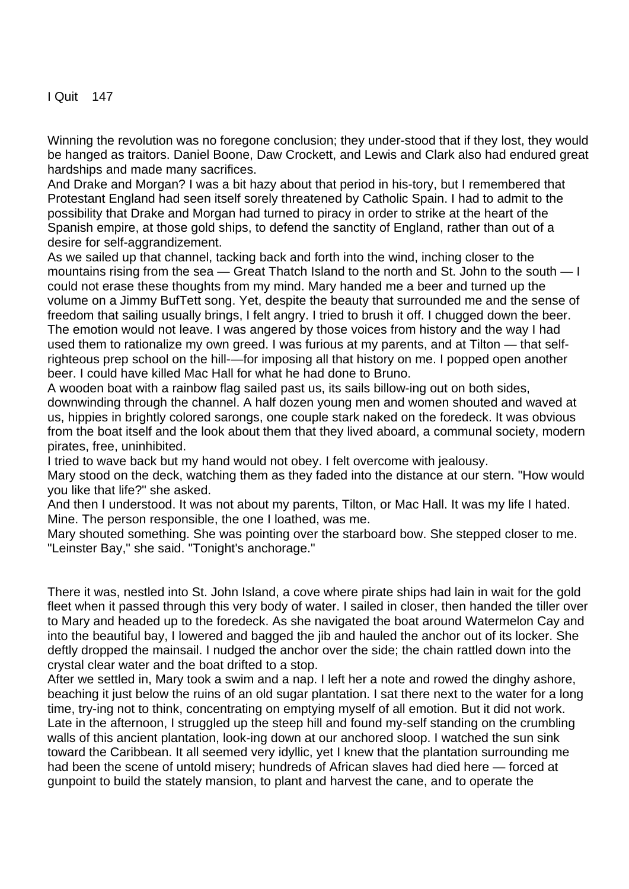I Quit 147

Winning the revolution was no foregone conclusion; they under-stood that if they lost, they would be hanged as traitors. Daniel Boone, Daw Crockett, and Lewis and Clark also had endured great hardships and made many sacrifices.

And Drake and Morgan? I was a bit hazy about that period in his-tory, but I remembered that Protestant England had seen itself sorely threatened by Catholic Spain. I had to admit to the possibility that Drake and Morgan had turned to piracy in order to strike at the heart of the Spanish empire, at those gold ships, to defend the sanctity of England, rather than out of a desire for self-aggrandizement.

As we sailed up that channel, tacking back and forth into the wind, inching closer to the mountains rising from the sea — Great Thatch Island to the north and St. John to the south — I could not erase these thoughts from my mind. Mary handed me a beer and turned up the volume on a Jimmy BufTett song. Yet, despite the beauty that surrounded me and the sense of freedom that sailing usually brings, I felt angry. I tried to brush it off. I chugged down the beer. The emotion would not leave. I was angered by those voices from history and the way I had used them to rationalize my own greed. I was furious at my parents, and at Tilton — that selfrighteous prep school on the hill-—for imposing all that history on me. I popped open another beer. I could have killed Mac Hall for what he had done to Bruno.

A wooden boat with a rainbow flag sailed past us, its sails billow-ing out on both sides, downwinding through the channel. A half dozen young men and women shouted and waved at us, hippies in brightly colored sarongs, one couple stark naked on the foredeck. It was obvious from the boat itself and the look about them that they lived aboard, a communal society, modern pirates, free, uninhibited.

I tried to wave back but my hand would not obey. I felt overcome with jealousy.

Mary stood on the deck, watching them as they faded into the distance at our stern. "How would you like that life?" she asked.

And then I understood. It was not about my parents, Tilton, or Mac Hall. It was my life I hated. Mine. The person responsible, the one I loathed, was me.

Mary shouted something. She was pointing over the starboard bow. She stepped closer to me. "Leinster Bay," she said. "Tonight's anchorage."

There it was, nestled into St. John Island, a cove where pirate ships had lain in wait for the gold fleet when it passed through this very body of water. I sailed in closer, then handed the tiller over to Mary and headed up to the foredeck. As she navigated the boat around Watermelon Cay and into the beautiful bay, I lowered and bagged the jib and hauled the anchor out of its locker. She deftly dropped the mainsail. I nudged the anchor over the side; the chain rattled down into the crystal clear water and the boat drifted to a stop.

After we settled in, Mary took a swim and a nap. I left her a note and rowed the dinghy ashore, beaching it just below the ruins of an old sugar plantation. I sat there next to the water for a long time, try-ing not to think, concentrating on emptying myself of all emotion. But it did not work. Late in the afternoon, I struggled up the steep hill and found my-self standing on the crumbling walls of this ancient plantation, look-ing down at our anchored sloop. I watched the sun sink toward the Caribbean. It all seemed very idyllic, yet I knew that the plantation surrounding me had been the scene of untold misery; hundreds of African slaves had died here — forced at gunpoint to build the stately mansion, to plant and harvest the cane, and to operate the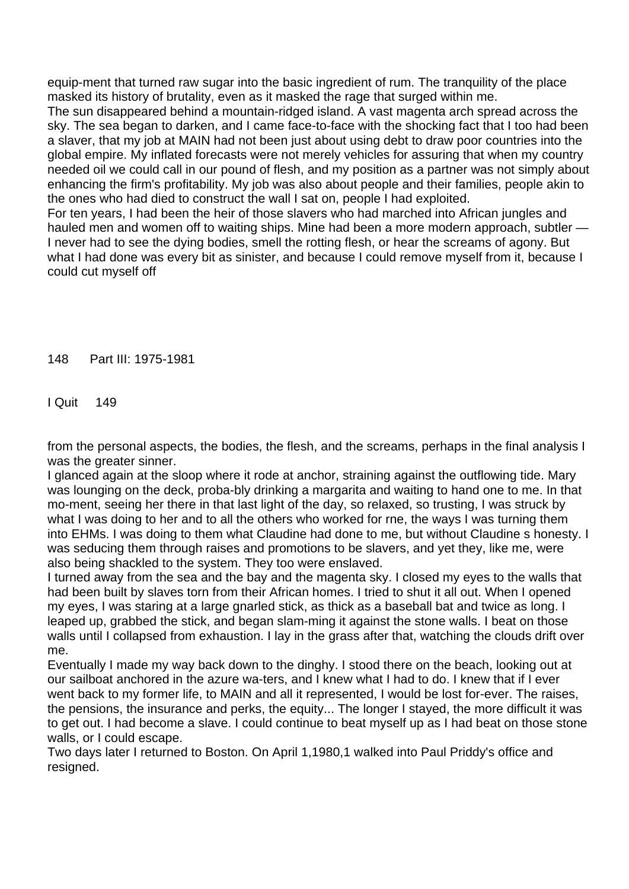equip-ment that turned raw sugar into the basic ingredient of rum. The tranquility of the place masked its history of brutality, even as it masked the rage that surged within me.

The sun disappeared behind a mountain-ridged island. A vast magenta arch spread across the sky. The sea began to darken, and I came face-to-face with the shocking fact that I too had been a slaver, that my job at MAIN had not been just about using debt to draw poor countries into the global empire. My inflated forecasts were not merely vehicles for assuring that when my country needed oil we could call in our pound of flesh, and my position as a partner was not simply about enhancing the firm's profitability. My job was also about people and their families, people akin to the ones who had died to construct the wall I sat on, people I had exploited.

For ten years, I had been the heir of those slavers who had marched into African jungles and hauled men and women off to waiting ships. Mine had been a more modern approach, subtler — I never had to see the dying bodies, smell the rotting flesh, or hear the screams of agony. But what I had done was every bit as sinister, and because I could remove myself from it, because I could cut myself off

148 Part III: 1975-1981

I Quit 149

from the personal aspects, the bodies, the flesh, and the screams, perhaps in the final analysis I was the greater sinner.

I glanced again at the sloop where it rode at anchor, straining against the outflowing tide. Mary was lounging on the deck, proba-bly drinking a margarita and waiting to hand one to me. In that mo-ment, seeing her there in that last light of the day, so relaxed, so trusting, I was struck by what I was doing to her and to all the others who worked for rne, the ways I was turning them into EHMs. I was doing to them what Claudine had done to me, but without Claudine s honesty. I was seducing them through raises and promotions to be slavers, and yet they, like me, were also being shackled to the system. They too were enslaved.

I turned away from the sea and the bay and the magenta sky. I closed my eyes to the walls that had been built by slaves torn from their African homes. I tried to shut it all out. When I opened my eyes, I was staring at a large gnarled stick, as thick as a baseball bat and twice as long. I leaped up, grabbed the stick, and began slam-ming it against the stone walls. I beat on those walls until I collapsed from exhaustion. I lay in the grass after that, watching the clouds drift over me.

Eventually I made my way back down to the dinghy. I stood there on the beach, looking out at our sailboat anchored in the azure wa-ters, and I knew what I had to do. I knew that if I ever went back to my former life, to MAIN and all it represented, I would be lost for-ever. The raises, the pensions, the insurance and perks, the equity... The longer I stayed, the more difficult it was to get out. I had become a slave. I could continue to beat myself up as I had beat on those stone walls, or I could escape.

Two days later I returned to Boston. On April 1,1980,1 walked into Paul Priddy's office and resigned.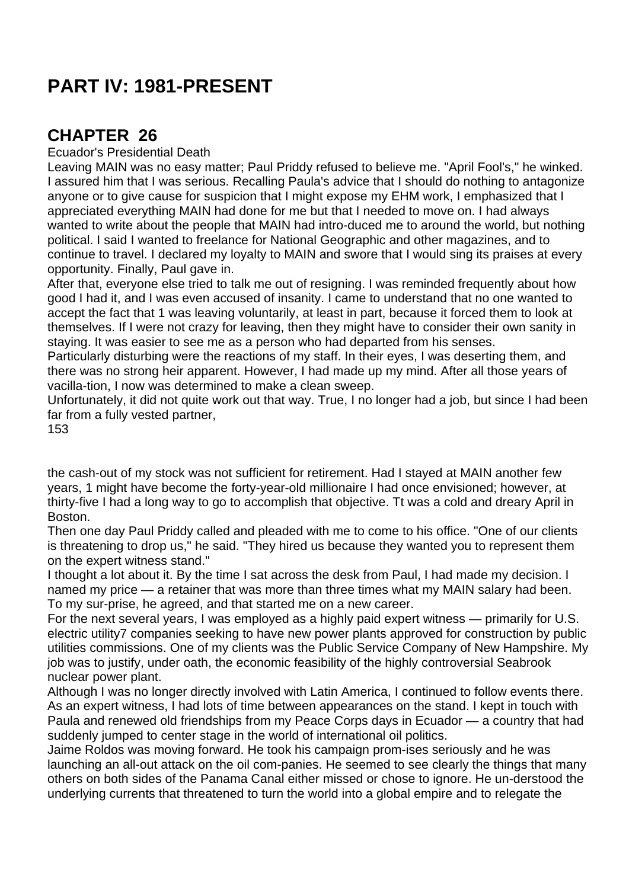# **PART IV: 1981-PRESENT**

### **CHAPTER 26**

Ecuador's Presidential Death

Leaving MAIN was no easy matter; Paul Priddy refused to believe me. "April Fool's," he winked. I assured him that I was serious. Recalling Paula's advice that I should do nothing to antagonize anyone or to give cause for suspicion that I might expose my EHM work, I emphasized that I appreciated everything MAIN had done for me but that I needed to move on. I had always wanted to write about the people that MAIN had intro-duced me to around the world, but nothing political. I said I wanted to freelance for National Geographic and other magazines, and to continue to travel. I declared my loyalty to MAIN and swore that I would sing its praises at every opportunity. Finally, Paul gave in.

After that, everyone else tried to talk me out of resigning. I was reminded frequently about how good I had it, and I was even accused of insanity. I came to understand that no one wanted to accept the fact that 1 was leaving voluntarily, at least in part, because it forced them to look at themselves. If I were not crazy for leaving, then they might have to consider their own sanity in staying. It was easier to see me as a person who had departed from his senses.

Particularly disturbing were the reactions of my staff. In their eyes, I was deserting them, and there was no strong heir apparent. However, I had made up my mind. After all those years of vacilla-tion, I now was determined to make a clean sweep.

Unfortunately, it did not quite work out that way. True, I no longer had a job, but since I had been far from a fully vested partner,

153

the cash-out of my stock was not sufficient for retirement. Had I stayed at MAIN another few years, 1 might have become the forty-year-old millionaire I had once envisioned; however, at thirty-five I had a long way to go to accomplish that objective. Tt was a cold and dreary April in **Boston** 

Then one day Paul Priddy called and pleaded with me to come to his office. "One of our clients is threatening to drop us," he said. "They hired us because they wanted you to represent them on the expert witness stand."

I thought a lot about it. By the time I sat across the desk from Paul, I had made my decision. I named my price — a retainer that was more than three times what my MAIN salary had been. To my sur-prise, he agreed, and that started me on a new career.

For the next several years, I was employed as a highly paid expert witness — primarily for U.S. electric utility7 companies seeking to have new power plants approved for construction by public utilities commissions. One of my clients was the Public Service Company of New Hampshire. My job was to justify, under oath, the economic feasibility of the highly controversial Seabrook nuclear power plant.

Although I was no longer directly involved with Latin America, I continued to follow events there. As an expert witness, I had lots of time between appearances on the stand. I kept in touch with Paula and renewed old friendships from my Peace Corps days in Ecuador — a country that had suddenly jumped to center stage in the world of international oil politics.

Jaime Roldos was moving forward. He took his campaign prom-ises seriously and he was launching an all-out attack on the oil com-panies. He seemed to see clearly the things that many others on both sides of the Panama Canal either missed or chose to ignore. He un-derstood the underlying currents that threatened to turn the world into a global empire and to relegate the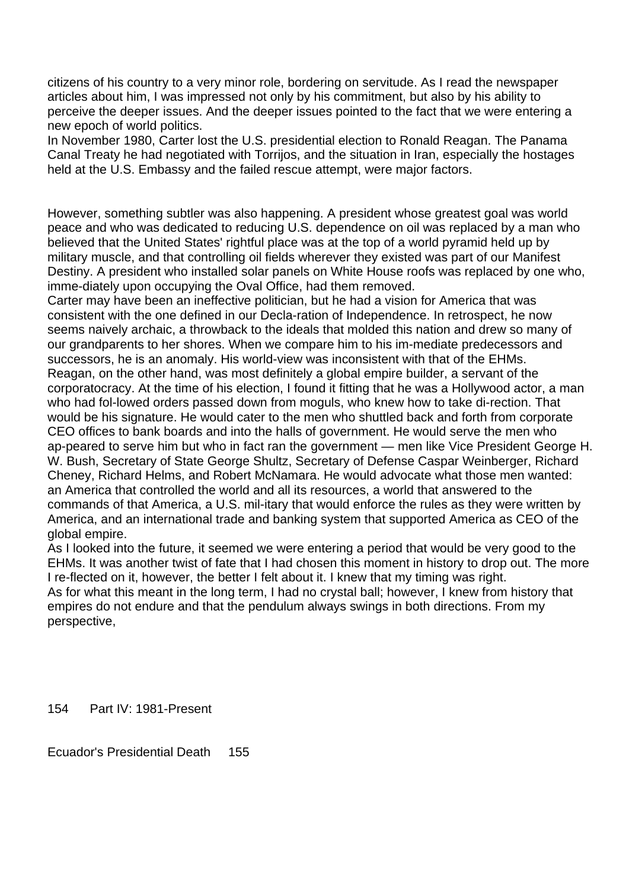citizens of his country to a very minor role, bordering on servitude. As I read the newspaper articles about him, I was impressed not only by his commitment, but also by his ability to perceive the deeper issues. And the deeper issues pointed to the fact that we were entering a new epoch of world politics.

In November 1980, Carter lost the U.S. presidential election to Ronald Reagan. The Panama Canal Treaty he had negotiated with Torrijos, and the situation in Iran, especially the hostages held at the U.S. Embassy and the failed rescue attempt, were major factors.

However, something subtler was also happening. A president whose greatest goal was world peace and who was dedicated to reducing U.S. dependence on oil was replaced by a man who believed that the United States' rightful place was at the top of a world pyramid held up by military muscle, and that controlling oil fields wherever they existed was part of our Manifest Destiny. A president who installed solar panels on White House roofs was replaced by one who, imme-diately upon occupying the Oval Office, had them removed.

Carter may have been an ineffective politician, but he had a vision for America that was consistent with the one defined in our Decla-ration of Independence. In retrospect, he now seems naively archaic, a throwback to the ideals that molded this nation and drew so many of our grandparents to her shores. When we compare him to his im-mediate predecessors and successors, he is an anomaly. His world-view was inconsistent with that of the EHMs. Reagan, on the other hand, was most definitely a global empire builder, a servant of the corporatocracy. At the time of his election, I found it fitting that he was a Hollywood actor, a man who had fol-lowed orders passed down from moguls, who knew how to take di-rection. That would be his signature. He would cater to the men who shuttled back and forth from corporate CEO offices to bank boards and into the halls of government. He would serve the men who ap-peared to serve him but who in fact ran the government — men like Vice President George H. W. Bush, Secretary of State George Shultz, Secretary of Defense Caspar Weinberger, Richard Cheney, Richard Helms, and Robert McNamara. He would advocate what those men wanted: an America that controlled the world and all its resources, a world that answered to the commands of that America, a U.S. mil-itary that would enforce the rules as they were written by America, and an international trade and banking system that supported America as CEO of the global empire.

As I looked into the future, it seemed we were entering a period that would be very good to the EHMs. It was another twist of fate that I had chosen this moment in history to drop out. The more I re-flected on it, however, the better I felt about it. I knew that my timing was right. As for what this meant in the long term, I had no crystal ball; however, I knew from history that empires do not endure and that the pendulum always swings in both directions. From my perspective,

154 Part IV: 1981-Present

Ecuador's Presidential Death 155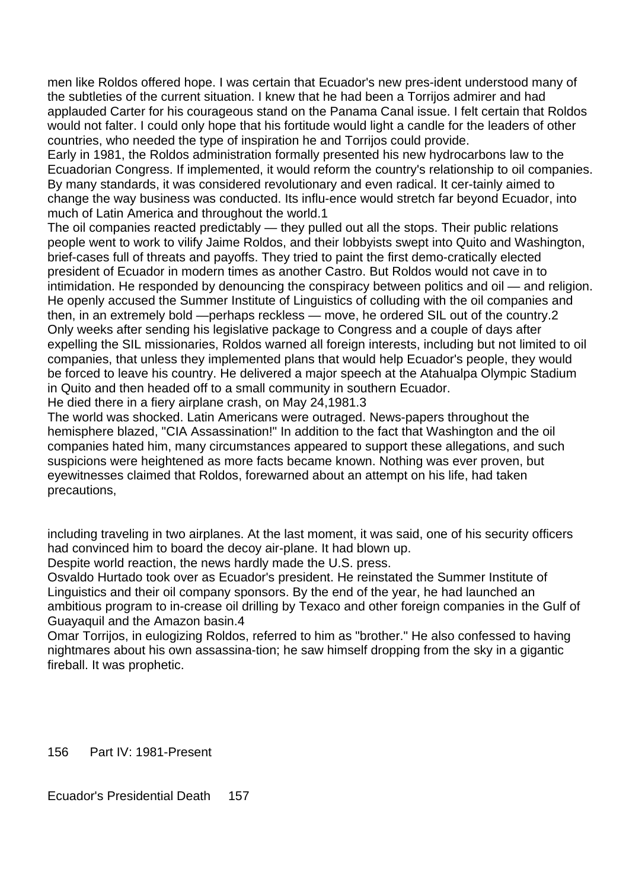men like Roldos offered hope. I was certain that Ecuador's new pres-ident understood many of the subtleties of the current situation. I knew that he had been a Torrijos admirer and had applauded Carter for his courageous stand on the Panama Canal issue. I felt certain that Roldos would not falter. I could only hope that his fortitude would light a candle for the leaders of other countries, who needed the type of inspiration he and Torrijos could provide.

Early in 1981, the Roldos administration formally presented his new hydrocarbons law to the Ecuadorian Congress. If implemented, it would reform the country's relationship to oil companies. By many standards, it was considered revolutionary and even radical. It cer-tainly aimed to change the way business was conducted. Its influ-ence would stretch far beyond Ecuador, into much of Latin America and throughout the world.1

The oil companies reacted predictably — they pulled out all the stops. Their public relations people went to work to vilify Jaime Roldos, and their lobbyists swept into Quito and Washington, brief-cases full of threats and payoffs. They tried to paint the first demo-cratically elected president of Ecuador in modern times as another Castro. But Roldos would not cave in to intimidation. He responded by denouncing the conspiracy between politics and oil — and religion. He openly accused the Summer Institute of Linguistics of colluding with the oil companies and then, in an extremely bold —perhaps reckless — move, he ordered SIL out of the country.2 Only weeks after sending his legislative package to Congress and a couple of days after expelling the SIL missionaries, Roldos warned all foreign interests, including but not limited to oil companies, that unless they implemented plans that would help Ecuador's people, they would be forced to leave his country. He delivered a major speech at the Atahualpa Olympic Stadium in Quito and then headed off to a small community in southern Ecuador. He died there in a fiery airplane crash, on May 24,1981.3

The world was shocked. Latin Americans were outraged. News-papers throughout the hemisphere blazed, "CIA Assassination!" In addition to the fact that Washington and the oil companies hated him, many circumstances appeared to support these allegations, and such suspicions were heightened as more facts became known. Nothing was ever proven, but eyewitnesses claimed that Roldos, forewarned about an attempt on his life, had taken precautions,

including traveling in two airplanes. At the last moment, it was said, one of his security officers had convinced him to board the decoy air-plane. It had blown up.

Despite world reaction, the news hardly made the U.S. press.

Osvaldo Hurtado took over as Ecuador's president. He reinstated the Summer Institute of Linguistics and their oil company sponsors. By the end of the year, he had launched an ambitious program to in-crease oil drilling by Texaco and other foreign companies in the Gulf of Guayaquil and the Amazon basin.4

Omar Torrijos, in eulogizing Roldos, referred to him as "brother." He also confessed to having nightmares about his own assassina-tion; he saw himself dropping from the sky in a gigantic fireball. It was prophetic.

156 Part IV: 1981-Present

Ecuador's Presidential Death 157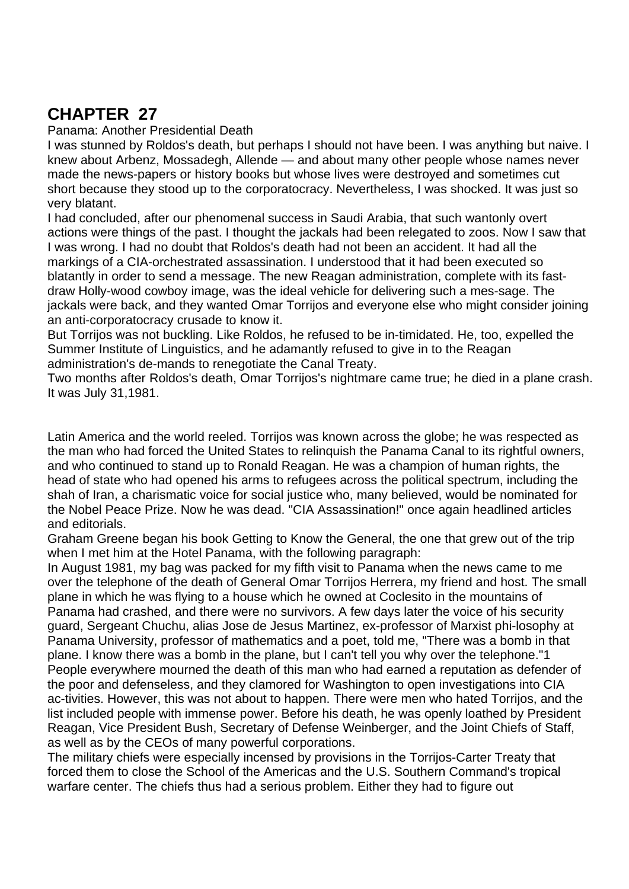### **CHAPTER 27**

Panama: Another Presidential Death

I was stunned by Roldos's death, but perhaps I should not have been. I was anything but naive. I knew about Arbenz, Mossadegh, Allende — and about many other people whose names never made the news-papers or history books but whose lives were destroyed and sometimes cut short because they stood up to the corporatocracy. Nevertheless, I was shocked. It was just so very blatant.

I had concluded, after our phenomenal success in Saudi Arabia, that such wantonly overt actions were things of the past. I thought the jackals had been relegated to zoos. Now I saw that I was wrong. I had no doubt that Roldos's death had not been an accident. It had all the markings of a CIA-orchestrated assassination. I understood that it had been executed so blatantly in order to send a message. The new Reagan administration, complete with its fastdraw Holly-wood cowboy image, was the ideal vehicle for delivering such a mes-sage. The jackals were back, and they wanted Omar Torrijos and everyone else who might consider joining an anti-corporatocracy crusade to know it.

But Torrijos was not buckling. Like Roldos, he refused to be in-timidated. He, too, expelled the Summer Institute of Linguistics, and he adamantly refused to give in to the Reagan administration's de-mands to renegotiate the Canal Treaty.

Two months after Roldos's death, Omar Torrijos's nightmare came true; he died in a plane crash. It was July 31,1981.

Latin America and the world reeled. Torrijos was known across the globe; he was respected as the man who had forced the United States to relinquish the Panama Canal to its rightful owners, and who continued to stand up to Ronald Reagan. He was a champion of human rights, the head of state who had opened his arms to refugees across the political spectrum, including the shah of Iran, a charismatic voice for social justice who, many believed, would be nominated for the Nobel Peace Prize. Now he was dead. "CIA Assassination!" once again headlined articles and editorials.

Graham Greene began his book Getting to Know the General, the one that grew out of the trip when I met him at the Hotel Panama, with the following paragraph:

In August 1981, my bag was packed for my fifth visit to Panama when the news came to me over the telephone of the death of General Omar Torrijos Herrera, my friend and host. The small plane in which he was flying to a house which he owned at Coclesito in the mountains of Panama had crashed, and there were no survivors. A few days later the voice of his security guard, Sergeant Chuchu, alias Jose de Jesus Martinez, ex-professor of Marxist phi-losophy at Panama University, professor of mathematics and a poet, told me, "There was a bomb in that plane. I know there was a bomb in the plane, but I can't tell you why over the telephone."1 People everywhere mourned the death of this man who had earned a reputation as defender of the poor and defenseless, and they clamored for Washington to open investigations into CIA ac-tivities. However, this was not about to happen. There were men who hated Torrijos, and the list included people with immense power. Before his death, he was openly loathed by President Reagan, Vice President Bush, Secretary of Defense Weinberger, and the Joint Chiefs of Staff, as well as by the CEOs of many powerful corporations.

The military chiefs were especially incensed by provisions in the Torrijos-Carter Treaty that forced them to close the School of the Americas and the U.S. Southern Command's tropical warfare center. The chiefs thus had a serious problem. Either they had to figure out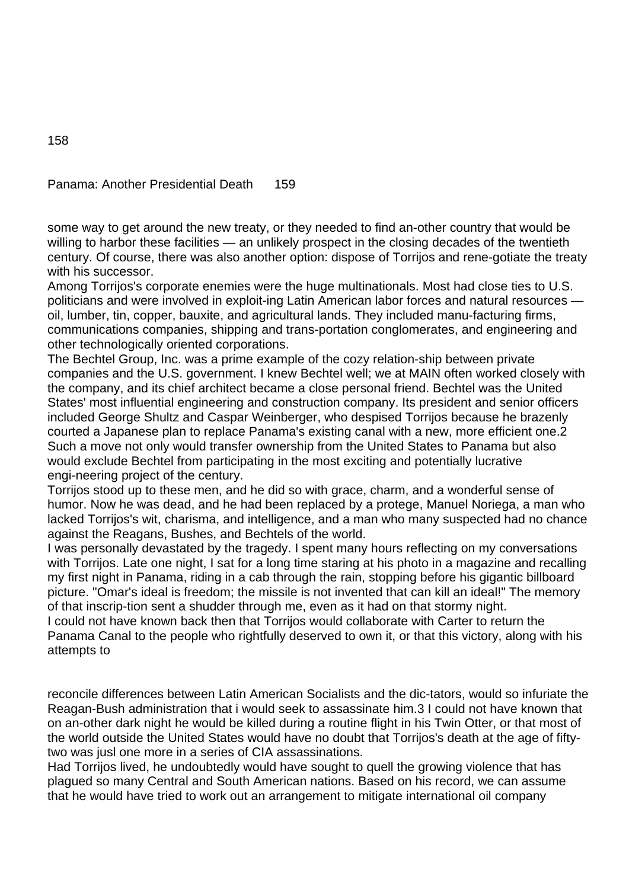#### Panama: Another Presidential Death 159

some way to get around the new treaty, or they needed to find an-other country that would be willing to harbor these facilities — an unlikely prospect in the closing decades of the twentieth century. Of course, there was also another option: dispose of Torrijos and rene-gotiate the treaty with his successor.

Among Torrijos's corporate enemies were the huge multinationals. Most had close ties to U.S. politicians and were involved in exploit-ing Latin American labor forces and natural resources oil, lumber, tin, copper, bauxite, and agricultural lands. They included manu-facturing firms, communications companies, shipping and trans-portation conglomerates, and engineering and other technologically oriented corporations.

The Bechtel Group, Inc. was a prime example of the cozy relation-ship between private companies and the U.S. government. I knew Bechtel well; we at MAIN often worked closely with the company, and its chief architect became a close personal friend. Bechtel was the United States' most influential engineering and construction company. Its president and senior officers included George Shultz and Caspar Weinberger, who despised Torrijos because he brazenly courted a Japanese plan to replace Panama's existing canal with a new, more efficient one.2 Such a move not only would transfer ownership from the United States to Panama but also would exclude Bechtel from participating in the most exciting and potentially lucrative engi-neering project of the century.

Torrijos stood up to these men, and he did so with grace, charm, and a wonderful sense of humor. Now he was dead, and he had been replaced by a protege, Manuel Noriega, a man who lacked Torrijos's wit, charisma, and intelligence, and a man who many suspected had no chance against the Reagans, Bushes, and Bechtels of the world.

I was personally devastated by the tragedy. I spent many hours reflecting on my conversations with Torrijos. Late one night, I sat for a long time staring at his photo in a magazine and recalling my first night in Panama, riding in a cab through the rain, stopping before his gigantic billboard picture. "Omar's ideal is freedom; the missile is not invented that can kill an ideal!" The memory of that inscrip-tion sent a shudder through me, even as it had on that stormy night.

I could not have known back then that Torrijos would collaborate with Carter to return the Panama Canal to the people who rightfully deserved to own it, or that this victory, along with his attempts to

reconcile differences between Latin American Socialists and the dic-tators, would so infuriate the Reagan-Bush administration that i would seek to assassinate him.3 I could not have known that on an-other dark night he would be killed during a routine flight in his Twin Otter, or that most of the world outside the United States would have no doubt that Torrijos's death at the age of fiftytwo was jusl one more in a series of CIA assassinations.

Had Torrijos lived, he undoubtedly would have sought to quell the growing violence that has plagued so many Central and South American nations. Based on his record, we can assume that he would have tried to work out an arrangement to mitigate international oil company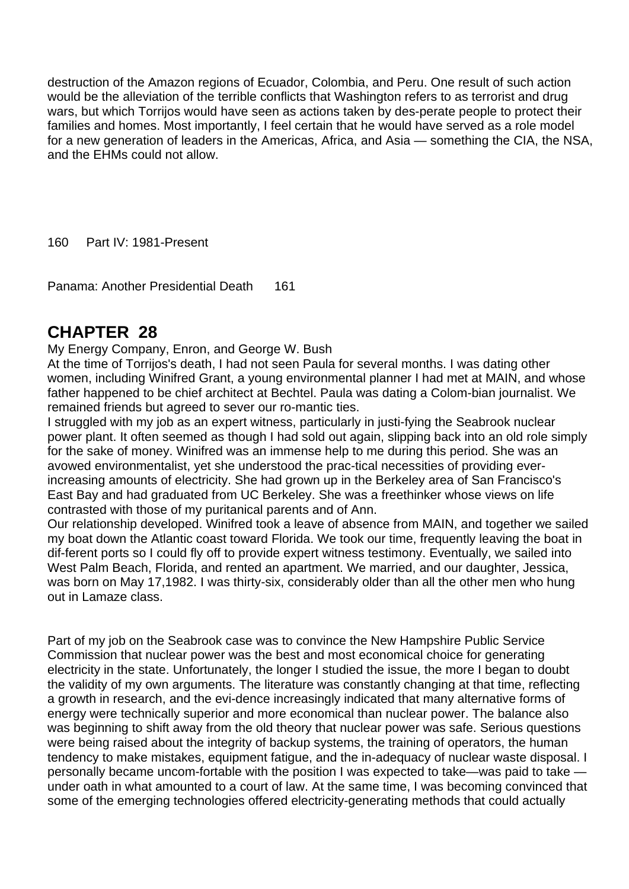destruction of the Amazon regions of Ecuador, Colombia, and Peru. One result of such action would be the alleviation of the terrible conflicts that Washington refers to as terrorist and drug wars, but which Torrijos would have seen as actions taken by des-perate people to protect their families and homes. Most importantly, I feel certain that he would have served as a role model for a new generation of leaders in the Americas, Africa, and Asia — something the CIA, the NSA, and the EHMs could not allow.

160 Part IV: 1981-Present

Panama: Another Presidential Death 161

### **CHAPTER 28**

My Energy Company, Enron, and George W. Bush

At the time of Torrijos's death, I had not seen Paula for several months. I was dating other women, including Winifred Grant, a young environmental planner I had met at MAIN, and whose father happened to be chief architect at Bechtel. Paula was dating a Colom-bian journalist. We remained friends but agreed to sever our ro-mantic ties.

I struggled with my job as an expert witness, particularly in justi-fying the Seabrook nuclear power plant. It often seemed as though I had sold out again, slipping back into an old role simply for the sake of money. Winifred was an immense help to me during this period. She was an avowed environmentalist, yet she understood the prac-tical necessities of providing everincreasing amounts of electricity. She had grown up in the Berkeley area of San Francisco's East Bay and had graduated from UC Berkeley. She was a freethinker whose views on life contrasted with those of my puritanical parents and of Ann.

Our relationship developed. Winifred took a leave of absence from MAIN, and together we sailed my boat down the Atlantic coast toward Florida. We took our time, frequently leaving the boat in dif-ferent ports so I could fly off to provide expert witness testimony. Eventually, we sailed into West Palm Beach, Florida, and rented an apartment. We married, and our daughter, Jessica, was born on May 17,1982. I was thirty-six, considerably older than all the other men who hung out in Lamaze class.

Part of my job on the Seabrook case was to convince the New Hampshire Public Service Commission that nuclear power was the best and most economical choice for generating electricity in the state. Unfortunately, the longer I studied the issue, the more I began to doubt the validity of my own arguments. The literature was constantly changing at that time, reflecting a growth in research, and the evi-dence increasingly indicated that many alternative forms of energy were technically superior and more economical than nuclear power. The balance also was beginning to shift away from the old theory that nuclear power was safe. Serious questions were being raised about the integrity of backup systems, the training of operators, the human tendency to make mistakes, equipment fatigue, and the in-adequacy of nuclear waste disposal. I personally became uncom-fortable with the position I was expected to take—was paid to take under oath in what amounted to a court of law. At the same time, I was becoming convinced that some of the emerging technologies offered electricity-generating methods that could actually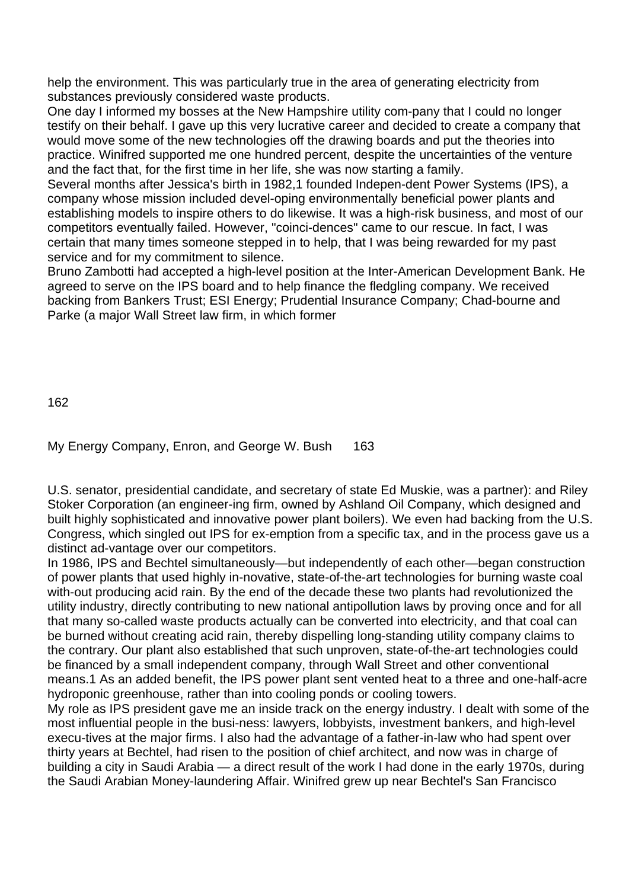help the environment. This was particularly true in the area of generating electricity from substances previously considered waste products.

One day I informed my bosses at the New Hampshire utility com-pany that I could no longer testify on their behalf. I gave up this very lucrative career and decided to create a company that would move some of the new technologies off the drawing boards and put the theories into practice. Winifred supported me one hundred percent, despite the uncertainties of the venture and the fact that, for the first time in her life, she was now starting a family.

Several months after Jessica's birth in 1982,1 founded Indepen-dent Power Systems (IPS), a company whose mission included devel-oping environmentally beneficial power plants and establishing models to inspire others to do likewise. It was a high-risk business, and most of our competitors eventually failed. However, "coinci-dences" came to our rescue. In fact, I was certain that many times someone stepped in to help, that I was being rewarded for my past service and for my commitment to silence.

Bruno Zambotti had accepted a high-level position at the Inter-American Development Bank. He agreed to serve on the IPS board and to help finance the fledgling company. We received backing from Bankers Trust; ESI Energy; Prudential Insurance Company; Chad-bourne and Parke (a major Wall Street law firm, in which former

162

My Energy Company, Enron, and George W. Bush 163

U.S. senator, presidential candidate, and secretary of state Ed Muskie, was a partner): and Riley Stoker Corporation (an engineer-ing firm, owned by Ashland Oil Company, which designed and built highly sophisticated and innovative power plant boilers). We even had backing from the U.S. Congress, which singled out IPS for ex-emption from a specific tax, and in the process gave us a distinct ad-vantage over our competitors.

In 1986, IPS and Bechtel simultaneously—but independently of each other—began construction of power plants that used highly in-novative, state-of-the-art technologies for burning waste coal with-out producing acid rain. By the end of the decade these two plants had revolutionized the utility industry, directly contributing to new national antipollution laws by proving once and for all that many so-called waste products actually can be converted into electricity, and that coal can be burned without creating acid rain, thereby dispelling long-standing utility company claims to the contrary. Our plant also established that such unproven, state-of-the-art technologies could be financed by a small independent company, through Wall Street and other conventional means.1 As an added benefit, the IPS power plant sent vented heat to a three and one-half-acre hydroponic greenhouse, rather than into cooling ponds or cooling towers.

My role as IPS president gave me an inside track on the energy industry. I dealt with some of the most influential people in the busi-ness: lawyers, lobbyists, investment bankers, and high-level execu-tives at the major firms. I also had the advantage of a father-in-law who had spent over thirty years at Bechtel, had risen to the position of chief architect, and now was in charge of building a city in Saudi Arabia — a direct result of the work I had done in the early 1970s, during the Saudi Arabian Money-laundering Affair. Winifred grew up near Bechtel's San Francisco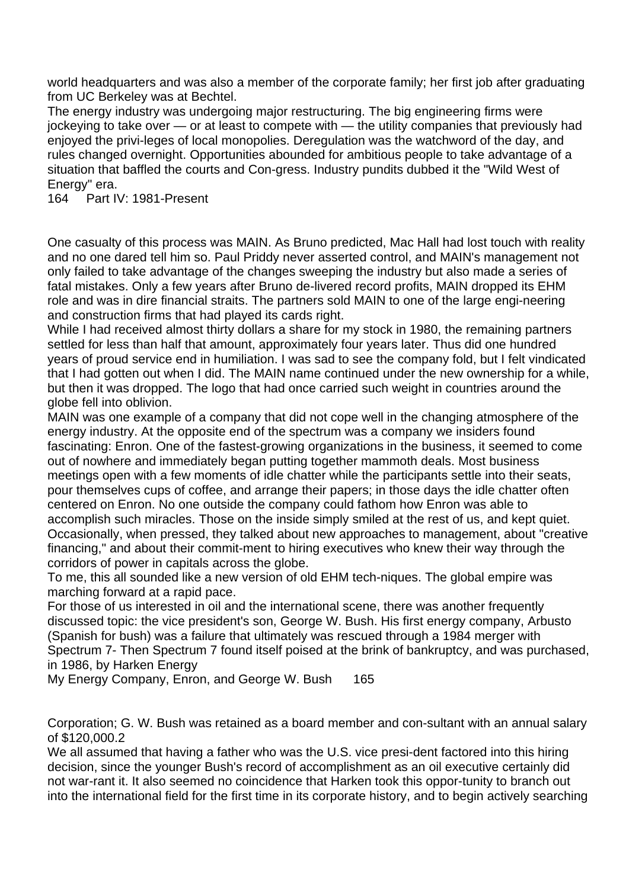world headquarters and was also a member of the corporate family; her first job after graduating from UC Berkeley was at Bechtel.

The energy industry was undergoing major restructuring. The big engineering firms were jockeying to take over — or at least to compete with — the utility companies that previously had enjoyed the privi-leges of local monopolies. Deregulation was the watchword of the day, and rules changed overnight. Opportunities abounded for ambitious people to take advantage of a situation that baffled the courts and Con-gress. Industry pundits dubbed it the "Wild West of Energy" era.

164 Part IV: 1981-Present

One casualty of this process was MAIN. As Bruno predicted, Mac Hall had lost touch with reality and no one dared tell him so. Paul Priddy never asserted control, and MAIN's management not only failed to take advantage of the changes sweeping the industry but also made a series of fatal mistakes. Only a few years after Bruno de-livered record profits, MAIN dropped its EHM role and was in dire financial straits. The partners sold MAIN to one of the large engi-neering and construction firms that had played its cards right.

While I had received almost thirty dollars a share for my stock in 1980, the remaining partners settled for less than half that amount, approximately four years later. Thus did one hundred years of proud service end in humiliation. I was sad to see the company fold, but I felt vindicated that I had gotten out when I did. The MAIN name continued under the new ownership for a while, but then it was dropped. The logo that had once carried such weight in countries around the globe fell into oblivion.

MAIN was one example of a company that did not cope well in the changing atmosphere of the energy industry. At the opposite end of the spectrum was a company we insiders found fascinating: Enron. One of the fastest-growing organizations in the business, it seemed to come out of nowhere and immediately began putting together mammoth deals. Most business meetings open with a few moments of idle chatter while the participants settle into their seats, pour themselves cups of coffee, and arrange their papers; in those days the idle chatter often centered on Enron. No one outside the company could fathom how Enron was able to accomplish such miracles. Those on the inside simply smiled at the rest of us, and kept quiet. Occasionally, when pressed, they talked about new approaches to management, about "creative financing," and about their commit-ment to hiring executives who knew their way through the corridors of power in capitals across the globe.

To me, this all sounded like a new version of old EHM tech-niques. The global empire was marching forward at a rapid pace.

For those of us interested in oil and the international scene, there was another frequently discussed topic: the vice president's son, George W. Bush. His first energy company, Arbusto (Spanish for bush) was a failure that ultimately was rescued through a 1984 merger with Spectrum 7- Then Spectrum 7 found itself poised at the brink of bankruptcy, and was purchased, in 1986, by Harken Energy

My Energy Company, Enron, and George W. Bush 165

Corporation; G. W. Bush was retained as a board member and con-sultant with an annual salary of \$120,000.2

We all assumed that having a father who was the U.S. vice presi-dent factored into this hiring decision, since the younger Bush's record of accomplishment as an oil executive certainly did not war-rant it. It also seemed no coincidence that Harken took this oppor-tunity to branch out into the international field for the first time in its corporate history, and to begin actively searching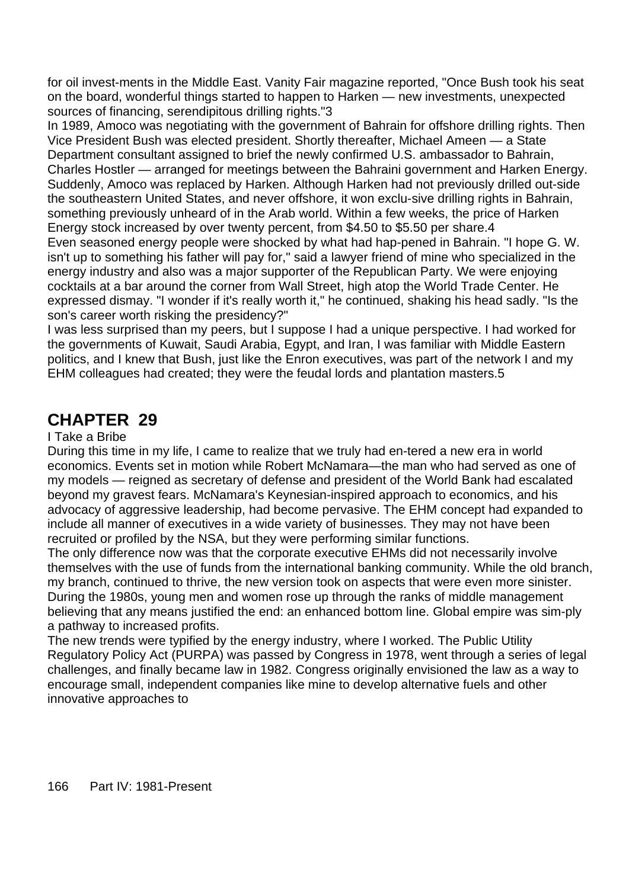for oil invest-ments in the Middle East. Vanity Fair magazine reported, "Once Bush took his seat on the board, wonderful things started to happen to Harken — new investments, unexpected sources of financing, serendipitous drilling rights."3

In 1989, Amoco was negotiating with the government of Bahrain for offshore drilling rights. Then Vice President Bush was elected president. Shortly thereafter, Michael Ameen — a State Department consultant assigned to brief the newly confirmed U.S. ambassador to Bahrain, Charles Hostler — arranged for meetings between the Bahraini government and Harken Energy. Suddenly, Amoco was replaced by Harken. Although Harken had not previously drilled out-side the southeastern United States, and never offshore, it won exclu-sive drilling rights in Bahrain, something previously unheard of in the Arab world. Within a few weeks, the price of Harken Energy stock increased by over twenty percent, from \$4.50 to \$5.50 per share.4 Even seasoned energy people were shocked by what had hap-pened in Bahrain. "I hope G. W. isn't up to something his father will pay for," said a lawyer friend of mine who specialized in the energy industry and also was a major supporter of the Republican Party. We were enjoying cocktails at a bar around the corner from Wall Street, high atop the World Trade Center. He expressed dismay. "I wonder if it's really worth it," he continued, shaking his head sadly. "Is the son's career worth risking the presidency?"

I was less surprised than my peers, but I suppose I had a unique perspective. I had worked for the governments of Kuwait, Saudi Arabia, Egypt, and Iran, I was familiar with Middle Eastern politics, and I knew that Bush, just like the Enron executives, was part of the network I and my EHM colleagues had created; they were the feudal lords and plantation masters.5

# **CHAPTER 29**

#### I Take a Bribe

During this time in my life, I came to realize that we truly had en-tered a new era in world economics. Events set in motion while Robert McNamara—the man who had served as one of my models — reigned as secretary of defense and president of the World Bank had escalated beyond my gravest fears. McNamara's Keynesian-inspired approach to economics, and his advocacy of aggressive leadership, had become pervasive. The EHM concept had expanded to include all manner of executives in a wide variety of businesses. They may not have been recruited or profiled by the NSA, but they were performing similar functions.

The only difference now was that the corporate executive EHMs did not necessarily involve themselves with the use of funds from the international banking community. While the old branch, my branch, continued to thrive, the new version took on aspects that were even more sinister. During the 1980s, young men and women rose up through the ranks of middle management believing that any means justified the end: an enhanced bottom line. Global empire was sim-ply a pathway to increased profits.

The new trends were typified by the energy industry, where I worked. The Public Utility Regulatory Policy Act (PURPA) was passed by Congress in 1978, went through a series of legal challenges, and finally became law in 1982. Congress originally envisioned the law as a way to encourage small, independent companies like mine to develop alternative fuels and other innovative approaches to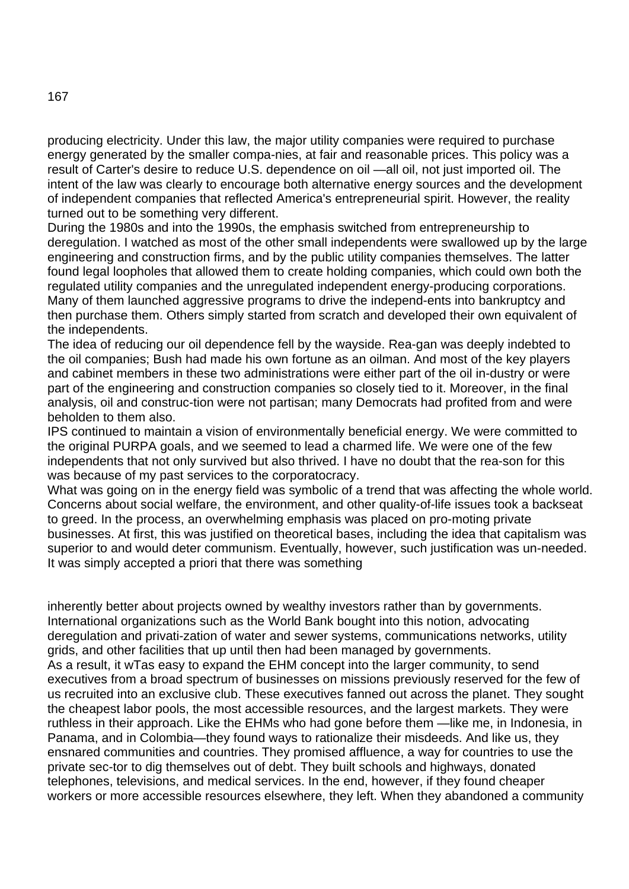producing electricity. Under this law, the major utility companies were required to purchase energy generated by the smaller compa-nies, at fair and reasonable prices. This policy was a result of Carter's desire to reduce U.S. dependence on oil —all oil, not just imported oil. The intent of the law was clearly to encourage both alternative energy sources and the development of independent companies that reflected America's entrepreneurial spirit. However, the reality turned out to be something very different.

During the 1980s and into the 1990s, the emphasis switched from entrepreneurship to deregulation. I watched as most of the other small independents were swallowed up by the large engineering and construction firms, and by the public utility companies themselves. The latter found legal loopholes that allowed them to create holding companies, which could own both the regulated utility companies and the unregulated independent energy-producing corporations. Many of them launched aggressive programs to drive the independ-ents into bankruptcy and then purchase them. Others simply started from scratch and developed their own equivalent of the independents.

The idea of reducing our oil dependence fell by the wayside. Rea-gan was deeply indebted to the oil companies; Bush had made his own fortune as an oilman. And most of the key players and cabinet members in these two administrations were either part of the oil in-dustry or were part of the engineering and construction companies so closely tied to it. Moreover, in the final analysis, oil and construc-tion were not partisan; many Democrats had profited from and were beholden to them also.

IPS continued to maintain a vision of environmentally beneficial energy. We were committed to the original PURPA goals, and we seemed to lead a charmed life. We were one of the few independents that not only survived but also thrived. I have no doubt that the rea-son for this was because of my past services to the corporatocracy.

What was going on in the energy field was symbolic of a trend that was affecting the whole world. Concerns about social welfare, the environment, and other quality-of-life issues took a backseat to greed. In the process, an overwhelming emphasis was placed on pro-moting private businesses. At first, this was justified on theoretical bases, including the idea that capitalism was superior to and would deter communism. Eventually, however, such justification was un-needed. It was simply accepted a priori that there was something

inherently better about projects owned by wealthy investors rather than by governments. International organizations such as the World Bank bought into this notion, advocating deregulation and privati-zation of water and sewer systems, communications networks, utility grids, and other facilities that up until then had been managed by governments. As a result, it wTas easy to expand the EHM concept into the larger community, to send executives from a broad spectrum of businesses on missions previously reserved for the few of us recruited into an exclusive club. These executives fanned out across the planet. They sought the cheapest labor pools, the most accessible resources, and the largest markets. They were ruthless in their approach. Like the EHMs who had gone before them —like me, in Indonesia, in Panama, and in Colombia—they found ways to rationalize their misdeeds. And like us, they ensnared communities and countries. They promised affluence, a way for countries to use the private sec-tor to dig themselves out of debt. They built schools and highways, donated telephones, televisions, and medical services. In the end, however, if they found cheaper workers or more accessible resources elsewhere, they left. When they abandoned a community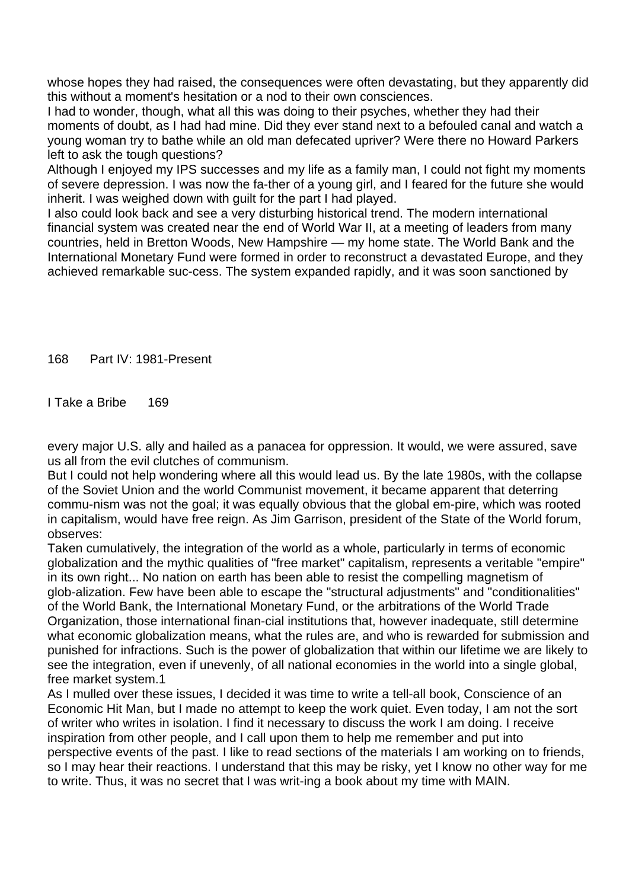whose hopes they had raised, the consequences were often devastating, but they apparently did this without a moment's hesitation or a nod to their own consciences.

I had to wonder, though, what all this was doing to their psyches, whether they had their moments of doubt, as I had had mine. Did they ever stand next to a befouled canal and watch a young woman try to bathe while an old man defecated upriver? Were there no Howard Parkers left to ask the tough questions?

Although I enjoyed my IPS successes and my life as a family man, I could not fight my moments of severe depression. I was now the fa-ther of a young girl, and I feared for the future she would inherit. I was weighed down with guilt for the part I had played.

I also could look back and see a very disturbing historical trend. The modern international financial system was created near the end of World War II, at a meeting of leaders from many countries, held in Bretton Woods, New Hampshire — my home state. The World Bank and the International Monetary Fund were formed in order to reconstruct a devastated Europe, and they achieved remarkable suc-cess. The system expanded rapidly, and it was soon sanctioned by

168 Part IV: 1981-Present

I Take a Bribe 169

every major U.S. ally and hailed as a panacea for oppression. It would, we were assured, save us all from the evil clutches of communism.

But I could not help wondering where all this would lead us. By the late 1980s, with the collapse of the Soviet Union and the world Communist movement, it became apparent that deterring commu-nism was not the goal; it was equally obvious that the global em-pire, which was rooted in capitalism, would have free reign. As Jim Garrison, president of the State of the World forum, observes:

Taken cumulatively, the integration of the world as a whole, particularly in terms of economic globalization and the mythic qualities of "free market" capitalism, represents a veritable "empire" in its own right... No nation on earth has been able to resist the compelling magnetism of glob-alization. Few have been able to escape the "structural adjustments" and "conditionalities" of the World Bank, the International Monetary Fund, or the arbitrations of the World Trade Organization, those international finan-cial institutions that, however inadequate, still determine what economic globalization means, what the rules are, and who is rewarded for submission and punished for infractions. Such is the power of globalization that within our lifetime we are likely to see the integration, even if unevenly, of all national economies in the world into a single global, free market system.1

As I mulled over these issues, I decided it was time to write a tell-all book, Conscience of an Economic Hit Man, but I made no attempt to keep the work quiet. Even today, I am not the sort of writer who writes in isolation. I find it necessary to discuss the work I am doing. I receive inspiration from other people, and I call upon them to help me remember and put into perspective events of the past. I like to read sections of the materials I am working on to friends, so I may hear their reactions. I understand that this may be risky, yet I know no other way for me to write. Thus, it was no secret that I was writ-ing a book about my time with MAIN.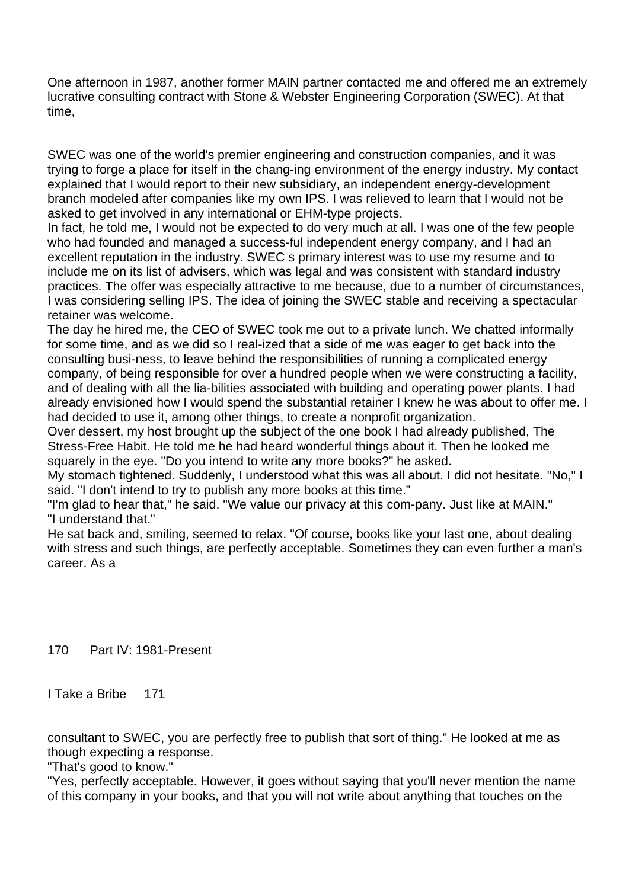One afternoon in 1987, another former MAIN partner contacted me and offered me an extremely lucrative consulting contract with Stone & Webster Engineering Corporation (SWEC). At that time,

SWEC was one of the world's premier engineering and construction companies, and it was trying to forge a place for itself in the chang-ing environment of the energy industry. My contact explained that I would report to their new subsidiary, an independent energy-development branch modeled after companies like my own IPS. I was relieved to learn that I would not be asked to get involved in any international or EHM-type projects.

In fact, he told me, I would not be expected to do very much at all. I was one of the few people who had founded and managed a success-ful independent energy company, and I had an excellent reputation in the industry. SWEC s primary interest was to use my resume and to include me on its list of advisers, which was legal and was consistent with standard industry practices. The offer was especially attractive to me because, due to a number of circumstances, I was considering selling IPS. The idea of joining the SWEC stable and receiving a spectacular retainer was welcome.

The day he hired me, the CEO of SWEC took me out to a private lunch. We chatted informally for some time, and as we did so I real-ized that a side of me was eager to get back into the consulting busi-ness, to leave behind the responsibilities of running a complicated energy company, of being responsible for over a hundred people when we were constructing a facility, and of dealing with all the lia-bilities associated with building and operating power plants. I had already envisioned how I would spend the substantial retainer I knew he was about to offer me. I had decided to use it, among other things, to create a nonprofit organization.

Over dessert, my host brought up the subject of the one book I had already published, The Stress-Free Habit. He told me he had heard wonderful things about it. Then he looked me squarely in the eye. "Do you intend to write any more books?" he asked.

My stomach tightened. Suddenly, I understood what this was all about. I did not hesitate. "No," I said. "I don't intend to try to publish any more books at this time."

"I'm glad to hear that," he said. "We value our privacy at this com-pany. Just like at MAIN." "I understand that."

He sat back and, smiling, seemed to relax. "Of course, books like your last one, about dealing with stress and such things, are perfectly acceptable. Sometimes they can even further a man's career. As a

170 Part IV: 1981-Present

I Take a Bribe 171

consultant to SWEC, you are perfectly free to publish that sort of thing." He looked at me as though expecting a response.

"That's good to know."

"Yes, perfectly acceptable. However, it goes without saying that you'll never mention the name of this company in your books, and that you will not write about anything that touches on the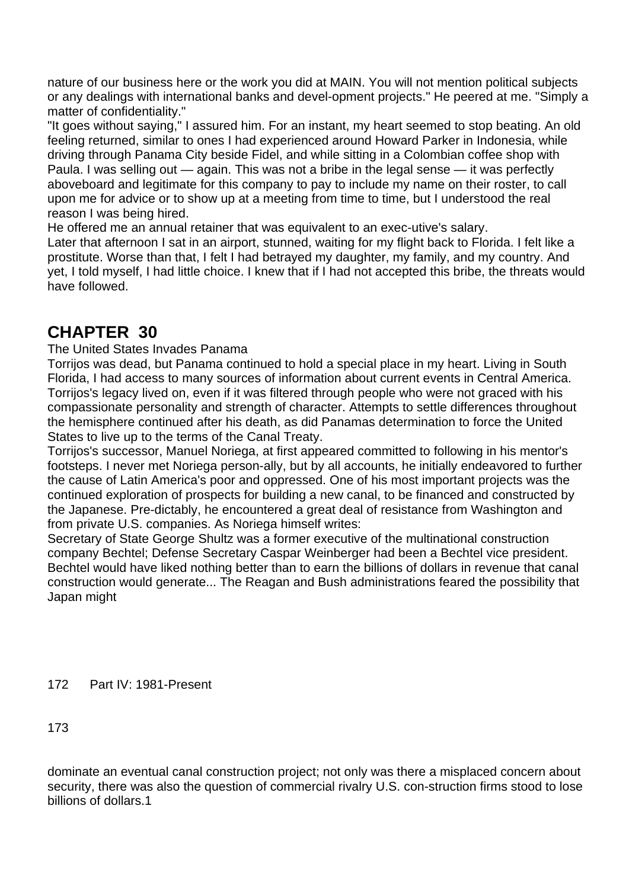nature of our business here or the work you did at MAIN. You will not mention political subjects or any dealings with international banks and devel-opment projects." He peered at me. "Simply a matter of confidentiality."

"It goes without saying," I assured him. For an instant, my heart seemed to stop beating. An old feeling returned, similar to ones I had experienced around Howard Parker in Indonesia, while driving through Panama City beside Fidel, and while sitting in a Colombian coffee shop with Paula. I was selling out — again. This was not a bribe in the legal sense — it was perfectly aboveboard and legitimate for this company to pay to include my name on their roster, to call upon me for advice or to show up at a meeting from time to time, but I understood the real reason I was being hired.

He offered me an annual retainer that was equivalent to an exec-utive's salary. Later that afternoon I sat in an airport, stunned, waiting for my flight back to Florida. I felt like a prostitute. Worse than that, I felt I had betrayed my daughter, my family, and my country. And yet, I told myself, I had little choice. I knew that if I had not accepted this bribe, the threats would have followed.

# **CHAPTER 30**

The United States Invades Panama

Torrijos was dead, but Panama continued to hold a special place in my heart. Living in South Florida, I had access to many sources of information about current events in Central America. Torrijos's legacy lived on, even if it was filtered through people who were not graced with his compassionate personality and strength of character. Attempts to settle differences throughout the hemisphere continued after his death, as did Panamas determination to force the United States to live up to the terms of the Canal Treaty.

Torrijos's successor, Manuel Noriega, at first appeared committed to following in his mentor's footsteps. I never met Noriega person-ally, but by all accounts, he initially endeavored to further the cause of Latin America's poor and oppressed. One of his most important projects was the continued exploration of prospects for building a new canal, to be financed and constructed by the Japanese. Pre-dictably, he encountered a great deal of resistance from Washington and from private U.S. companies. As Noriega himself writes:

Secretary of State George Shultz was a former executive of the multinational construction company Bechtel; Defense Secretary Caspar Weinberger had been a Bechtel vice president. Bechtel would have liked nothing better than to earn the billions of dollars in revenue that canal construction would generate... The Reagan and Bush administrations feared the possibility that Japan might

172 Part IV: 1981-Present

173

dominate an eventual canal construction project; not only was there a misplaced concern about security, there was also the question of commercial rivalry U.S. con-struction firms stood to lose billions of dollars.1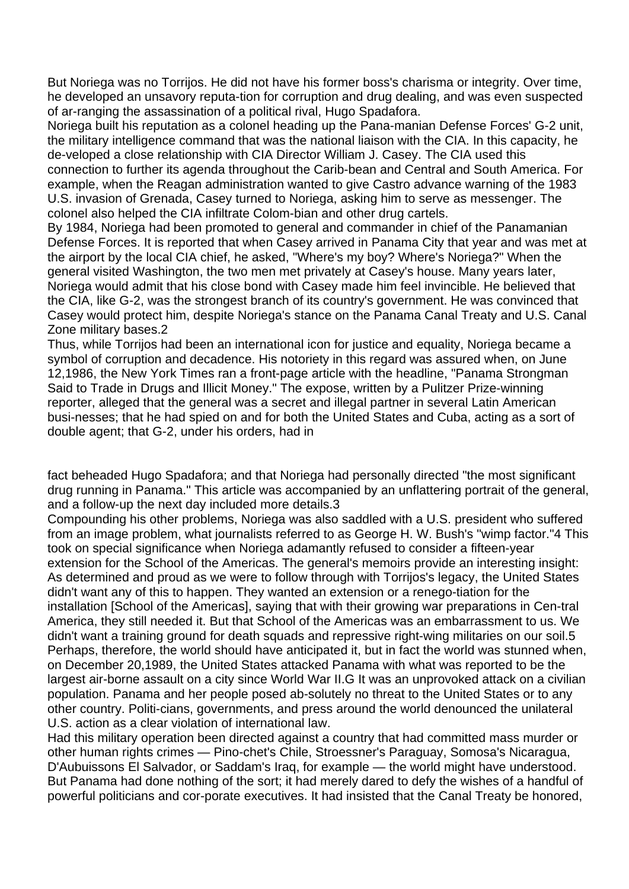But Noriega was no Torrijos. He did not have his former boss's charisma or integrity. Over time, he developed an unsavory reputa-tion for corruption and drug dealing, and was even suspected of ar-ranging the assassination of a political rival, Hugo Spadafora.

Noriega built his reputation as a colonel heading up the Pana-manian Defense Forces' G-2 unit, the military intelligence command that was the national liaison with the CIA. In this capacity, he de-veloped a close relationship with CIA Director William J. Casey. The CIA used this connection to further its agenda throughout the Carib-bean and Central and South America. For example, when the Reagan administration wanted to give Castro advance warning of the 1983 U.S. invasion of Grenada, Casey turned to Noriega, asking him to serve as messenger. The colonel also helped the CIA infiltrate Colom-bian and other drug cartels.

By 1984, Noriega had been promoted to general and commander in chief of the Panamanian Defense Forces. It is reported that when Casey arrived in Panama City that year and was met at the airport by the local CIA chief, he asked, "Where's my boy? Where's Noriega?" When the general visited Washington, the two men met privately at Casey's house. Many years later, Noriega would admit that his close bond with Casey made him feel invincible. He believed that the CIA, like G-2, was the strongest branch of its country's government. He was convinced that Casey would protect him, despite Noriega's stance on the Panama Canal Treaty and U.S. Canal Zone military bases.2

Thus, while Torrijos had been an international icon for justice and equality, Noriega became a symbol of corruption and decadence. His notoriety in this regard was assured when, on June 12,1986, the New York Times ran a front-page article with the headline, "Panama Strongman Said to Trade in Drugs and Illicit Money." The expose, written by a Pulitzer Prize-winning reporter, alleged that the general was a secret and illegal partner in several Latin American busi-nesses; that he had spied on and for both the United States and Cuba, acting as a sort of double agent; that G-2, under his orders, had in

fact beheaded Hugo Spadafora; and that Noriega had personally directed "the most significant drug running in Panama." This article was accompanied by an unflattering portrait of the general, and a follow-up the next day included more details.3

Compounding his other problems, Noriega was also saddled with a U.S. president who suffered from an image problem, what journalists referred to as George H. W. Bush's "wimp factor."4 This took on special significance when Noriega adamantly refused to consider a fifteen-year extension for the School of the Americas. The general's memoirs provide an interesting insight: As determined and proud as we were to follow through with Torrijos's legacy, the United States didn't want any of this to happen. They wanted an extension or a renego-tiation for the installation [School of the Americas], saying that with their growing war preparations in Cen-tral America, they still needed it. But that School of the Americas was an embarrassment to us. We didn't want a training ground for death squads and repressive right-wing militaries on our soil.5 Perhaps, therefore, the world should have anticipated it, but in fact the world was stunned when, on December 20,1989, the United States attacked Panama with what was reported to be the largest air-borne assault on a city since World War II.G It was an unprovoked attack on a civilian population. Panama and her people posed ab-solutely no threat to the United States or to any other country. Politi-cians, governments, and press around the world denounced the unilateral U.S. action as a clear violation of international law.

Had this military operation been directed against a country that had committed mass murder or other human rights crimes — Pino-chet's Chile, Stroessner's Paraguay, Somosa's Nicaragua, D'Aubuissons El Salvador, or Saddam's Iraq, for example — the world might have understood. But Panama had done nothing of the sort; it had merely dared to defy the wishes of a handful of powerful politicians and cor-porate executives. It had insisted that the Canal Treaty be honored,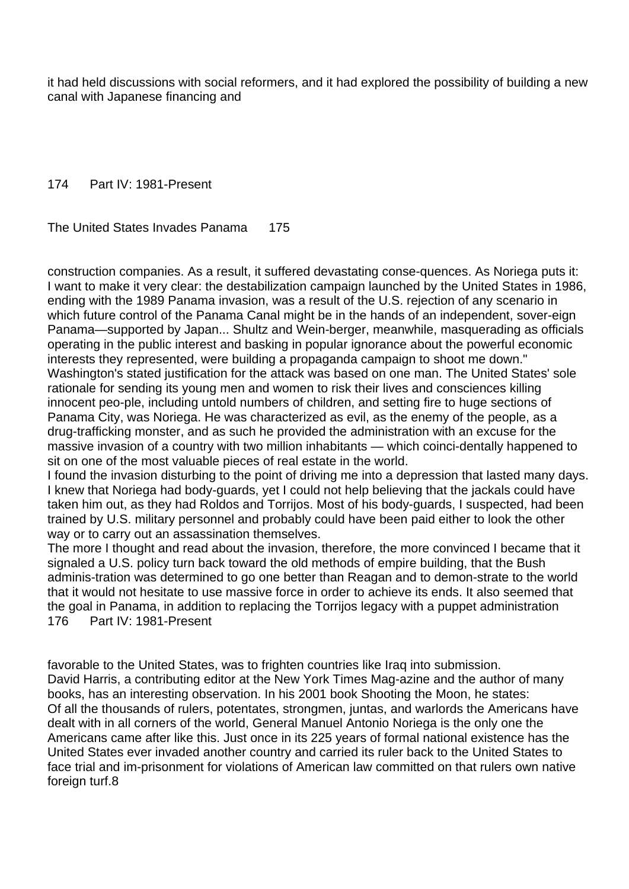it had held discussions with social reformers, and it had explored the possibility of building a new canal with Japanese financing and

### 174 Part IV: 1981-Present

The United States Invades Panama 175

construction companies. As a result, it suffered devastating conse-quences. As Noriega puts it: I want to make it very clear: the destabilization campaign launched by the United States in 1986, ending with the 1989 Panama invasion, was a result of the U.S. rejection of any scenario in which future control of the Panama Canal might be in the hands of an independent, sover-eign Panama—supported by Japan... Shultz and Wein-berger, meanwhile, masquerading as officials operating in the public interest and basking in popular ignorance about the powerful economic interests they represented, were building a propaganda campaign to shoot me down." Washington's stated justification for the attack was based on one man. The United States' sole rationale for sending its young men and women to risk their lives and consciences killing innocent peo-ple, including untold numbers of children, and setting fire to huge sections of Panama City, was Noriega. He was characterized as evil, as the enemy of the people, as a drug-trafficking monster, and as such he provided the administration with an excuse for the massive invasion of a country with two million inhabitants — which coinci-dentally happened to sit on one of the most valuable pieces of real estate in the world.

I found the invasion disturbing to the point of driving me into a depression that lasted many days. I knew that Noriega had body-guards, yet I could not help believing that the jackals could have taken him out, as they had Roldos and Torrijos. Most of his body-guards, I suspected, had been trained by U.S. military personnel and probably could have been paid either to look the other way or to carry out an assassination themselves.

The more I thought and read about the invasion, therefore, the more convinced I became that it signaled a U.S. policy turn back toward the old methods of empire building, that the Bush adminis-tration was determined to go one better than Reagan and to demon-strate to the world that it would not hesitate to use massive force in order to achieve its ends. It also seemed that the goal in Panama, in addition to replacing the Torrijos legacy with a puppet administration 176 Part IV: 1981-Present

favorable to the United States, was to frighten countries like Irag into submission. David Harris, a contributing editor at the New York Times Mag-azine and the author of many books, has an interesting observation. In his 2001 book Shooting the Moon, he states: Of all the thousands of rulers, potentates, strongmen, juntas, and warlords the Americans have dealt with in all corners of the world, General Manuel Antonio Noriega is the only one the Americans came after like this. Just once in its 225 years of formal national existence has the United States ever invaded another country and carried its ruler back to the United States to face trial and im-prisonment for violations of American law committed on that rulers own native foreign turf.8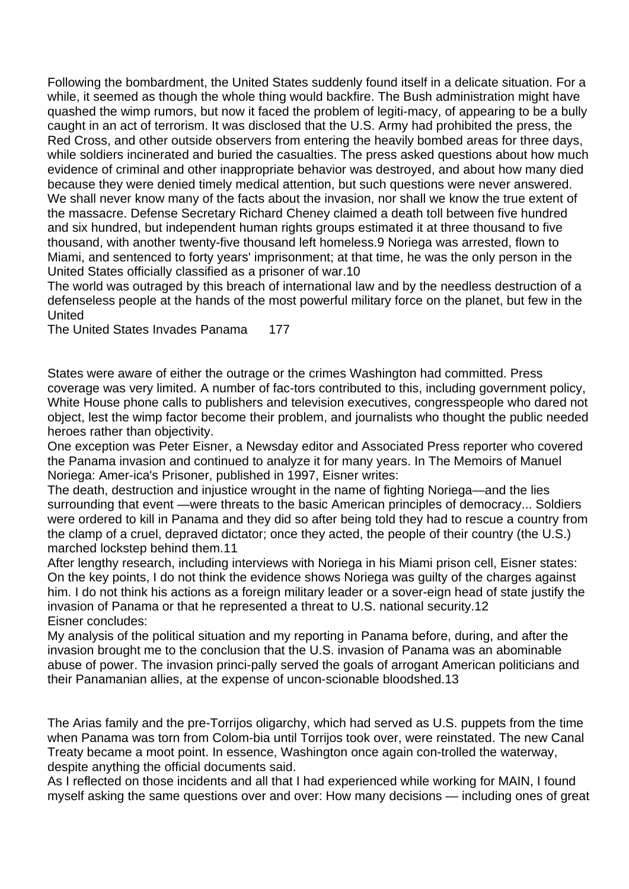Following the bombardment, the United States suddenly found itself in a delicate situation. For a while, it seemed as though the whole thing would backfire. The Bush administration might have quashed the wimp rumors, but now it faced the problem of legiti-macy, of appearing to be a bully caught in an act of terrorism. It was disclosed that the U.S. Army had prohibited the press, the Red Cross, and other outside observers from entering the heavily bombed areas for three days, while soldiers incinerated and buried the casualties. The press asked questions about how much evidence of criminal and other inappropriate behavior was destroyed, and about how many died because they were denied timely medical attention, but such questions were never answered. We shall never know many of the facts about the invasion, nor shall we know the true extent of the massacre. Defense Secretary Richard Cheney claimed a death toll between five hundred and six hundred, but independent human rights groups estimated it at three thousand to five thousand, with another twenty-five thousand left homeless.9 Noriega was arrested, flown to Miami, and sentenced to forty years' imprisonment; at that time, he was the only person in the United States officially classified as a prisoner of war.10

The world was outraged by this breach of international law and by the needless destruction of a defenseless people at the hands of the most powerful military force on the planet, but few in the **United** 

The United States Invades Panama 177

States were aware of either the outrage or the crimes Washington had committed. Press coverage was very limited. A number of fac-tors contributed to this, including government policy, White House phone calls to publishers and television executives, congresspeople who dared not object, lest the wimp factor become their problem, and journalists who thought the public needed heroes rather than objectivity.

One exception was Peter Eisner, a Newsday editor and Associated Press reporter who covered the Panama invasion and continued to analyze it for many years. In The Memoirs of Manuel Noriega: Amer-ica's Prisoner, published in 1997, Eisner writes:

The death, destruction and injustice wrought in the name of fighting Noriega—and the lies surrounding that event —were threats to the basic American principles of democracy... Soldiers were ordered to kill in Panama and they did so after being told they had to rescue a country from the clamp of a cruel, depraved dictator; once they acted, the people of their country (the U.S.) marched lockstep behind them.11

After lengthy research, including interviews with Noriega in his Miami prison cell, Eisner states: On the key points, I do not think the evidence shows Noriega was guilty of the charges against him. I do not think his actions as a foreign military leader or a sover-eign head of state justify the invasion of Panama or that he represented a threat to U.S. national security.12 Eisner concludes:

My analysis of the political situation and my reporting in Panama before, during, and after the invasion brought me to the conclusion that the U.S. invasion of Panama was an abominable abuse of power. The invasion princi-pally served the goals of arrogant American politicians and their Panamanian allies, at the expense of uncon-scionable bloodshed.13

The Arias family and the pre-Torrijos oligarchy, which had served as U.S. puppets from the time when Panama was torn from Colom-bia until Torrijos took over, were reinstated. The new Canal Treaty became a moot point. In essence, Washington once again con-trolled the waterway, despite anything the official documents said.

As I reflected on those incidents and all that I had experienced while working for MAIN, I found myself asking the same questions over and over: How many decisions — including ones of great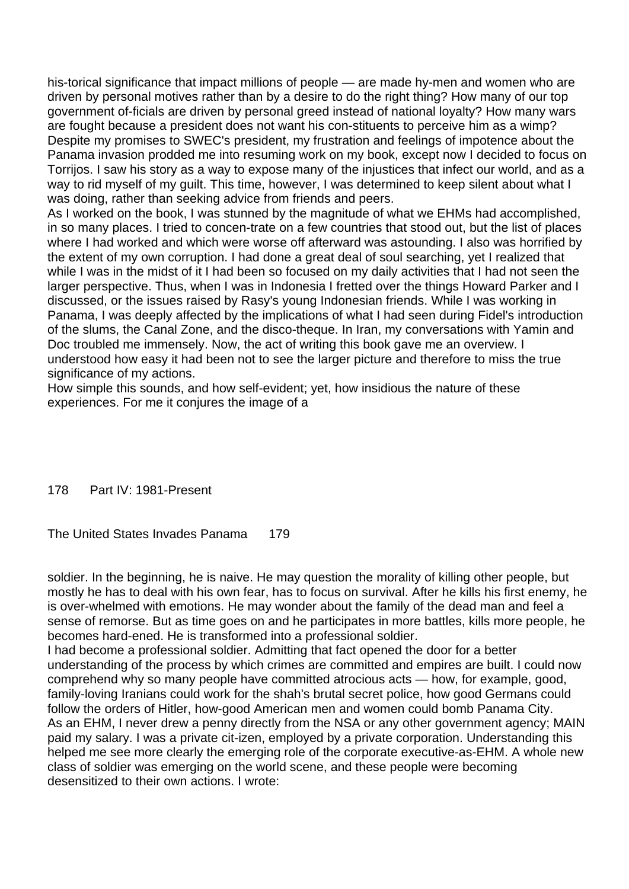his-torical significance that impact millions of people — are made hy-men and women who are driven by personal motives rather than by a desire to do the right thing? How many of our top government of-ficials are driven by personal greed instead of national loyalty? How many wars are fought because a president does not want his con-stituents to perceive him as a wimp? Despite my promises to SWEC's president, my frustration and feelings of impotence about the Panama invasion prodded me into resuming work on my book, except now I decided to focus on Torrijos. I saw his story as a way to expose many of the injustices that infect our world, and as a way to rid myself of my guilt. This time, however, I was determined to keep silent about what I was doing, rather than seeking advice from friends and peers.

As I worked on the book, I was stunned by the magnitude of what we EHMs had accomplished, in so many places. I tried to concen-trate on a few countries that stood out, but the list of places where I had worked and which were worse off afterward was astounding. I also was horrified by the extent of my own corruption. I had done a great deal of soul searching, yet I realized that while I was in the midst of it I had been so focused on my daily activities that I had not seen the larger perspective. Thus, when I was in Indonesia I fretted over the things Howard Parker and I discussed, or the issues raised by Rasy's young Indonesian friends. While I was working in Panama, I was deeply affected by the implications of what I had seen during Fidel's introduction of the slums, the Canal Zone, and the disco-theque. In Iran, my conversations with Yamin and Doc troubled me immensely. Now, the act of writing this book gave me an overview. I understood how easy it had been not to see the larger picture and therefore to miss the true significance of my actions.

How simple this sounds, and how self-evident; yet, how insidious the nature of these experiences. For me it conjures the image of a

178 Part IV: 1981-Present

The United States Invades Panama 179

soldier. In the beginning, he is naive. He may question the morality of killing other people, but mostly he has to deal with his own fear, has to focus on survival. After he kills his first enemy, he is over-whelmed with emotions. He may wonder about the family of the dead man and feel a sense of remorse. But as time goes on and he participates in more battles, kills more people, he becomes hard-ened. He is transformed into a professional soldier.

I had become a professional soldier. Admitting that fact opened the door for a better understanding of the process by which crimes are committed and empires are built. I could now comprehend why so many people have committed atrocious acts — how, for example, good, family-loving Iranians could work for the shah's brutal secret police, how good Germans could follow the orders of Hitler, how-good American men and women could bomb Panama City. As an EHM, I never drew a penny directly from the NSA or any other government agency; MAIN paid my salary. I was a private cit-izen, employed by a private corporation. Understanding this helped me see more clearly the emerging role of the corporate executive-as-EHM. A whole new class of soldier was emerging on the world scene, and these people were becoming desensitized to their own actions. I wrote: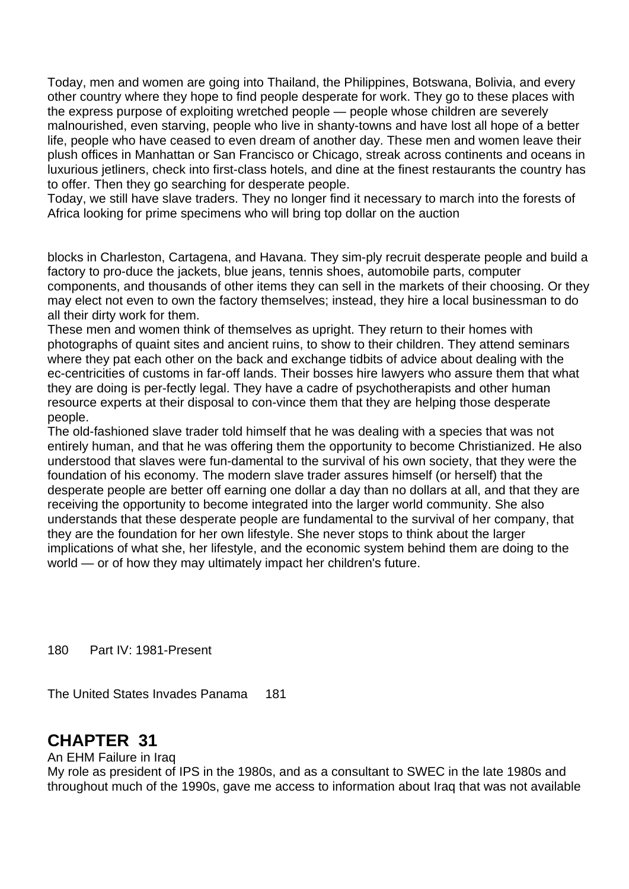Today, men and women are going into Thailand, the Philippines, Botswana, Bolivia, and every other country where they hope to find people desperate for work. They go to these places with the express purpose of exploiting wretched people — people whose children are severely malnourished, even starving, people who live in shanty-towns and have lost all hope of a better life, people who have ceased to even dream of another day. These men and women leave their plush offices in Manhattan or San Francisco or Chicago, streak across continents and oceans in luxurious jetliners, check into first-class hotels, and dine at the finest restaurants the country has to offer. Then they go searching for desperate people.

Today, we still have slave traders. They no longer find it necessary to march into the forests of Africa looking for prime specimens who will bring top dollar on the auction

blocks in Charleston, Cartagena, and Havana. They sim-ply recruit desperate people and build a factory to pro-duce the jackets, blue jeans, tennis shoes, automobile parts, computer components, and thousands of other items they can sell in the markets of their choosing. Or they may elect not even to own the factory themselves; instead, they hire a local businessman to do all their dirty work for them.

These men and women think of themselves as upright. They return to their homes with photographs of quaint sites and ancient ruins, to show to their children. They attend seminars where they pat each other on the back and exchange tidbits of advice about dealing with the ec-centricities of customs in far-off lands. Their bosses hire lawyers who assure them that what they are doing is per-fectly legal. They have a cadre of psychotherapists and other human resource experts at their disposal to con-vince them that they are helping those desperate people.

The old-fashioned slave trader told himself that he was dealing with a species that was not entirely human, and that he was offering them the opportunity to become Christianized. He also understood that slaves were fun-damental to the survival of his own society, that they were the foundation of his economy. The modern slave trader assures himself (or herself) that the desperate people are better off earning one dollar a day than no dollars at all, and that they are receiving the opportunity to become integrated into the larger world community. She also understands that these desperate people are fundamental to the survival of her company, that they are the foundation for her own lifestyle. She never stops to think about the larger implications of what she, her lifestyle, and the economic system behind them are doing to the world — or of how they may ultimately impact her children's future.

180 Part IV: 1981-Present

The United States Invades Panama 181

### **CHAPTER 31**

An EHM Failure in Iraq

My role as president of IPS in the 1980s, and as a consultant to SWEC in the late 1980s and throughout much of the 1990s, gave me access to information about Iraq that was not available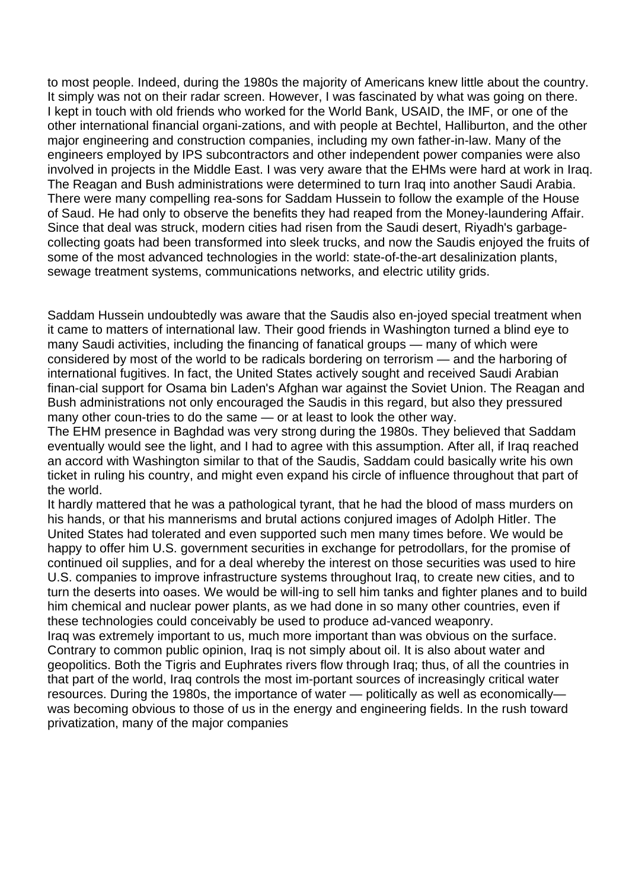to most people. Indeed, during the 1980s the majority of Americans knew little about the country. It simply was not on their radar screen. However, I was fascinated by what was going on there. I kept in touch with old friends who worked for the World Bank, USAID, the IMF, or one of the other international financial organi-zations, and with people at Bechtel, Halliburton, and the other major engineering and construction companies, including my own father-in-law. Many of the engineers employed by IPS subcontractors and other independent power companies were also involved in projects in the Middle East. I was very aware that the EHMs were hard at work in Iraq. The Reagan and Bush administrations were determined to turn Iraq into another Saudi Arabia. There were many compelling rea-sons for Saddam Hussein to follow the example of the House of Saud. He had only to observe the benefits they had reaped from the Money-laundering Affair. Since that deal was struck, modern cities had risen from the Saudi desert, Riyadh's garbagecollecting goats had been transformed into sleek trucks, and now the Saudis enjoyed the fruits of some of the most advanced technologies in the world: state-of-the-art desalinization plants, sewage treatment systems, communications networks, and electric utility grids.

Saddam Hussein undoubtedly was aware that the Saudis also en-joyed special treatment when it came to matters of international law. Their good friends in Washington turned a blind eye to many Saudi activities, including the financing of fanatical groups — many of which were considered by most of the world to be radicals bordering on terrorism — and the harboring of international fugitives. In fact, the United States actively sought and received Saudi Arabian finan-cial support for Osama bin Laden's Afghan war against the Soviet Union. The Reagan and Bush administrations not only encouraged the Saudis in this regard, but also they pressured many other coun-tries to do the same — or at least to look the other way.

The EHM presence in Baghdad was very strong during the 1980s. They believed that Saddam eventually would see the light, and I had to agree with this assumption. After all, if Iraq reached an accord with Washington similar to that of the Saudis, Saddam could basically write his own ticket in ruling his country, and might even expand his circle of influence throughout that part of the world.

It hardly mattered that he was a pathological tyrant, that he had the blood of mass murders on his hands, or that his mannerisms and brutal actions conjured images of Adolph Hitler. The United States had tolerated and even supported such men many times before. We would be happy to offer him U.S. government securities in exchange for petrodollars, for the promise of continued oil supplies, and for a deal whereby the interest on those securities was used to hire U.S. companies to improve infrastructure systems throughout Iraq, to create new cities, and to turn the deserts into oases. We would be will-ing to sell him tanks and fighter planes and to build him chemical and nuclear power plants, as we had done in so many other countries, even if these technologies could conceivably be used to produce ad-vanced weaponry.

Iraq was extremely important to us, much more important than was obvious on the surface. Contrary to common public opinion, Iraq is not simply about oil. It is also about water and geopolitics. Both the Tigris and Euphrates rivers flow through Iraq; thus, of all the countries in that part of the world, Iraq controls the most im-portant sources of increasingly critical water resources. During the 1980s, the importance of water — politically as well as economically was becoming obvious to those of us in the energy and engineering fields. In the rush toward privatization, many of the major companies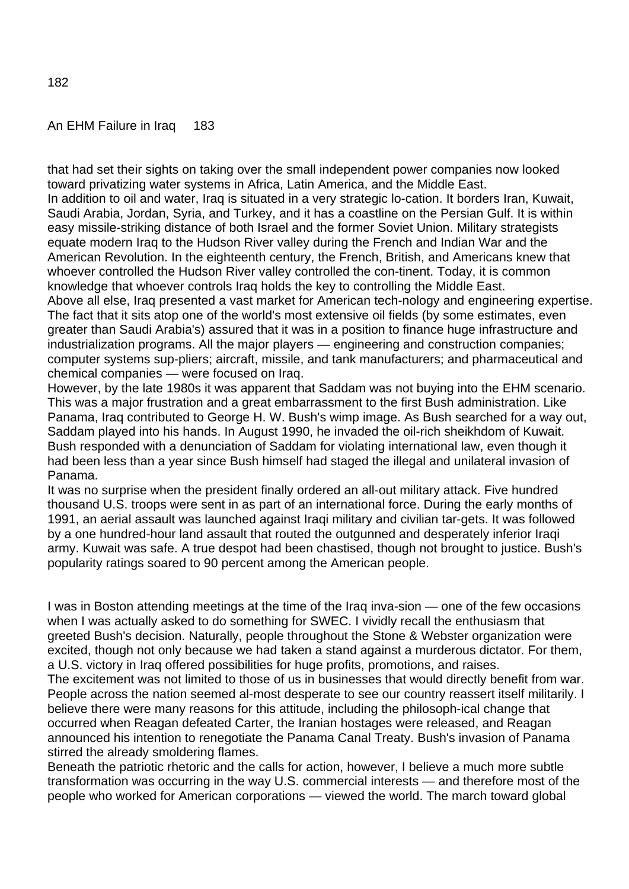An EHM Failure in Iraq 183

that had set their sights on taking over the small independent power companies now looked toward privatizing water systems in Africa, Latin America, and the Middle East. In addition to oil and water, Iraq is situated in a very strategic lo-cation. It borders Iran, Kuwait, Saudi Arabia, Jordan, Syria, and Turkey, and it has a coastline on the Persian Gulf. It is within easy missile-striking distance of both Israel and the former Soviet Union. Military strategists equate modern Iraq to the Hudson River valley during the French and Indian War and the American Revolution. In the eighteenth century, the French, British, and Americans knew that whoever controlled the Hudson River valley controlled the con-tinent. Today, it is common knowledge that whoever controls Iraq holds the key to controlling the Middle East. Above all else, Iraq presented a vast market for American tech-nology and engineering expertise. The fact that it sits atop one of the world's most extensive oil fields (by some estimates, even greater than Saudi Arabia's) assured that it was in a position to finance huge infrastructure and industrialization programs. All the major players — engineering and construction companies; computer systems sup-pliers; aircraft, missile, and tank manufacturers; and pharmaceutical and chemical companies — were focused on Iraq.

However, by the late 1980s it was apparent that Saddam was not buying into the EHM scenario. This was a major frustration and a great embarrassment to the first Bush administration. Like Panama, Iraq contributed to George H. W. Bush's wimp image. As Bush searched for a way out, Saddam played into his hands. In August 1990, he invaded the oil-rich sheikhdom of Kuwait. Bush responded with a denunciation of Saddam for violating international law, even though it had been less than a year since Bush himself had staged the illegal and unilateral invasion of Panama.

It was no surprise when the president finally ordered an all-out military attack. Five hundred thousand U.S. troops were sent in as part of an international force. During the early months of 1991, an aerial assault was launched against Iraqi military and civilian tar-gets. It was followed by a one hundred-hour land assault that routed the outgunned and desperately inferior Iraqi army. Kuwait was safe. A true despot had been chastised, though not brought to justice. Bush's popularity ratings soared to 90 percent among the American people.

I was in Boston attending meetings at the time of the Iraq inva-sion — one of the few occasions when I was actually asked to do something for SWEC. I vividly recall the enthusiasm that greeted Bush's decision. Naturally, people throughout the Stone & Webster organization were excited, though not only because we had taken a stand against a murderous dictator. For them, a U.S. victory in Iraq offered possibilities for huge profits, promotions, and raises.

The excitement was not limited to those of us in businesses that would directly benefit from war. People across the nation seemed al-most desperate to see our country reassert itself militarily. I believe there were many reasons for this attitude, including the philosoph-ical change that occurred when Reagan defeated Carter, the Iranian hostages were released, and Reagan announced his intention to renegotiate the Panama Canal Treaty. Bush's invasion of Panama stirred the already smoldering flames.

Beneath the patriotic rhetoric and the calls for action, however, I believe a much more subtle transformation was occurring in the way U.S. commercial interests — and therefore most of the people who worked for American corporations — viewed the world. The march toward global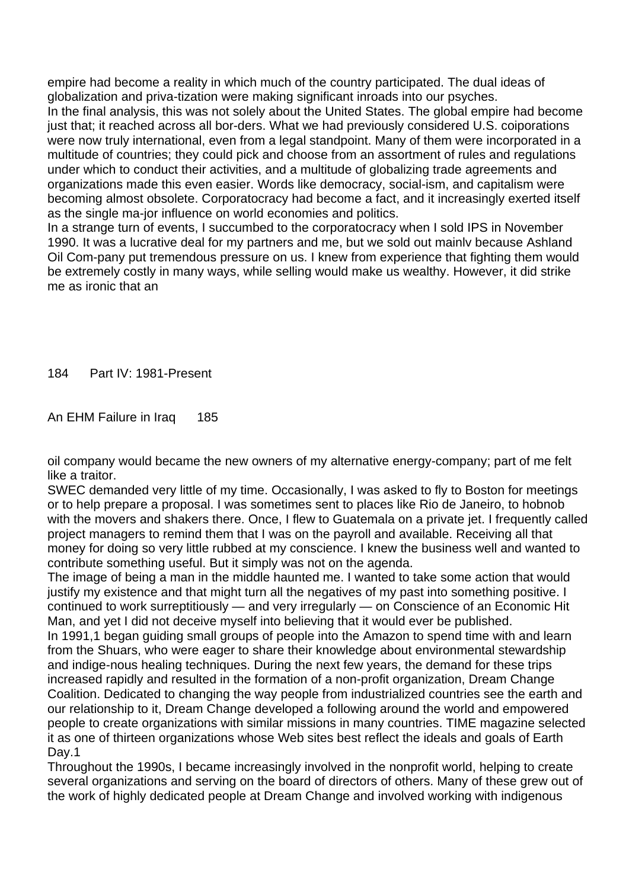empire had become a reality in which much of the country participated. The dual ideas of globalization and priva-tization were making significant inroads into our psyches. In the final analysis, this was not solely about the United States. The global empire had become just that; it reached across all bor-ders. What we had previously considered U.S. coiporations were now truly international, even from a legal standpoint. Many of them were incorporated in a multitude of countries; they could pick and choose from an assortment of rules and regulations under which to conduct their activities, and a multitude of globalizing trade agreements and organizations made this even easier. Words like democracy, social-ism, and capitalism were

becoming almost obsolete. Corporatocracy had become a fact, and it increasingly exerted itself as the single ma-jor influence on world economies and politics.

In a strange turn of events, I succumbed to the corporatocracy when I sold IPS in November 1990. It was a lucrative deal for my partners and me, but we sold out mainlv because Ashland Oil Com-pany put tremendous pressure on us. I knew from experience that fighting them would be extremely costly in many ways, while selling would make us wealthy. However, it did strike me as ironic that an

184 Part IV: 1981-Present

An EHM Failure in Iraq 185

oil company would became the new owners of my alternative energy-company; part of me felt like a traitor.

SWEC demanded very little of my time. Occasionally, I was asked to fly to Boston for meetings or to help prepare a proposal. I was sometimes sent to places like Rio de Janeiro, to hobnob with the movers and shakers there. Once, I flew to Guatemala on a private jet. I frequently called project managers to remind them that I was on the payroll and available. Receiving all that money for doing so very little rubbed at my conscience. I knew the business well and wanted to contribute something useful. But it simply was not on the agenda.

The image of being a man in the middle haunted me. I wanted to take some action that would justify my existence and that might turn all the negatives of my past into something positive. I continued to work surreptitiously — and very irregularly — on Conscience of an Economic Hit Man, and yet I did not deceive myself into believing that it would ever be published.

In 1991,1 began guiding small groups of people into the Amazon to spend time with and learn from the Shuars, who were eager to share their knowledge about environmental stewardship and indige-nous healing techniques. During the next few years, the demand for these trips increased rapidly and resulted in the formation of a non-profit organization, Dream Change Coalition. Dedicated to changing the way people from industrialized countries see the earth and our relationship to it, Dream Change developed a following around the world and empowered people to create organizations with similar missions in many countries. TIME magazine selected it as one of thirteen organizations whose Web sites best reflect the ideals and goals of Earth Dav.1

Throughout the 1990s, I became increasingly involved in the nonprofit world, helping to create several organizations and serving on the board of directors of others. Many of these grew out of the work of highly dedicated people at Dream Change and involved working with indigenous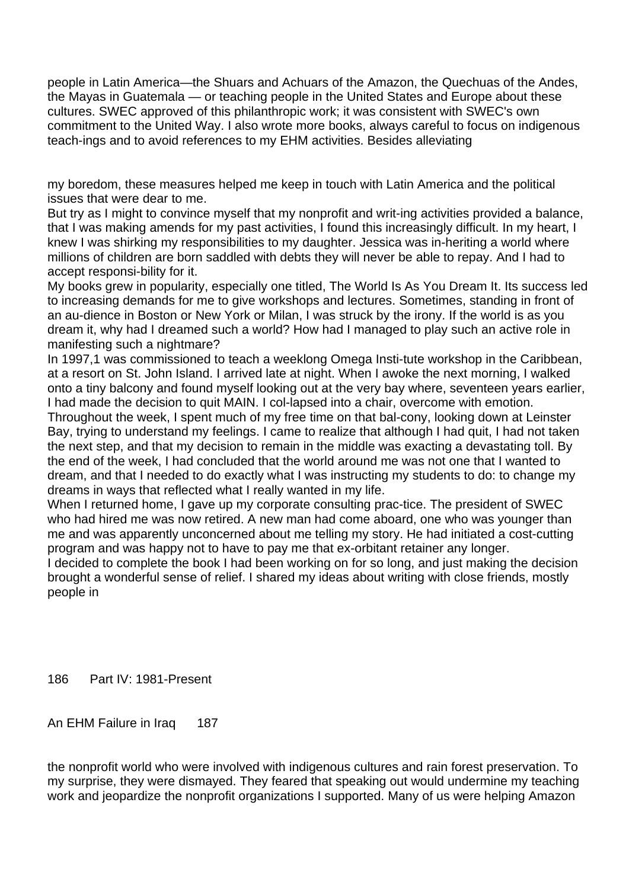people in Latin America—the Shuars and Achuars of the Amazon, the Quechuas of the Andes, the Mayas in Guatemala — or teaching people in the United States and Europe about these cultures. SWEC approved of this philanthropic work; it was consistent with SWEC's own commitment to the United Way. I also wrote more books, always careful to focus on indigenous teach-ings and to avoid references to my EHM activities. Besides alleviating

my boredom, these measures helped me keep in touch with Latin America and the political issues that were dear to me.

But try as I might to convince myself that my nonprofit and writ-ing activities provided a balance, that I was making amends for my past activities, I found this increasingly difficult. In my heart, I knew I was shirking my responsibilities to my daughter. Jessica was in-heriting a world where millions of children are born saddled with debts they will never be able to repay. And I had to accept responsi-bility for it.

My books grew in popularity, especially one titled, The World Is As You Dream It. Its success led to increasing demands for me to give workshops and lectures. Sometimes, standing in front of an au-dience in Boston or New York or Milan, I was struck by the irony. If the world is as you dream it, why had I dreamed such a world? How had I managed to play such an active role in manifesting such a nightmare?

In 1997,1 was commissioned to teach a weeklong Omega Insti-tute workshop in the Caribbean, at a resort on St. John Island. I arrived late at night. When I awoke the next morning, I walked onto a tiny balcony and found myself looking out at the very bay where, seventeen years earlier, I had made the decision to quit MAIN. I col-lapsed into a chair, overcome with emotion. Throughout the week, I spent much of my free time on that bal-cony, looking down at Leinster

Bay, trying to understand my feelings. I came to realize that although I had quit, I had not taken the next step, and that my decision to remain in the middle was exacting a devastating toll. By the end of the week, I had concluded that the world around me was not one that I wanted to dream, and that I needed to do exactly what I was instructing my students to do: to change my dreams in ways that reflected what I really wanted in my life.

When I returned home, I gave up my corporate consulting prac-tice. The president of SWEC who had hired me was now retired. A new man had come aboard, one who was younger than me and was apparently unconcerned about me telling my story. He had initiated a cost-cutting program and was happy not to have to pay me that ex-orbitant retainer any longer.

I decided to complete the book I had been working on for so long, and just making the decision brought a wonderful sense of relief. I shared my ideas about writing with close friends, mostly people in

186 Part IV: 1981-Present

An EHM Failure in Iraq 187

the nonprofit world who were involved with indigenous cultures and rain forest preservation. To my surprise, they were dismayed. They feared that speaking out would undermine my teaching work and jeopardize the nonprofit organizations I supported. Many of us were helping Amazon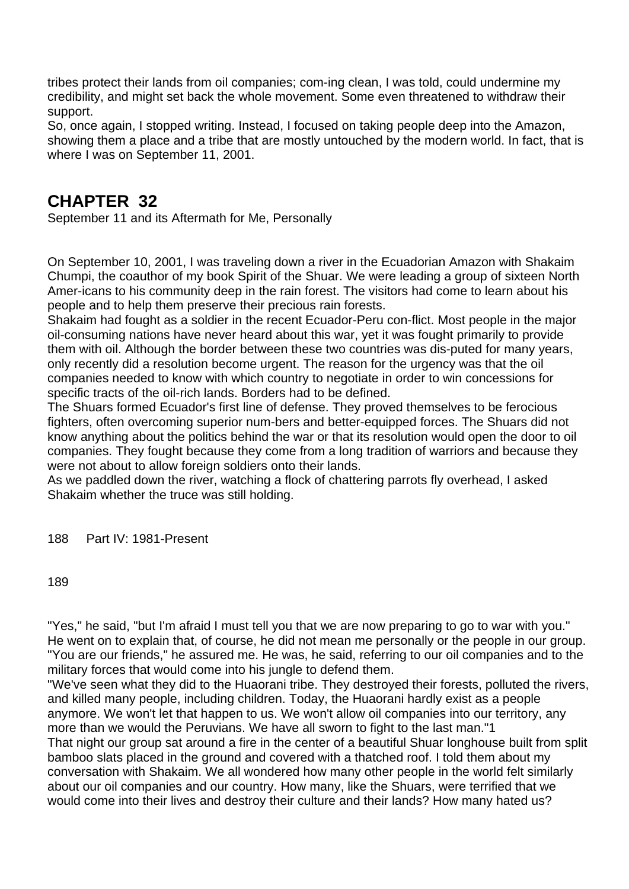tribes protect their lands from oil companies; com-ing clean, I was told, could undermine my credibility, and might set back the whole movement. Some even threatened to withdraw their support.

So, once again, I stopped writing. Instead, I focused on taking people deep into the Amazon, showing them a place and a tribe that are mostly untouched by the modern world. In fact, that is where I was on September 11, 2001.

## **CHAPTER 32**

September 11 and its Aftermath for Me, Personally

On September 10, 2001, I was traveling down a river in the Ecuadorian Amazon with Shakaim Chumpi, the coauthor of my book Spirit of the Shuar. We were leading a group of sixteen North Amer-icans to his community deep in the rain forest. The visitors had come to learn about his people and to help them preserve their precious rain forests.

Shakaim had fought as a soldier in the recent Ecuador-Peru con-flict. Most people in the major oil-consuming nations have never heard about this war, yet it was fought primarily to provide them with oil. Although the border between these two countries was dis-puted for many years, only recently did a resolution become urgent. The reason for the urgency was that the oil companies needed to know with which country to negotiate in order to win concessions for specific tracts of the oil-rich lands. Borders had to be defined.

The Shuars formed Ecuador's first line of defense. They proved themselves to be ferocious fighters, often overcoming superior num-bers and better-equipped forces. The Shuars did not know anything about the politics behind the war or that its resolution would open the door to oil companies. They fought because they come from a long tradition of warriors and because they were not about to allow foreign soldiers onto their lands.

As we paddled down the river, watching a flock of chattering parrots fly overhead, I asked Shakaim whether the truce was still holding.

188 Part IV: 1981-Present

189

"Yes," he said, "but I'm afraid I must tell you that we are now preparing to go to war with you." He went on to explain that, of course, he did not mean me personally or the people in our group. "You are our friends," he assured me. He was, he said, referring to our oil companies and to the military forces that would come into his jungle to defend them.

"We've seen what they did to the Huaorani tribe. They destroyed their forests, polluted the rivers, and killed many people, including children. Today, the Huaorani hardly exist as a people anymore. We won't let that happen to us. We won't allow oil companies into our territory, any more than we would the Peruvians. We have all sworn to fight to the last man."1

That night our group sat around a fire in the center of a beautiful Shuar longhouse built from split bamboo slats placed in the ground and covered with a thatched roof. I told them about my conversation with Shakaim. We all wondered how many other people in the world felt similarly about our oil companies and our country. How many, like the Shuars, were terrified that we would come into their lives and destroy their culture and their lands? How many hated us?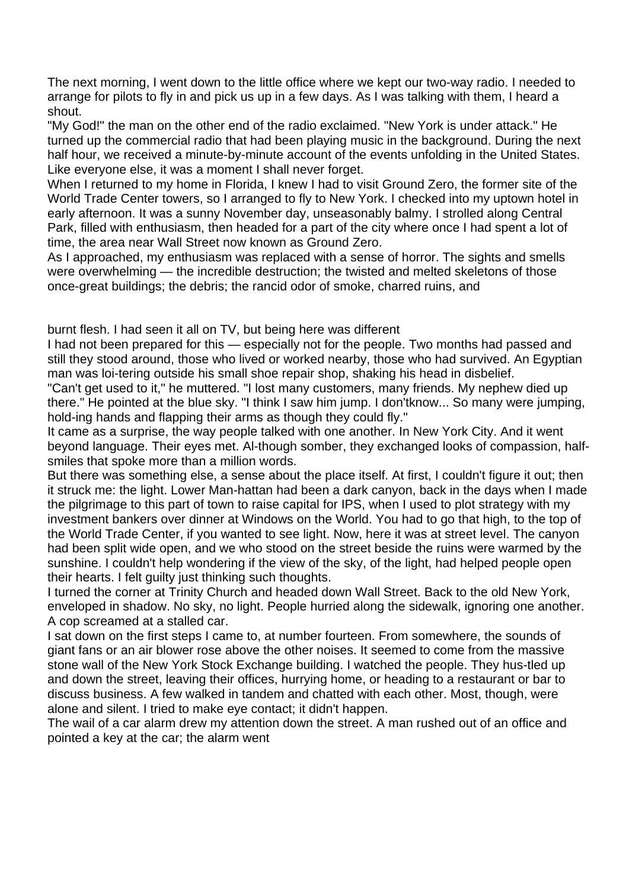The next morning, I went down to the little office where we kept our two-way radio. I needed to arrange for pilots to fly in and pick us up in a few days. As I was talking with them, I heard a shout.

"My God!" the man on the other end of the radio exclaimed. "New York is under attack." He turned up the commercial radio that had been playing music in the background. During the next half hour, we received a minute-by-minute account of the events unfolding in the United States. Like everyone else, it was a moment I shall never forget.

When I returned to my home in Florida, I knew I had to visit Ground Zero, the former site of the World Trade Center towers, so I arranged to fly to New York. I checked into my uptown hotel in early afternoon. It was a sunny November day, unseasonably balmy. I strolled along Central Park, filled with enthusiasm, then headed for a part of the city where once I had spent a lot of time, the area near Wall Street now known as Ground Zero.

As I approached, my enthusiasm was replaced with a sense of horror. The sights and smells were overwhelming — the incredible destruction; the twisted and melted skeletons of those once-great buildings; the debris; the rancid odor of smoke, charred ruins, and

burnt flesh. I had seen it all on TV, but being here was different

I had not been prepared for this — especially not for the people. Two months had passed and still they stood around, those who lived or worked nearby, those who had survived. An Egyptian man was loi-tering outside his small shoe repair shop, shaking his head in disbelief.

"Can't get used to it," he muttered. "I lost many customers, many friends. My nephew died up there." He pointed at the blue sky. "I think I saw him jump. I don'tknow... So many were jumping, hold-ing hands and flapping their arms as though they could fly."

It came as a surprise, the way people talked with one another. In New York City. And it went beyond language. Their eyes met. Al-though somber, they exchanged looks of compassion, halfsmiles that spoke more than a million words.

But there was something else, a sense about the place itself. At first, I couldn't figure it out; then it struck me: the light. Lower Man-hattan had been a dark canyon, back in the days when I made the pilgrimage to this part of town to raise capital for IPS, when I used to plot strategy with my investment bankers over dinner at Windows on the World. You had to go that high, to the top of the World Trade Center, if you wanted to see light. Now, here it was at street level. The canyon had been split wide open, and we who stood on the street beside the ruins were warmed by the sunshine. I couldn't help wondering if the view of the sky, of the light, had helped people open their hearts. I felt guilty just thinking such thoughts.

I turned the corner at Trinity Church and headed down Wall Street. Back to the old New York, enveloped in shadow. No sky, no light. People hurried along the sidewalk, ignoring one another. A cop screamed at a stalled car.

I sat down on the first steps I came to, at number fourteen. From somewhere, the sounds of giant fans or an air blower rose above the other noises. It seemed to come from the massive stone wall of the New York Stock Exchange building. I watched the people. They hus-tled up and down the street, leaving their offices, hurrying home, or heading to a restaurant or bar to discuss business. A few walked in tandem and chatted with each other. Most, though, were alone and silent. I tried to make eye contact; it didn't happen.

The wail of a car alarm drew my attention down the street. A man rushed out of an office and pointed a key at the car; the alarm went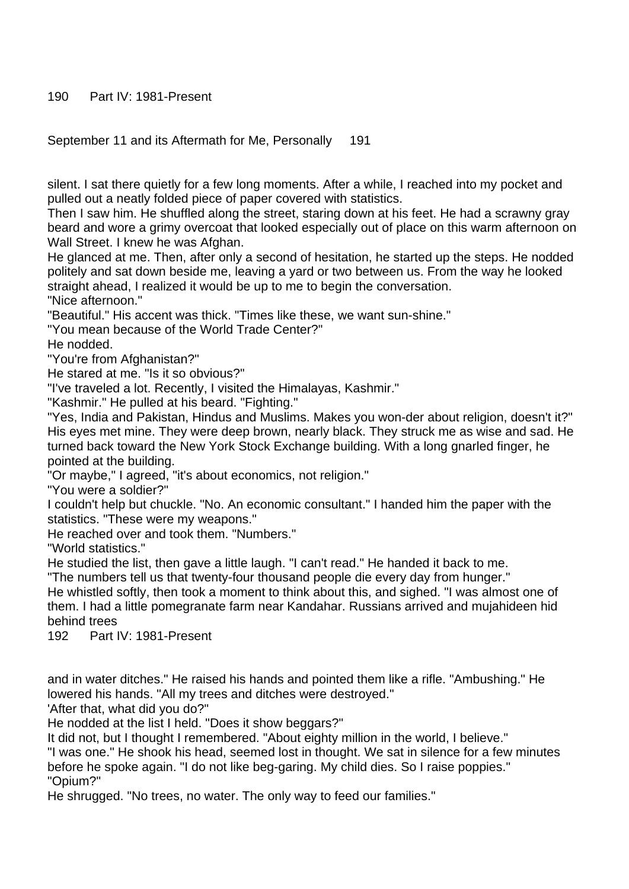#### 190 Part IV: 1981-Present

September 11 and its Aftermath for Me, Personally 191

silent. I sat there quietly for a few long moments. After a while, I reached into my pocket and pulled out a neatly folded piece of paper covered with statistics.

Then I saw him. He shuffled along the street, staring down at his feet. He had a scrawny gray beard and wore a grimy overcoat that looked especially out of place on this warm afternoon on Wall Street. I knew he was Afghan.

He glanced at me. Then, after only a second of hesitation, he started up the steps. He nodded politely and sat down beside me, leaving a yard or two between us. From the way he looked straight ahead, I realized it would be up to me to begin the conversation.

"Nice afternoon."

"Beautiful." His accent was thick. "Times like these, we want sun-shine."

"You mean because of the World Trade Center?"

He nodded.

"You're from Afghanistan?"

He stared at me. "Is it so obvious?"

"I've traveled a lot. Recently, I visited the Himalayas, Kashmir."

"Kashmir." He pulled at his beard. "Fighting."

"Yes, India and Pakistan, Hindus and Muslims. Makes you won-der about religion, doesn't it?" His eyes met mine. They were deep brown, nearly black. They struck me as wise and sad. He turned back toward the New York Stock Exchange building. With a long gnarled finger, he pointed at the building.

"Or maybe," I agreed, "it's about economics, not religion."

"You were a soldier?"

I couldn't help but chuckle. "No. An economic consultant." I handed him the paper with the statistics. "These were my weapons."

He reached over and took them. "Numbers."

"World statistics."

He studied the list, then gave a little laugh. "I can't read." He handed it back to me.

"The numbers tell us that twenty-four thousand people die every day from hunger."

He whistled softly, then took a moment to think about this, and sighed. "I was almost one of them. I had a little pomegranate farm near Kandahar. Russians arrived and mujahideen hid behind trees

192 Part IV: 1981-Present

and in water ditches." He raised his hands and pointed them like a rifle. "Ambushing." He lowered his hands. "All my trees and ditches were destroyed."

'After that, what did you do?"

He nodded at the list I held. "Does it show beggars?"

It did not, but I thought I remembered. "About eighty million in the world, I believe."

"I was one." He shook his head, seemed lost in thought. We sat in silence for a few minutes before he spoke again. "I do not like beg-garing. My child dies. So I raise poppies." "Opium?"

He shrugged. "No trees, no water. The only way to feed our families."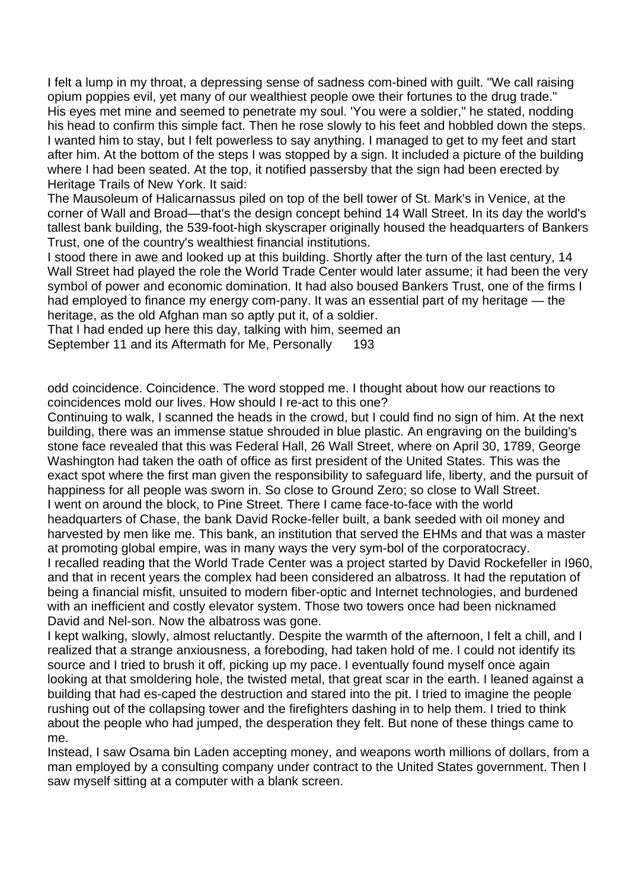I felt a lump in my throat, a depressing sense of sadness com-bined with guilt. "We call raising opium poppies evil, yet many of our wealthiest people owe their fortunes to the drug trade." His eyes met mine and seemed to penetrate my soul. 'You were a soldier," he stated, nodding his head to confirm this simple fact. Then he rose slowly to his feet and hobbled down the steps. I wanted him to stay, but I felt powerless to say anything. I managed to get to my feet and start after him. At the bottom of the steps I was stopped by a sign. It included a picture of the building where I had been seated. At the top, it notified passersby that the sign had been erected by Heritage Trails of New York. It said:

The Mausoleum of Halicarnassus piled on top of the bell tower of St. Mark's in Venice, at the corner of Wall and Broad—that's the design concept behind 14 Wall Street. In its day the world's tallest bank building, the 539-foot-high skyscraper originally housed the headquarters of Bankers Trust, one of the country's wealthiest financial institutions.

I stood there in awe and looked up at this building. Shortly after the turn of the last century, 14 Wall Street had played the role the World Trade Center would later assume; it had been the very symbol of power and economic domination. It had also boused Bankers Trust, one of the firms I had employed to finance my energy com-pany. It was an essential part of my heritage — the heritage, as the old Afghan man so aptly put it, of a soldier.

That I had ended up here this day, talking with him, seemed an

September 11 and its Aftermath for Me, Personally 193

odd coincidence. Coincidence. The word stopped me. I thought about how our reactions to coincidences mold our lives. How should I re-act to this one?

Continuing to walk, I scanned the heads in the crowd, but I could find no sign of him. At the next building, there was an immense statue shrouded in blue plastic. An engraving on the building's stone face revealed that this was Federal Hall, 26 Wall Street, where on April 30, 1789, George Washington had taken the oath of office as first president of the United States. This was the exact spot where the first man given the responsibility to safeguard life, liberty, and the pursuit of happiness for all people was sworn in. So close to Ground Zero; so close to Wall Street. I went on around the block, to Pine Street. There I came face-to-face with the world headquarters of Chase, the bank David Rocke-feller built, a bank seeded with oil money and harvested by men like me. This bank, an institution that served the EHMs and that was a master at promoting global empire, was in many ways the very sym-bol of the corporatocracy. I recalled reading that the World Trade Center was a project started by David Rockefeller in I960, and that in recent years the complex had been considered an albatross. It had the reputation of being a financial misfit, unsuited to modern fiber-optic and Internet technologies, and burdened with an inefficient and costly elevator system. Those two towers once had been nicknamed David and Nel-son. Now the albatross was gone.

I kept walking, slowly, almost reluctantly. Despite the warmth of the afternoon, I felt a chill, and I realized that a strange anxiousness, a foreboding, had taken hold of me. I could not identify its source and I tried to brush it off, picking up my pace. I eventually found myself once again looking at that smoldering hole, the twisted metal, that great scar in the earth. I leaned against a building that had es-caped the destruction and stared into the pit. I tried to imagine the people rushing out of the collapsing tower and the firefighters dashing in to help them. I tried to think about the people who had jumped, the desperation they felt. But none of these things came to me.

Instead, I saw Osama bin Laden accepting money, and weapons worth millions of dollars, from a man employed by a consulting company under contract to the United States government. Then I saw myself sitting at a computer with a blank screen.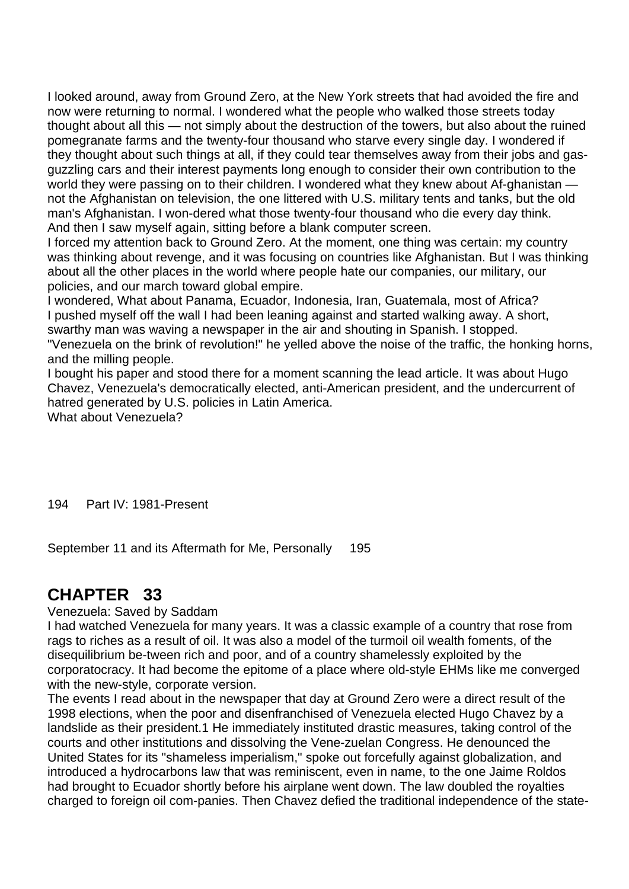I looked around, away from Ground Zero, at the New York streets that had avoided the fire and now were returning to normal. I wondered what the people who walked those streets today thought about all this — not simply about the destruction of the towers, but also about the ruined pomegranate farms and the twenty-four thousand who starve every single day. I wondered if they thought about such things at all, if they could tear themselves away from their jobs and gasguzzling cars and their interest payments long enough to consider their own contribution to the world they were passing on to their children. I wondered what they knew about Af-ghanistan not the Afghanistan on television, the one littered with U.S. military tents and tanks, but the old man's Afghanistan. I won-dered what those twenty-four thousand who die every day think. And then I saw myself again, sitting before a blank computer screen.

I forced my attention back to Ground Zero. At the moment, one thing was certain: my country was thinking about revenge, and it was focusing on countries like Afghanistan. But I was thinking about all the other places in the world where people hate our companies, our military, our policies, and our march toward global empire.

I wondered, What about Panama, Ecuador, Indonesia, Iran, Guatemala, most of Africa? I pushed myself off the wall I had been leaning against and started walking away. A short, swarthy man was waving a newspaper in the air and shouting in Spanish. I stopped.

"Venezuela on the brink of revolution!" he yelled above the noise of the traffic, the honking horns, and the milling people.

I bought his paper and stood there for a moment scanning the lead article. It was about Hugo Chavez, Venezuela's democratically elected, anti-American president, and the undercurrent of hatred generated by U.S. policies in Latin America.

What about Venezuela?

194 Part IV: 1981-Present

September 11 and its Aftermath for Me, Personally 195

### **CHAPTER 33**

Venezuela: Saved by Saddam

I had watched Venezuela for many years. It was a classic example of a country that rose from rags to riches as a result of oil. It was also a model of the turmoil oil wealth foments, of the disequilibrium be-tween rich and poor, and of a country shamelessly exploited by the corporatocracy. It had become the epitome of a place where old-style EHMs like me converged with the new-style, corporate version.

The events I read about in the newspaper that day at Ground Zero were a direct result of the 1998 elections, when the poor and disenfranchised of Venezuela elected Hugo Chavez by a landslide as their president.1 He immediately instituted drastic measures, taking control of the courts and other institutions and dissolving the Vene-zuelan Congress. He denounced the United States for its "shameless imperialism," spoke out forcefully against globalization, and introduced a hydrocarbons law that was reminiscent, even in name, to the one Jaime Roldos had brought to Ecuador shortly before his airplane went down. The law doubled the royalties charged to foreign oil com-panies. Then Chavez defied the traditional independence of the state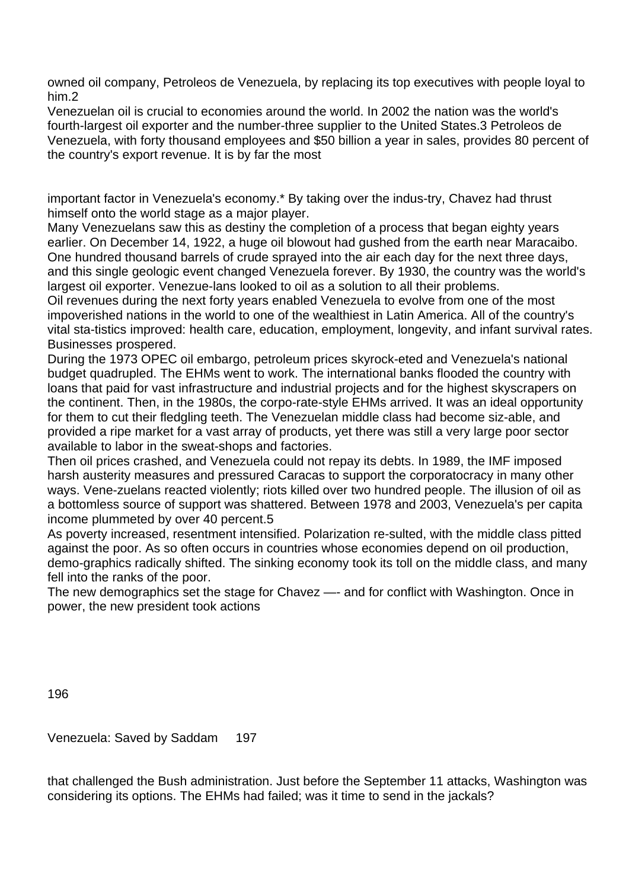owned oil company, Petroleos de Venezuela, by replacing its top executives with people loyal to him.2

Venezuelan oil is crucial to economies around the world. In 2002 the nation was the world's fourth-largest oil exporter and the number-three supplier to the United States.3 Petroleos de Venezuela, with forty thousand employees and \$50 billion a year in sales, provides 80 percent of the country's export revenue. It is by far the most

important factor in Venezuela's economy.\* By taking over the indus-try, Chavez had thrust himself onto the world stage as a major player.

Many Venezuelans saw this as destiny the completion of a process that began eighty years earlier. On December 14, 1922, a huge oil blowout had gushed from the earth near Maracaibo. One hundred thousand barrels of crude sprayed into the air each day for the next three days, and this single geologic event changed Venezuela forever. By 1930, the country was the world's largest oil exporter. Venezue-lans looked to oil as a solution to all their problems.

Oil revenues during the next forty years enabled Venezuela to evolve from one of the most impoverished nations in the world to one of the wealthiest in Latin America. All of the country's vital sta-tistics improved: health care, education, employment, longevity, and infant survival rates. Businesses prospered.

During the 1973 OPEC oil embargo, petroleum prices skyrock-eted and Venezuela's national budget quadrupled. The EHMs went to work. The international banks flooded the country with loans that paid for vast infrastructure and industrial projects and for the highest skyscrapers on the continent. Then, in the 1980s, the corpo-rate-style EHMs arrived. It was an ideal opportunity for them to cut their fledgling teeth. The Venezuelan middle class had become siz-able, and provided a ripe market for a vast array of products, yet there was still a very large poor sector available to labor in the sweat-shops and factories.

Then oil prices crashed, and Venezuela could not repay its debts. In 1989, the IMF imposed harsh austerity measures and pressured Caracas to support the corporatocracy in many other ways. Vene-zuelans reacted violently; riots killed over two hundred people. The illusion of oil as a bottomless source of support was shattered. Between 1978 and 2003, Venezuela's per capita income plummeted by over 40 percent.5

As poverty increased, resentment intensified. Polarization re-sulted, with the middle class pitted against the poor. As so often occurs in countries whose economies depend on oil production, demo-graphics radically shifted. The sinking economy took its toll on the middle class, and many fell into the ranks of the poor.

The new demographics set the stage for Chavez —- and for conflict with Washington. Once in power, the new president took actions

196

Venezuela: Saved by Saddam 197

that challenged the Bush administration. Just before the September 11 attacks, Washington was considering its options. The EHMs had failed; was it time to send in the jackals?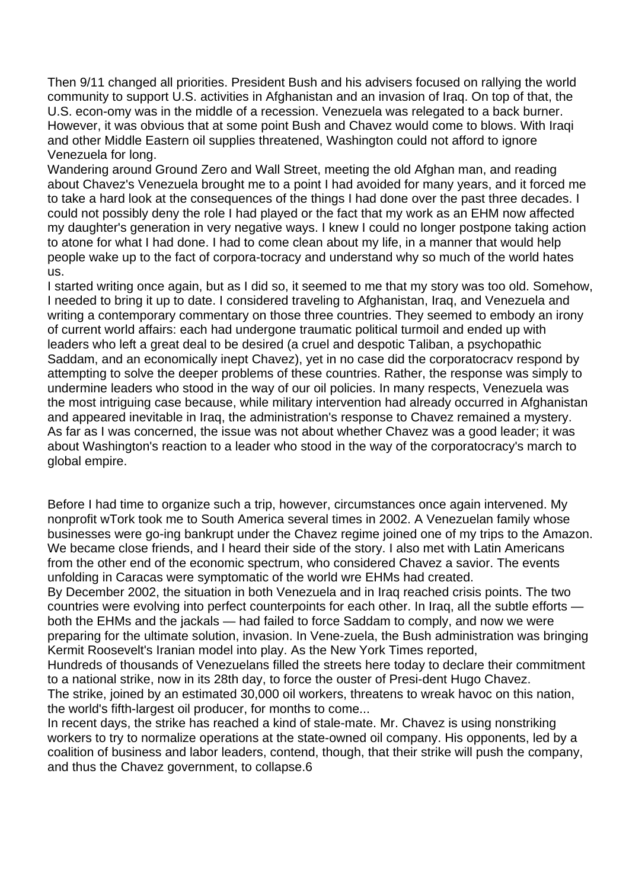Then 9/11 changed all priorities. President Bush and his advisers focused on rallying the world community to support U.S. activities in Afghanistan and an invasion of Iraq. On top of that, the U.S. econ-omy was in the middle of a recession. Venezuela was relegated to a back burner. However, it was obvious that at some point Bush and Chavez would come to blows. With Iraqi and other Middle Eastern oil supplies threatened, Washington could not afford to ignore Venezuela for long.

Wandering around Ground Zero and Wall Street, meeting the old Afghan man, and reading about Chavez's Venezuela brought me to a point I had avoided for many years, and it forced me to take a hard look at the consequences of the things I had done over the past three decades. I could not possibly deny the role I had played or the fact that my work as an EHM now affected my daughter's generation in very negative ways. I knew I could no longer postpone taking action to atone for what I had done. I had to come clean about my life, in a manner that would help people wake up to the fact of corpora-tocracy and understand why so much of the world hates us.

I started writing once again, but as I did so, it seemed to me that my story was too old. Somehow, I needed to bring it up to date. I considered traveling to Afghanistan, Iraq, and Venezuela and writing a contemporary commentary on those three countries. They seemed to embody an irony of current world affairs: each had undergone traumatic political turmoil and ended up with leaders who left a great deal to be desired (a cruel and despotic Taliban, a psychopathic Saddam, and an economically inept Chavez), yet in no case did the corporatocracv respond by attempting to solve the deeper problems of these countries. Rather, the response was simply to undermine leaders who stood in the way of our oil policies. In many respects, Venezuela was the most intriguing case because, while military intervention had already occurred in Afghanistan and appeared inevitable in Iraq, the administration's response to Chavez remained a mystery. As far as I was concerned, the issue was not about whether Chavez was a good leader; it was about Washington's reaction to a leader who stood in the way of the corporatocracy's march to global empire.

Before I had time to organize such a trip, however, circumstances once again intervened. My nonprofit wTork took me to South America several times in 2002. A Venezuelan family whose businesses were go-ing bankrupt under the Chavez regime joined one of my trips to the Amazon. We became close friends, and I heard their side of the story. I also met with Latin Americans from the other end of the economic spectrum, who considered Chavez a savior. The events unfolding in Caracas were symptomatic of the world wre EHMs had created.

By December 2002, the situation in both Venezuela and in Iraq reached crisis points. The two countries were evolving into perfect counterpoints for each other. In Iraq, all the subtle efforts both the EHMs and the jackals — had failed to force Saddam to comply, and now we were preparing for the ultimate solution, invasion. In Vene-zuela, the Bush administration was bringing Kermit Roosevelt's Iranian model into play. As the New York Times reported,

Hundreds of thousands of Venezuelans filled the streets here today to declare their commitment to a national strike, now in its 28th day, to force the ouster of Presi-dent Hugo Chavez. The strike, joined by an estimated 30,000 oil workers, threatens to wreak havoc on this nation, the world's fifth-largest oil producer, for months to come...

In recent days, the strike has reached a kind of stale-mate. Mr. Chavez is using nonstriking workers to try to normalize operations at the state-owned oil company. His opponents, led by a coalition of business and labor leaders, contend, though, that their strike will push the company, and thus the Chavez government, to collapse.6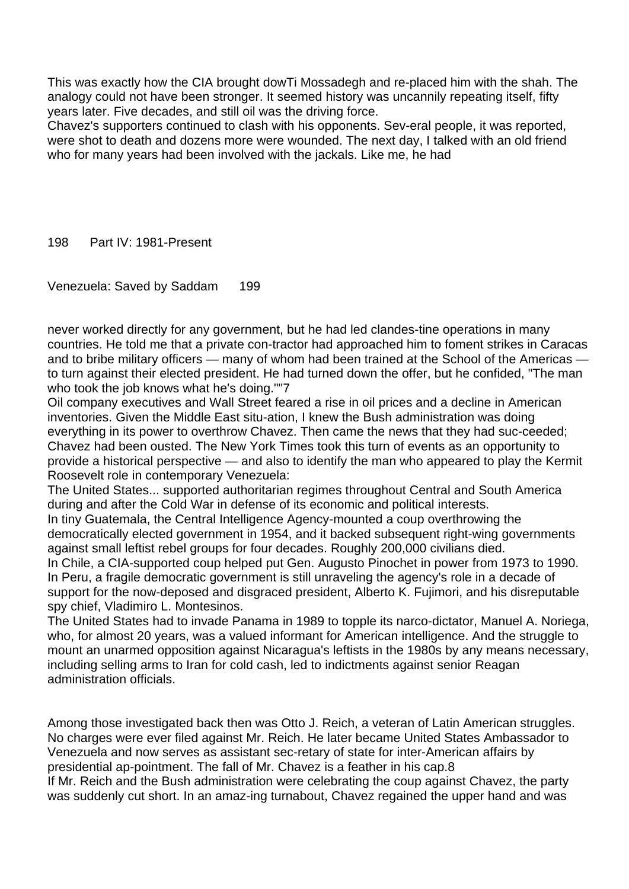This was exactly how the CIA brought dowTi Mossadegh and re-placed him with the shah. The analogy could not have been stronger. It seemed history was uncannily repeating itself, fifty years later. Five decades, and still oil was the driving force.

Chavez's supporters continued to clash with his opponents. Sev-eral people, it was reported, were shot to death and dozens more were wounded. The next day, I talked with an old friend who for many years had been involved with the jackals. Like me, he had

198 Part IV: 1981-Present

Venezuela: Saved by Saddam 199

never worked directly for any government, but he had led clandes-tine operations in many countries. He told me that a private con-tractor had approached him to foment strikes in Caracas and to bribe military officers — many of whom had been trained at the School of the Americas to turn against their elected president. He had turned down the offer, but he confided, "The man who took the job knows what he's doing.""7

Oil company executives and Wall Street feared a rise in oil prices and a decline in American inventories. Given the Middle East situ-ation, I knew the Bush administration was doing everything in its power to overthrow Chavez. Then came the news that they had suc-ceeded; Chavez had been ousted. The New York Times took this turn of events as an opportunity to provide a historical perspective — and also to identify the man who appeared to play the Kermit Roosevelt role in contemporary Venezuela:

The United States... supported authoritarian regimes throughout Central and South America during and after the Cold War in defense of its economic and political interests.

In tiny Guatemala, the Central Intelligence Agency-mounted a coup overthrowing the democratically elected government in 1954, and it backed subsequent right-wing governments against small leftist rebel groups for four decades. Roughly 200,000 civilians died.

In Chile, a CIA-supported coup helped put Gen. Augusto Pinochet in power from 1973 to 1990. In Peru, a fragile democratic government is still unraveling the agency's role in a decade of support for the now-deposed and disgraced president, Alberto K. Fujimori, and his disreputable spy chief, Vladimiro L. Montesinos.

The United States had to invade Panama in 1989 to topple its narco-dictator, Manuel A. Noriega, who, for almost 20 years, was a valued informant for American intelligence. And the struggle to mount an unarmed opposition against Nicaragua's leftists in the 1980s by any means necessary, including selling arms to Iran for cold cash, led to indictments against senior Reagan administration officials.

Among those investigated back then was Otto J. Reich, a veteran of Latin American struggles. No charges were ever filed against Mr. Reich. He later became United States Ambassador to Venezuela and now serves as assistant sec-retary of state for inter-American affairs by presidential ap-pointment. The fall of Mr. Chavez is a feather in his cap.8

If Mr. Reich and the Bush administration were celebrating the coup against Chavez, the party was suddenly cut short. In an amaz-ing turnabout, Chavez regained the upper hand and was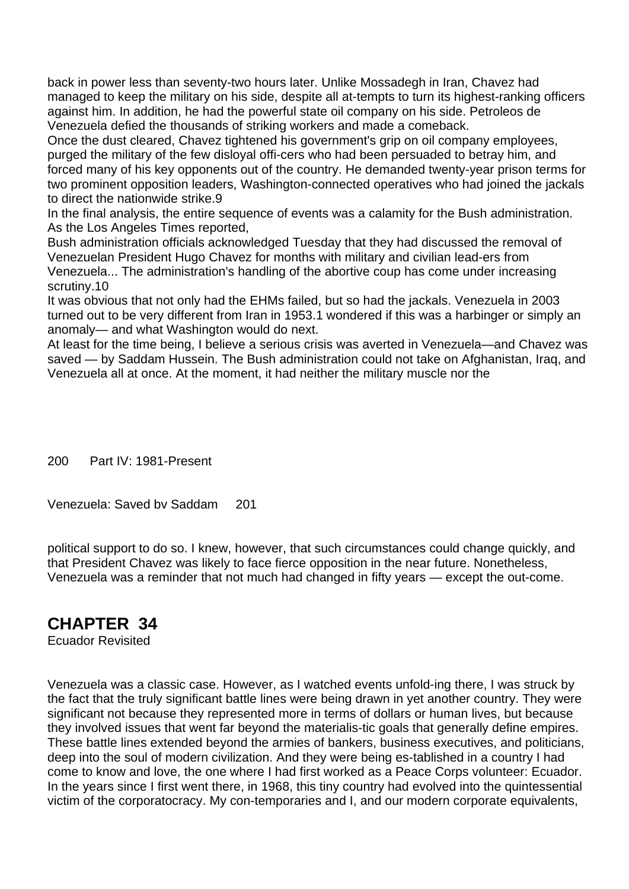back in power less than seventy-two hours later. Unlike Mossadegh in Iran, Chavez had managed to keep the military on his side, despite all at-tempts to turn its highest-ranking officers against him. In addition, he had the powerful state oil company on his side. Petroleos de Venezuela defied the thousands of striking workers and made a comeback.

Once the dust cleared, Chavez tightened his government's grip on oil company employees, purged the military of the few disloyal offi-cers who had been persuaded to betray him, and forced many of his key opponents out of the country. He demanded twenty-year prison terms for two prominent opposition leaders, Washington-connected operatives who had joined the jackals to direct the nationwide strike.9

In the final analysis, the entire sequence of events was a calamity for the Bush administration. As the Los Angeles Times reported,

Bush administration officials acknowledged Tuesday that they had discussed the removal of Venezuelan President Hugo Chavez for months with military and civilian lead-ers from Venezuela... The administration's handling of the abortive coup has come under increasing scrutiny.10

It was obvious that not only had the EHMs failed, but so had the jackals. Venezuela in 2003 turned out to be very different from Iran in 1953.1 wondered if this was a harbinger or simply an anomaly— and what Washington would do next.

At least for the time being, I believe a serious crisis was averted in Venezuela—and Chavez was saved — by Saddam Hussein. The Bush administration could not take on Afghanistan, Iraq, and Venezuela all at once. At the moment, it had neither the military muscle nor the

200 Part IV: 1981-Present

Venezuela: Saved bv Saddam 201

political support to do so. I knew, however, that such circumstances could change quickly, and that President Chavez was likely to face fierce opposition in the near future. Nonetheless, Venezuela was a reminder that not much had changed in fifty years — except the out-come.

# **CHAPTER 34**

Ecuador Revisited

Venezuela was a classic case. However, as I watched events unfold-ing there, I was struck by the fact that the truly significant battle lines were being drawn in yet another country. They were significant not because they represented more in terms of dollars or human lives, but because they involved issues that went far beyond the materialis-tic goals that generally define empires. These battle lines extended beyond the armies of bankers, business executives, and politicians, deep into the soul of modern civilization. And they were being es-tablished in a country I had come to know and love, the one where I had first worked as a Peace Corps volunteer: Ecuador. In the years since I first went there, in 1968, this tiny country had evolved into the quintessential victim of the corporatocracy. My con-temporaries and I, and our modern corporate equivalents,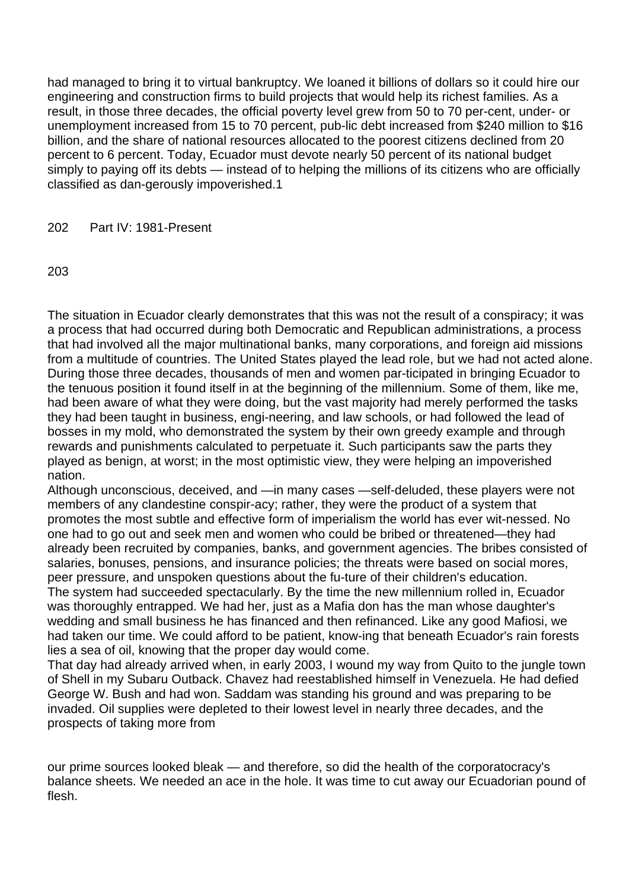had managed to bring it to virtual bankruptcy. We loaned it billions of dollars so it could hire our engineering and construction firms to build projects that would help its richest families. As a result, in those three decades, the official poverty level grew from 50 to 70 per-cent, under- or unemployment increased from 15 to 70 percent, pub-lic debt increased from \$240 million to \$16 billion, and the share of national resources allocated to the poorest citizens declined from 20 percent to 6 percent. Today, Ecuador must devote nearly 50 percent of its national budget simply to paying off its debts — instead of to helping the millions of its citizens who are officially classified as dan-gerously impoverished.1

202 Part IV: 1981-Present

203

The situation in Ecuador clearly demonstrates that this was not the result of a conspiracy; it was a process that had occurred during both Democratic and Republican administrations, a process that had involved all the major multinational banks, many corporations, and foreign aid missions from a multitude of countries. The United States played the lead role, but we had not acted alone. During those three decades, thousands of men and women par-ticipated in bringing Ecuador to the tenuous position it found itself in at the beginning of the millennium. Some of them, like me, had been aware of what they were doing, but the vast majority had merely performed the tasks they had been taught in business, engi-neering, and law schools, or had followed the lead of bosses in my mold, who demonstrated the system by their own greedy example and through rewards and punishments calculated to perpetuate it. Such participants saw the parts they played as benign, at worst; in the most optimistic view, they were helping an impoverished nation.

Although unconscious, deceived, and —in many cases —self-deluded, these players were not members of any clandestine conspir-acy; rather, they were the product of a system that promotes the most subtle and effective form of imperialism the world has ever wit-nessed. No one had to go out and seek men and women who could be bribed or threatened—they had already been recruited by companies, banks, and government agencies. The bribes consisted of salaries, bonuses, pensions, and insurance policies; the threats were based on social mores, peer pressure, and unspoken questions about the fu-ture of their children's education. The system had succeeded spectacularly. By the time the new millennium rolled in, Ecuador was thoroughly entrapped. We had her, just as a Mafia don has the man whose daughter's wedding and small business he has financed and then refinanced. Like any good Mafiosi, we had taken our time. We could afford to be patient, know-ing that beneath Ecuador's rain forests lies a sea of oil, knowing that the proper day would come.

That day had already arrived when, in early 2003, I wound my way from Quito to the jungle town of Shell in my Subaru Outback. Chavez had reestablished himself in Venezuela. He had defied George W. Bush and had won. Saddam was standing his ground and was preparing to be invaded. Oil supplies were depleted to their lowest level in nearly three decades, and the prospects of taking more from

our prime sources looked bleak — and therefore, so did the health of the corporatocracy's balance sheets. We needed an ace in the hole. It was time to cut away our Ecuadorian pound of flesh.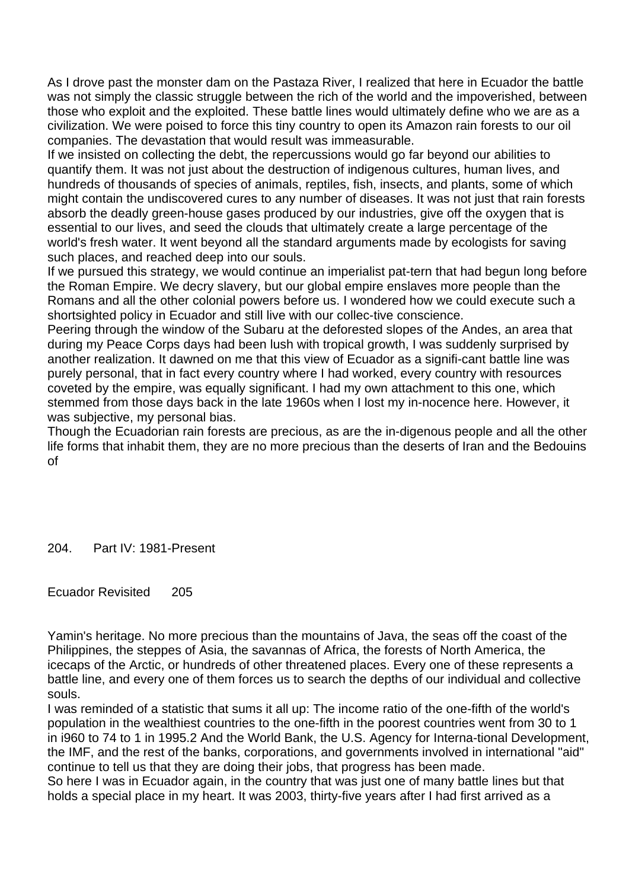As I drove past the monster dam on the Pastaza River, I realized that here in Ecuador the battle was not simply the classic struggle between the rich of the world and the impoverished, between those who exploit and the exploited. These battle lines would ultimately define who we are as a civilization. We were poised to force this tiny country to open its Amazon rain forests to our oil companies. The devastation that would result was immeasurable.

If we insisted on collecting the debt, the repercussions would go far beyond our abilities to quantify them. It was not just about the destruction of indigenous cultures, human lives, and hundreds of thousands of species of animals, reptiles, fish, insects, and plants, some of which might contain the undiscovered cures to any number of diseases. It was not just that rain forests absorb the deadly green-house gases produced by our industries, give off the oxygen that is essential to our lives, and seed the clouds that ultimately create a large percentage of the world's fresh water. It went beyond all the standard arguments made by ecologists for saving such places, and reached deep into our souls.

If we pursued this strategy, we would continue an imperialist pat-tern that had begun long before the Roman Empire. We decry slavery, but our global empire enslaves more people than the Romans and all the other colonial powers before us. I wondered how we could execute such a shortsighted policy in Ecuador and still live with our collec-tive conscience.

Peering through the window of the Subaru at the deforested slopes of the Andes, an area that during my Peace Corps days had been lush with tropical growth, I was suddenly surprised by another realization. It dawned on me that this view of Ecuador as a signifi-cant battle line was purely personal, that in fact every country where I had worked, every country with resources coveted by the empire, was equally significant. I had my own attachment to this one, which stemmed from those days back in the late 1960s when I lost my in-nocence here. However, it was subjective, my personal bias.

Though the Ecuadorian rain forests are precious, as are the in-digenous people and all the other life forms that inhabit them, they are no more precious than the deserts of Iran and the Bedouins of

204. Part IV: 1981-Present

Ecuador Revisited 205

Yamin's heritage. No more precious than the mountains of Java, the seas off the coast of the Philippines, the steppes of Asia, the savannas of Africa, the forests of North America, the icecaps of the Arctic, or hundreds of other threatened places. Every one of these represents a battle line, and every one of them forces us to search the depths of our individual and collective souls.

I was reminded of a statistic that sums it all up: The income ratio of the one-fifth of the world's population in the wealthiest countries to the one-fifth in the poorest countries went from 30 to 1 in i960 to 74 to 1 in 1995.2 And the World Bank, the U.S. Agency for Interna-tional Development, the IMF, and the rest of the banks, corporations, and governments involved in international "aid" continue to tell us that they are doing their jobs, that progress has been made.

So here I was in Ecuador again, in the country that was just one of many battle lines but that holds a special place in my heart. It was 2003, thirty-five years after I had first arrived as a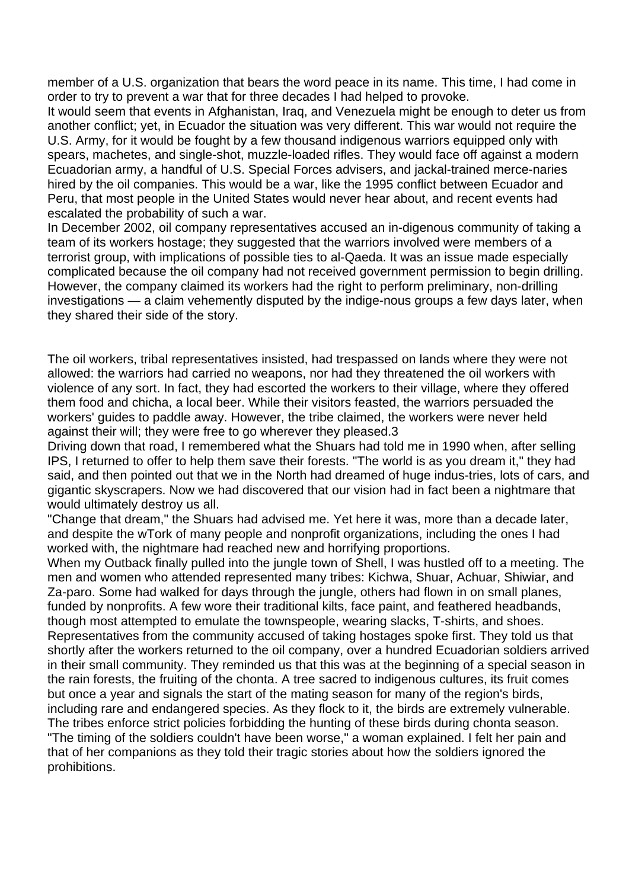member of a U.S. organization that bears the word peace in its name. This time, I had come in order to try to prevent a war that for three decades I had helped to provoke.

It would seem that events in Afghanistan, Iraq, and Venezuela might be enough to deter us from another conflict; yet, in Ecuador the situation was very different. This war would not require the U.S. Army, for it would be fought by a few thousand indigenous warriors equipped only with spears, machetes, and single-shot, muzzle-loaded rifles. They would face off against a modern Ecuadorian army, a handful of U.S. Special Forces advisers, and jackal-trained merce-naries hired by the oil companies. This would be a war, like the 1995 conflict between Ecuador and Peru, that most people in the United States would never hear about, and recent events had escalated the probability of such a war.

In December 2002, oil company representatives accused an in-digenous community of taking a team of its workers hostage; they suggested that the warriors involved were members of a terrorist group, with implications of possible ties to al-Qaeda. It was an issue made especially complicated because the oil company had not received government permission to begin drilling. However, the company claimed its workers had the right to perform preliminary, non-drilling investigations — a claim vehemently disputed by the indige-nous groups a few days later, when they shared their side of the story.

The oil workers, tribal representatives insisted, had trespassed on lands where they were not allowed: the warriors had carried no weapons, nor had they threatened the oil workers with violence of any sort. In fact, they had escorted the workers to their village, where they offered them food and chicha, a local beer. While their visitors feasted, the warriors persuaded the workers' guides to paddle away. However, the tribe claimed, the workers were never held against their will; they were free to go wherever they pleased.3

Driving down that road, I remembered what the Shuars had told me in 1990 when, after selling IPS, I returned to offer to help them save their forests. "The world is as you dream it," they had said, and then pointed out that we in the North had dreamed of huge indus-tries, lots of cars, and gigantic skyscrapers. Now we had discovered that our vision had in fact been a nightmare that would ultimately destroy us all.

"Change that dream," the Shuars had advised me. Yet here it was, more than a decade later, and despite the wTork of many people and nonprofit organizations, including the ones I had worked with, the nightmare had reached new and horrifying proportions.

When my Outback finally pulled into the jungle town of Shell, I was hustled off to a meeting. The men and women who attended represented many tribes: Kichwa, Shuar, Achuar, Shiwiar, and Za-paro. Some had walked for days through the jungle, others had flown in on small planes, funded by nonprofits. A few wore their traditional kilts, face paint, and feathered headbands, though most attempted to emulate the townspeople, wearing slacks, T-shirts, and shoes. Representatives from the community accused of taking hostages spoke first. They told us that shortly after the workers returned to the oil company, over a hundred Ecuadorian soldiers arrived in their small community. They reminded us that this was at the beginning of a special season in the rain forests, the fruiting of the chonta. A tree sacred to indigenous cultures, its fruit comes but once a year and signals the start of the mating season for many of the region's birds, including rare and endangered species. As they flock to it, the birds are extremely vulnerable. The tribes enforce strict policies forbidding the hunting of these birds during chonta season. "The timing of the soldiers couldn't have been worse," a woman explained. I felt her pain and that of her companions as they told their tragic stories about how the soldiers ignored the prohibitions.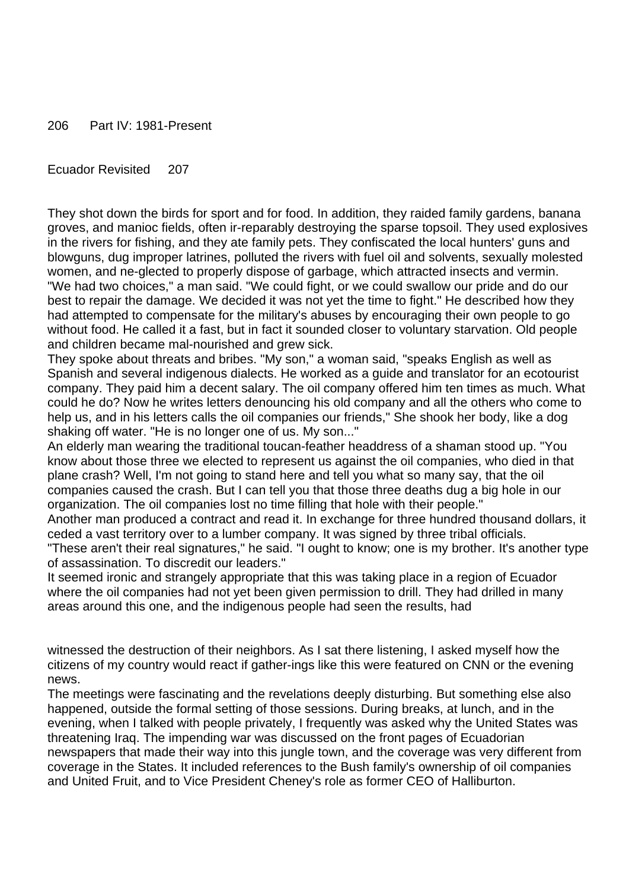Ecuador Revisited 207

They shot down the birds for sport and for food. In addition, they raided family gardens, banana groves, and manioc fields, often ir-reparably destroying the sparse topsoil. They used explosives in the rivers for fishing, and they ate family pets. They confiscated the local hunters' guns and blowguns, dug improper latrines, polluted the rivers with fuel oil and solvents, sexually molested women, and ne-glected to properly dispose of garbage, which attracted insects and vermin. "We had two choices," a man said. "We could fight, or we could swallow our pride and do our best to repair the damage. We decided it was not yet the time to fight." He described how they had attempted to compensate for the military's abuses by encouraging their own people to go without food. He called it a fast, but in fact it sounded closer to voluntary starvation. Old people and children became mal-nourished and grew sick.

They spoke about threats and bribes. "My son," a woman said, "speaks English as well as Spanish and several indigenous dialects. He worked as a guide and translator for an ecotourist company. They paid him a decent salary. The oil company offered him ten times as much. What could he do? Now he writes letters denouncing his old company and all the others who come to help us, and in his letters calls the oil companies our friends," She shook her body, like a dog shaking off water. "He is no longer one of us. My son..."

An elderly man wearing the traditional toucan-feather headdress of a shaman stood up. "You know about those three we elected to represent us against the oil companies, who died in that plane crash? Well, I'm not going to stand here and tell you what so many say, that the oil companies caused the crash. But I can tell you that those three deaths dug a big hole in our organization. The oil companies lost no time filling that hole with their people."

Another man produced a contract and read it. In exchange for three hundred thousand dollars, it ceded a vast territory over to a lumber company. It was signed by three tribal officials.

"These aren't their real signatures," he said. "I ought to know; one is my brother. It's another type of assassination. To discredit our leaders."

It seemed ironic and strangely appropriate that this was taking place in a region of Ecuador where the oil companies had not yet been given permission to drill. They had drilled in many areas around this one, and the indigenous people had seen the results, had

witnessed the destruction of their neighbors. As I sat there listening, I asked myself how the citizens of my country would react if gather-ings like this were featured on CNN or the evening news.

The meetings were fascinating and the revelations deeply disturbing. But something else also happened, outside the formal setting of those sessions. During breaks, at lunch, and in the evening, when I talked with people privately, I frequently was asked why the United States was threatening Iraq. The impending war was discussed on the front pages of Ecuadorian newspapers that made their way into this jungle town, and the coverage was very different from coverage in the States. It included references to the Bush family's ownership of oil companies and United Fruit, and to Vice President Cheney's role as former CEO of Halliburton.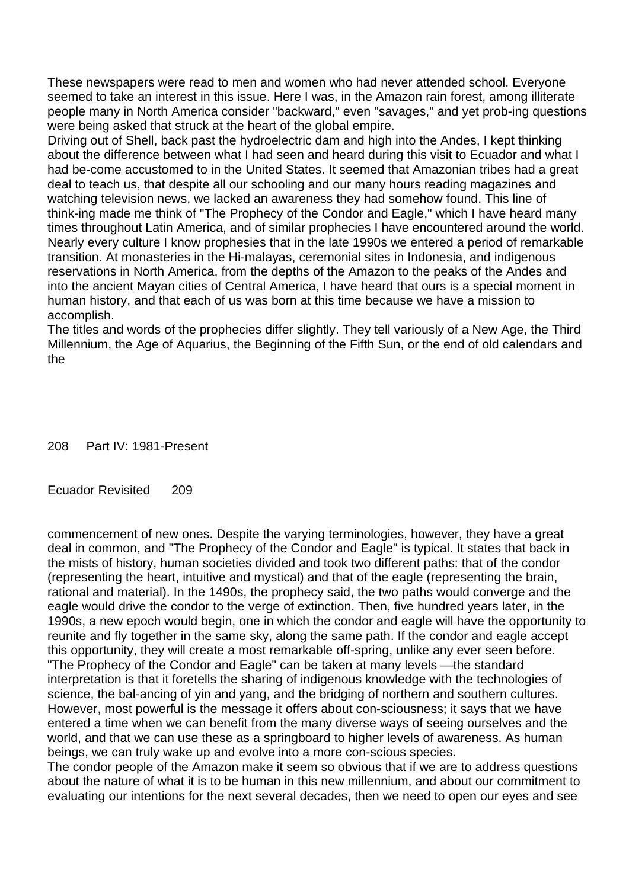These newspapers were read to men and women who had never attended school. Everyone seemed to take an interest in this issue. Here I was, in the Amazon rain forest, among illiterate people many in North America consider "backward," even "savages," and yet prob-ing questions were being asked that struck at the heart of the global empire.

Driving out of Shell, back past the hydroelectric dam and high into the Andes, I kept thinking about the difference between what I had seen and heard during this visit to Ecuador and what I had be-come accustomed to in the United States. It seemed that Amazonian tribes had a great deal to teach us, that despite all our schooling and our many hours reading magazines and watching television news, we lacked an awareness they had somehow found. This line of think-ing made me think of "The Prophecy of the Condor and Eagle," which I have heard many times throughout Latin America, and of similar prophecies I have encountered around the world. Nearly every culture I know prophesies that in the late 1990s we entered a period of remarkable transition. At monasteries in the Hi-malayas, ceremonial sites in Indonesia, and indigenous reservations in North America, from the depths of the Amazon to the peaks of the Andes and into the ancient Mayan cities of Central America, I have heard that ours is a special moment in human history, and that each of us was born at this time because we have a mission to accomplish.

The titles and words of the prophecies differ slightly. They tell variously of a New Age, the Third Millennium, the Age of Aquarius, the Beginning of the Fifth Sun, or the end of old calendars and the

208 Part IV: 1981-Present

Ecuador Revisited 209

commencement of new ones. Despite the varying terminologies, however, they have a great deal in common, and "The Prophecy of the Condor and Eagle" is typical. It states that back in the mists of history, human societies divided and took two different paths: that of the condor (representing the heart, intuitive and mystical) and that of the eagle (representing the brain, rational and material). In the 1490s, the prophecy said, the two paths would converge and the eagle would drive the condor to the verge of extinction. Then, five hundred years later, in the 1990s, a new epoch would begin, one in which the condor and eagle will have the opportunity to reunite and fly together in the same sky, along the same path. If the condor and eagle accept this opportunity, they will create a most remarkable off-spring, unlike any ever seen before. "The Prophecy of the Condor and Eagle" can be taken at many levels —the standard interpretation is that it foretells the sharing of indigenous knowledge with the technologies of science, the bal-ancing of yin and yang, and the bridging of northern and southern cultures. However, most powerful is the message it offers about con-sciousness; it says that we have entered a time when we can benefit from the many diverse ways of seeing ourselves and the world, and that we can use these as a springboard to higher levels of awareness. As human beings, we can truly wake up and evolve into a more con-scious species.

The condor people of the Amazon make it seem so obvious that if we are to address questions about the nature of what it is to be human in this new millennium, and about our commitment to evaluating our intentions for the next several decades, then we need to open our eyes and see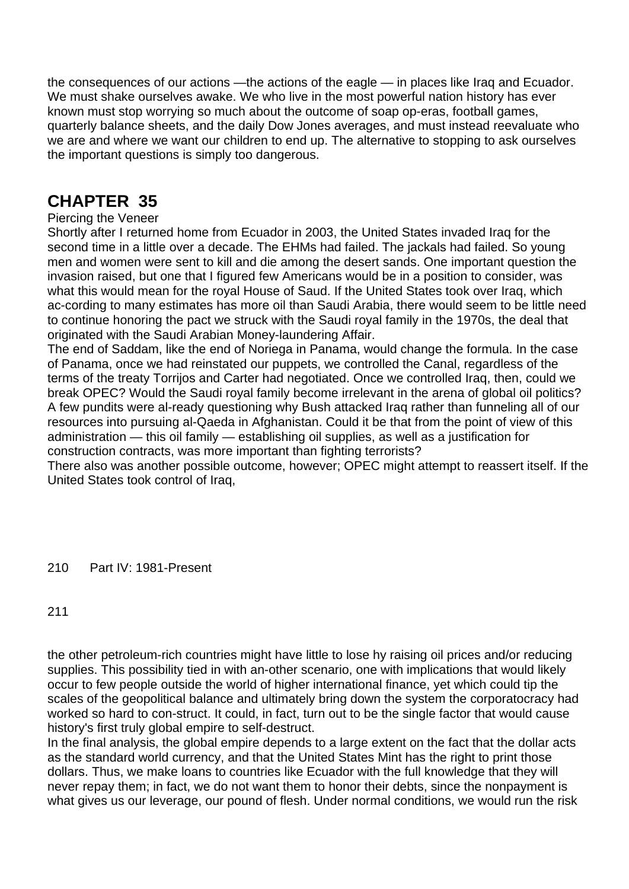the consequences of our actions —the actions of the eagle — in places like Iraq and Ecuador. We must shake ourselves awake. We who live in the most powerful nation history has ever known must stop worrying so much about the outcome of soap op-eras, football games, quarterly balance sheets, and the daily Dow Jones averages, and must instead reevaluate who we are and where we want our children to end up. The alternative to stopping to ask ourselves the important questions is simply too dangerous.

## **CHAPTER 35**

### Piercing the Veneer

Shortly after I returned home from Ecuador in 2003, the United States invaded Iraq for the second time in a little over a decade. The EHMs had failed. The jackals had failed. So young men and women were sent to kill and die among the desert sands. One important question the invasion raised, but one that I figured few Americans would be in a position to consider, was what this would mean for the royal House of Saud. If the United States took over Iraq, which ac-cording to many estimates has more oil than Saudi Arabia, there would seem to be little need to continue honoring the pact we struck with the Saudi royal family in the 1970s, the deal that originated with the Saudi Arabian Money-laundering Affair.

The end of Saddam, like the end of Noriega in Panama, would change the formula. In the case of Panama, once we had reinstated our puppets, we controlled the Canal, regardless of the terms of the treaty Torrijos and Carter had negotiated. Once we controlled Iraq, then, could we break OPEC? Would the Saudi royal family become irrelevant in the arena of global oil politics? A few pundits were al-ready questioning why Bush attacked Iraq rather than funneling all of our resources into pursuing al-Qaeda in Afghanistan. Could it be that from the point of view of this administration — this oil family — establishing oil supplies, as well as a justification for construction contracts, was more important than fighting terrorists?

There also was another possible outcome, however; OPEC might attempt to reassert itself. If the United States took control of Iraq,

210 Part IV: 1981-Present

### 211

the other petroleum-rich countries might have little to lose hy raising oil prices and/or reducing supplies. This possibility tied in with an-other scenario, one with implications that would likely occur to few people outside the world of higher international finance, yet which could tip the scales of the geopolitical balance and ultimately bring down the system the corporatocracy had worked so hard to con-struct. It could, in fact, turn out to be the single factor that would cause history's first truly global empire to self-destruct.

In the final analysis, the global empire depends to a large extent on the fact that the dollar acts as the standard world currency, and that the United States Mint has the right to print those dollars. Thus, we make loans to countries like Ecuador with the full knowledge that they will never repay them; in fact, we do not want them to honor their debts, since the nonpayment is what gives us our leverage, our pound of flesh. Under normal conditions, we would run the risk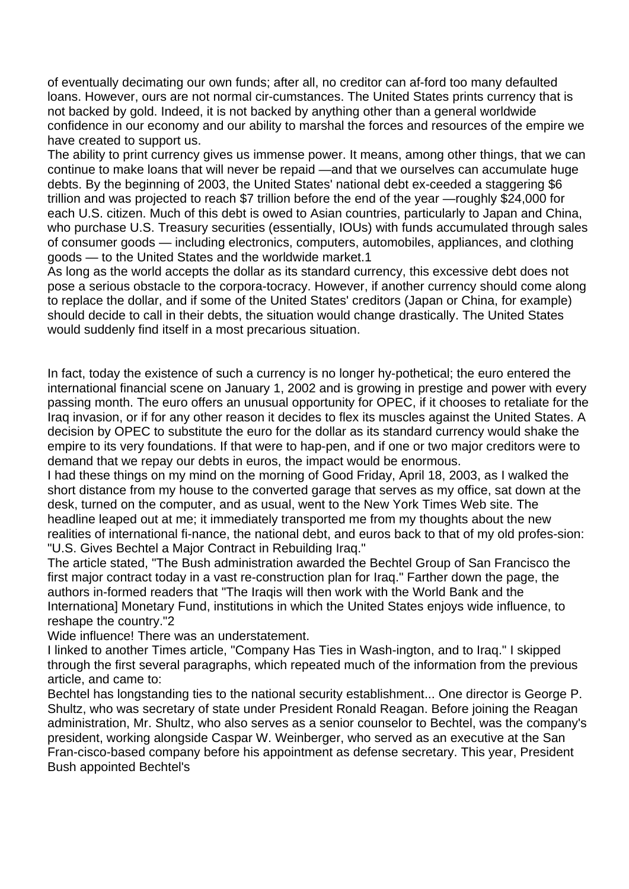of eventually decimating our own funds; after all, no creditor can af-ford too many defaulted loans. However, ours are not normal cir-cumstances. The United States prints currency that is not backed by gold. Indeed, it is not backed by anything other than a general worldwide confidence in our economy and our ability to marshal the forces and resources of the empire we have created to support us.

The ability to print currency gives us immense power. It means, among other things, that we can continue to make loans that will never be repaid —and that we ourselves can accumulate huge debts. By the beginning of 2003, the United States' national debt ex-ceeded a staggering \$6 trillion and was projected to reach \$7 trillion before the end of the year —roughly \$24,000 for each U.S. citizen. Much of this debt is owed to Asian countries, particularly to Japan and China, who purchase U.S. Treasury securities (essentially, IOUs) with funds accumulated through sales of consumer goods — including electronics, computers, automobiles, appliances, and clothing goods — to the United States and the worldwide market.1

As long as the world accepts the dollar as its standard currency, this excessive debt does not pose a serious obstacle to the corpora-tocracy. However, if another currency should come along to replace the dollar, and if some of the United States' creditors (Japan or China, for example) should decide to call in their debts, the situation would change drastically. The United States would suddenly find itself in a most precarious situation.

In fact, today the existence of such a currency is no longer hy-pothetical; the euro entered the international financial scene on January 1, 2002 and is growing in prestige and power with every passing month. The euro offers an unusual opportunity for OPEC, if it chooses to retaliate for the Iraq invasion, or if for any other reason it decides to flex its muscles against the United States. A decision by OPEC to substitute the euro for the dollar as its standard currency would shake the empire to its very foundations. If that were to hap-pen, and if one or two major creditors were to demand that we repay our debts in euros, the impact would be enormous.

I had these things on my mind on the morning of Good Friday, April 18, 2003, as I walked the short distance from my house to the converted garage that serves as my office, sat down at the desk, turned on the computer, and as usual, went to the New York Times Web site. The headline leaped out at me; it immediately transported me from my thoughts about the new realities of international fi-nance, the national debt, and euros back to that of my old profes-sion: "U.S. Gives Bechtel a Major Contract in Rebuilding Iraq."

The article stated, "The Bush administration awarded the Bechtel Group of San Francisco the first major contract today in a vast re-construction plan for Iraq." Farther down the page, the authors in-formed readers that "The Iraqis will then work with the World Bank and the Internationa] Monetary Fund, institutions in which the United States enjoys wide influence, to reshape the country."2

Wide influence! There was an understatement.

I linked to another Times article, "Company Has Ties in Wash-ington, and to Iraq." I skipped through the first several paragraphs, which repeated much of the information from the previous article, and came to:

Bechtel has longstanding ties to the national security establishment... One director is George P. Shultz, who was secretary of state under President Ronald Reagan. Before joining the Reagan administration, Mr. Shultz, who also serves as a senior counselor to Bechtel, was the company's president, working alongside Caspar W. Weinberger, who served as an executive at the San Fran-cisco-based company before his appointment as defense secretary. This year, President Bush appointed Bechtel's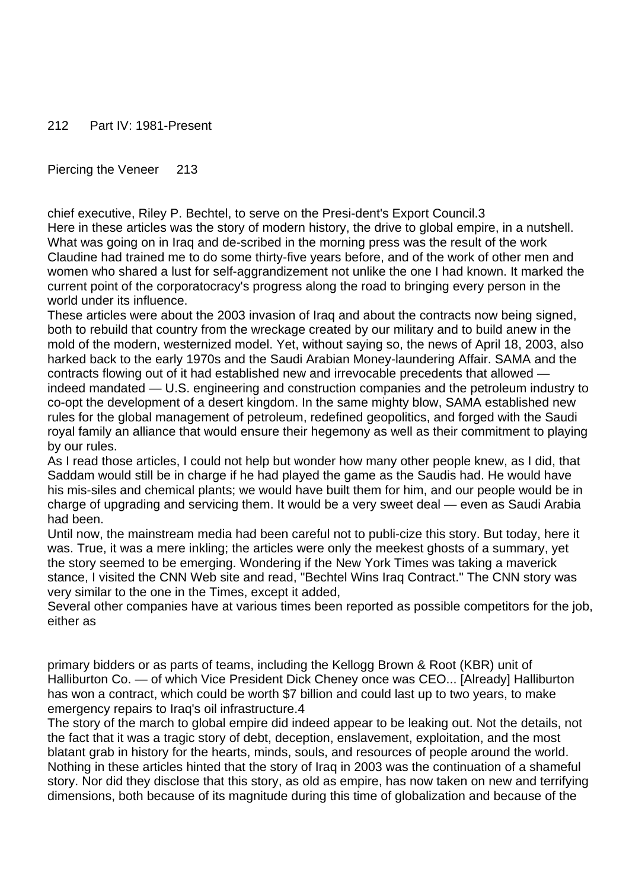Piercing the Veneer 213

chief executive, Riley P. Bechtel, to serve on the Presi-dent's Export Council.3 Here in these articles was the story of modern history, the drive to global empire, in a nutshell. What was going on in Iraq and de-scribed in the morning press was the result of the work Claudine had trained me to do some thirty-five years before, and of the work of other men and women who shared a lust for self-aggrandizement not unlike the one I had known. It marked the current point of the corporatocracy's progress along the road to bringing every person in the world under its influence.

These articles were about the 2003 invasion of Iraq and about the contracts now being signed, both to rebuild that country from the wreckage created by our military and to build anew in the mold of the modern, westernized model. Yet, without saying so, the news of April 18, 2003, also harked back to the early 1970s and the Saudi Arabian Money-laundering Affair. SAMA and the contracts flowing out of it had established new and irrevocable precedents that allowed indeed mandated — U.S. engineering and construction companies and the petroleum industry to co-opt the development of a desert kingdom. In the same mighty blow, SAMA established new rules for the global management of petroleum, redefined geopolitics, and forged with the Saudi royal family an alliance that would ensure their hegemony as well as their commitment to playing by our rules.

As I read those articles, I could not help but wonder how many other people knew, as I did, that Saddam would still be in charge if he had played the game as the Saudis had. He would have his mis-siles and chemical plants; we would have built them for him, and our people would be in charge of upgrading and servicing them. It would be a very sweet deal — even as Saudi Arabia had been.

Until now, the mainstream media had been careful not to publi-cize this story. But today, here it was. True, it was a mere inkling; the articles were only the meekest ghosts of a summary, yet the story seemed to be emerging. Wondering if the New York Times was taking a maverick stance, I visited the CNN Web site and read, "Bechtel Wins Iraq Contract." The CNN story was very similar to the one in the Times, except it added,

Several other companies have at various times been reported as possible competitors for the job, either as

primary bidders or as parts of teams, including the Kellogg Brown & Root (KBR) unit of Halliburton Co. — of which Vice President Dick Cheney once was CEO... [Already] Halliburton has won a contract, which could be worth \$7 billion and could last up to two years, to make emergency repairs to Iraq's oil infrastructure.4

The story of the march to global empire did indeed appear to be leaking out. Not the details, not the fact that it was a tragic story of debt, deception, enslavement, exploitation, and the most blatant grab in history for the hearts, minds, souls, and resources of people around the world. Nothing in these articles hinted that the story of Iraq in 2003 was the continuation of a shameful story. Nor did they disclose that this story, as old as empire, has now taken on new and terrifying dimensions, both because of its magnitude during this time of globalization and because of the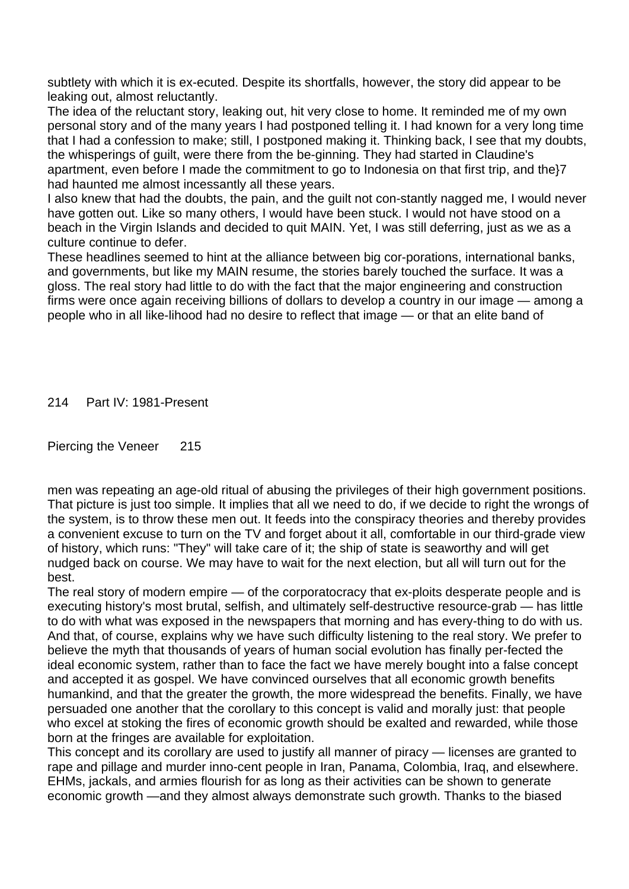subtlety with which it is ex-ecuted. Despite its shortfalls, however, the story did appear to be leaking out, almost reluctantly.

The idea of the reluctant story, leaking out, hit very close to home. It reminded me of my own personal story and of the many years I had postponed telling it. I had known for a very long time that I had a confession to make; still, I postponed making it. Thinking back, I see that my doubts, the whisperings of guilt, were there from the be-ginning. They had started in Claudine's apartment, even before I made the commitment to go to Indonesia on that first trip, and the}7 had haunted me almost incessantly all these years.

I also knew that had the doubts, the pain, and the guilt not con-stantly nagged me, I would never have gotten out. Like so many others, I would have been stuck. I would not have stood on a beach in the Virgin Islands and decided to quit MAIN. Yet, I was still deferring, just as we as a culture continue to defer.

These headlines seemed to hint at the alliance between big cor-porations, international banks, and governments, but like my MAIN resume, the stories barely touched the surface. It was a gloss. The real story had little to do with the fact that the major engineering and construction firms were once again receiving billions of dollars to develop a country in our image — among a people who in all like-lihood had no desire to reflect that image — or that an elite band of

214 Part IV: 1981-Present

Piercing the Veneer 215

men was repeating an age-old ritual of abusing the privileges of their high government positions. That picture is just too simple. It implies that all we need to do, if we decide to right the wrongs of the system, is to throw these men out. It feeds into the conspiracy theories and thereby provides a convenient excuse to turn on the TV and forget about it all, comfortable in our third-grade view of history, which runs: "They" will take care of it; the ship of state is seaworthy and will get nudged back on course. We may have to wait for the next election, but all will turn out for the best.

The real story of modern empire — of the corporatocracy that ex-ploits desperate people and is executing history's most brutal, selfish, and ultimately self-destructive resource-grab — has little to do with what was exposed in the newspapers that morning and has every-thing to do with us. And that, of course, explains why we have such difficulty listening to the real story. We prefer to believe the myth that thousands of years of human social evolution has finally per-fected the ideal economic system, rather than to face the fact we have merely bought into a false concept and accepted it as gospel. We have convinced ourselves that all economic growth benefits humankind, and that the greater the growth, the more widespread the benefits. Finally, we have persuaded one another that the corollary to this concept is valid and morally just: that people who excel at stoking the fires of economic growth should be exalted and rewarded, while those born at the fringes are available for exploitation.

This concept and its corollary are used to justify all manner of piracy — licenses are granted to rape and pillage and murder inno-cent people in Iran, Panama, Colombia, Iraq, and elsewhere. EHMs, jackals, and armies flourish for as long as their activities can be shown to generate economic growth —and they almost always demonstrate such growth. Thanks to the biased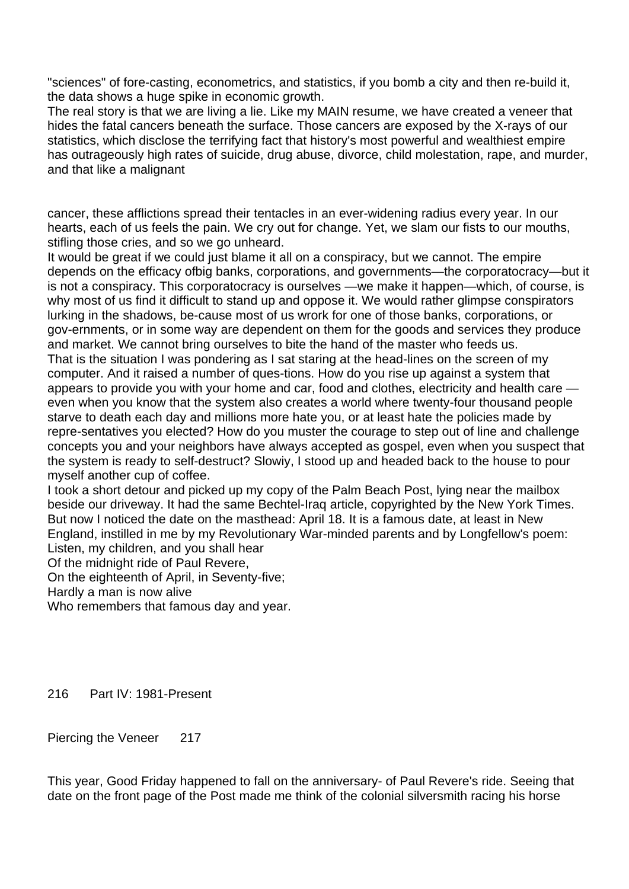"sciences" of fore-casting, econometrics, and statistics, if you bomb a city and then re-build it, the data shows a huge spike in economic growth.

The real story is that we are living a lie. Like my MAIN resume, we have created a veneer that hides the fatal cancers beneath the surface. Those cancers are exposed by the X-rays of our statistics, which disclose the terrifying fact that history's most powerful and wealthiest empire has outrageously high rates of suicide, drug abuse, divorce, child molestation, rape, and murder, and that like a malignant

cancer, these afflictions spread their tentacles in an ever-widening radius every year. In our hearts, each of us feels the pain. We cry out for change. Yet, we slam our fists to our mouths, stifling those cries, and so we go unheard.

It would be great if we could just blame it all on a conspiracy, but we cannot. The empire depends on the efficacy ofbig banks, corporations, and governments—the corporatocracy—but it is not a conspiracy. This corporatocracy is ourselves —we make it happen—which, of course, is why most of us find it difficult to stand up and oppose it. We would rather glimpse conspirators lurking in the shadows, be-cause most of us wrork for one of those banks, corporations, or gov-ernments, or in some way are dependent on them for the goods and services they produce and market. We cannot bring ourselves to bite the hand of the master who feeds us. That is the situation I was pondering as I sat staring at the head-lines on the screen of my computer. And it raised a number of ques-tions. How do you rise up against a system that appears to provide you with your home and car, food and clothes, electricity and health care even when you know that the system also creates a world where twenty-four thousand people starve to death each day and millions more hate you, or at least hate the policies made by repre-sentatives you elected? How do you muster the courage to step out of line and challenge concepts you and your neighbors have always accepted as gospel, even when you suspect that the system is ready to self-destruct? Slowiy, I stood up and headed back to the house to pour myself another cup of coffee.

I took a short detour and picked up my copy of the Palm Beach Post, lying near the mailbox beside our driveway. It had the same Bechtel-Iraq article, copyrighted by the New York Times. But now I noticed the date on the masthead: April 18. It is a famous date, at least in New England, instilled in me by my Revolutionary War-minded parents and by Longfellow's poem: Listen, my children, and you shall hear

Of the midnight ride of Paul Revere,

On the eighteenth of April, in Seventy-five;

Hardly a man is now alive

Who remembers that famous day and year.

216 Part IV: 1981-Present

Piercing the Veneer 217

This year, Good Friday happened to fall on the anniversary- of Paul Revere's ride. Seeing that date on the front page of the Post made me think of the colonial silversmith racing his horse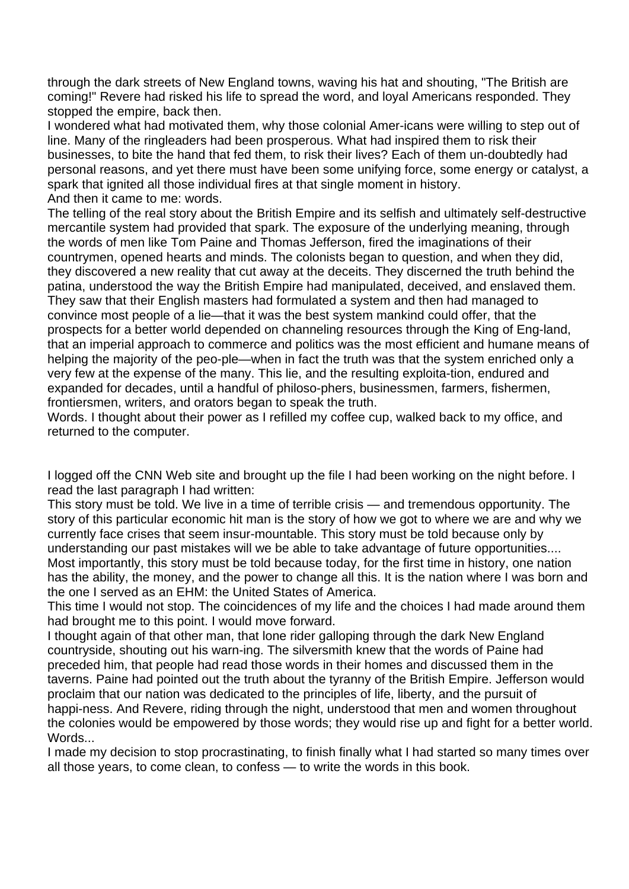through the dark streets of New England towns, waving his hat and shouting, "The British are coming!" Revere had risked his life to spread the word, and loyal Americans responded. They stopped the empire, back then.

I wondered what had motivated them, why those colonial Amer-icans were willing to step out of line. Many of the ringleaders had been prosperous. What had inspired them to risk their businesses, to bite the hand that fed them, to risk their lives? Each of them un-doubtedly had personal reasons, and yet there must have been some unifying force, some energy or catalyst, a spark that ignited all those individual fires at that single moment in history. And then it came to me: words.

The telling of the real story about the British Empire and its selfish and ultimately self-destructive mercantile system had provided that spark. The exposure of the underlying meaning, through the words of men like Tom Paine and Thomas Jefferson, fired the imaginations of their countrymen, opened hearts and minds. The colonists began to question, and when they did, they discovered a new reality that cut away at the deceits. They discerned the truth behind the patina, understood the way the British Empire had manipulated, deceived, and enslaved them. They saw that their English masters had formulated a system and then had managed to convince most people of a lie—that it was the best system mankind could offer, that the prospects for a better world depended on channeling resources through the King of Eng-land, that an imperial approach to commerce and politics was the most efficient and humane means of helping the majority of the peo-ple—when in fact the truth was that the system enriched only a very few at the expense of the many. This lie, and the resulting exploita-tion, endured and expanded for decades, until a handful of philoso-phers, businessmen, farmers, fishermen, frontiersmen, writers, and orators began to speak the truth.

Words. I thought about their power as I refilled my coffee cup, walked back to my office, and returned to the computer.

I logged off the CNN Web site and brought up the file I had been working on the night before. I read the last paragraph I had written:

This story must be told. We live in a time of terrible crisis — and tremendous opportunity. The story of this particular economic hit man is the story of how we got to where we are and why we currently face crises that seem insur-mountable. This story must be told because only by understanding our past mistakes will we be able to take advantage of future opportunities.... Most importantly, this story must be told because today, for the first time in history, one nation has the ability, the money, and the power to change all this. It is the nation where I was born and the one I served as an EHM: the United States of America.

This time I would not stop. The coincidences of my life and the choices I had made around them had brought me to this point. I would move forward.

I thought again of that other man, that lone rider galloping through the dark New England countryside, shouting out his warn-ing. The silversmith knew that the words of Paine had preceded him, that people had read those words in their homes and discussed them in the taverns. Paine had pointed out the truth about the tyranny of the British Empire. Jefferson would proclaim that our nation was dedicated to the principles of life, liberty, and the pursuit of happi-ness. And Revere, riding through the night, understood that men and women throughout the colonies would be empowered by those words; they would rise up and fight for a better world. Words...

I made my decision to stop procrastinating, to finish finally what I had started so many times over all those years, to come clean, to confess — to write the words in this book.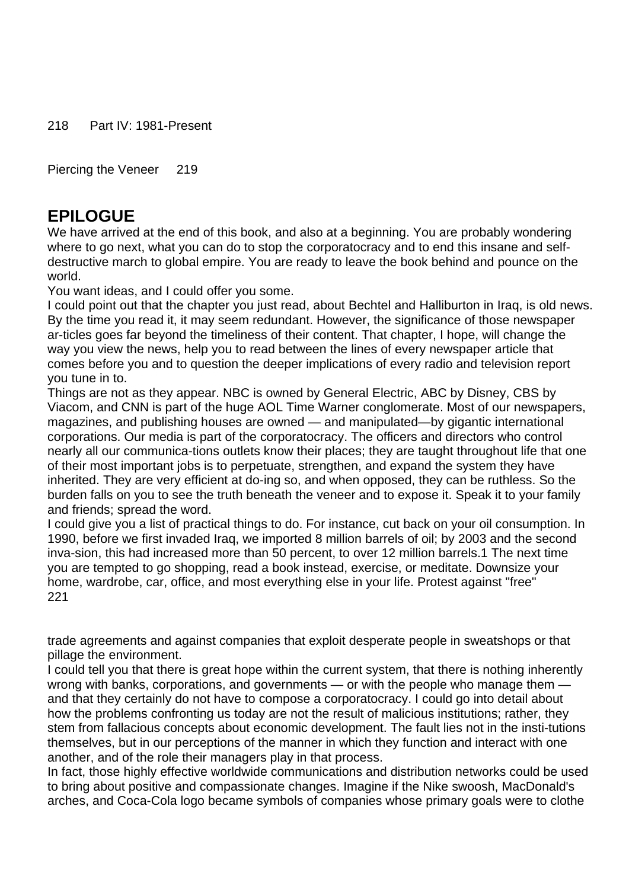Piercing the Veneer 219

## **EPILOGUE**

We have arrived at the end of this book, and also at a beginning. You are probably wondering where to go next, what you can do to stop the corporatocracy and to end this insane and selfdestructive march to global empire. You are ready to leave the book behind and pounce on the world.

You want ideas, and I could offer you some.

I could point out that the chapter you just read, about Bechtel and Halliburton in Iraq, is old news. By the time you read it, it may seem redundant. However, the significance of those newspaper ar-ticles goes far beyond the timeliness of their content. That chapter, I hope, will change the way you view the news, help you to read between the lines of every newspaper article that comes before you and to question the deeper implications of every radio and television report you tune in to.

Things are not as they appear. NBC is owned by General Electric, ABC by Disney, CBS by Viacom, and CNN is part of the huge AOL Time Warner conglomerate. Most of our newspapers, magazines, and publishing houses are owned — and manipulated—by gigantic international corporations. Our media is part of the corporatocracy. The officers and directors who control nearly all our communica-tions outlets know their places; they are taught throughout life that one of their most important jobs is to perpetuate, strengthen, and expand the system they have inherited. They are very efficient at do-ing so, and when opposed, they can be ruthless. So the burden falls on you to see the truth beneath the veneer and to expose it. Speak it to your family and friends; spread the word.

I could give you a list of practical things to do. For instance, cut back on your oil consumption. In 1990, before we first invaded Iraq, we imported 8 million barrels of oil; by 2003 and the second inva-sion, this had increased more than 50 percent, to over 12 million barrels.1 The next time you are tempted to go shopping, read a book instead, exercise, or meditate. Downsize your home, wardrobe, car, office, and most everything else in your life. Protest against "free" 221

trade agreements and against companies that exploit desperate people in sweatshops or that pillage the environment.

I could tell you that there is great hope within the current system, that there is nothing inherently wrong with banks, corporations, and governments — or with the people who manage them and that they certainly do not have to compose a corporatocracy. I could go into detail about how the problems confronting us today are not the result of malicious institutions; rather, they stem from fallacious concepts about economic development. The fault lies not in the insti-tutions themselves, but in our perceptions of the manner in which they function and interact with one another, and of the role their managers play in that process.

In fact, those highly effective worldwide communications and distribution networks could be used to bring about positive and compassionate changes. Imagine if the Nike swoosh, MacDonald's arches, and Coca-Cola logo became symbols of companies whose primary goals were to clothe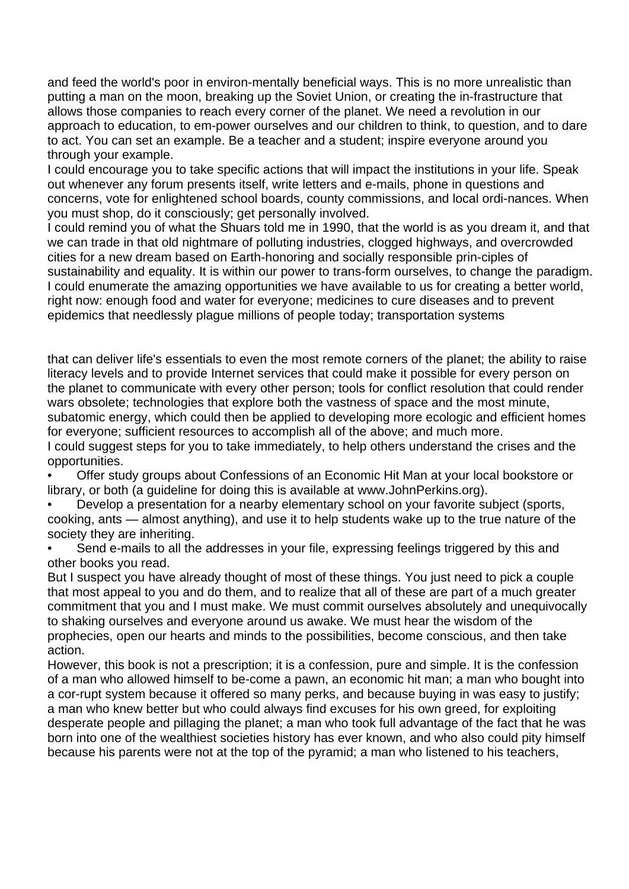and feed the world's poor in environ-mentally beneficial ways. This is no more unrealistic than putting a man on the moon, breaking up the Soviet Union, or creating the in-frastructure that allows those companies to reach every corner of the planet. We need a revolution in our approach to education, to em-power ourselves and our children to think, to question, and to dare to act. You can set an example. Be a teacher and a student; inspire everyone around you through your example.

I could encourage you to take specific actions that will impact the institutions in your life. Speak out whenever any forum presents itself, write letters and e-mails, phone in questions and concerns, vote for enlightened school boards, county commissions, and local ordi-nances. When you must shop, do it consciously; get personally involved.

I could remind you of what the Shuars told me in 1990, that the world is as you dream it, and that we can trade in that old nightmare of polluting industries, clogged highways, and overcrowded cities for a new dream based on Earth-honoring and socially responsible prin-ciples of sustainability and equality. It is within our power to trans-form ourselves, to change the paradigm. I could enumerate the amazing opportunities we have available to us for creating a better world, right now: enough food and water for everyone; medicines to cure diseases and to prevent epidemics that needlessly plague millions of people today; transportation systems

that can deliver life's essentials to even the most remote corners of the planet; the ability to raise literacy levels and to provide Internet services that could make it possible for every person on the planet to communicate with every other person; tools for conflict resolution that could render wars obsolete; technologies that explore both the vastness of space and the most minute, subatomic energy, which could then be applied to developing more ecologic and efficient homes for everyone; sufficient resources to accomplish all of the above; and much more. I could suggest steps for you to take immediately, to help others understand the crises and the opportunities.

• Offer study groups about Confessions of an Economic Hit Man at your local bookstore or library, or both (a guideline for doing this is available at www.JohnPerkins.org).

• Develop a presentation for a nearby elementary school on your favorite subject (sports, cooking, ants — almost anything), and use it to help students wake up to the true nature of the society they are inheriting.

• Send e-mails to all the addresses in your file, expressing feelings triggered by this and other books you read.

But I suspect you have already thought of most of these things. You just need to pick a couple that most appeal to you and do them, and to realize that all of these are part of a much greater commitment that you and I must make. We must commit ourselves absolutely and unequivocally to shaking ourselves and everyone around us awake. We must hear the wisdom of the prophecies, open our hearts and minds to the possibilities, become conscious, and then take action.

However, this book is not a prescription; it is a confession, pure and simple. It is the confession of a man who allowed himself to be-come a pawn, an economic hit man; a man who bought into a cor-rupt system because it offered so many perks, and because buying in was easy to justify; a man who knew better but who could always find excuses for his own greed, for exploiting desperate people and pillaging the planet; a man who took full advantage of the fact that he was born into one of the wealthiest societies history has ever known, and who also could pity himself because his parents were not at the top of the pyramid; a man who listened to his teachers,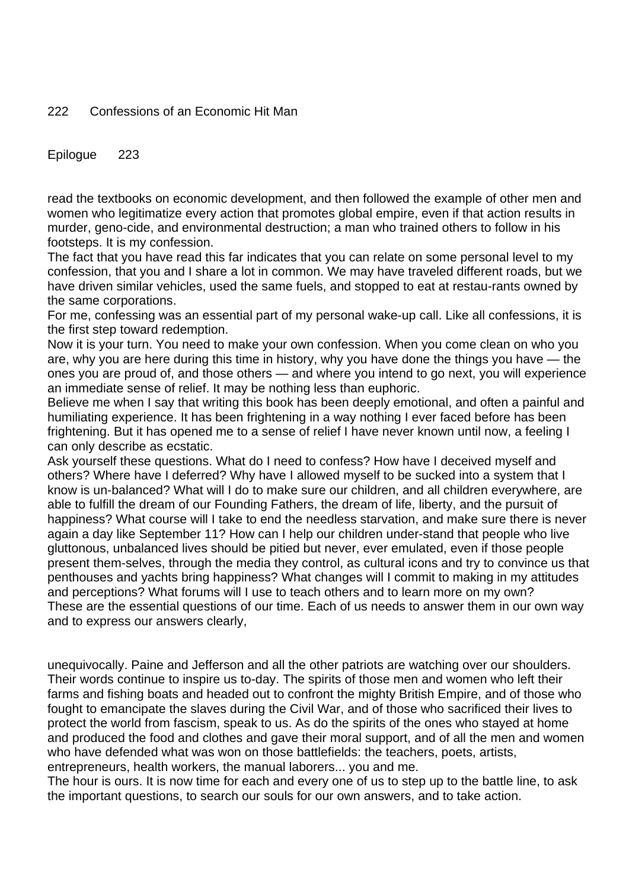#### 222 Confessions of an Economic Hit Man

Epilogue 223

read the textbooks on economic development, and then followed the example of other men and women who legitimatize every action that promotes global empire, even if that action results in murder, geno-cide, and environmental destruction; a man who trained others to follow in his footsteps. It is my confession.

The fact that you have read this far indicates that you can relate on some personal level to my confession, that you and I share a lot in common. We may have traveled different roads, but we have driven similar vehicles, used the same fuels, and stopped to eat at restau-rants owned by the same corporations.

For me, confessing was an essential part of my personal wake-up call. Like all confessions, it is the first step toward redemption.

Now it is your turn. You need to make your own confession. When you come clean on who you are, why you are here during this time in history, why you have done the things you have — the ones you are proud of, and those others — and where you intend to go next, you will experience an immediate sense of relief. It may be nothing less than euphoric.

Believe me when I say that writing this book has been deeply emotional, and often a painful and humiliating experience. It has been frightening in a way nothing I ever faced before has been frightening. But it has opened me to a sense of relief I have never known until now, a feeling I can only describe as ecstatic.

Ask yourself these questions. What do I need to confess? How have I deceived myself and others? Where have I deferred? Why have I allowed myself to be sucked into a system that I know is un-balanced? What will I do to make sure our children, and all children everywhere, are able to fulfill the dream of our Founding Fathers, the dream of life, liberty, and the pursuit of happiness? What course will I take to end the needless starvation, and make sure there is never again a day like September 11? How can I help our children under-stand that people who live gluttonous, unbalanced lives should be pitied but never, ever emulated, even if those people present them-selves, through the media they control, as cultural icons and try to convince us that penthouses and yachts bring happiness? What changes will I commit to making in my attitudes and perceptions? What forums will I use to teach others and to learn more on my own? These are the essential questions of our time. Each of us needs to answer them in our own way and to express our answers clearly,

unequivocally. Paine and Jefferson and all the other patriots are watching over our shoulders. Their words continue to inspire us to-day. The spirits of those men and women who left their farms and fishing boats and headed out to confront the mighty British Empire, and of those who fought to emancipate the slaves during the Civil War, and of those who sacrificed their lives to protect the world from fascism, speak to us. As do the spirits of the ones who stayed at home and produced the food and clothes and gave their moral support, and of all the men and women who have defended what was won on those battlefields: the teachers, poets, artists, entrepreneurs, health workers, the manual laborers... you and me.

The hour is ours. It is now time for each and every one of us to step up to the battle line, to ask the important questions, to search our souls for our own answers, and to take action.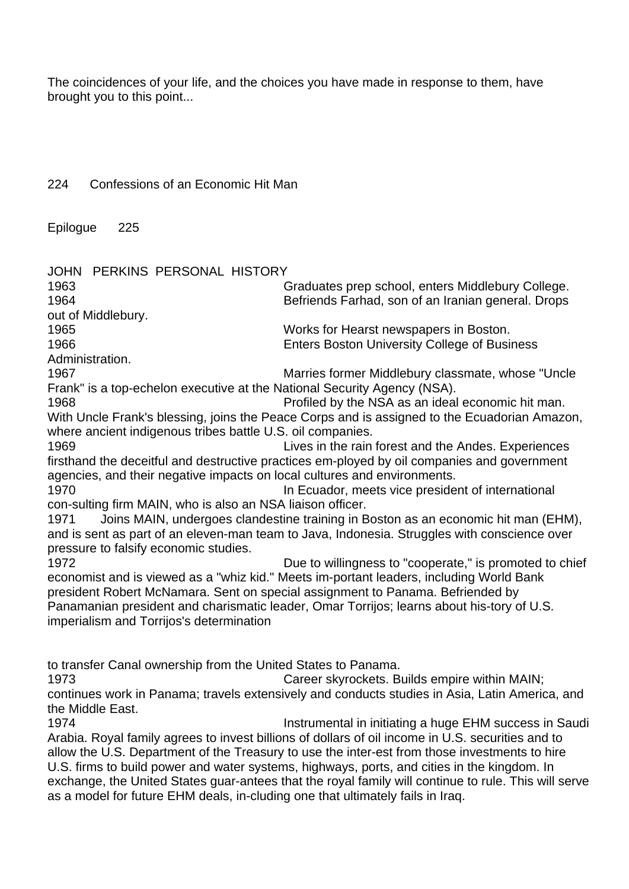The coincidences of your life, and the choices you have made in response to them, have brought you to this point...

224 Confessions of an Economic Hit Man

Epilogue 225

JOHN PERKINS PERSONAL HISTORY 1963 Graduates prep school, enters Middlebury College. 1964 Befriends Farhad, son of an Iranian general. Drops out of Middlebury. 1965 Works for Hearst newspapers in Boston. 1966 Enters Boston University College of Business Administration. 1967 Marries former Middlebury classmate, whose "Uncle Frank" is a top-echelon executive at the National Security Agency (NSA). 1968 Profiled by the NSA as an ideal economic hit man. With Uncle Frank's blessing, joins the Peace Corps and is assigned to the Ecuadorian Amazon, where ancient indigenous tribes battle U.S. oil companies. 1969 Lives in the rain forest and the Andes. Experiences firsthand the deceitful and destructive practices em-ployed by oil companies and government agencies, and their negative impacts on local cultures and environments. 1970 **In Ecuador, meets vice president of international** con-sulting firm MAIN, who is also an NSA liaison officer. 1971 Joins MAIN, undergoes clandestine training in Boston as an economic hit man (EHM), and is sent as part of an eleven-man team to Java, Indonesia. Struggles with conscience over pressure to falsify economic studies. 1972 Due to willingness to "cooperate," is promoted to chief economist and is viewed as a "whiz kid." Meets im-portant leaders, including World Bank president Robert McNamara. Sent on special assignment to Panama. Befriended by Panamanian president and charismatic leader, Omar Torrijos; learns about his-tory of U.S. imperialism and Torrijos's determination to transfer Canal ownership from the United States to Panama. 1973 Career skyrockets. Builds empire within MAIN; continues work in Panama; travels extensively and conducts studies in Asia, Latin America, and the Middle East. 1974 Instrumental in initiating a huge EHM success in Saudi Arabia. Royal family agrees to invest billions of dollars of oil income in U.S. securities and to allow the U.S. Department of the Treasury to use the inter-est from those investments to hire U.S. firms to build power and water systems, highways, ports, and cities in the kingdom. In exchange, the United States guar-antees that the royal family will continue to rule. This will serve as a model for future EHM deals, in-cluding one that ultimately fails in Iraq.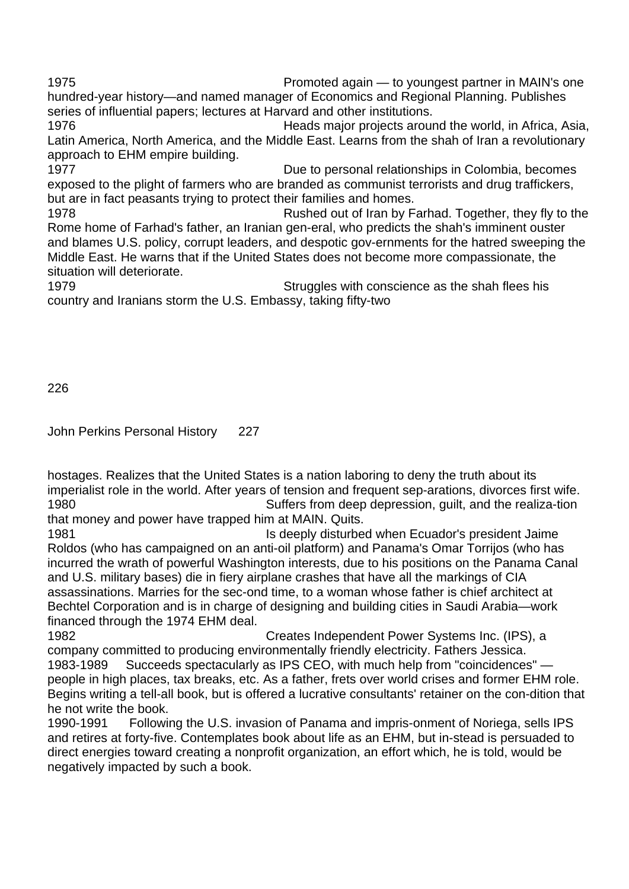1975 **Promoted again — to youngest partner in MAIN's one** hundred-year history—and named manager of Economics and Regional Planning. Publishes series of influential papers; lectures at Harvard and other institutions. 1976 Heads major projects around the world, in Africa, Asia, Latin America, North America, and the Middle East. Learns from the shah of Iran a revolutionary approach to EHM empire building.

1977 Due to personal relationships in Colombia, becomes exposed to the plight of farmers who are branded as communist terrorists and drug traffickers, but are in fact peasants trying to protect their families and homes.

1978 Rushed out of Iran by Farhad. Together, they fly to the Rome home of Farhad's father, an Iranian gen-eral, who predicts the shah's imminent ouster and blames U.S. policy, corrupt leaders, and despotic gov-ernments for the hatred sweeping the Middle East. He warns that if the United States does not become more compassionate, the situation will deteriorate.

1979 Struggles with conscience as the shah flees his country and Iranians storm the U.S. Embassy, taking fifty-two

226

John Perkins Personal History 227

hostages. Realizes that the United States is a nation laboring to deny the truth about its imperialist role in the world. After years of tension and frequent sep-arations, divorces first wife. 1980 Suffers from deep depression, guilt, and the realiza-tion that money and power have trapped him at MAIN. Quits.

1981 Is deeply disturbed when Ecuador's president Jaime Roldos (who has campaigned on an anti-oil platform) and Panama's Omar Torrijos (who has incurred the wrath of powerful Washington interests, due to his positions on the Panama Canal and U.S. military bases) die in fiery airplane crashes that have all the markings of CIA assassinations. Marries for the sec-ond time, to a woman whose father is chief architect at Bechtel Corporation and is in charge of designing and building cities in Saudi Arabia—work financed through the 1974 EHM deal.

1982 Creates Independent Power Systems Inc. (IPS), a company committed to producing environmentally friendly electricity. Fathers Jessica. 1983-1989 Succeeds spectacularly as IPS CEO, with much help from "coincidences" people in high places, tax breaks, etc. As a father, frets over world crises and former EHM role. Begins writing a tell-all book, but is offered a lucrative consultants' retainer on the con-dition that he not write the book.

1990-1991 Following the U.S. invasion of Panama and impris-onment of Noriega, sells IPS and retires at forty-five. Contemplates book about life as an EHM, but in-stead is persuaded to direct energies toward creating a nonprofit organization, an effort which, he is told, would be negatively impacted by such a book.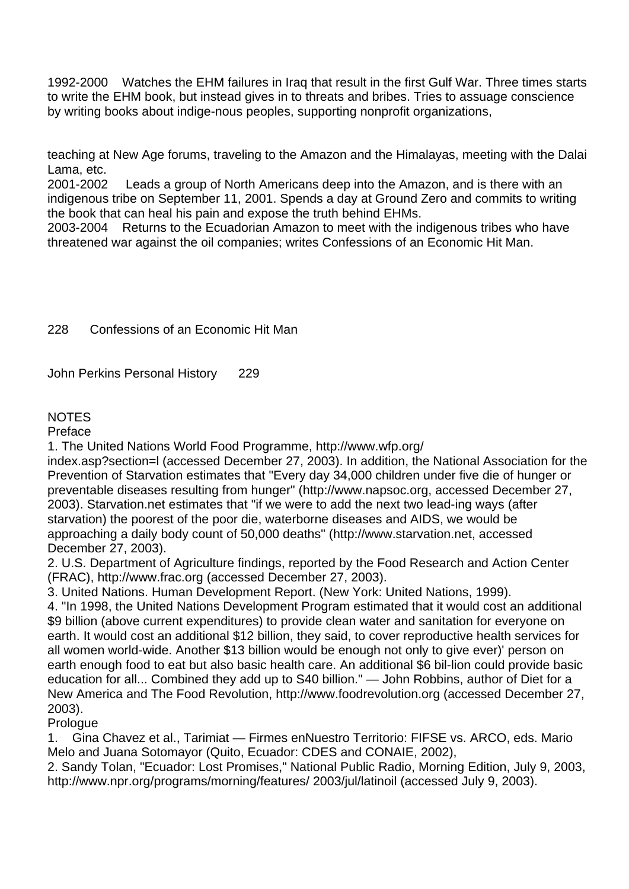1992-2000 Watches the EHM failures in Iraq that result in the first Gulf War. Three times starts to write the EHM book, but instead gives in to threats and bribes. Tries to assuage conscience by writing books about indige-nous peoples, supporting nonprofit organizations,

teaching at New Age forums, traveling to the Amazon and the Himalayas, meeting with the Dalai Lama, etc.

2001-2002 Leads a group of North Americans deep into the Amazon, and is there with an indigenous tribe on September 11, 2001. Spends a day at Ground Zero and commits to writing the book that can heal his pain and expose the truth behind EHMs.

2003-2004 Returns to the Ecuadorian Amazon to meet with the indigenous tribes who have threatened war against the oil companies; writes Confessions of an Economic Hit Man.

228 Confessions of an Economic Hit Man

John Perkins Personal History 229

## NOTES

Preface

1. The United Nations World Food Programme, http://www.wfp.org/

index.asp?section=l (accessed December 27, 2003). In addition, the National Association for the Prevention of Starvation estimates that "Every day 34,000 children under five die of hunger or preventable diseases resulting from hunger" (http://www.napsoc.org, accessed December 27, 2003). Starvation.net estimates that "if we were to add the next two lead-ing ways (after starvation) the poorest of the poor die, waterborne diseases and AIDS, we would be approaching a daily body count of 50,000 deaths" (http://www.starvation.net, accessed December 27, 2003).

2. U.S. Department of Agriculture findings, reported by the Food Research and Action Center (FRAC), http://www.frac.org (accessed December 27, 2003).

3. United Nations. Human Development Report. (New York: United Nations, 1999).

4. "In 1998, the United Nations Development Program estimated that it would cost an additional \$9 billion (above current expenditures) to provide clean water and sanitation for everyone on earth. It would cost an additional \$12 billion, they said, to cover reproductive health services for all women world-wide. Another \$13 billion would be enough not only to give ever)' person on earth enough food to eat but also basic health care. An additional \$6 bil-lion could provide basic education for all... Combined they add up to S40 billion." — John Robbins, author of Diet for a New America and The Food Revolution, http://www.foodrevolution.org (accessed December 27, 2003).

**Prologue** 

1. Gina Chavez et al., Tarimiat — Firmes enNuestro Territorio: FIFSE vs. ARCO, eds. Mario Melo and Juana Sotomayor (Quito, Ecuador: CDES and CONAIE, 2002),

2. Sandy Tolan, "Ecuador: Lost Promises," National Public Radio, Morning Edition, July 9, 2003, http://www.npr.org/programs/morning/features/ 2003/jul/latinoil (accessed July 9, 2003).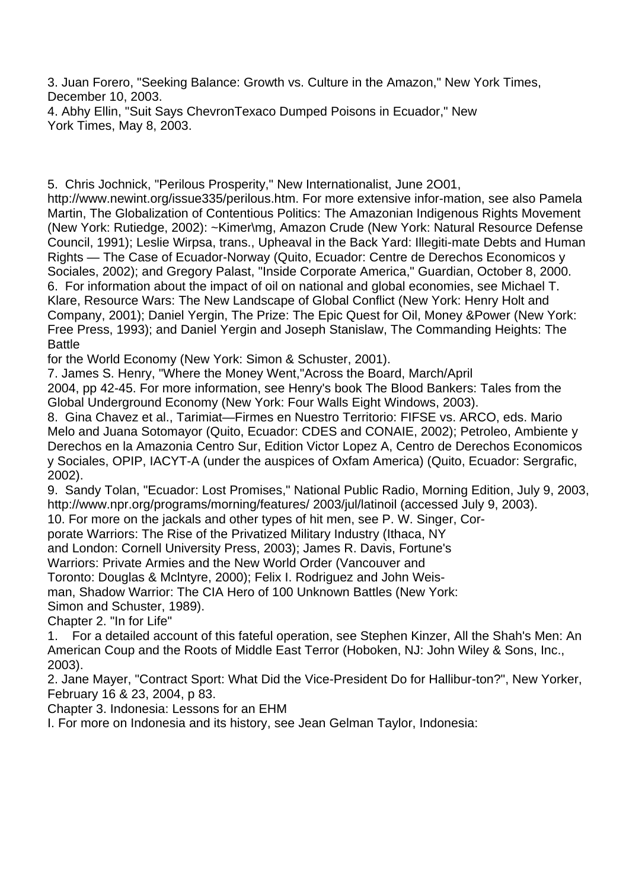3. Juan Forero, "Seeking Balance: Growth vs. Culture in the Amazon," New York Times, December 10, 2003.

4. Abhy Ellin, "Suit Says ChevronTexaco Dumped Poisons in Ecuador," New York Times, May 8, 2003.

5. Chris Jochnick, "Perilous Prosperity," New Internationalist, June 2O01,

http://www.newint.org/issue335/perilous.htm. For more extensive infor-mation, see also Pamela Martin, The Globalization of Contentious Politics: The Amazonian Indigenous Rights Movement (New York: Rutiedge, 2002): ~Kimer\mg, Amazon Crude (New York: Natural Resource Defense Council, 1991); Leslie Wirpsa, trans., Upheaval in the Back Yard: Illegiti-mate Debts and Human Rights — The Case of Ecuador-Norway (Quito, Ecuador: Centre de Derechos Economicos y Sociales, 2002); and Gregory Palast, "Inside Corporate America," Guardian, October 8, 2000. 6. For information about the impact of oil on national and global economies, see Michael T. Klare, Resource Wars: The New Landscape of Global Conflict (New York: Henry Holt and Company, 2001); Daniel Yergin, The Prize: The Epic Quest for Oil, Money &Power (New York: Free Press, 1993); and Daniel Yergin and Joseph Stanislaw, The Commanding Heights: The Battle

for the World Economy (New York: Simon & Schuster, 2001).

7. James S. Henry, "Where the Money Went,"Across the Board, March/April

2004, pp 42-45. For more information, see Henry's book The Blood Bankers: Tales from the Global Underground Economy (New York: Four Walls Eight Windows, 2003).

8. Gina Chavez et al., Tarimiat—Firmes en Nuestro Territorio: FIFSE vs. ARCO, eds. Mario Melo and Juana Sotomayor (Quito, Ecuador: CDES and CONAIE, 2002); Petroleo, Ambiente y Derechos en la Amazonia Centro Sur, Edition Victor Lopez A, Centro de Derechos Economicos y Sociales, OPIP, IACYT-A (under the auspices of Oxfam America) (Quito, Ecuador: Sergrafic, 2002).

9. Sandy Tolan, "Ecuador: Lost Promises," National Public Radio, Morning Edition, July 9, 2003, http://www.npr.org/programs/morning/features/ 2003/jul/latinoil (accessed July 9, 2003).

10. For more on the jackals and other types of hit men, see P. W. Singer, Cor-

porate Warriors: The Rise of the Privatized Military Industry (Ithaca, NY

and London: Cornell University Press, 2003); James R. Davis, Fortune's

Warriors: Private Armies and the New World Order (Vancouver and

Toronto: Douglas & Mclntyre, 2000); Felix I. Rodriguez and John Weis-

man, Shadow Warrior: The CIA Hero of 100 Unknown Battles (New York:

Simon and Schuster, 1989).

Chapter 2. "In for Life"

1. For a detailed account of this fateful operation, see Stephen Kinzer, All the Shah's Men: An American Coup and the Roots of Middle East Terror (Hoboken, NJ: John Wiley & Sons, Inc., 2003).

2. Jane Mayer, "Contract Sport: What Did the Vice-President Do for Hallibur-ton?", New Yorker, February 16 & 23, 2004, p 83.

Chapter 3. Indonesia: Lessons for an EHM

I. For more on Indonesia and its history, see Jean Gelman Taylor, Indonesia: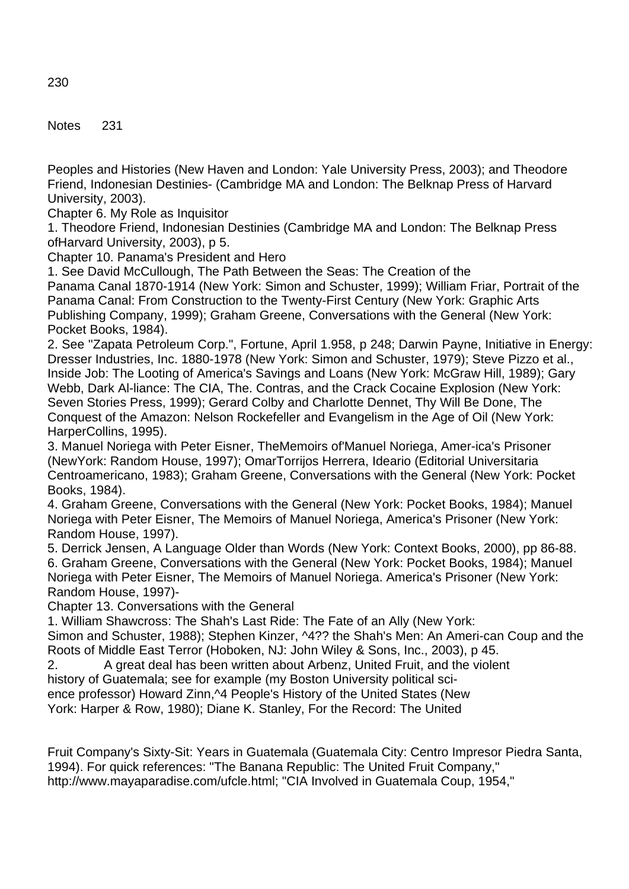Notes 231

Peoples and Histories (New Haven and London: Yale University Press, 2003); and Theodore Friend, Indonesian Destinies- (Cambridge MA and London: The Belknap Press of Harvard University, 2003).

Chapter 6. My Role as Inquisitor

1. Theodore Friend, Indonesian Destinies (Cambridge MA and London: The Belknap Press ofHarvard University, 2003), p 5.

Chapter 10. Panama's President and Hero

1. See David McCullough, The Path Between the Seas: The Creation of the Panama Canal 1870-1914 (New York: Simon and Schuster, 1999); William Friar, Portrait of the Panama Canal: From Construction to the Twenty-First Century (New York: Graphic Arts Publishing Company, 1999); Graham Greene, Conversations with the General (New York: Pocket Books, 1984).

2. See ''Zapata Petroleum Corp.", Fortune, April 1.958, p 248; Darwin Payne, Initiative in Energy: Dresser Industries, Inc. 1880-1978 (New York: Simon and Schuster, 1979); Steve Pizzo et al., Inside Job: The Looting of America's Savings and Loans (New York: McGraw Hill, 1989); Gary Webb, Dark Al-liance: The CIA, The. Contras, and the Crack Cocaine Explosion (New York: Seven Stories Press, 1999); Gerard Colby and Charlotte Dennet, Thy Will Be Done, The Conquest of the Amazon: Nelson Rockefeller and Evangelism in the Age of Oil (New York: HarperCollins, 1995).

3. Manuel Noriega with Peter Eisner, TheMemoirs of'Manuel Noriega, Amer-ica's Prisoner (NewYork: Random House, 1997); OmarTorrijos Herrera, Ideario (Editorial Universitaria Centroamericano, 1983); Graham Greene, Conversations with the General (New York: Pocket Books, 1984).

4. Graham Greene, Conversations with the General (New York: Pocket Books, 1984); Manuel Noriega with Peter Eisner, The Memoirs of Manuel Noriega, America's Prisoner (New York: Random House, 1997).

5. Derrick Jensen, A Language Older than Words (New York: Context Books, 2000), pp 86-88. 6. Graham Greene, Conversations with the General (New York: Pocket Books, 1984); Manuel Noriega with Peter Eisner, The Memoirs of Manuel Noriega. America's Prisoner (New York: Random House, 1997)-

Chapter 13. Conversations with the General

1. William Shawcross: The Shah's Last Ride: The Fate of an Ally (New York:

Simon and Schuster, 1988); Stephen Kinzer, ^4?? the Shah's Men: An Ameri-can Coup and the Roots of Middle East Terror (Hoboken, NJ: John Wiley & Sons, Inc., 2003), p 45.

2. A great deal has been written about Arbenz, United Fruit, and the violent

history of Guatemala; see for example (my Boston University political sci-

ence professor) Howard Zinn,^4 People's History of the United States (New

York: Harper & Row, 1980); Diane K. Stanley, For the Record: The United

Fruit Company's Sixty-Sit: Years in Guatemala (Guatemala City: Centro Impresor Piedra Santa, 1994). For quick references: "The Banana Republic: The United Fruit Company," http://www.mayaparadise.com/ufcle.html; "CIA Involved in Guatemala Coup, 1954,"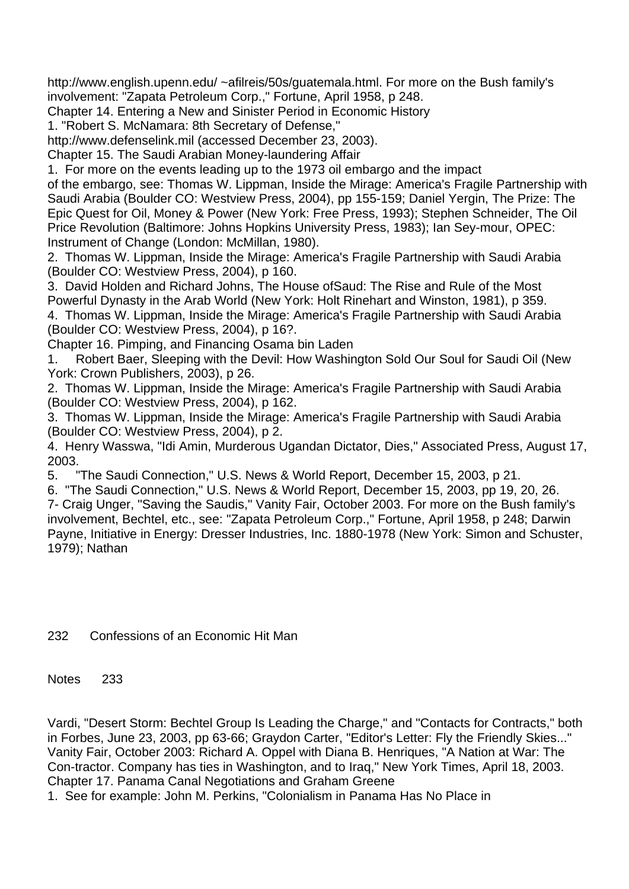http://www.english.upenn.edu/ ~afilreis/50s/guatemala.html. For more on the Bush family's involvement: "Zapata Petroleum Corp.," Fortune, April 1958, p 248.

Chapter 14. Entering a New and Sinister Period in Economic History

1. "Robert S. McNamara: 8th Secretary of Defense,"

http://www.defenselink.mil (accessed December 23, 2003).

Chapter 15. The Saudi Arabian Money-laundering Affair

1. For more on the events leading up to the 1973 oil embargo and the impact of the embargo, see: Thomas W. Lippman, Inside the Mirage: America's Fragile Partnership with Saudi Arabia (Boulder CO: Westview Press, 2004), pp 155-159; Daniel Yergin, The Prize: The Epic Quest for Oil, Money & Power (New York: Free Press, 1993); Stephen Schneider, The Oil Price Revolution (Baltimore: Johns Hopkins University Press, 1983); Ian Sey-mour, OPEC: Instrument of Change (London: McMillan, 1980).

2. Thomas W. Lippman, Inside the Mirage: America's Fragile Partnership with Saudi Arabia (Boulder CO: Westview Press, 2004), p 160.

3. David Holden and Richard Johns, The House ofSaud: The Rise and Rule of the Most Powerful Dynasty in the Arab World (New York: Holt Rinehart and Winston, 1981), p 359. 4. Thomas W. Lippman, Inside the Mirage: America's Fragile Partnership with Saudi Arabia

(Boulder CO: Westview Press, 2004), p 16?.

Chapter 16. Pimping, and Financing Osama bin Laden

1. Robert Baer, Sleeping with the Devil: How Washington Sold Our Soul for Saudi Oil (New York: Crown Publishers, 2003), p 26.

2. Thomas W. Lippman, Inside the Mirage: America's Fragile Partnership with Saudi Arabia (Boulder CO: Westview Press, 2004), p 162.

3. Thomas W. Lippman, Inside the Mirage: America's Fragile Partnership with Saudi Arabia (Boulder CO: Westview Press, 2004), p 2.

4. Henry Wasswa, "Idi Amin, Murderous Ugandan Dictator, Dies," Associated Press, August 17, 2003.

5. "The Saudi Connection," U.S. News & World Report, December 15, 2003, p 21.

6. "The Saudi Connection," U.S. News & World Report, December 15, 2003, pp 19, 20, 26. 7- Craig Unger, "Saving the Saudis," Vanity Fair, October 2003. For more on the Bush family's involvement, Bechtel, etc., see: "Zapata Petroleum Corp.," Fortune, April 1958, p 248; Darwin Payne, Initiative in Energy: Dresser Industries, Inc. 1880-1978 (New York: Simon and Schuster, 1979); Nathan

232 Confessions of an Economic Hit Man

Notes 233

Vardi, "Desert Storm: Bechtel Group Is Leading the Charge," and "Contacts for Contracts," both in Forbes, June 23, 2003, pp 63-66; Graydon Carter, "Editor's Letter: Fly the Friendly Skies..." Vanity Fair, October 2003: Richard A. Oppel with Diana B. Henriques, "A Nation at War: The Con-tractor. Company has ties in Washington, and to Iraq," New York Times, April 18, 2003. Chapter 17. Panama Canal Negotiations and Graham Greene

1. See for example: John M. Perkins, "Colonialism in Panama Has No Place in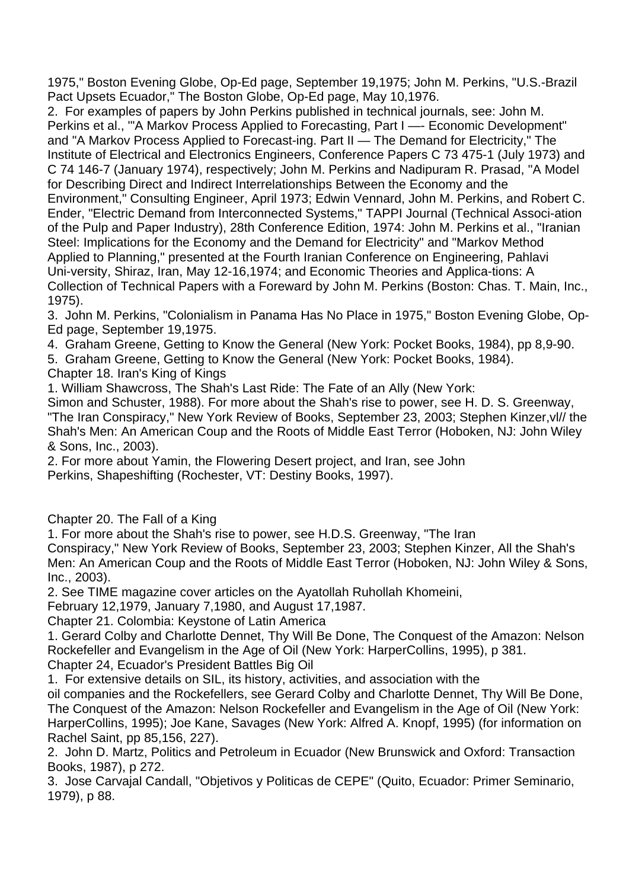1975," Boston Evening Globe, Op-Ed page, September 19,1975; John M. Perkins, "U.S.-Brazil Pact Upsets Ecuador," The Boston Globe, Op-Ed page, May 10,1976.

2. For examples of papers by John Perkins published in technical journals, see: John M. Perkins et al., '"A Markov Process Applied to Forecasting, Part I —- Economic Development" and "A Markov Process Applied to Forecast-ing. Part II — The Demand for Electricity," The Institute of Electrical and Electronics Engineers, Conference Papers C 73 475-1 (July 1973) and C 74 146-7 (January 1974), respectively; John M. Perkins and Nadipuram R. Prasad, ''A Model for Describing Direct and Indirect Interrelationships Between the Economy and the Environment," Consulting Engineer, April 1973; Edwin Vennard, John M. Perkins, and Robert C. Ender, "Electric Demand from Interconnected Systems," TAPPI Journal (Technical Associ-ation of the Pulp and Paper Industry), 28th Conference Edition, 1974: John M. Perkins et al., "Iranian Steel: Implications for the Economy and the Demand for Electricity" and "Markov Method Applied to Planning," presented at the Fourth Iranian Conference on Engineering, Pahlavi Uni-versity, Shiraz, Iran, May 12-16,1974; and Economic Theories and Applica-tions: A Collection of Technical Papers with a Foreward by John M. Perkins (Boston: Chas. T. Main, Inc., 1975).

3. John M. Perkins, "Colonialism in Panama Has No Place in 1975," Boston Evening Globe, Op-Ed page, September 19,1975.

4. Graham Greene, Getting to Know the General (New York: Pocket Books, 1984), pp 8,9-90.

5. Graham Greene, Getting to Know the General (New York: Pocket Books, 1984).

Chapter 18. Iran's King of Kings

1. William Shawcross, The Shah's Last Ride: The Fate of an Ally (New York:

Simon and Schuster, 1988). For more about the Shah's rise to power, see H. D. S. Greenway, "The Iran Conspiracy," New York Review of Books, September 23, 2003; Stephen Kinzer,vl// the Shah's Men: An American Coup and the Roots of Middle East Terror (Hoboken, NJ: John Wiley & Sons, Inc., 2003).

2. For more about Yamin, the Flowering Desert project, and Iran, see John Perkins, Shapeshifting (Rochester, VT: Destiny Books, 1997).

Chapter 20. The Fall of a King

1. For more about the Shah's rise to power, see H.D.S. Greenway, "The Iran Conspiracy," New York Review of Books, September 23, 2003; Stephen Kinzer, All the Shah's

Men: An American Coup and the Roots of Middle East Terror (Hoboken, NJ: John Wiley & Sons, Inc., 2003).

2. See TIME magazine cover articles on the Ayatollah Ruhollah Khomeini,

February 12,1979, January 7,1980, and August 17,1987.

Chapter 21. Colombia: Keystone of Latin America

1. Gerard Colby and Charlotte Dennet, Thy Will Be Done, The Conquest of the Amazon: Nelson Rockefeller and Evangelism in the Age of Oil (New York: HarperCollins, 1995), p 381. Chapter 24, Ecuador's President Battles Big Oil

1. For extensive details on SIL, its history, activities, and association with the

oil companies and the Rockefellers, see Gerard Colby and Charlotte Dennet, Thy Will Be Done, The Conquest of the Amazon: Nelson Rockefeller and Evangelism in the Age of Oil (New York: HarperCollins, 1995); Joe Kane, Savages (New York: Alfred A. Knopf, 1995) (for information on Rachel Saint, pp 85,156, 227).

2. John D. Martz, Politics and Petroleum in Ecuador (New Brunswick and Oxford: Transaction Books, 1987), p 272.

3. Jose Carvajal Candall, "Objetivos y Politicas de CEPE" (Quito, Ecuador: Primer Seminario, 1979), p 88.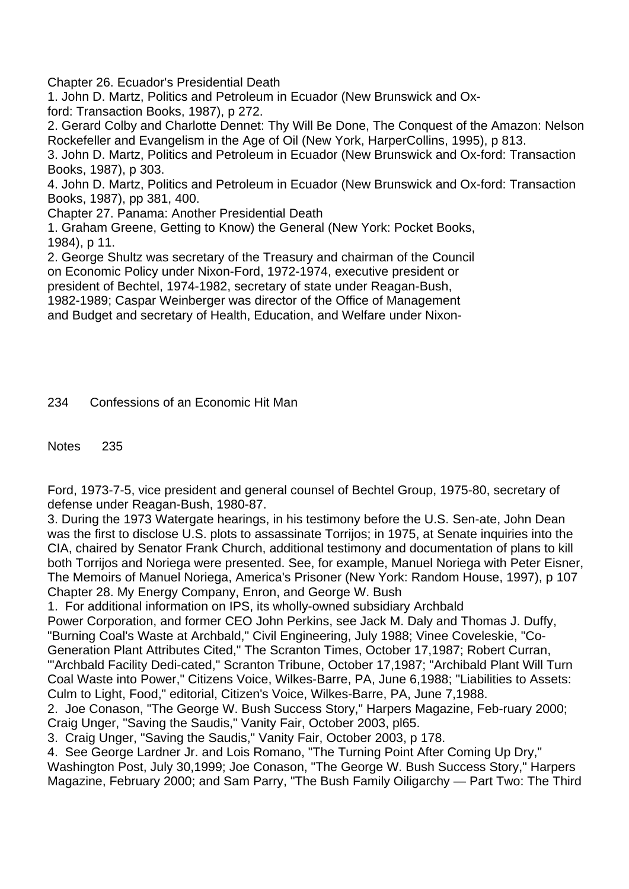Chapter 26. Ecuador's Presidential Death

1. John D. Martz, Politics and Petroleum in Ecuador (New Brunswick and Oxford: Transaction Books, 1987), p 272.

2. Gerard Colby and Charlotte Dennet: Thy Will Be Done, The Conquest of the Amazon: Nelson Rockefeller and Evangelism in the Age of Oil (New York, HarperCollins, 1995), p 813.

3. John D. Martz, Politics and Petroleum in Ecuador (New Brunswick and Ox-ford: Transaction Books, 1987), p 303.

4. John D. Martz, Politics and Petroleum in Ecuador (New Brunswick and Ox-ford: Transaction Books, 1987), pp 381, 400.

Chapter 27. Panama: Another Presidential Death

1. Graham Greene, Getting to Know) the General (New York: Pocket Books, 1984), p 11.

2. George Shultz was secretary of the Treasury and chairman of the Council on Economic Policy under Nixon-Ford, 1972-1974, executive president or

president of Bechtel, 1974-1982, secretary of state under Reagan-Bush,

1982-1989; Caspar Weinberger was director of the Office of Management and Budget and secretary of Health, Education, and Welfare under Nixon-

234 Confessions of an Economic Hit Man

Notes 235

Ford, 1973-7-5, vice president and general counsel of Bechtel Group, 1975-80, secretary of defense under Reagan-Bush, 1980-87.

3. During the 1973 Watergate hearings, in his testimony before the U.S. Sen-ate, John Dean was the first to disclose U.S. plots to assassinate Torrijos; in 1975, at Senate inquiries into the CIA, chaired by Senator Frank Church, additional testimony and documentation of plans to kill both Torrijos and Noriega were presented. See, for example, Manuel Noriega with Peter Eisner, The Memoirs of Manuel Noriega, America's Prisoner (New York: Random House, 1997), p 107 Chapter 28. My Energy Company, Enron, and George W. Bush

1. For additional information on IPS, its wholly-owned subsidiary Archbald

Power Corporation, and former CEO John Perkins, see Jack M. Daly and Thomas J. Duffy, "Burning Coal's Waste at Archbald," Civil Engineering, July 1988; Vinee Coveleskie, "Co-Generation Plant Attributes Cited," The Scranton Times, October 17,1987; Robert Curran, '"Archbald Facility Dedi-cated," Scranton Tribune, October 17,1987; "Archibald Plant Will Turn Coal Waste into Power," Citizens Voice, Wilkes-Barre, PA, June 6,1988; "Liabilities to Assets: Culm to Light, Food," editorial, Citizen's Voice, Wilkes-Barre, PA, June 7,1988.

2. Joe Conason, "The George W. Bush Success Story," Harpers Magazine, Feb-ruary 2000; Craig Unger, "Saving the Saudis," Vanity Fair, October 2003, pl65.

3. Craig Unger, "Saving the Saudis," Vanity Fair, October 2003, p 178.

4. See George Lardner Jr. and Lois Romano, "The Turning Point After Coming Up Dry," Washington Post, July 30,1999; Joe Conason, "The George W. Bush Success Story," Harpers Magazine, February 2000; and Sam Parry, "The Bush Family Oiligarchy — Part Two: The Third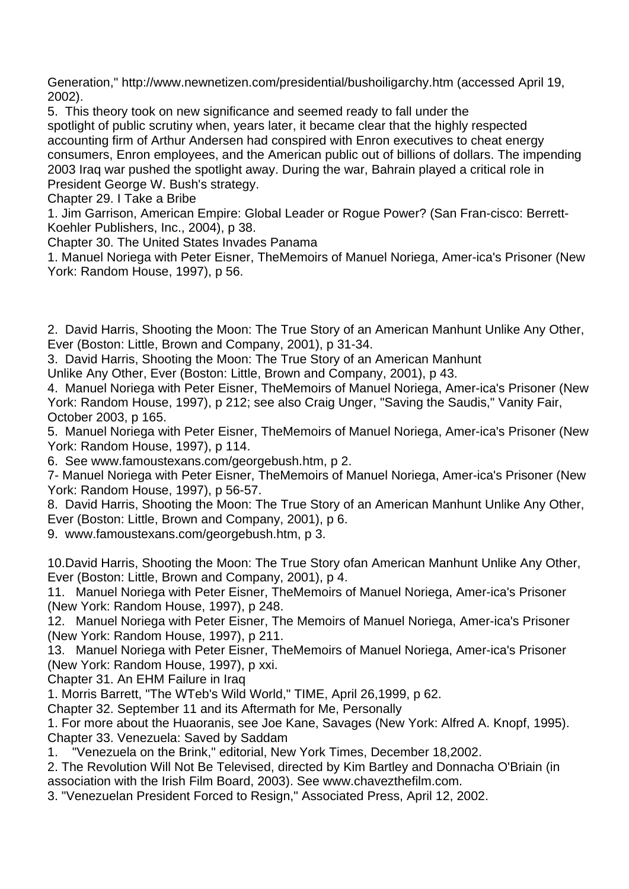Generation," http://www.newnetizen.com/presidential/bushoiligarchy.htm (accessed April 19, 2002).

5. This theory took on new significance and seemed ready to fall under the spotlight of public scrutiny when, years later, it became clear that the highly respected accounting firm of Arthur Andersen had conspired with Enron executives to cheat energy consumers, Enron employees, and the American public out of billions of dollars. The impending 2003 Iraq war pushed the spotlight away. During the war, Bahrain played a critical role in President George W. Bush's strategy.

Chapter 29. I Take a Bribe

1. Jim Garrison, American Empire: Global Leader or Rogue Power? (San Fran-cisco: Berrett-Koehler Publishers, Inc., 2004), p 38.

Chapter 30. The United States Invades Panama

1. Manuel Noriega with Peter Eisner, TheMemoirs of Manuel Noriega, Amer-ica's Prisoner (New York: Random House, 1997), p 56.

2. David Harris, Shooting the Moon: The True Story of an American Manhunt Unlike Any Other, Ever (Boston: Little, Brown and Company, 2001), p 31-34.

3. David Harris, Shooting the Moon: The True Story of an American Manhunt

Unlike Any Other, Ever (Boston: Little, Brown and Company, 2001), p 43.

4. Manuel Noriega with Peter Eisner, TheMemoirs of Manuel Noriega, Amer-ica's Prisoner (New York: Random House, 1997), p 212; see also Craig Unger, "Saving the Saudis," Vanity Fair, October 2003, p 165.

5. Manuel Noriega with Peter Eisner, TheMemoirs of Manuel Noriega, Amer-ica's Prisoner (New York: Random House, 1997), p 114.

6. See www.famoustexans.com/georgebush.htm, p 2.

7- Manuel Noriega with Peter Eisner, TheMemoirs of Manuel Noriega, Amer-ica's Prisoner (New York: Random House, 1997), p 56-57.

8. David Harris, Shooting the Moon: The True Story of an American Manhunt Unlike Any Other, Ever (Boston: Little, Brown and Company, 2001), p 6.

9. www.famoustexans.com/georgebush.htm, p 3.

10.David Harris, Shooting the Moon: The True Story ofan American Manhunt Unlike Any Other, Ever (Boston: Little, Brown and Company, 2001), p 4.

11. Manuel Noriega with Peter Eisner, TheMemoirs of Manuel Noriega, Amer-ica's Prisoner (New York: Random House, 1997), p 248.

12. Manuel Noriega with Peter Eisner, The Memoirs of Manuel Noriega, Amer-ica's Prisoner (New York: Random House, 1997), p 211.

13. Manuel Noriega with Peter Eisner, TheMemoirs of Manuel Noriega, Amer-ica's Prisoner (New York: Random House, 1997), p xxi.

Chapter 31. An EHM Failure in Iraq

1. Morris Barrett, "The WTeb's Wild World," TIME, April 26,1999, p 62.

Chapter 32. September 11 and its Aftermath for Me, Personally

1. For more about the Huaoranis, see Joe Kane, Savages (New York: Alfred A. Knopf, 1995). Chapter 33. Venezuela: Saved by Saddam

1. "Venezuela on the Brink," editorial, New York Times, December 18,2002.

2. The Revolution Will Not Be Televised, directed by Kim Bartley and Donnacha O'Briain (in association with the Irish Film Board, 2003). See www.chavezthefilm.com.

3. "Venezuelan President Forced to Resign," Associated Press, April 12, 2002.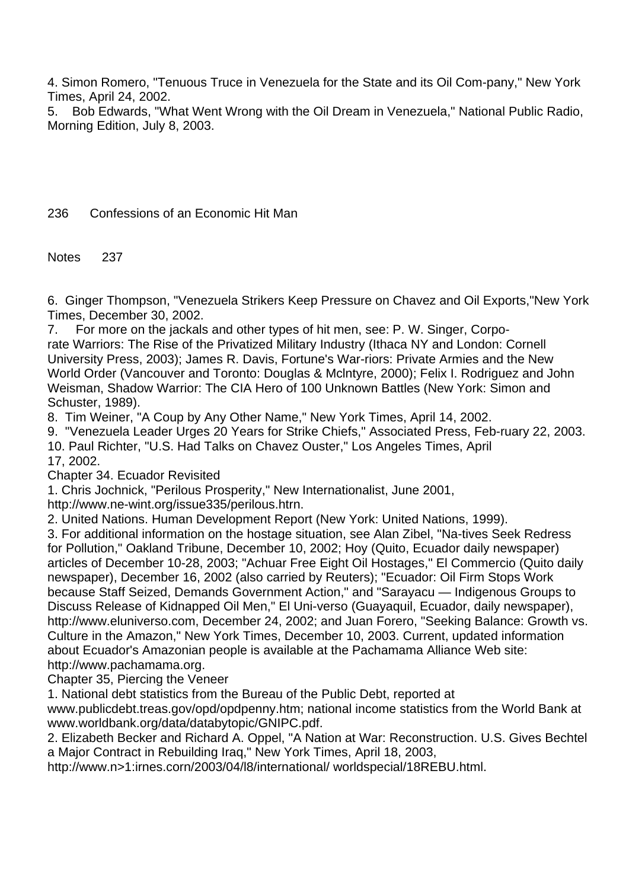4. Simon Romero, "Tenuous Truce in Venezuela for the State and its Oil Com-pany," New York Times, April 24, 2002.

5. Bob Edwards, "What Went Wrong with the Oil Dream in Venezuela," National Public Radio, Morning Edition, July 8, 2003.

236 Confessions of an Economic Hit Man

Notes 237

6. Ginger Thompson, "Venezuela Strikers Keep Pressure on Chavez and Oil Exports,"New York Times, December 30, 2002.

7. For more on the jackals and other types of hit men, see: P. W. Singer, Corporate Warriors: The Rise of the Privatized Military Industry (Ithaca NY and London: Cornell University Press, 2003); James R. Davis, Fortune's War-riors: Private Armies and the New World Order (Vancouver and Toronto: Douglas & Mclntyre, 2000); Felix I. Rodriguez and John Weisman, Shadow Warrior: The CIA Hero of 100 Unknown Battles (New York: Simon and Schuster, 1989).

8. Tim Weiner, "A Coup by Any Other Name," New York Times, April 14, 2002.

9. "Venezuela Leader Urges 20 Years for Strike Chiefs," Associated Press, Feb-ruary 22, 2003.

10. Paul Richter, "U.S. Had Talks on Chavez Ouster," Los Angeles Times, April 17, 2002.

Chapter 34. Ecuador Revisited

1. Chris Jochnick, "Perilous Prosperity," New Internationalist, June 2001,

http://www.ne-wint.org/issue335/perilous.htrn.

2. United Nations. Human Development Report (New York: United Nations, 1999).

3. For additional information on the hostage situation, see Alan Zibel, "Na-tives Seek Redress for Pollution," Oakland Tribune, December 10, 2002; Hoy (Quito, Ecuador daily newspaper) articles of December 10-28, 2003; "Achuar Free Eight Oil Hostages," El Commercio (Quito daily newspaper), December 16, 2002 (also carried by Reuters); "Ecuador: Oil Firm Stops Work because Staff Seized, Demands Government Action," and "Sarayacu — Indigenous Groups to Discuss Release of Kidnapped Oil Men," El Uni-verso (Guayaquil, Ecuador, daily newspaper), http://www.eluniverso.com, December 24, 2002; and Juan Forero, "Seeking Balance: Growth vs. Culture in the Amazon," New York Times, December 10, 2003. Current, updated information about Ecuador's Amazonian people is available at the Pachamama Alliance Web site: http://www.pachamama.org.

Chapter 35, Piercing the Veneer

1. National debt statistics from the Bureau of the Public Debt, reported at www.publicdebt.treas.gov/opd/opdpenny.htm; national income statistics from the World Bank at www.worldbank.org/data/databytopic/GNIPC.pdf.

2. Elizabeth Becker and Richard A. Oppel, "A Nation at War: Reconstruction. U.S. Gives Bechtel a Major Contract in Rebuilding Iraq," New York Times, April 18, 2003,

http://www.n>1:irnes.corn/2003/04/l8/international/ worldspecial/18REBU.html.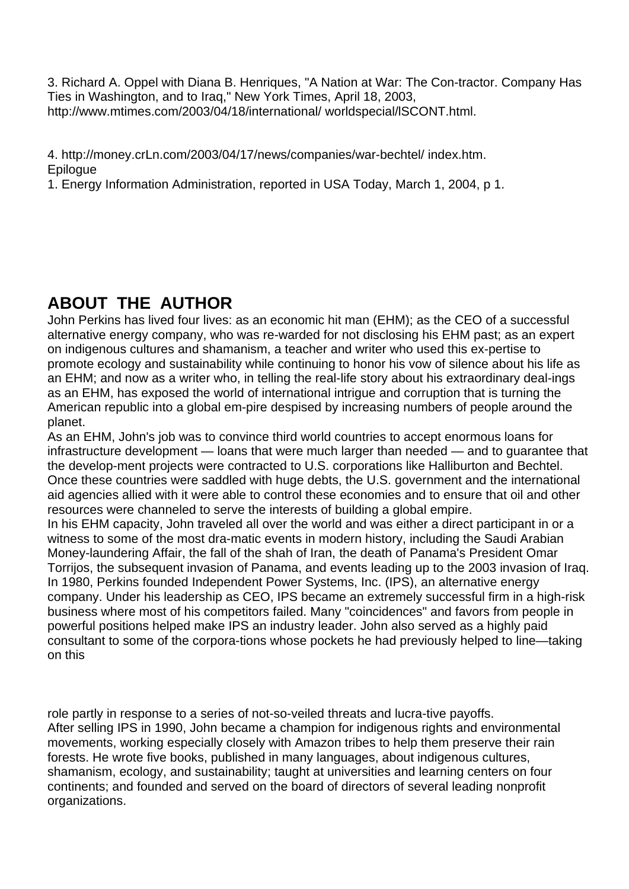3. Richard A. Oppel with Diana B. Henriques, "A Nation at War: The Con-tractor. Company Has Ties in Washington, and to Iraq," New York Times, April 18, 2003, http://www.mtimes.com/2003/04/18/international/ worldspecial/lSCONT.html.

4. http://money.crLn.com/2003/04/17/news/companies/war-bechtel/ index.htm. Epilogue

1. Energy Information Administration, reported in USA Today, March 1, 2004, p 1.

## **ABOUT THE AUTHOR**

John Perkins has lived four lives: as an economic hit man (EHM); as the CEO of a successful alternative energy company, who was re-warded for not disclosing his EHM past; as an expert on indigenous cultures and shamanism, a teacher and writer who used this ex-pertise to promote ecology and sustainability while continuing to honor his vow of silence about his life as an EHM; and now as a writer who, in telling the real-life story about his extraordinary deal-ings as an EHM, has exposed the world of international intrigue and corruption that is turning the American republic into a global em-pire despised by increasing numbers of people around the planet.

As an EHM, John's job was to convince third world countries to accept enormous loans for infrastructure development — loans that were much larger than needed — and to guarantee that the develop-ment projects were contracted to U.S. corporations like Halliburton and Bechtel. Once these countries were saddled with huge debts, the U.S. government and the international aid agencies allied with it were able to control these economies and to ensure that oil and other resources were channeled to serve the interests of building a global empire.

In his EHM capacity, John traveled all over the world and was either a direct participant in or a witness to some of the most dra-matic events in modern history, including the Saudi Arabian Money-laundering Affair, the fall of the shah of Iran, the death of Panama's President Omar Torrijos, the subsequent invasion of Panama, and events leading up to the 2003 invasion of Iraq. In 1980, Perkins founded Independent Power Systems, Inc. (IPS), an alternative energy company. Under his leadership as CEO, IPS became an extremely successful firm in a high-risk business where most of his competitors failed. Many "coincidences" and favors from people in powerful positions helped make IPS an industry leader. John also served as a highly paid consultant to some of the corpora-tions whose pockets he had previously helped to line—taking on this

role partly in response to a series of not-so-veiled threats and lucra-tive payoffs. After selling IPS in 1990, John became a champion for indigenous rights and environmental movements, working especially closely with Amazon tribes to help them preserve their rain forests. He wrote five books, published in many languages, about indigenous cultures, shamanism, ecology, and sustainability; taught at universities and learning centers on four continents; and founded and served on the board of directors of several leading nonprofit organizations.